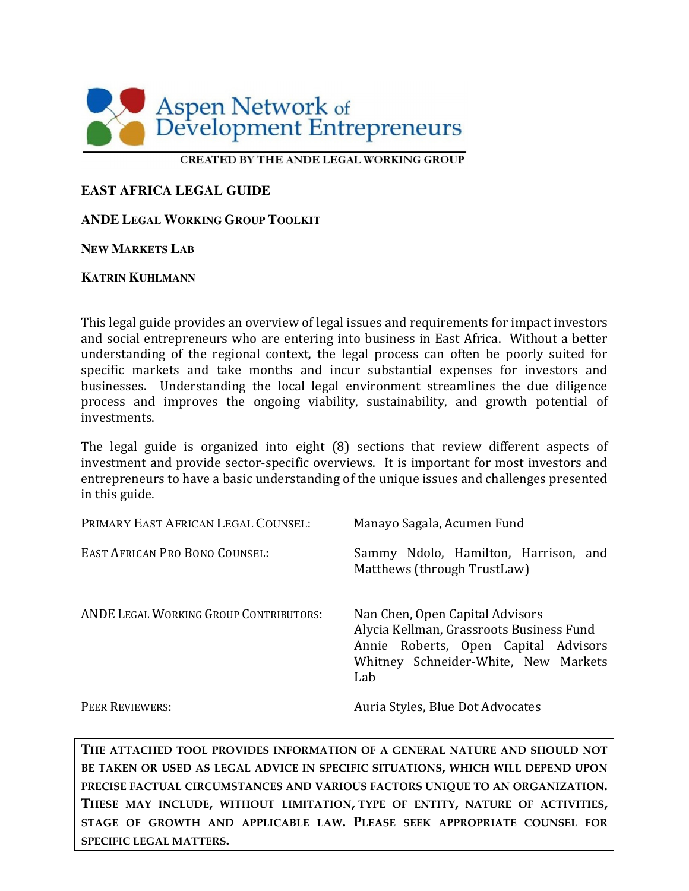

#### **CREATED BY THE ANDE LEGAL WORKING GROUP**

#### **EAST AFRICA LEGAL GUIDE**

#### **ANDE LEGAL WORKING GROUP TOOLKIT**

#### **NEW MARKETS LAB**

#### **KATRIN KUHLMANN**

This legal guide provides an overview of legal issues and requirements for impact investors and social entrepreneurs who are entering into business in East Africa. Without a better understanding of the regional context, the legal process can often be poorly suited for specific markets and take months and incur substantial expenses for investors and businesses. Understanding the local legal environment streamlines the due diligence process and improves the ongoing viability, sustainability, and growth potential of investments.

The legal guide is organized into eight (8) sections that review different aspects of investment and provide sector-specific overviews. It is important for most investors and entrepreneurs to have a basic understanding of the unique issues and challenges presented in this guide.

| PRIMARY EAST AFRICAN LEGAL COUNSEL:           | Manayo Sagala, Acumen Fund                                                                                                                                         |  |
|-----------------------------------------------|--------------------------------------------------------------------------------------------------------------------------------------------------------------------|--|
| <b>EAST AFRICAN PRO BONO COUNSEL:</b>         | Sammy Ndolo, Hamilton, Harrison, and<br>Matthews (through TrustLaw)                                                                                                |  |
| <b>ANDE LEGAL WORKING GROUP CONTRIBUTORS:</b> | Nan Chen, Open Capital Advisors<br>Alycia Kellman, Grassroots Business Fund<br>Annie Roberts, Open Capital Advisors<br>Whitney Schneider-White, New Markets<br>Lab |  |
| <b>PEER REVIEWERS:</b>                        | Auria Styles, Blue Dot Advocates                                                                                                                                   |  |

**THE ATTACHED TOOL PROVIDES INFORMATION OF A GENERAL NATURE AND SHOULD NOT BE TAKEN OR USED AS LEGAL ADVICE IN SPECIFIC SITUATIONS, WHICH WILL DEPEND UPON PRECISE FACTUAL CIRCUMSTANCES AND VARIOUS FACTORS UNIQUE TO AN ORGANIZATION. THESE MAY INCLUDE, WITHOUT LIMITATION, TYPE OF ENTITY, NATURE OF ACTIVITIES, STAGE OF GROWTH AND APPLICABLE LAW. PLEASE SEEK APPROPRIATE COUNSEL FOR SPECIFIC LEGAL MATTERS.**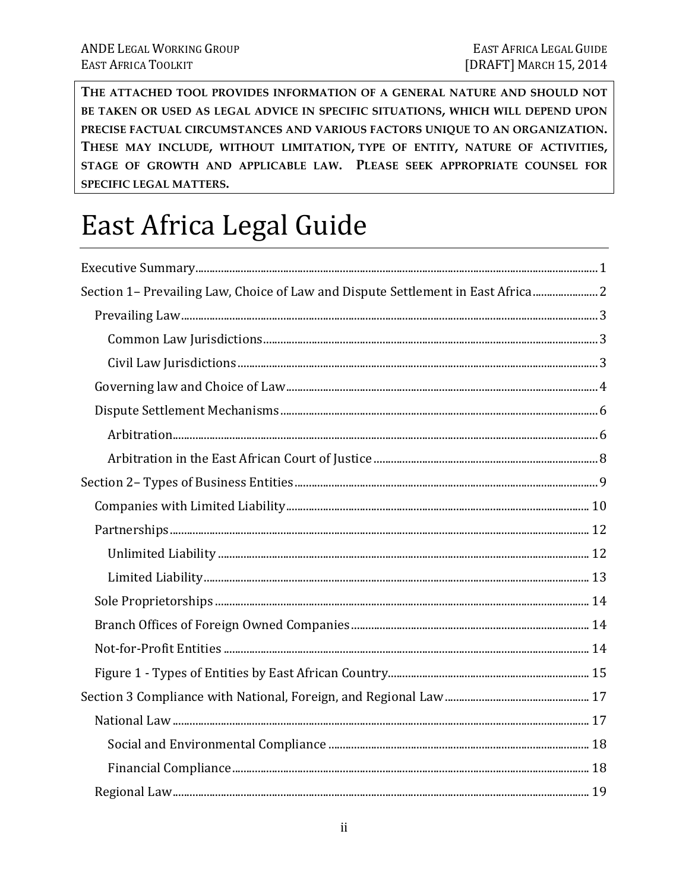THE ATTACHED TOOL PROVIDES INFORMATION OF A GENERAL NATURE AND SHOULD NOT BE TAKEN OR USED AS LEGAL ADVICE IN SPECIFIC SITUATIONS, WHICH WILL DEPEND UPON PRECISE FACTUAL CIRCUMSTANCES AND VARIOUS FACTORS UNIQUE TO AN ORGANIZATION. THESE MAY INCLUDE, WITHOUT LIMITATION, TYPE OF ENTITY, NATURE OF ACTIVITIES, STAGE OF GROWTH AND APPLICABLE LAW. PLEASE SEEK APPROPRIATE COUNSEL FOR SPECIFIC LEGAL MATTERS.

# East Africa Legal Guide

| Section 1- Prevailing Law, Choice of Law and Dispute Settlement in East Africa 2 |  |
|----------------------------------------------------------------------------------|--|
|                                                                                  |  |
|                                                                                  |  |
|                                                                                  |  |
|                                                                                  |  |
|                                                                                  |  |
|                                                                                  |  |
|                                                                                  |  |
|                                                                                  |  |
|                                                                                  |  |
|                                                                                  |  |
|                                                                                  |  |
|                                                                                  |  |
|                                                                                  |  |
|                                                                                  |  |
|                                                                                  |  |
|                                                                                  |  |
|                                                                                  |  |
|                                                                                  |  |
|                                                                                  |  |
|                                                                                  |  |
|                                                                                  |  |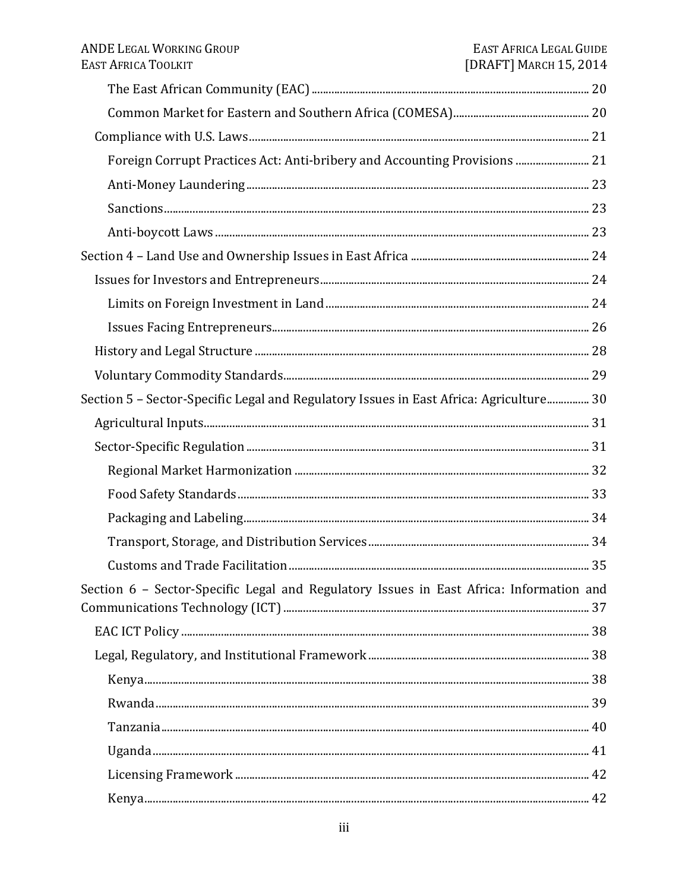| Foreign Corrupt Practices Act: Anti-bribery and Accounting Provisions  21               |  |
|-----------------------------------------------------------------------------------------|--|
|                                                                                         |  |
|                                                                                         |  |
|                                                                                         |  |
|                                                                                         |  |
|                                                                                         |  |
|                                                                                         |  |
|                                                                                         |  |
|                                                                                         |  |
|                                                                                         |  |
| Section 5 - Sector-Specific Legal and Regulatory Issues in East Africa: Agriculture 30  |  |
|                                                                                         |  |
|                                                                                         |  |
|                                                                                         |  |
|                                                                                         |  |
|                                                                                         |  |
|                                                                                         |  |
|                                                                                         |  |
| Section 6 - Sector-Specific Legal and Regulatory Issues in East Africa: Information and |  |
|                                                                                         |  |
|                                                                                         |  |
|                                                                                         |  |
|                                                                                         |  |
|                                                                                         |  |
|                                                                                         |  |
|                                                                                         |  |
|                                                                                         |  |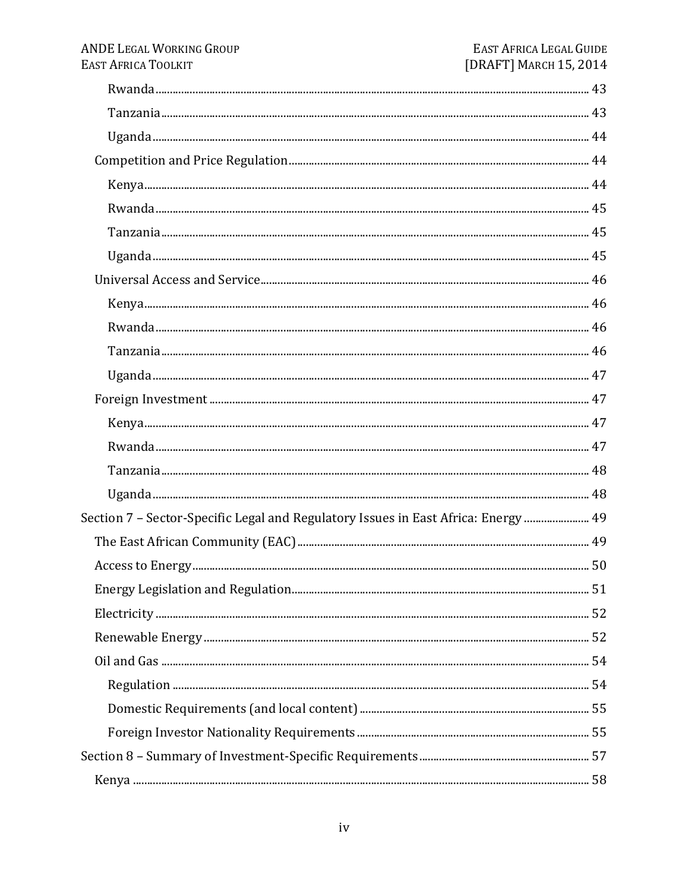| Section 7 - Sector-Specific Legal and Regulatory Issues in East Africa: Energy  49 |  |
|------------------------------------------------------------------------------------|--|
|                                                                                    |  |
|                                                                                    |  |
|                                                                                    |  |
|                                                                                    |  |
|                                                                                    |  |
|                                                                                    |  |
|                                                                                    |  |
|                                                                                    |  |
|                                                                                    |  |
|                                                                                    |  |
|                                                                                    |  |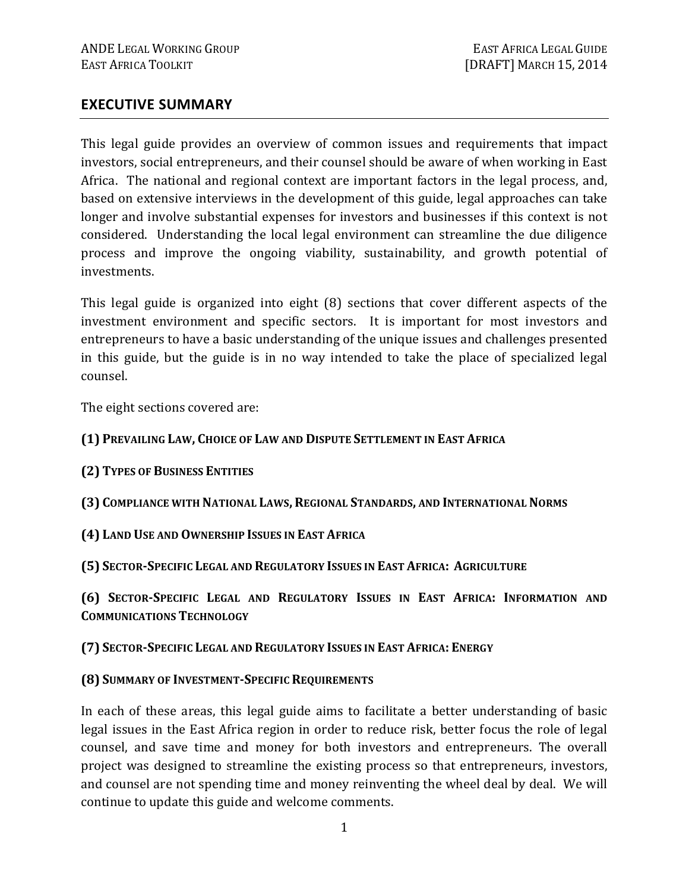#### **EXECUTIVE SUMMARY**

This legal guide provides an overview of common issues and requirements that impact investors, social entrepreneurs, and their counsel should be aware of when working in East Africa. The national and regional context are important factors in the legal process, and, based on extensive interviews in the development of this guide, legal approaches can take longer and involve substantial expenses for investors and businesses if this context is not considered. Understanding the local legal environment can streamline the due diligence process and improve the ongoing viability, sustainability, and growth potential of investments.

This legal guide is organized into eight (8) sections that cover different aspects of the investment environment and specific sectors. It is important for most investors and entrepreneurs to have a basic understanding of the unique issues and challenges presented in this guide, but the guide is in no way intended to take the place of specialized legal counsel.

The eight sections covered are:

#### **(1) PREVAILING LAW, CHOICE OF LAW AND DISPUTE SETTLEMENT IN EAST AFRICA**

- **(2) TYPES OF BUSINESS ENTITIES**
- **(3) COMPLIANCE WITH NATIONAL LAWS, REGIONAL STANDARDS, AND INTERNATIONAL NORMS**
- **(4) LAND USE AND OWNERSHIP ISSUES IN EAST AFRICA**

**(5) SECTOR-SPECIFIC LEGAL AND REGULATORY ISSUES IN EAST AFRICA: AGRICULTURE**

**(6) SECTOR-SPECIFIC LEGAL AND REGULATORY ISSUES IN EAST AFRICA: INFORMATION AND COMMUNICATIONS TECHNOLOGY**

**(7) SECTOR-SPECIFIC LEGAL AND REGULATORY ISSUES IN EAST AFRICA: ENERGY**

#### **(8) SUMMARY OF INVESTMENT-SPECIFIC REQUIREMENTS**

In each of these areas, this legal guide aims to facilitate a better understanding of basic legal issues in the East Africa region in order to reduce risk, better focus the role of legal counsel, and save time and money for both investors and entrepreneurs. The overall project was designed to streamline the existing process so that entrepreneurs, investors, and counsel are not spending time and money reinventing the wheel deal by deal. We will continue to update this guide and welcome comments.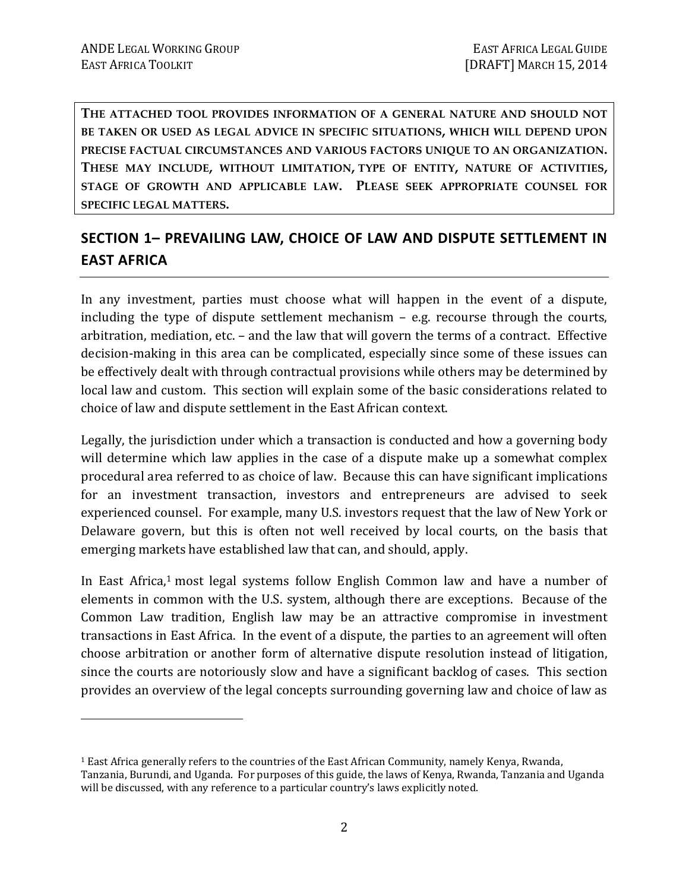<u>.</u>

**THE ATTACHED TOOL PROVIDES INFORMATION OF A GENERAL NATURE AND SHOULD NOT BE TAKEN OR USED AS LEGAL ADVICE IN SPECIFIC SITUATIONS, WHICH WILL DEPEND UPON PRECISE FACTUAL CIRCUMSTANCES AND VARIOUS FACTORS UNIQUE TO AN ORGANIZATION. THESE MAY INCLUDE, WITHOUT LIMITATION, TYPE OF ENTITY, NATURE OF ACTIVITIES, STAGE OF GROWTH AND APPLICABLE LAW. PLEASE SEEK APPROPRIATE COUNSEL FOR SPECIFIC LEGAL MATTERS.** 

# **SECTION 1– PREVAILING LAW, CHOICE OF LAW AND DISPUTE SETTLEMENT IN EAST AFRICA**

In any investment, parties must choose what will happen in the event of a dispute, including the type of dispute settlement mechanism – e.g. recourse through the courts, arbitration, mediation, etc. – and the law that will govern the terms of a contract. Effective decision-making in this area can be complicated, especially since some of these issues can be effectively dealt with through contractual provisions while others may be determined by local law and custom. This section will explain some of the basic considerations related to choice of law and dispute settlement in the East African context.

Legally, the jurisdiction under which a transaction is conducted and how a governing body will determine which law applies in the case of a dispute make up a somewhat complex procedural area referred to as choice of law. Because this can have significant implications for an investment transaction, investors and entrepreneurs are advised to seek experienced counsel. For example, many U.S. investors request that the law of New York or Delaware govern, but this is often not well received by local courts, on the basis that emerging markets have established law that can, and should, apply.

In East Africa,<sup>1</sup> most legal systems follow English Common law and have a number of elements in common with the U.S. system, although there are exceptions. Because of the Common Law tradition, English law may be an attractive compromise in investment transactions in East Africa. In the event of a dispute, the parties to an agreement will often choose arbitration or another form of alternative dispute resolution instead of litigation, since the courts are notoriously slow and have a significant backlog of cases. This section provides an overview of the legal concepts surrounding governing law and choice of law as

<sup>&</sup>lt;sup>1</sup> East Africa generally refers to the countries of the East African Community, namely Kenya, Rwanda, Tanzania, Burundi, and Uganda. For purposes of this guide, the laws of Kenya, Rwanda, Tanzania and Uganda will be discussed, with any reference to a particular country's laws explicitly noted.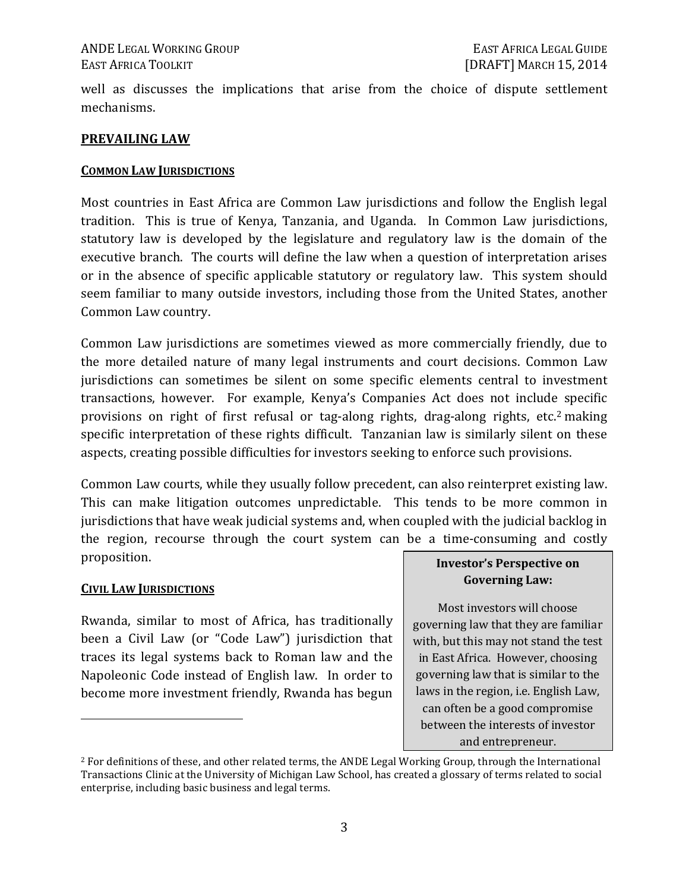well as discusses the implications that arise from the choice of dispute settlement mechanisms.

#### **PREVAILING LAW**

#### **COMMON LAW JURISDICTIONS**

Most countries in East Africa are Common Law jurisdictions and follow the English legal tradition. This is true of Kenya, Tanzania, and Uganda. In Common Law jurisdictions, statutory law is developed by the legislature and regulatory law is the domain of the executive branch. The courts will define the law when a question of interpretation arises or in the absence of specific applicable statutory or regulatory law. This system should seem familiar to many outside investors, including those from the United States, another Common Law country.

Common Law jurisdictions are sometimes viewed as more commercially friendly, due to the more detailed nature of many legal instruments and court decisions. Common Law jurisdictions can sometimes be silent on some specific elements central to investment transactions, however. For example, Kenya's Companies Act does not include specific provisions on right of first refusal or tag-along rights, drag-along rights, etc.2 making specific interpretation of these rights difficult. Tanzanian law is similarly silent on these aspects, creating possible difficulties for investors seeking to enforce such provisions.

Common Law courts, while they usually follow precedent, can also reinterpret existing law. This can make litigation outcomes unpredictable. This tends to be more common in jurisdictions that have weak judicial systems and, when coupled with the judicial backlog in the region, recourse through the court system can be a time-consuming and costly proposition.

#### **CIVIL LAW JURISDICTIONS**

 $\overline{a}$ 

Rwanda, similar to most of Africa, has traditionally been a Civil Law (or "Code Law") jurisdiction that traces its legal systems back to Roman law and the Napoleonic Code instead of English law. In order to become more investment friendly, Rwanda has begun

#### **Investor's Perspective on Governing Law:**

Most investors will choose governing law that they are familiar with, but this may not stand the test in East Africa. However, choosing governing law that is similar to the laws in the region, i.e. English Law, can often be a good compromise between the interests of investor and entrepreneur.

<sup>&</sup>lt;sup>2</sup> For definitions of these, and other related terms, the ANDE Legal Working Group, through the International Transactions Clinic at the University of Michigan Law School, has created a glossary of terms related to social enterprise, including basic business and legal terms.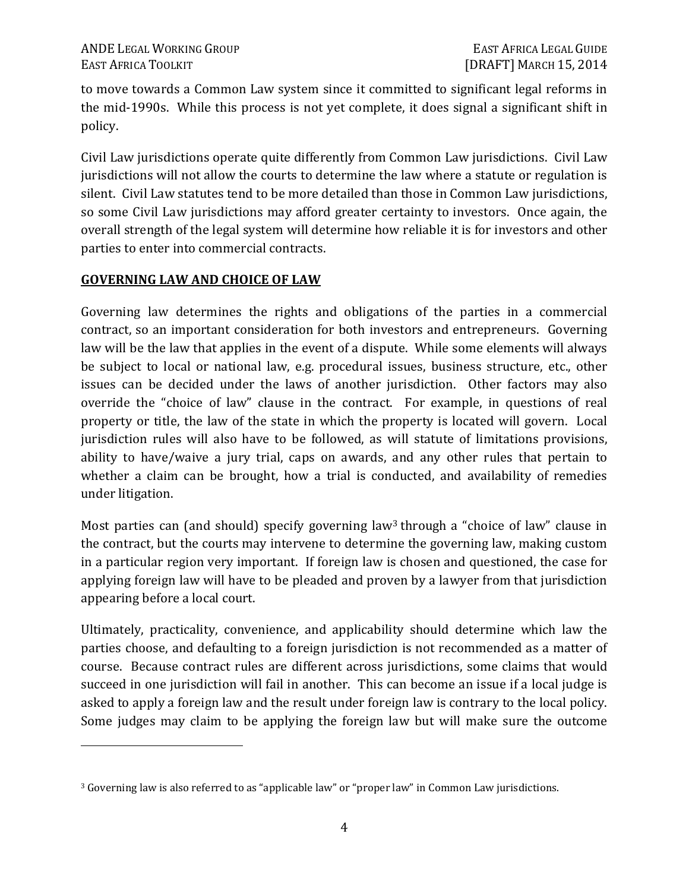to move towards a Common Law system since it committed to significant legal reforms in the mid-1990s. While this process is not yet complete, it does signal a significant shift in policy.

Civil Law jurisdictions operate quite differently from Common Law jurisdictions. Civil Law jurisdictions will not allow the courts to determine the law where a statute or regulation is silent. Civil Law statutes tend to be more detailed than those in Common Law jurisdictions, so some Civil Law jurisdictions may afford greater certainty to investors. Once again, the overall strength of the legal system will determine how reliable it is for investors and other parties to enter into commercial contracts.

#### **GOVERNING LAW AND CHOICE OF LAW**

<u>.</u>

Governing law determines the rights and obligations of the parties in a commercial contract, so an important consideration for both investors and entrepreneurs. Governing law will be the law that applies in the event of a dispute. While some elements will always be subject to local or national law, e.g. procedural issues, business structure, etc., other issues can be decided under the laws of another jurisdiction. Other factors may also override the "choice of law" clause in the contract. For example, in questions of real property or title, the law of the state in which the property is located will govern. Local jurisdiction rules will also have to be followed, as will statute of limitations provisions, ability to have/waive a jury trial, caps on awards, and any other rules that pertain to whether a claim can be brought, how a trial is conducted, and availability of remedies under litigation.

Most parties can (and should) specify governing law<sup>3</sup> through a "choice of law" clause in the contract, but the courts may intervene to determine the governing law, making custom in a particular region very important. If foreign law is chosen and questioned, the case for applying foreign law will have to be pleaded and proven by a lawyer from that jurisdiction appearing before a local court.

Ultimately, practicality, convenience, and applicability should determine which law the parties choose, and defaulting to a foreign jurisdiction is not recommended as a matter of course. Because contract rules are different across jurisdictions, some claims that would succeed in one jurisdiction will fail in another. This can become an issue if a local judge is asked to apply a foreign law and the result under foreign law is contrary to the local policy. Some judges may claim to be applying the foreign law but will make sure the outcome

<sup>3</sup> Governing law is also referred to as "applicable law" or "proper law" in Common Law jurisdictions.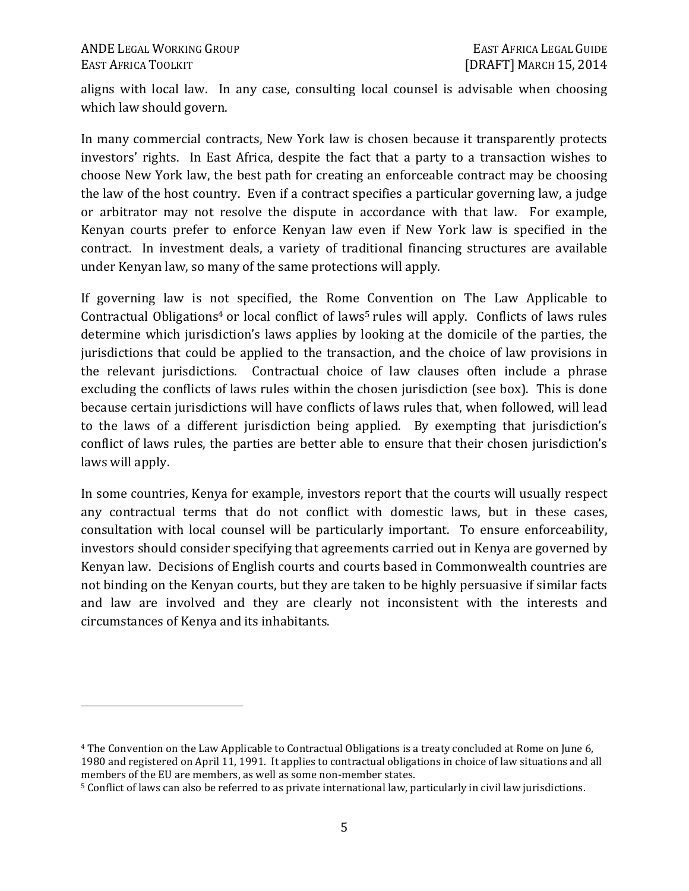<u>.</u>

aligns with local law. In any case, consulting local counsel is advisable when choosing which law should govern.

In many commercial contracts, New York law is chosen because it transparently protects investors' rights. In East Africa, despite the fact that a party to a transaction wishes to choose New York law, the best path for creating an enforceable contract may be choosing the law of the host country. Even if a contract specifies a particular governing law, a judge or arbitrator may not resolve the dispute in accordance with that law. For example, Kenyan courts prefer to enforce Kenyan law even if New York law is specified in the contract. In investment deals, a variety of traditional financing structures are available under Kenyan law, so many of the same protections will apply.

If governing law is not specified, the Rome Convention on The Law Applicable to Contractual Obligations<sup>4</sup> or local conflict of laws<sup>5</sup> rules will apply. Conflicts of laws rules determine which jurisdiction's laws applies by looking at the domicile of the parties, the jurisdictions that could be applied to the transaction, and the choice of law provisions in the relevant jurisdictions. Contractual choice of law clauses often include a phrase excluding the conflicts of laws rules within the chosen jurisdiction (see box). This is done because certain jurisdictions will have conflicts of laws rules that, when followed, will lead to the laws of a different jurisdiction being applied. By exempting that jurisdiction's conflict of laws rules, the parties are better able to ensure that their chosen jurisdiction's laws will apply.

In some countries, Kenya for example, investors report that the courts will usually respect any contractual terms that do not conflict with domestic laws, but in these cases, consultation with local counsel will be particularly important. To ensure enforceability, investors should consider specifying that agreements carried out in Kenya are governed by Kenyan law. Decisions of English courts and courts based in Commonwealth countries are not binding on the Kenyan courts, but they are taken to be highly persuasive if similar facts and law are involved and they are clearly not inconsistent with the interests and circumstances of Kenya and its inhabitants.

<sup>4</sup> The Convention on the Law Applicable to Contractual Obligations is a treaty concluded at Rome on June 6, 1980 and registered on April 11, 1991. It applies to contractual obligations in choice of law situations and all members of the EU are members, as well as some non-member states.

<sup>5</sup> Conflict of laws can also be referred to as private international law, particularly in civil law jurisdictions.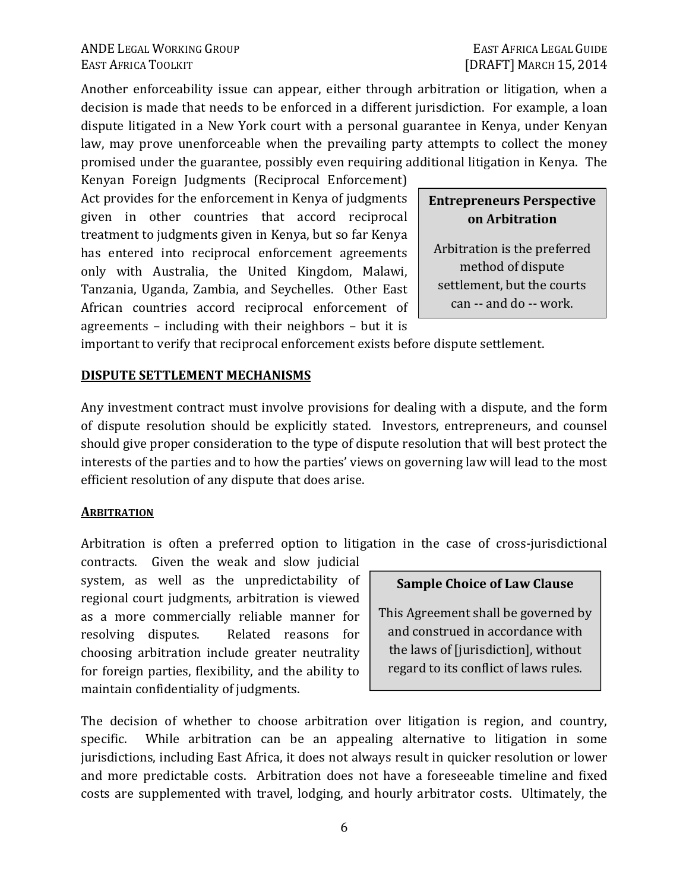Another enforceability issue can appear, either through arbitration or litigation, when a decision is made that needs to be enforced in a different jurisdiction. For example, a loan dispute litigated in a New York court with a personal guarantee in Kenya, under Kenyan law, may prove unenforceable when the prevailing party attempts to collect the money promised under the guarantee, possibly even requiring additional litigation in Kenya. The

Kenyan Foreign Judgments (Reciprocal Enforcement) Act provides for the enforcement in Kenya of judgments given in other countries that accord reciprocal treatment to judgments given in Kenya, but so far Kenya has entered into reciprocal enforcement agreements only with Australia, the United Kingdom, Malawi, Tanzania, Uganda, Zambia, and Seychelles. Other East African countries accord reciprocal enforcement of agreements – including with their neighbors – but it is

**Entrepreneurs Perspective on Arbitration** 

Arbitration is the preferred method of dispute settlement, but the courts can -- and do -- work.

important to verify that reciprocal enforcement exists before dispute settlement.

#### **DISPUTE SETTLEMENT MECHANISMS**

Any investment contract must involve provisions for dealing with a dispute, and the form of dispute resolution should be explicitly stated. Investors, entrepreneurs, and counsel should give proper consideration to the type of dispute resolution that will best protect the interests of the parties and to how the parties' views on governing law will lead to the most efficient resolution of any dispute that does arise.

#### **ARBITRATION**

Arbitration is often a preferred option to litigation in the case of cross-jurisdictional

contracts. Given the weak and slow judicial system, as well as the unpredictability of regional court judgments, arbitration is viewed as a more commercially reliable manner for resolving disputes. Related reasons for choosing arbitration include greater neutrality for foreign parties, flexibility, and the ability to maintain confidentiality of judgments.

#### **Sample Choice of Law Clause**

This Agreement shall be governed by and construed in accordance with the laws of [jurisdiction], without regard to its conflict of laws rules.

The decision of whether to choose arbitration over litigation is region, and country, specific. While arbitration can be an appealing alternative to litigation in some jurisdictions, including East Africa, it does not always result in quicker resolution or lower and more predictable costs. Arbitration does not have a foreseeable timeline and fixed costs are supplemented with travel, lodging, and hourly arbitrator costs. Ultimately, the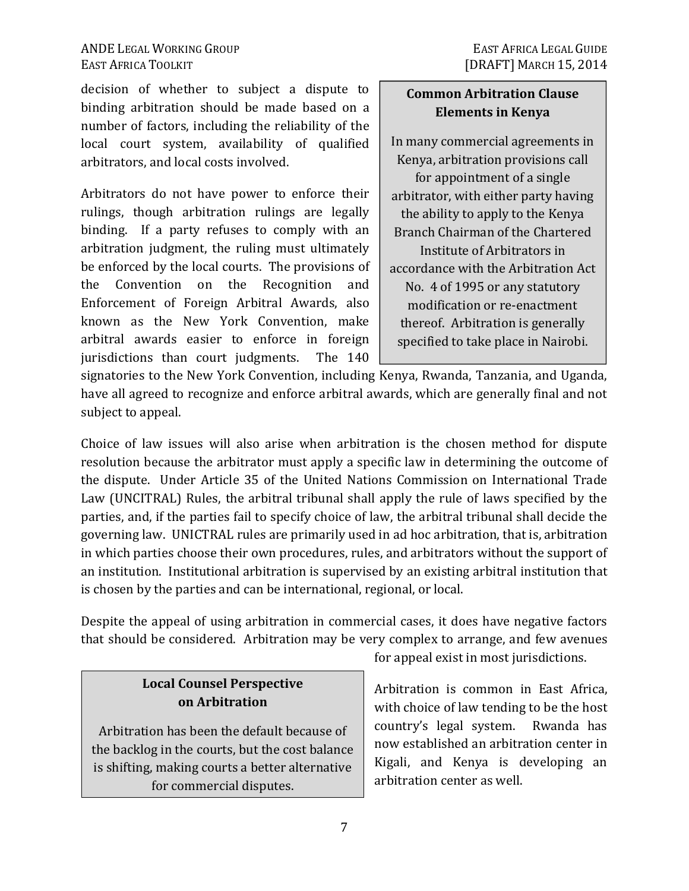decision of whether to subject a dispute to binding arbitration should be made based on a number of factors, including the reliability of the local court system, availability of qualified arbitrators, and local costs involved.

Arbitrators do not have power to enforce their rulings, though arbitration rulings are legally binding. If a party refuses to comply with an arbitration judgment, the ruling must ultimately be enforced by the local courts. The provisions of the Convention on the Recognition and Enforcement of Foreign Arbitral Awards, also known as the New York Convention, make arbitral awards easier to enforce in foreign jurisdictions than court judgments. The 140

### **Common Arbitration Clause Elements in Kenya**

In many commercial agreements in Kenya, arbitration provisions call for appointment of a single arbitrator, with either party having the ability to apply to the Kenya Branch Chairman of the Chartered Institute of Arbitrators in accordance with the Arbitration Act No. 4 of 1995 or any statutory modification or re-enactment thereof. Arbitration is generally specified to take place in Nairobi.

signatories to the New York Convention, including Kenya, Rwanda, Tanzania, and Uganda, have all agreed to recognize and enforce arbitral awards, which are generally final and not subject to appeal.

Choice of law issues will also arise when arbitration is the chosen method for dispute resolution because the arbitrator must apply a specific law in determining the outcome of the dispute. Under Article 35 of the United Nations Commission on International Trade Law (UNCITRAL) Rules, the arbitral tribunal shall apply the rule of laws specified by the parties, and, if the parties fail to specify choice of law, the arbitral tribunal shall decide the governing law. UNICTRAL rules are primarily used in ad hoc arbitration, that is, arbitration in which parties choose their own procedures, rules, and arbitrators without the support of an institution. Institutional arbitration is supervised by an existing arbitral institution that is chosen by the parties and can be international, regional, or local.

Despite the appeal of using arbitration in commercial cases, it does have negative factors that should be considered. Arbitration may be very complex to arrange, and few avenues

### **Local Counsel Perspective on Arbitration**

Arbitration has been the default because of the backlog in the courts, but the cost balance is shifting, making courts a better alternative for commercial disputes.

for appeal exist in most jurisdictions.

Arbitration is common in East Africa, with choice of law tending to be the host country's legal system. Rwanda has now established an arbitration center in Kigali, and Kenya is developing an arbitration center as well.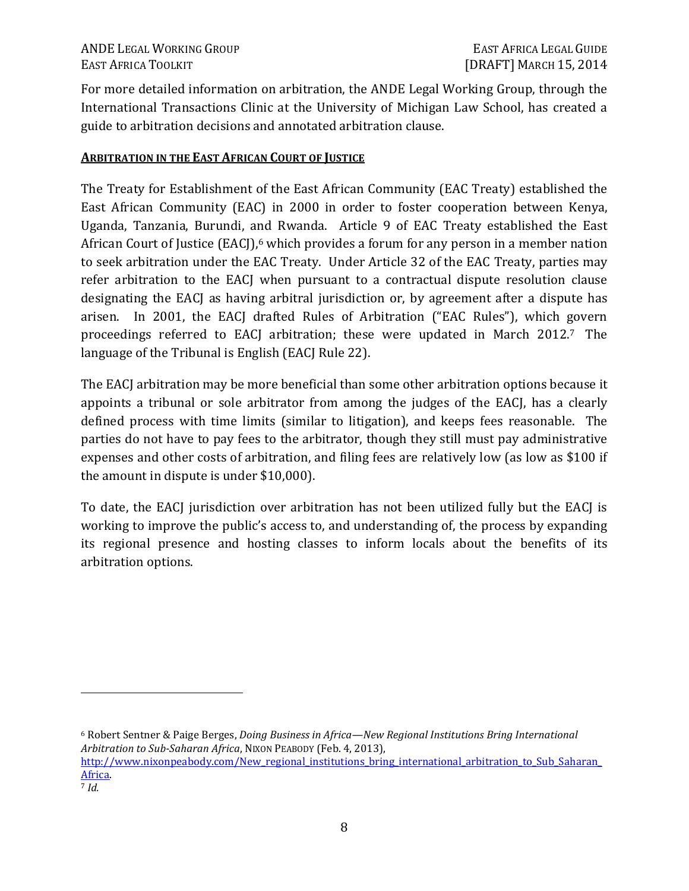ANDE LEGAL WORKING GROUP **EAST AFRICA LEGAL GUIDE** EAST AFRICA TOOLKIT [DRAFT] MARCH 15, 2014

For more detailed information on arbitration, the ANDE Legal Working Group, through the International Transactions Clinic at the University of Michigan Law School, has created a guide to arbitration decisions and annotated arbitration clause.

#### **ARBITRATION IN THE EAST AFRICAN COURT OF JUSTICE**

The Treaty for Establishment of the East African Community (EAC Treaty) established the East African Community (EAC) in 2000 in order to foster cooperation between Kenya, Uganda, Tanzania, Burundi, and Rwanda. Article 9 of EAC Treaty established the East African Court of Justice (EACJ),<sup>6</sup> which provides a forum for any person in a member nation to seek arbitration under the EAC Treaty. Under Article 32 of the EAC Treaty, parties may refer arbitration to the EACJ when pursuant to a contractual dispute resolution clause designating the EACJ as having arbitral jurisdiction or, by agreement after a dispute has arisen. In 2001, the EACJ drafted Rules of Arbitration ("EAC Rules"), which govern proceedings referred to EACJ arbitration; these were updated in March 2012.7 The language of the Tribunal is English (EACJ Rule 22).

The EACJ arbitration may be more beneficial than some other arbitration options because it appoints a tribunal or sole arbitrator from among the judges of the EACJ, has a clearly defined process with time limits (similar to litigation), and keeps fees reasonable. The parties do not have to pay fees to the arbitrator, though they still must pay administrative expenses and other costs of arbitration, and filing fees are relatively low (as low as \$100 if the amount in dispute is under \$10,000).

To date, the EACJ jurisdiction over arbitration has not been utilized fully but the EACJ is working to improve the public's access to, and understanding of, the process by expanding its regional presence and hosting classes to inform locals about the benefits of its arbitration options.

<sup>6</sup> Robert Sentner & Paige Berges, *Doing Business in Africa—New Regional Institutions Bring International Arbitration to Sub-Saharan Africa*, NIXON PEABODY (Feb. 4, 2013), http://www.nixonpeabody.com/New\_regional\_institutions\_bring\_international\_arbitration\_to\_Sub\_Saharan\_ Africa.

 $\overline{a}$ 

<sup>7</sup> *Id.*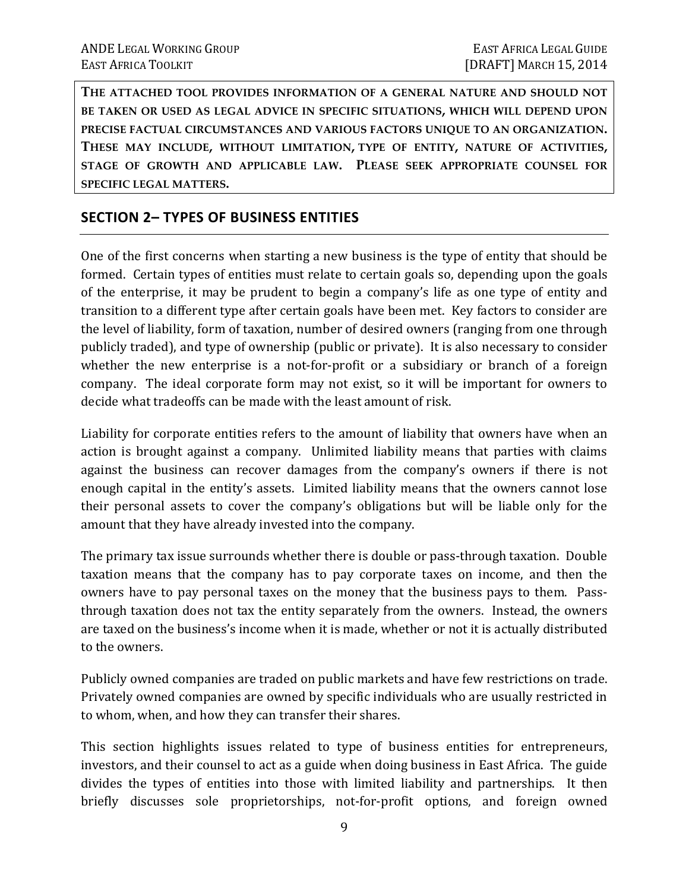**THE ATTACHED TOOL PROVIDES INFORMATION OF A GENERAL NATURE AND SHOULD NOT BE TAKEN OR USED AS LEGAL ADVICE IN SPECIFIC SITUATIONS, WHICH WILL DEPEND UPON PRECISE FACTUAL CIRCUMSTANCES AND VARIOUS FACTORS UNIQUE TO AN ORGANIZATION. THESE MAY INCLUDE, WITHOUT LIMITATION, TYPE OF ENTITY, NATURE OF ACTIVITIES, STAGE OF GROWTH AND APPLICABLE LAW. PLEASE SEEK APPROPRIATE COUNSEL FOR SPECIFIC LEGAL MATTERS.** 

### **SECTION 2– TYPES OF BUSINESS ENTITIES**

One of the first concerns when starting a new business is the type of entity that should be formed. Certain types of entities must relate to certain goals so, depending upon the goals of the enterprise, it may be prudent to begin a company's life as one type of entity and transition to a different type after certain goals have been met. Key factors to consider are the level of liability, form of taxation, number of desired owners (ranging from one through publicly traded), and type of ownership (public or private). It is also necessary to consider whether the new enterprise is a not-for-profit or a subsidiary or branch of a foreign company. The ideal corporate form may not exist, so it will be important for owners to decide what tradeoffs can be made with the least amount of risk.

Liability for corporate entities refers to the amount of liability that owners have when an action is brought against a company. Unlimited liability means that parties with claims against the business can recover damages from the company's owners if there is not enough capital in the entity's assets. Limited liability means that the owners cannot lose their personal assets to cover the company's obligations but will be liable only for the amount that they have already invested into the company.

The primary tax issue surrounds whether there is double or pass-through taxation. Double taxation means that the company has to pay corporate taxes on income, and then the owners have to pay personal taxes on the money that the business pays to them. Passthrough taxation does not tax the entity separately from the owners. Instead, the owners are taxed on the business's income when it is made, whether or not it is actually distributed to the owners.

Publicly owned companies are traded on public markets and have few restrictions on trade. Privately owned companies are owned by specific individuals who are usually restricted in to whom, when, and how they can transfer their shares.

This section highlights issues related to type of business entities for entrepreneurs, investors, and their counsel to act as a guide when doing business in East Africa. The guide divides the types of entities into those with limited liability and partnerships. It then briefly discusses sole proprietorships, not-for-profit options, and foreign owned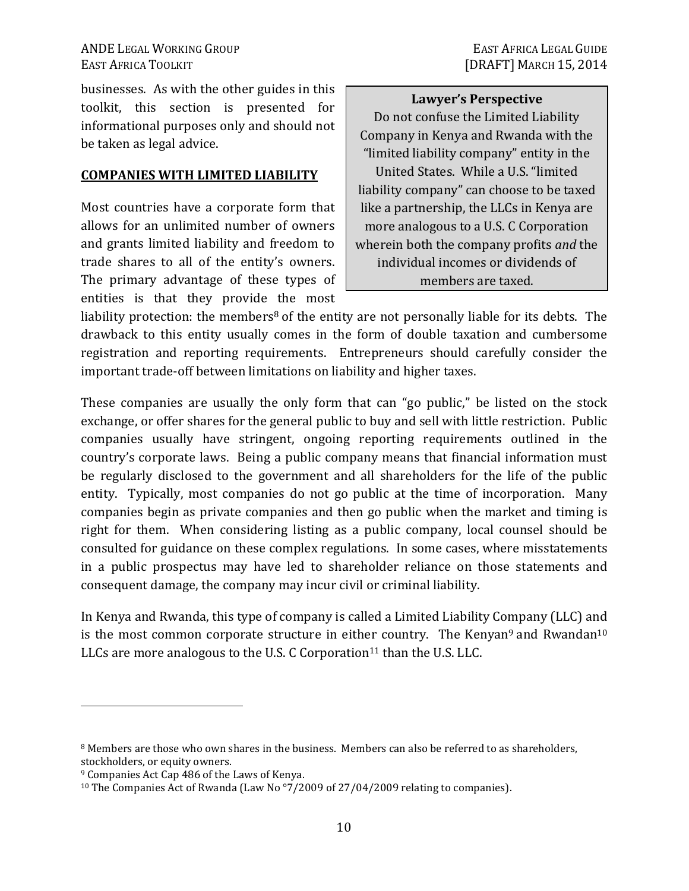EAST AFRICA TOOLKIT **EXECUTE:** [DRAFT] MARCH 15, 2014

businesses. As with the other guides in this toolkit, this section is presented for informational purposes only and should not be taken as legal advice.

#### **COMPANIES WITH LIMITED LIABILITY**

Most countries have a corporate form that allows for an unlimited number of owners and grants limited liability and freedom to trade shares to all of the entity's owners. The primary advantage of these types of entities is that they provide the most

**Lawyer's Perspective** Do not confuse the Limited Liability Company in Kenya and Rwanda with the "limited liability company" entity in the United States. While a U.S. "limited liability company" can choose to be taxed like a partnership, the LLCs in Kenya are more analogous to a U.S. C Corporation wherein both the company profits *and* the individual incomes or dividends of members are taxed.

liability protection: the members<sup>8</sup> of the entity are not personally liable for its debts. The drawback to this entity usually comes in the form of double taxation and cumbersome registration and reporting requirements. Entrepreneurs should carefully consider the important trade-off between limitations on liability and higher taxes.

These companies are usually the only form that can "go public," be listed on the stock exchange, or offer shares for the general public to buy and sell with little restriction. Public companies usually have stringent, ongoing reporting requirements outlined in the country's corporate laws. Being a public company means that financial information must be regularly disclosed to the government and all shareholders for the life of the public entity. Typically, most companies do not go public at the time of incorporation. Many companies begin as private companies and then go public when the market and timing is right for them. When considering listing as a public company, local counsel should be consulted for guidance on these complex regulations. In some cases, where misstatements in a public prospectus may have led to shareholder reliance on those statements and consequent damage, the company may incur civil or criminal liability.

In Kenya and Rwanda, this type of company is called a Limited Liability Company (LLC) and is the most common corporate structure in either country. The Kenyan<sup>9</sup> and Rwandan<sup>10</sup> LLCs are more analogous to the U.S. C Corporation<sup>11</sup> than the U.S. LLC.

 $\overline{a}$ 

<sup>&</sup>lt;sup>8</sup> Members are those who own shares in the business. Members can also be referred to as shareholders, stockholders, or equity owners.

<sup>9</sup> Companies Act Cap 486 of the Laws of Kenya.

<sup>&</sup>lt;sup>10</sup> The Companies Act of Rwanda (Law No<sup>o</sup>7/2009 of 27/04/2009 relating to companies).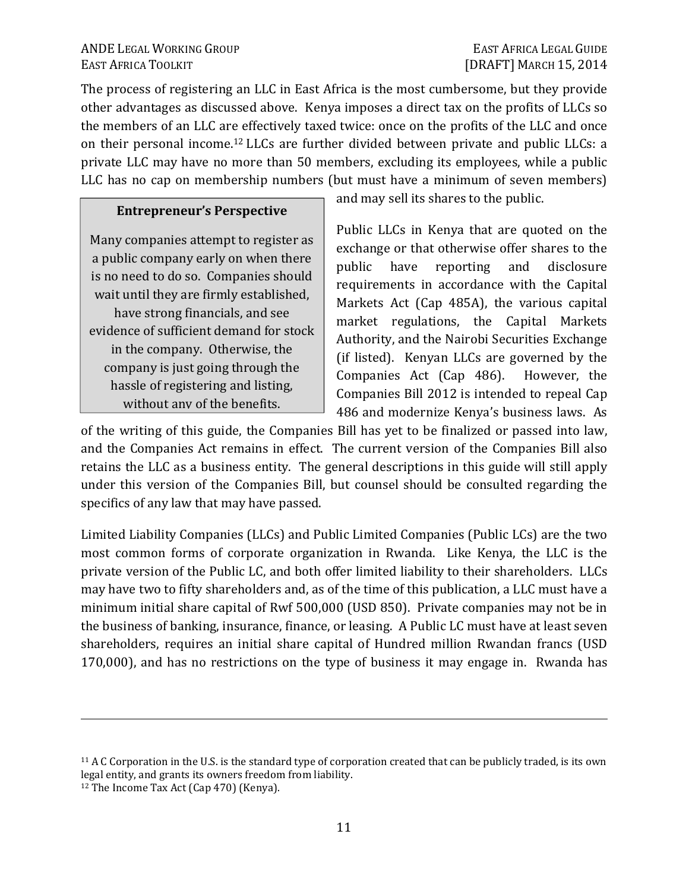The process of registering an LLC in East Africa is the most cumbersome, but they provide other advantages as discussed above. Kenya imposes a direct tax on the profits of LLCs so the members of an LLC are effectively taxed twice: once on the profits of the LLC and once on their personal income.12 LLCs are further divided between private and public LLCs: a private LLC may have no more than 50 members, excluding its employees, while a public LLC has no cap on membership numbers (but must have a minimum of seven members)

#### **Entrepreneur's Perspective**

Many companies attempt to register as a public company early on when there is no need to do so. Companies should wait until they are firmly established, have strong financials, and see evidence of sufficient demand for stock in the company. Otherwise, the company is just going through the hassle of registering and listing, without any of the benefits.

and may sell its shares to the public.

Public LLCs in Kenya that are quoted on the exchange or that otherwise offer shares to the public have reporting and disclosure requirements in accordance with the Capital Markets Act (Cap 485A), the various capital market regulations, the Capital Markets Authority, and the Nairobi Securities Exchange (if listed). Kenyan LLCs are governed by the Companies Act (Cap 486). However, the Companies Bill 2012 is intended to repeal Cap 486 and modernize Kenya's business laws. As

of the writing of this guide, the Companies Bill has yet to be finalized or passed into law, and the Companies Act remains in effect. The current version of the Companies Bill also retains the LLC as a business entity. The general descriptions in this guide will still apply under this version of the Companies Bill, but counsel should be consulted regarding the specifics of any law that may have passed.

Limited Liability Companies (LLCs) and Public Limited Companies (Public LCs) are the two most common forms of corporate organization in Rwanda. Like Kenya, the LLC is the private version of the Public LC, and both offer limited liability to their shareholders. LLCs may have two to fifty shareholders and, as of the time of this publication, a LLC must have a minimum initial share capital of Rwf 500,000 (USD 850). Private companies may not be in the business of banking, insurance, finance, or leasing. A Public LC must have at least seven shareholders, requires an initial share capital of Hundred million Rwandan francs (USD 170,000), and has no restrictions on the type of business it may engage in. Rwanda has

<u>.</u>

<sup>&</sup>lt;sup>11</sup> A C Corporation in the U.S. is the standard type of corporation created that can be publicly traded, is its own legal entity, and grants its owners freedom from liability.

<sup>12</sup> The Income Tax Act (Cap 470) (Kenya).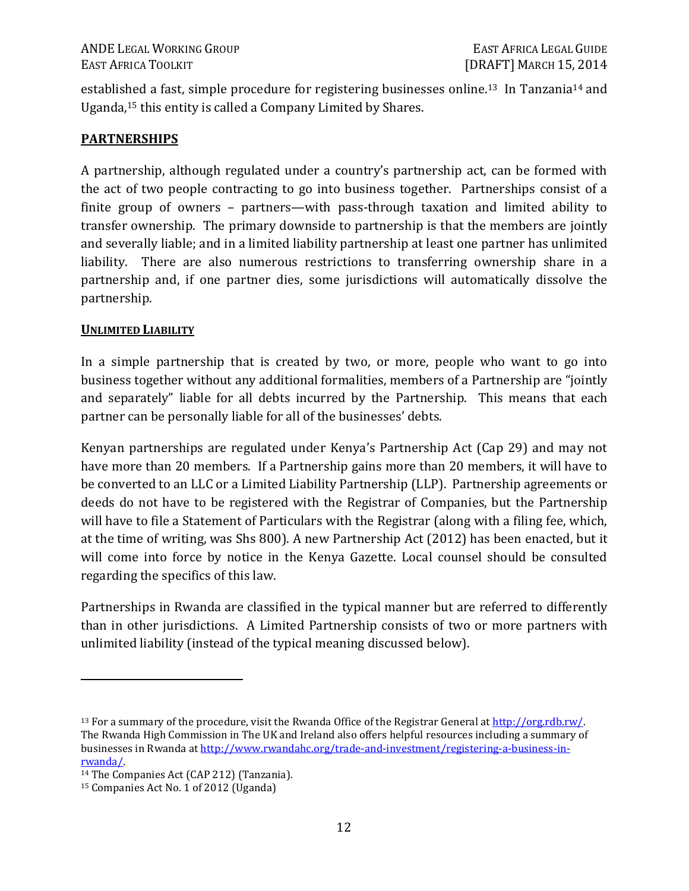established a fast, simple procedure for registering businesses online.<sup>13</sup> In Tanzania<sup>14</sup> and Uganda,15 this entity is called a Company Limited by Shares.

### **PARTNERSHIPS**

A partnership, although regulated under a country's partnership act, can be formed with the act of two people contracting to go into business together. Partnerships consist of a finite group of owners – partners—with pass-through taxation and limited ability to transfer ownership. The primary downside to partnership is that the members are jointly and severally liable; and in a limited liability partnership at least one partner has unlimited liability. There are also numerous restrictions to transferring ownership share in a partnership and, if one partner dies, some jurisdictions will automatically dissolve the partnership.

#### **UNLIMITED LIABILITY**

In a simple partnership that is created by two, or more, people who want to go into business together without any additional formalities, members of a Partnership are "jointly and separately" liable for all debts incurred by the Partnership. This means that each partner can be personally liable for all of the businesses' debts.

Kenyan partnerships are regulated under Kenya's Partnership Act (Cap 29) and may not have more than 20 members. If a Partnership gains more than 20 members, it will have to be converted to an LLC or a Limited Liability Partnership (LLP). Partnership agreements or deeds do not have to be registered with the Registrar of Companies, but the Partnership will have to file a Statement of Particulars with the Registrar (along with a filing fee, which, at the time of writing, was Shs 800). A new Partnership Act (2012) has been enacted, but it will come into force by notice in the Kenya Gazette. Local counsel should be consulted regarding the specifics of this law.

Partnerships in Rwanda are classified in the typical manner but are referred to differently than in other jurisdictions. A Limited Partnership consists of two or more partners with unlimited liability (instead of the typical meaning discussed below).

 $\overline{a}$ 

<sup>13</sup> For a summary of the procedure, visit the Rwanda Office of the Registrar General at http://org.rdb.rw/. The Rwanda High Commission in The UK and Ireland also offers helpful resources including a summary of businesses in Rwanda at http://www.rwandahc.org/trade-and-investment/registering-a-business-inrwanda/.

<sup>14</sup> The Companies Act (CAP 212) (Tanzania).

<sup>15</sup> Companies Act No. 1 of 2012 (Uganda)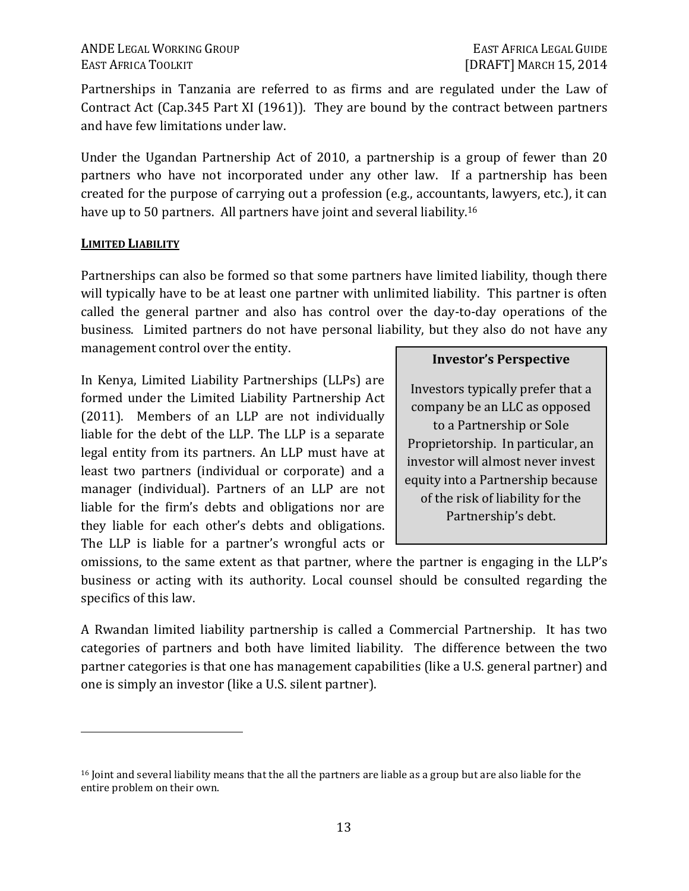ANDE LEGAL WORKING GROUP **EAST AFRICA LEGAL GUIDE** EAST AFRICA TOOLKIT [DRAFT] MARCH 15, 2014

Partnerships in Tanzania are referred to as firms and are regulated under the Law of Contract Act (Cap.345 Part XI (1961)). They are bound by the contract between partners and have few limitations under law.

Under the Ugandan Partnership Act of 2010, a partnership is a group of fewer than 20 partners who have not incorporated under any other law. If a partnership has been created for the purpose of carrying out a profession (e.g., accountants, lawyers, etc.), it can have up to 50 partners. All partners have joint and several liability.<sup>16</sup>

#### **LIMITED LIABILITY**

 $\overline{a}$ 

Partnerships can also be formed so that some partners have limited liability, though there will typically have to be at least one partner with unlimited liability. This partner is often called the general partner and also has control over the day-to-day operations of the business. Limited partners do not have personal liability, but they also do not have any management control over the entity.

In Kenya, Limited Liability Partnerships (LLPs) are formed under the Limited Liability Partnership Act (2011). Members of an LLP are not individually liable for the debt of the LLP. The LLP is a separate legal entity from its partners. An LLP must have at least two partners (individual or corporate) and a manager (individual). Partners of an LLP are not liable for the firm's debts and obligations nor are they liable for each other's debts and obligations. The LLP is liable for a partner's wrongful acts or

#### **Investor's Perspective**

Investors typically prefer that a company be an LLC as opposed to a Partnership or Sole Proprietorship. In particular, an investor will almost never invest equity into a Partnership because of the risk of liability for the Partnership's debt.

omissions, to the same extent as that partner, where the partner is engaging in the LLP's business or acting with its authority. Local counsel should be consulted regarding the specifics of this law.

A Rwandan limited liability partnership is called a Commercial Partnership. It has two categories of partners and both have limited liability. The difference between the two partner categories is that one has management capabilities (like a U.S. general partner) and one is simply an investor (like a U.S. silent partner).

<sup>&</sup>lt;sup>16</sup> Joint and several liability means that the all the partners are liable as a group but are also liable for the entire problem on their own.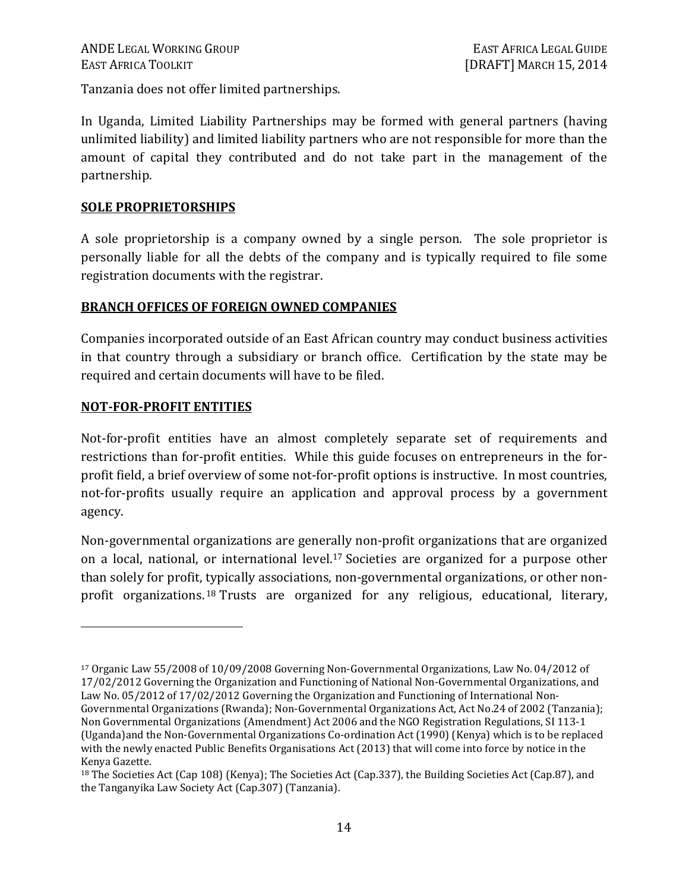Tanzania does not offer limited partnerships.

In Uganda, Limited Liability Partnerships may be formed with general partners (having unlimited liability) and limited liability partners who are not responsible for more than the amount of capital they contributed and do not take part in the management of the partnership.

#### **SOLE PROPRIETORSHIPS**

A sole proprietorship is a company owned by a single person. The sole proprietor is personally liable for all the debts of the company and is typically required to file some registration documents with the registrar.

#### **BRANCH OFFICES OF FOREIGN OWNED COMPANIES**

Companies incorporated outside of an East African country may conduct business activities in that country through a subsidiary or branch office. Certification by the state may be required and certain documents will have to be filed.

#### **NOT-FOR-PROFIT ENTITIES**

<u>.</u>

Not-for-profit entities have an almost completely separate set of requirements and restrictions than for-profit entities. While this guide focuses on entrepreneurs in the forprofit field, a brief overview of some not-for-profit options is instructive. In most countries, not-for-profits usually require an application and approval process by a government agency.

Non-governmental organizations are generally non-profit organizations that are organized on a local, national, or international level.17 Societies are organized for a purpose other than solely for profit, typically associations, non-governmental organizations, or other nonprofit organizations.<sup>18</sup> Trusts are organized for any religious, educational, literary,

<sup>17</sup> Organic Law 55/2008 of 10/09/2008 Governing Non-Governmental Organizations, Law No. 04/2012 of 17/02/2012 Governing the Organization and Functioning of National Non-Governmental Organizations, and Law No. 05/2012 of 17/02/2012 Governing the Organization and Functioning of International Non-Governmental Organizations (Rwanda); Non-Governmental Organizations Act, Act No.24 of 2002 (Tanzania); Non Governmental Organizations (Amendment) Act 2006 and the NGO Registration Regulations, SI 113-1 (Uganda)and the Non-Governmental Organizations Co-ordination Act (1990) (Kenya) which is to be replaced with the newly enacted Public Benefits Organisations Act (2013) that will come into force by notice in the Kenya Gazette.

<sup>&</sup>lt;sup>18</sup> The Societies Act (Cap 108) (Kenya); The Societies Act (Cap.337), the Building Societies Act (Cap.87), and the Tanganyika Law Society Act (Cap.307) (Tanzania).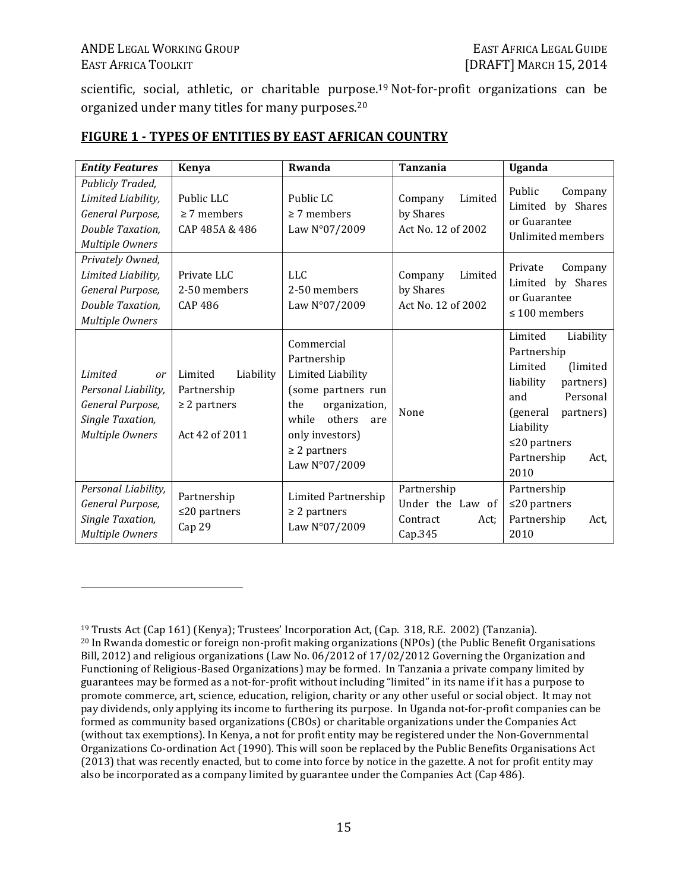$\overline{a}$ 

scientific, social, athletic, or charitable purpose. <sup>19</sup> Not-for-profit organizations can be organized under many titles for many purposes.<sup>20</sup>

| <b>Entity Features</b>                                                                                   | <b>Kenya</b>                                                               | Rwanda                                                                                                                                                                          | <b>Tanzania</b>                                                | Uganda                                                                                                                                                                                              |
|----------------------------------------------------------------------------------------------------------|----------------------------------------------------------------------------|---------------------------------------------------------------------------------------------------------------------------------------------------------------------------------|----------------------------------------------------------------|-----------------------------------------------------------------------------------------------------------------------------------------------------------------------------------------------------|
| Publicly Traded,<br>Limited Liability,<br>General Purpose,<br>Double Taxation,<br><b>Multiple Owners</b> | Public LLC<br>$\geq$ 7 members<br>CAP 485A & 486                           | Public LC<br>$\geq$ 7 members<br>Law N°07/2009                                                                                                                                  | Limited<br>Company<br>by Shares<br>Act No. 12 of 2002          | Public<br>Company<br>Limited by Shares<br>or Guarantee<br>Unlimited members                                                                                                                         |
| Privately Owned,<br>Limited Liability,<br>General Purpose,<br>Double Taxation,<br><b>Multiple Owners</b> | Private LLC<br>2-50 members<br><b>CAP 486</b>                              | <b>LLC</b><br>2-50 members<br>Law N°07/2009                                                                                                                                     | Limited<br>Company<br>by Shares<br>Act No. 12 of 2002          | Private<br>Company<br>Limited by Shares<br>or Guarantee<br>$\leq 100$ members                                                                                                                       |
| Limited<br>or<br>Personal Liability,<br>General Purpose,<br>Single Taxation,<br><b>Multiple Owners</b>   | Limited<br>Liability<br>Partnership<br>$\geq$ 2 partners<br>Act 42 of 2011 | Commercial<br>Partnership<br>Limited Liability<br>(some partners run<br>organization,<br>the<br>others<br>while<br>are<br>only investors)<br>$\geq$ 2 partners<br>Law N°07/2009 | None                                                           | Limited<br>Liability<br>Partnership<br>Limited<br>(limited)<br>liability<br>partners)<br>Personal<br>and<br>(general<br>partners)<br>Liability<br>$\leq$ 20 partners<br>Partnership<br>Act,<br>2010 |
| Personal Liability,<br>General Purpose,<br>Single Taxation,<br><b>Multiple Owners</b>                    | Partnership<br>$\leq$ 20 partners<br>Cap 29                                | Limited Partnership<br>$\geq$ 2 partners<br>Law N°07/2009                                                                                                                       | Partnership<br>Under the Law of<br>Contract<br>Act:<br>Cap.345 | Partnership<br>$\leq$ 20 partners<br>Partnership<br>Act,<br>2010                                                                                                                                    |

#### **FIGURE 1 - TYPES OF ENTITIES BY EAST AFRICAN COUNTRY**

<sup>19</sup> Trusts Act (Cap 161) (Kenya); Trustees' Incorporation Act, (Cap. 318, R.E. 2002) (Tanzania). <sup>20</sup> In Rwanda domestic or foreign non-profit making organizations (NPOs) (the Public Benefit Organisations Bill, 2012) and religious organizations (Law No. 06/2012 of 17/02/2012 Governing the Organization and Functioning of Religious-Based Organizations) may be formed. In Tanzania a private company limited by guarantees may be formed as a not-for-profit without including "limited" in its name if it has a purpose to promote commerce, art, science, education, religion, charity or any other useful or social object. It may not pay dividends, only applying its income to furthering its purpose. In Uganda not-for-profit companies can be formed as community based organizations (CBOs) or charitable organizations under the Companies Act (without tax exemptions). In Kenya, a not for profit entity may be registered under the Non-Governmental Organizations Co-ordination Act (1990). This will soon be replaced by the Public Benefits Organisations Act (2013) that was recently enacted, but to come into force by notice in the gazette. A not for profit entity may also be incorporated as a company limited by guarantee under the Companies Act (Cap 486).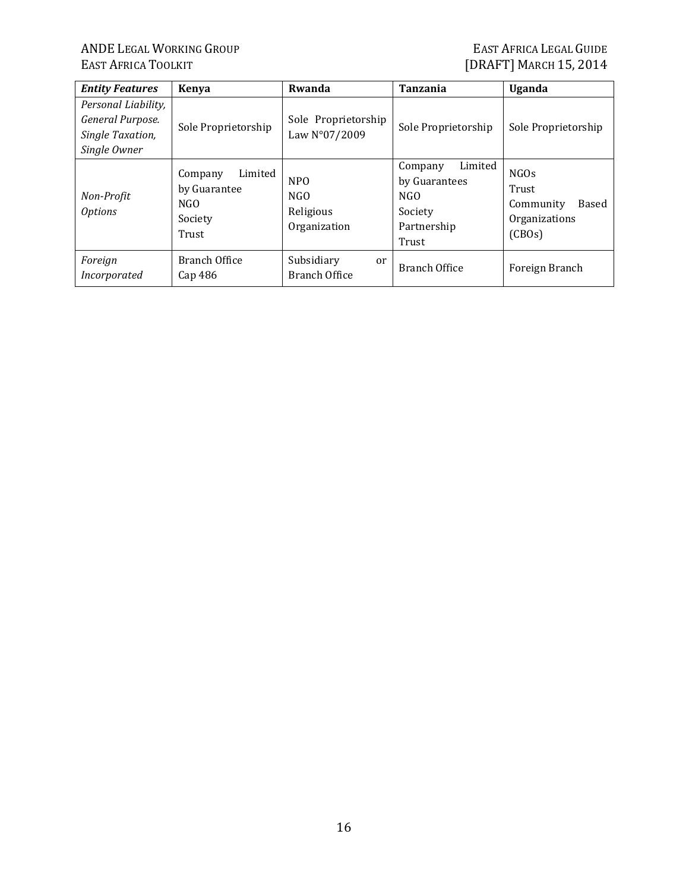# ANDE LEGAL WORKING GROUP EAST AFRICA LEGAL GUIDE<br>EAST AFRICA TOOLKIT FOUR EAST AFRICA TOOLKIT

# **[DRAFT] MARCH 15, 2014**

| <b>Entity Features</b>                                                      | <b>Kenya</b>                                                   | Rwanda                                               | <b>Tanzania</b>                                                               | <b>Uganda</b>                                                  |
|-----------------------------------------------------------------------------|----------------------------------------------------------------|------------------------------------------------------|-------------------------------------------------------------------------------|----------------------------------------------------------------|
| Personal Liability,<br>General Purpose.<br>Single Taxation,<br>Single Owner | Sole Proprietorship                                            | Sole Proprietorship<br>Law N°07/2009                 | Sole Proprietorship                                                           | Sole Proprietorship                                            |
| Non-Profit<br><b>Options</b>                                                | Limited<br>Company<br>by Guarantee<br>NGO.<br>Society<br>Trust | N <sub>P</sub> O<br>NGO<br>Religious<br>Organization | Limited<br>Company<br>by Guarantees<br>NGO<br>Society<br>Partnership<br>Trust | NGOs<br>Trust<br>Community<br>Based<br>Organizations<br>(CBOs) |
| Foreign<br>Incorporated                                                     | <b>Branch Office</b><br>$Cap$ 486                              | Subsidiary<br>or<br>Branch Office                    | <b>Branch Office</b>                                                          | Foreign Branch                                                 |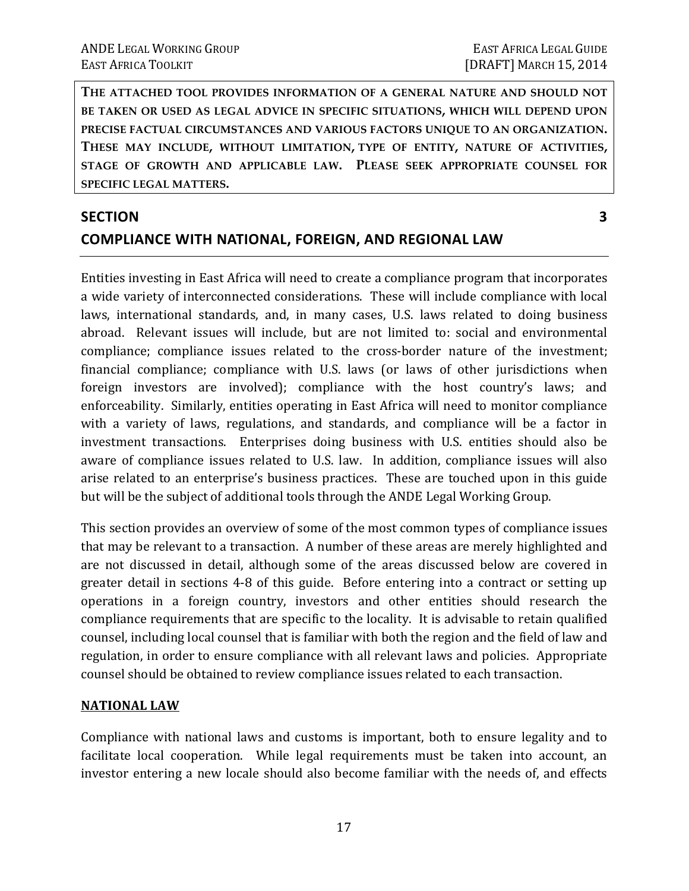**THE ATTACHED TOOL PROVIDES INFORMATION OF A GENERAL NATURE AND SHOULD NOT BE TAKEN OR USED AS LEGAL ADVICE IN SPECIFIC SITUATIONS, WHICH WILL DEPEND UPON PRECISE FACTUAL CIRCUMSTANCES AND VARIOUS FACTORS UNIQUE TO AN ORGANIZATION. THESE MAY INCLUDE, WITHOUT LIMITATION, TYPE OF ENTITY, NATURE OF ACTIVITIES, STAGE OF GROWTH AND APPLICABLE LAW. PLEASE SEEK APPROPRIATE COUNSEL FOR SPECIFIC LEGAL MATTERS.** 

# **SECTION** 3 **COMPLIANCE WITH NATIONAL, FOREIGN, AND REGIONAL LAW**

Entities investing in East Africa will need to create a compliance program that incorporates a wide variety of interconnected considerations. These will include compliance with local laws, international standards, and, in many cases, U.S. laws related to doing business abroad. Relevant issues will include, but are not limited to: social and environmental compliance; compliance issues related to the cross-border nature of the investment; financial compliance; compliance with U.S. laws (or laws of other jurisdictions when foreign investors are involved); compliance with the host country's laws; and enforceability. Similarly, entities operating in East Africa will need to monitor compliance with a variety of laws, regulations, and standards, and compliance will be a factor in investment transactions. Enterprises doing business with U.S. entities should also be aware of compliance issues related to U.S. law. In addition, compliance issues will also arise related to an enterprise's business practices. These are touched upon in this guide but will be the subject of additional tools through the ANDE Legal Working Group.

This section provides an overview of some of the most common types of compliance issues that may be relevant to a transaction. A number of these areas are merely highlighted and are not discussed in detail, although some of the areas discussed below are covered in greater detail in sections 4-8 of this guide. Before entering into a contract or setting up operations in a foreign country, investors and other entities should research the compliance requirements that are specific to the locality. It is advisable to retain qualified counsel, including local counsel that is familiar with both the region and the field of law and regulation, in order to ensure compliance with all relevant laws and policies. Appropriate counsel should be obtained to review compliance issues related to each transaction.

#### **NATIONAL LAW**

Compliance with national laws and customs is important, both to ensure legality and to facilitate local cooperation. While legal requirements must be taken into account, an investor entering a new locale should also become familiar with the needs of, and effects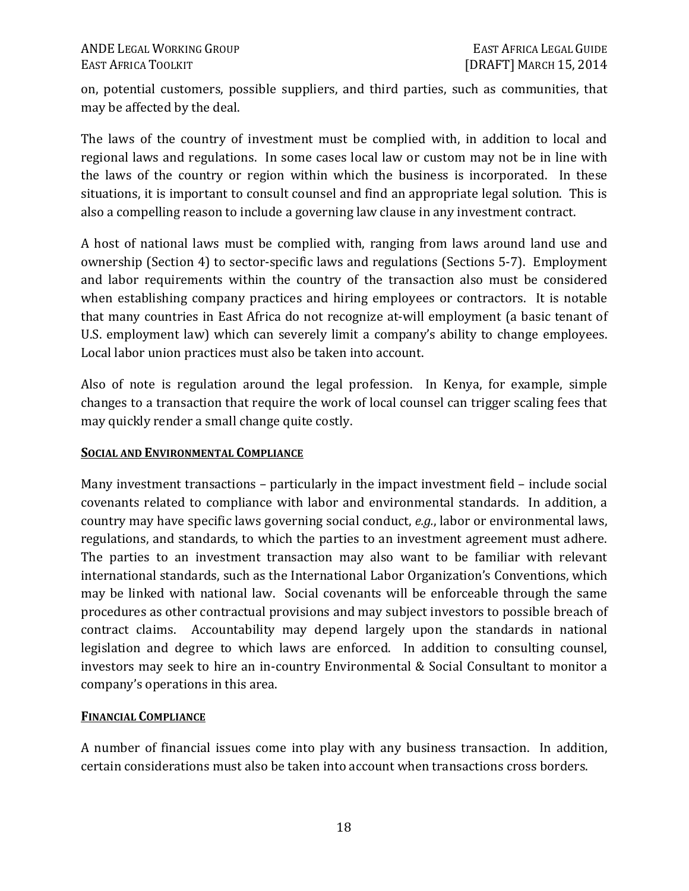on, potential customers, possible suppliers, and third parties, such as communities, that may be affected by the deal.

The laws of the country of investment must be complied with, in addition to local and regional laws and regulations. In some cases local law or custom may not be in line with the laws of the country or region within which the business is incorporated. In these situations, it is important to consult counsel and find an appropriate legal solution. This is also a compelling reason to include a governing law clause in any investment contract.

A host of national laws must be complied with, ranging from laws around land use and ownership (Section 4) to sector-specific laws and regulations (Sections 5-7). Employment and labor requirements within the country of the transaction also must be considered when establishing company practices and hiring employees or contractors. It is notable that many countries in East Africa do not recognize at-will employment (a basic tenant of U.S. employment law) which can severely limit a company's ability to change employees. Local labor union practices must also be taken into account.

Also of note is regulation around the legal profession. In Kenya, for example, simple changes to a transaction that require the work of local counsel can trigger scaling fees that may quickly render a small change quite costly.

#### **SOCIAL AND ENVIRONMENTAL COMPLIANCE**

Many investment transactions – particularly in the impact investment field – include social covenants related to compliance with labor and environmental standards. In addition, a country may have specific laws governing social conduct, *e.g.*, labor or environmental laws, regulations, and standards, to which the parties to an investment agreement must adhere. The parties to an investment transaction may also want to be familiar with relevant international standards, such as the International Labor Organization's Conventions, which may be linked with national law. Social covenants will be enforceable through the same procedures as other contractual provisions and may subject investors to possible breach of contract claims. Accountability may depend largely upon the standards in national legislation and degree to which laws are enforced. In addition to consulting counsel, investors may seek to hire an in-country Environmental & Social Consultant to monitor a company's operations in this area.

#### **FINANCIAL COMPLIANCE**

A number of financial issues come into play with any business transaction. In addition, certain considerations must also be taken into account when transactions cross borders.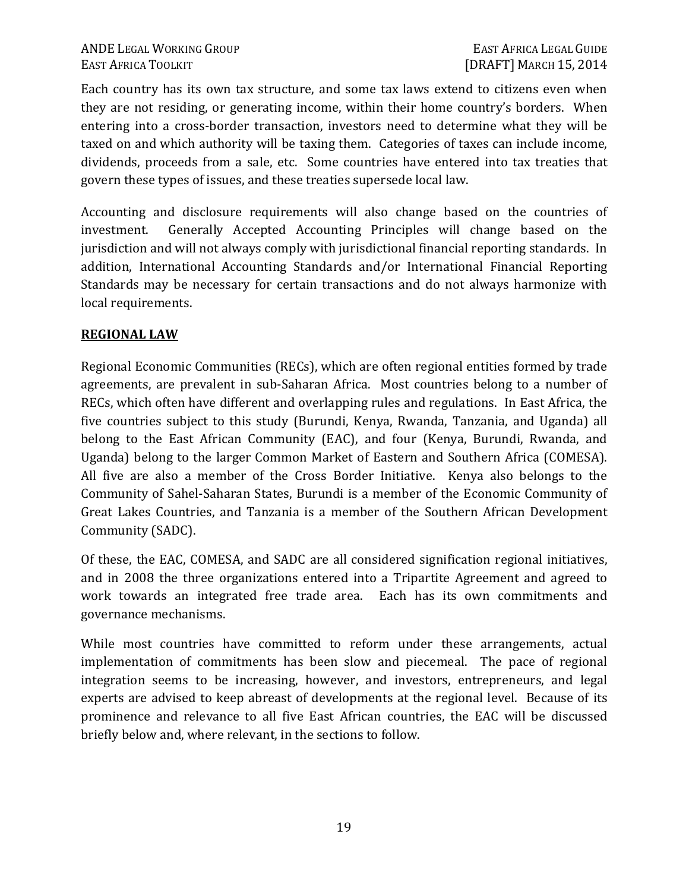Each country has its own tax structure, and some tax laws extend to citizens even when they are not residing, or generating income, within their home country's borders. When entering into a cross-border transaction, investors need to determine what they will be taxed on and which authority will be taxing them. Categories of taxes can include income, dividends, proceeds from a sale, etc. Some countries have entered into tax treaties that govern these types of issues, and these treaties supersede local law.

Accounting and disclosure requirements will also change based on the countries of investment. Generally Accepted Accounting Principles will change based on the jurisdiction and will not always comply with jurisdictional financial reporting standards. In addition, International Accounting Standards and/or International Financial Reporting Standards may be necessary for certain transactions and do not always harmonize with local requirements.

#### **REGIONAL LAW**

Regional Economic Communities (RECs), which are often regional entities formed by trade agreements, are prevalent in sub-Saharan Africa. Most countries belong to a number of RECs, which often have different and overlapping rules and regulations. In East Africa, the five countries subject to this study (Burundi, Kenya, Rwanda, Tanzania, and Uganda) all belong to the East African Community (EAC), and four (Kenya, Burundi, Rwanda, and Uganda) belong to the larger Common Market of Eastern and Southern Africa (COMESA). All five are also a member of the Cross Border Initiative. Kenya also belongs to the Community of Sahel-Saharan States, Burundi is a member of the Economic Community of Great Lakes Countries, and Tanzania is a member of the Southern African Development Community (SADC).

Of these, the EAC, COMESA, and SADC are all considered signification regional initiatives, and in 2008 the three organizations entered into a Tripartite Agreement and agreed to work towards an integrated free trade area. Each has its own commitments and governance mechanisms.

While most countries have committed to reform under these arrangements, actual implementation of commitments has been slow and piecemeal. The pace of regional integration seems to be increasing, however, and investors, entrepreneurs, and legal experts are advised to keep abreast of developments at the regional level. Because of its prominence and relevance to all five East African countries, the EAC will be discussed briefly below and, where relevant, in the sections to follow.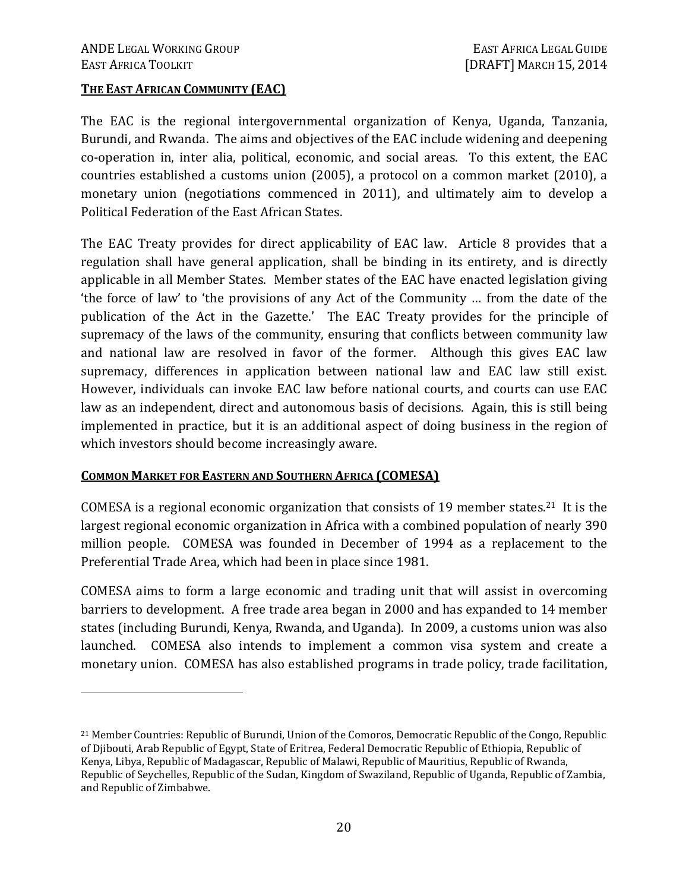$\overline{a}$ 

#### **THE EAST AFRICAN COMMUNITY (EAC)**

The EAC is the regional intergovernmental organization of Kenya, Uganda, Tanzania, Burundi, and Rwanda. The aims and objectives of the EAC include widening and deepening co-operation in, inter alia, political, economic, and social areas. To this extent, the EAC countries established a customs union (2005), a protocol on a common market (2010), a monetary union (negotiations commenced in 2011), and ultimately aim to develop a Political Federation of the East African States.

The EAC Treaty provides for direct applicability of EAC law. Article 8 provides that a regulation shall have general application, shall be binding in its entirety, and is directly applicable in all Member States. Member states of the EAC have enacted legislation giving 'the force of law' to 'the provisions of any Act of the Community … from the date of the publication of the Act in the Gazette.' The EAC Treaty provides for the principle of supremacy of the laws of the community, ensuring that conflicts between community law and national law are resolved in favor of the former. Although this gives EAC law supremacy, differences in application between national law and EAC law still exist. However, individuals can invoke EAC law before national courts, and courts can use EAC law as an independent, direct and autonomous basis of decisions. Again, this is still being implemented in practice, but it is an additional aspect of doing business in the region of which investors should become increasingly aware.

#### **COMMON MARKET FOR EASTERN AND SOUTHERN AFRICA (COMESA)**

COMESA is a regional economic organization that consists of 19 member states.<sup>21</sup> It is the largest regional economic organization in Africa with a combined population of nearly 390 million people. COMESA was founded in December of 1994 as a replacement to the Preferential Trade Area, which had been in place since 1981.

COMESA aims to form a large economic and trading unit that will assist in overcoming barriers to development. A free trade area began in 2000 and has expanded to 14 member states (including Burundi, Kenya, Rwanda, and Uganda). In 2009, a customs union was also launched. COMESA also intends to implement a common visa system and create a monetary union. COMESA has also established programs in trade policy, trade facilitation,

<sup>21</sup> Member Countries: Republic of Burundi, Union of the Comoros, Democratic Republic of the Congo, Republic of Djibouti, Arab Republic of Egypt, State of Eritrea, Federal Democratic Republic of Ethiopia, Republic of Kenya, Libya, Republic of Madagascar, Republic of Malawi, Republic of Mauritius, Republic of Rwanda, Republic of Seychelles, Republic of the Sudan, Kingdom of Swaziland, Republic of Uganda, Republic of Zambia, and Republic of Zimbabwe.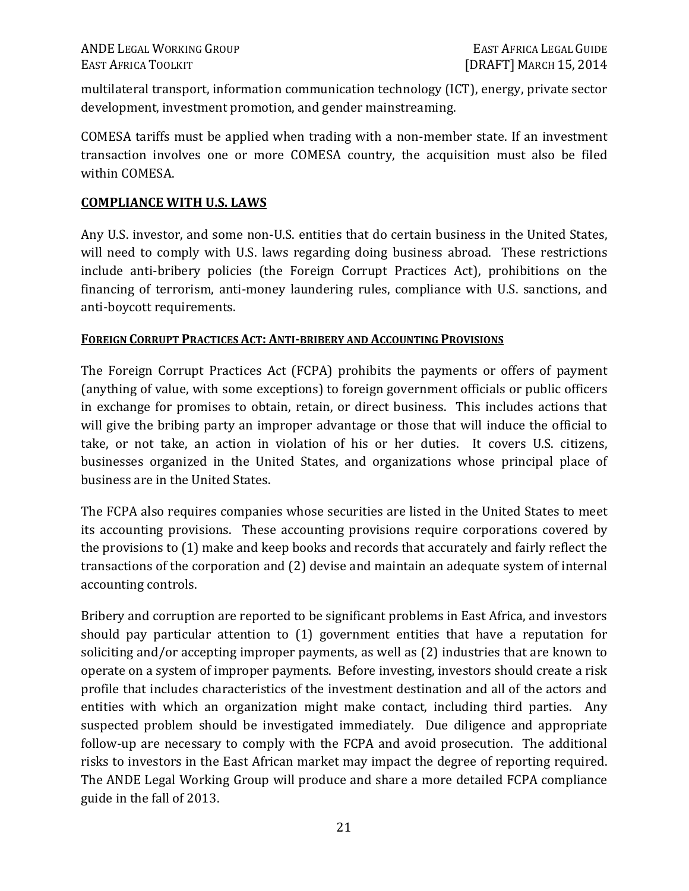multilateral transport, information communication technology (ICT), energy, private sector development, investment promotion, and gender mainstreaming.

COMESA tariffs must be applied when trading with a non-member state. If an investment transaction involves one or more COMESA country, the acquisition must also be filed within COMESA.

#### **COMPLIANCE WITH U.S. LAWS**

Any U.S. investor, and some non-U.S. entities that do certain business in the United States, will need to comply with U.S. laws regarding doing business abroad. These restrictions include anti-bribery policies (the Foreign Corrupt Practices Act), prohibitions on the financing of terrorism, anti-money laundering rules, compliance with U.S. sanctions, and anti-boycott requirements.

#### **FOREIGN CORRUPT PRACTICES ACT: ANTI-BRIBERY AND ACCOUNTING PROVISIONS**

The Foreign Corrupt Practices Act (FCPA) prohibits the payments or offers of payment (anything of value, with some exceptions) to foreign government officials or public officers in exchange for promises to obtain, retain, or direct business. This includes actions that will give the bribing party an improper advantage or those that will induce the official to take, or not take, an action in violation of his or her duties. It covers U.S. citizens, businesses organized in the United States, and organizations whose principal place of business are in the United States.

The FCPA also requires companies whose securities are listed in the United States to meet its accounting provisions. These accounting provisions require corporations covered by the provisions to (1) make and keep books and records that accurately and fairly reflect the transactions of the corporation and (2) devise and maintain an adequate system of internal accounting controls.

Bribery and corruption are reported to be significant problems in East Africa, and investors should pay particular attention to (1) government entities that have a reputation for soliciting and/or accepting improper payments, as well as (2) industries that are known to operate on a system of improper payments. Before investing, investors should create a risk profile that includes characteristics of the investment destination and all of the actors and entities with which an organization might make contact, including third parties. Any suspected problem should be investigated immediately. Due diligence and appropriate follow-up are necessary to comply with the FCPA and avoid prosecution. The additional risks to investors in the East African market may impact the degree of reporting required. The ANDE Legal Working Group will produce and share a more detailed FCPA compliance guide in the fall of 2013.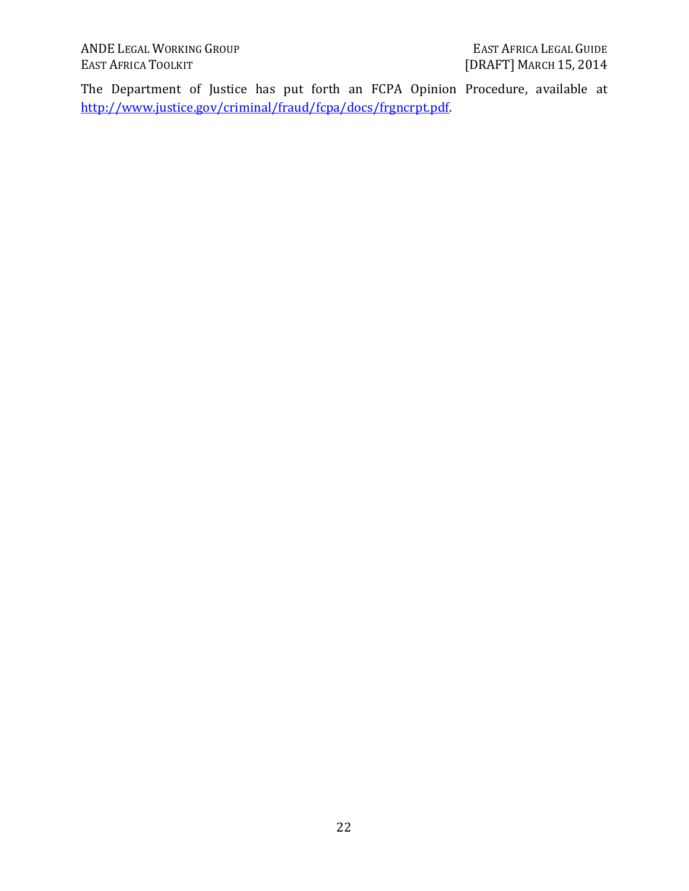ANDE LEGAL WORKING GROUP EAST AFRICA LEGAL GUIDE

The Department of Justice has put forth an FCPA Opinion Procedure, available at http://www.justice.gov/criminal/fraud/fcpa/docs/frgncrpt.pdf.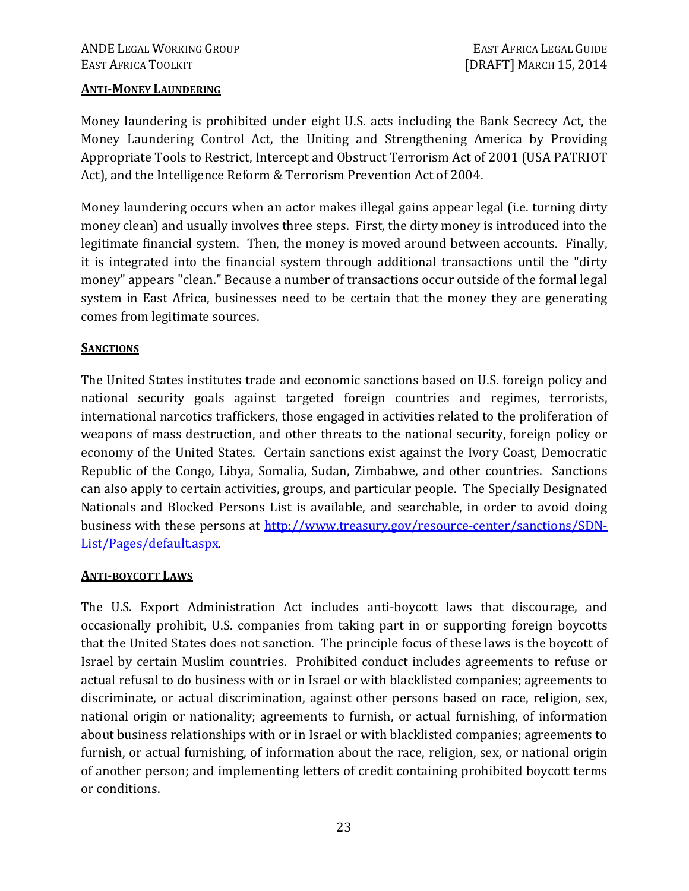#### **ANTI-MONEY LAUNDERING**

Money laundering is prohibited under eight U.S. acts including the Bank Secrecy Act, the Money Laundering Control Act, the Uniting and Strengthening America by Providing Appropriate Tools to Restrict, Intercept and Obstruct Terrorism Act of 2001 (USA PATRIOT Act), and the Intelligence Reform & Terrorism Prevention Act of 2004.

Money laundering occurs when an actor makes illegal gains appear legal (i.e. turning dirty money clean) and usually involves three steps. First, the dirty money is introduced into the legitimate financial system. Then, the money is moved around between accounts. Finally, it is integrated into the financial system through additional transactions until the "dirty money" appears "clean." Because a number of transactions occur outside of the formal legal system in East Africa, businesses need to be certain that the money they are generating comes from legitimate sources.

#### **SANCTIONS**

The United States institutes trade and economic sanctions based on U.S. foreign policy and national security goals against targeted foreign countries and regimes, terrorists, international narcotics traffickers, those engaged in activities related to the proliferation of weapons of mass destruction, and other threats to the national security, foreign policy or economy of the United States. Certain sanctions exist against the Ivory Coast, Democratic Republic of the Congo, Libya, Somalia, Sudan, Zimbabwe, and other countries. Sanctions can also apply to certain activities, groups, and particular people. The Specially Designated Nationals and Blocked Persons List is available, and searchable, in order to avoid doing business with these persons at http://www.treasury.gov/resource-center/sanctions/SDN-List/Pages/default.aspx.

#### **ANTI-BOYCOTT LAWS**

The U.S. Export Administration Act includes anti-boycott laws that discourage, and occasionally prohibit, U.S. companies from taking part in or supporting foreign boycotts that the United States does not sanction. The principle focus of these laws is the boycott of Israel by certain Muslim countries. Prohibited conduct includes agreements to refuse or actual refusal to do business with or in Israel or with blacklisted companies; agreements to discriminate, or actual discrimination, against other persons based on race, religion, sex, national origin or nationality; agreements to furnish, or actual furnishing, of information about business relationships with or in Israel or with blacklisted companies; agreements to furnish, or actual furnishing, of information about the race, religion, sex, or national origin of another person; and implementing letters of credit containing prohibited boycott terms or conditions.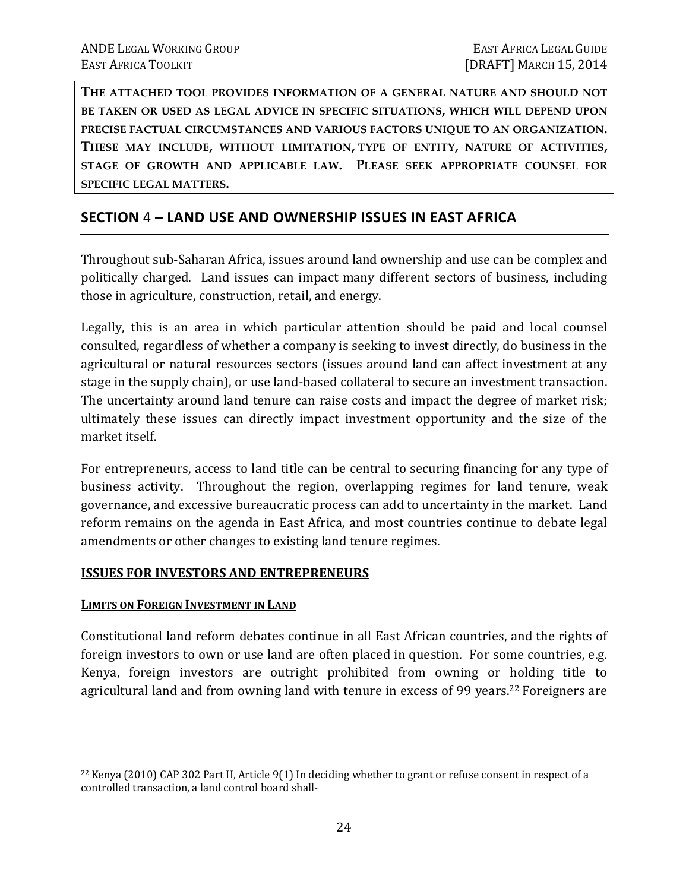**THE ATTACHED TOOL PROVIDES INFORMATION OF A GENERAL NATURE AND SHOULD NOT BE TAKEN OR USED AS LEGAL ADVICE IN SPECIFIC SITUATIONS, WHICH WILL DEPEND UPON PRECISE FACTUAL CIRCUMSTANCES AND VARIOUS FACTORS UNIQUE TO AN ORGANIZATION. THESE MAY INCLUDE, WITHOUT LIMITATION, TYPE OF ENTITY, NATURE OF ACTIVITIES, STAGE OF GROWTH AND APPLICABLE LAW. PLEASE SEEK APPROPRIATE COUNSEL FOR SPECIFIC LEGAL MATTERS.** 

#### **SECTION** 4 **– LAND USE AND OWNERSHIP ISSUES IN EAST AFRICA**

Throughout sub-Saharan Africa, issues around land ownership and use can be complex and politically charged. Land issues can impact many different sectors of business, including those in agriculture, construction, retail, and energy.

Legally, this is an area in which particular attention should be paid and local counsel consulted, regardless of whether a company is seeking to invest directly, do business in the agricultural or natural resources sectors (issues around land can affect investment at any stage in the supply chain), or use land-based collateral to secure an investment transaction. The uncertainty around land tenure can raise costs and impact the degree of market risk; ultimately these issues can directly impact investment opportunity and the size of the market itself.

For entrepreneurs, access to land title can be central to securing financing for any type of business activity. Throughout the region, overlapping regimes for land tenure, weak governance, and excessive bureaucratic process can add to uncertainty in the market. Land reform remains on the agenda in East Africa, and most countries continue to debate legal amendments or other changes to existing land tenure regimes.

#### **ISSUES FOR INVESTORS AND ENTREPRENEURS**

#### **LIMITS ON FOREIGN INVESTMENT IN LAND**

<u>.</u>

Constitutional land reform debates continue in all East African countries, and the rights of foreign investors to own or use land are often placed in question. For some countries, e.g. Kenya, foreign investors are outright prohibited from owning or holding title to agricultural land and from owning land with tenure in excess of 99 years.<sup>22</sup> Foreigners are

<sup>22</sup> Kenya (2010) CAP 302 Part II, Article 9(1) In deciding whether to grant or refuse consent in respect of a controlled transaction, a land control board shall-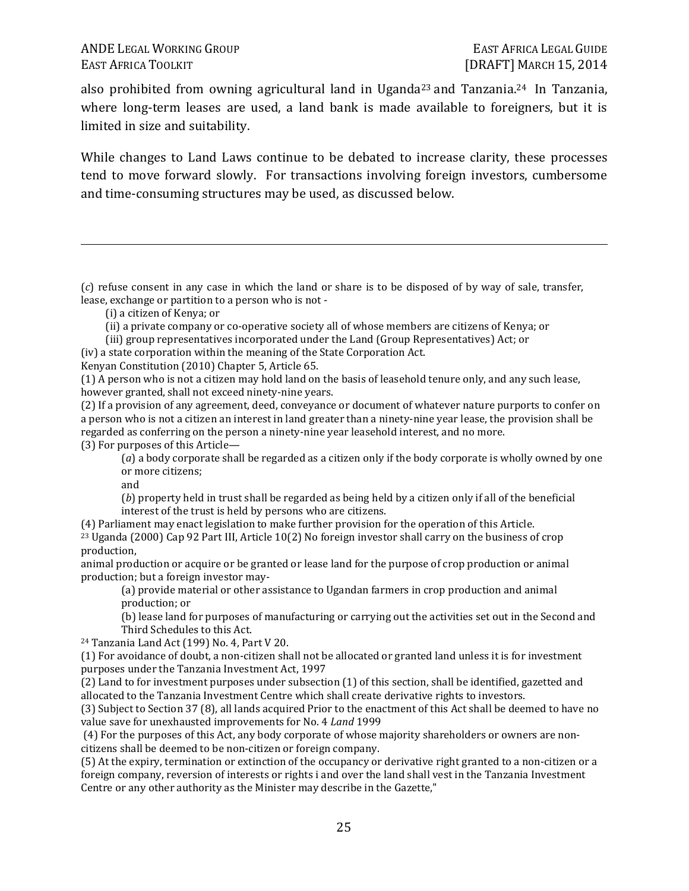also prohibited from owning agricultural land in Uganda<sup>23</sup> and Tanzania.<sup>24</sup> In Tanzania, where long-term leases are used, a land bank is made available to foreigners, but it is limited in size and suitability.

While changes to Land Laws continue to be debated to increase clarity, these processes tend to move forward slowly. For transactions involving foreign investors, cumbersome and time-consuming structures may be used, as discussed below.

(*c*) refuse consent in any case in which the land or share is to be disposed of by way of sale, transfer, lease, exchange or partition to a person who is not -

(i) a citizen of Kenya; or

 $\overline{a}$ 

- (ii) a private company or co-operative society all of whose members are citizens of Kenya; or
- (iii) group representatives incorporated under the Land (Group Representatives) Act; or
- (iv) a state corporation within the meaning of the State Corporation Act.

Kenyan Constitution (2010) Chapter 5, Article 65.

(1) A person who is not a citizen may hold land on the basis of leasehold tenure only, and any such lease, however granted, shall not exceed ninety-nine years.

(2) If a provision of any agreement, deed, conveyance or document of whatever nature purports to confer on a person who is not a citizen an interest in land greater than a ninety-nine year lease, the provision shall be regarded as conferring on the person a ninety-nine year leasehold interest, and no more. (3) For purposes of this Article—

(*a*) a body corporate shall be regarded as a citizen only if the body corporate is wholly owned by one or more citizens;

and

(*b*) property held in trust shall be regarded as being held by a citizen only if all of the beneficial interest of the trust is held by persons who are citizens.

(4) Parliament may enact legislation to make further provision for the operation of this Article. <sup>23</sup> Uganda (2000) Cap 92 Part III, Article 10(2) No foreign investor shall carry on the business of crop production,

animal production or acquire or be granted or lease land for the purpose of crop production or animal production; but a foreign investor may-

(a) provide material or other assistance to Ugandan farmers in crop production and animal production; or

(b) lease land for purposes of manufacturing or carrying out the activities set out in the Second and Third Schedules to this Act.

<sup>24</sup> Tanzania Land Act (199) No. 4, Part V 20.

(1) For avoidance of doubt, a non-citizen shall not be allocated or granted land unless it is for investment purposes under the Tanzania Investment Act, 1997

(2) Land to for investment purposes under subsection (1) of this section, shall be identified, gazetted and allocated to the Tanzania Investment Centre which shall create derivative rights to investors.

(3) Subject to Section 37 (8), all lands acquired Prior to the enactment of this Act shall be deemed to have no value save for unexhausted improvements for No. 4 *Land* 1999

 (4) For the purposes of this Act, any body corporate of whose majority shareholders or owners are noncitizens shall be deemed to be non-citizen or foreign company.

(5) At the expiry, termination or extinction of the occupancy or derivative right granted to a non-citizen or a foreign company, reversion of interests or rights i and over the land shall vest in the Tanzania Investment Centre or any other authority as the Minister may describe in the Gazette,"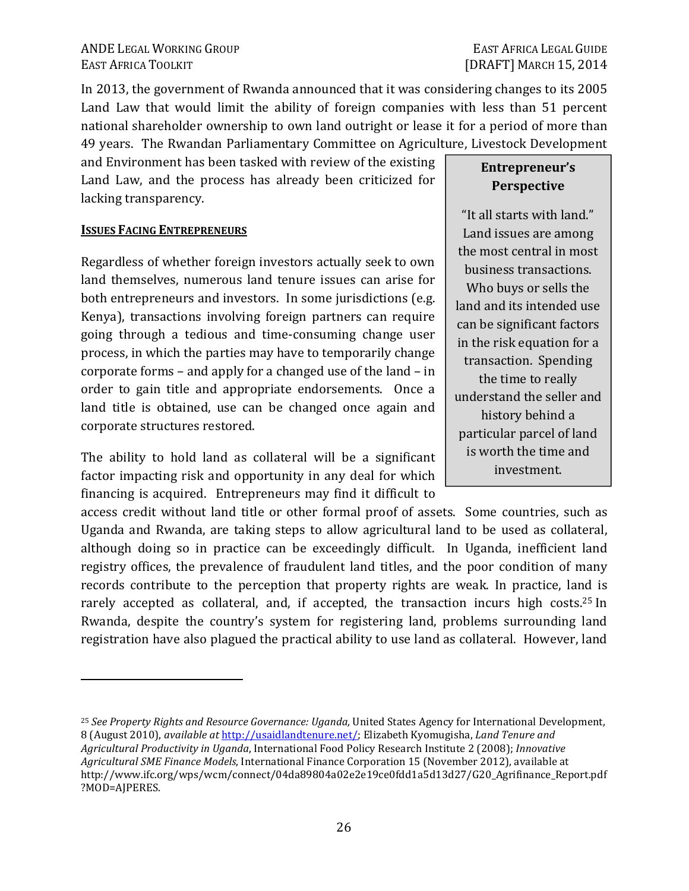In 2013, the government of Rwanda announced that it was considering changes to its 2005 Land Law that would limit the ability of foreign companies with less than 51 percent national shareholder ownership to own land outright or lease it for a period of more than 49 years. The Rwandan Parliamentary Committee on Agriculture, Livestock Development

and Environment has been tasked with review of the existing Land Law, and the process has already been criticized for lacking transparency.

#### **ISSUES FACING ENTREPRENEURS**

 $\overline{a}$ 

Regardless of whether foreign investors actually seek to own land themselves, numerous land tenure issues can arise for both entrepreneurs and investors. In some jurisdictions (e.g. Kenya), transactions involving foreign partners can require going through a tedious and time-consuming change user process, in which the parties may have to temporarily change corporate forms – and apply for a changed use of the land – in order to gain title and appropriate endorsements. Once a land title is obtained, use can be changed once again and corporate structures restored.

The ability to hold land as collateral will be a significant factor impacting risk and opportunity in any deal for which financing is acquired. Entrepreneurs may find it difficult to

access credit without land title or other formal proof of assets. Some countries, such as Uganda and Rwanda, are taking steps to allow agricultural land to be used as collateral, although doing so in practice can be exceedingly difficult. In Uganda, inefficient land registry offices, the prevalence of fraudulent land titles, and the poor condition of many records contribute to the perception that property rights are weak. In practice, land is rarely accepted as collateral, and, if accepted, the transaction incurs high costs.<sup>25</sup> In Rwanda, despite the country's system for registering land, problems surrounding land registration have also plagued the practical ability to use land as collateral. However, land

## **Entrepreneur's Perspective**

"It all starts with land." Land issues are among the most central in most business transactions. Who buys or sells the land and its intended use can be significant factors in the risk equation for a transaction. Spending the time to really understand the seller and history behind a particular parcel of land is worth the time and investment.

<sup>25</sup> *See Property Rights and Resource Governance: Uganda,* United States Agency for International Development, 8 (August 2010), *available at* http://usaidlandtenure.net/; Elizabeth Kyomugisha, *Land Tenure and Agricultural Productivity in Uganda*, International Food Policy Research Institute 2 (2008); *Innovative Agricultural SME Finance Models*, International Finance Corporation 15 (November 2012), available at http://www.ifc.org/wps/wcm/connect/04da89804a02e2e19ce0fdd1a5d13d27/G20\_Agrifinance\_Report.pdf ?MOD=AJPERES.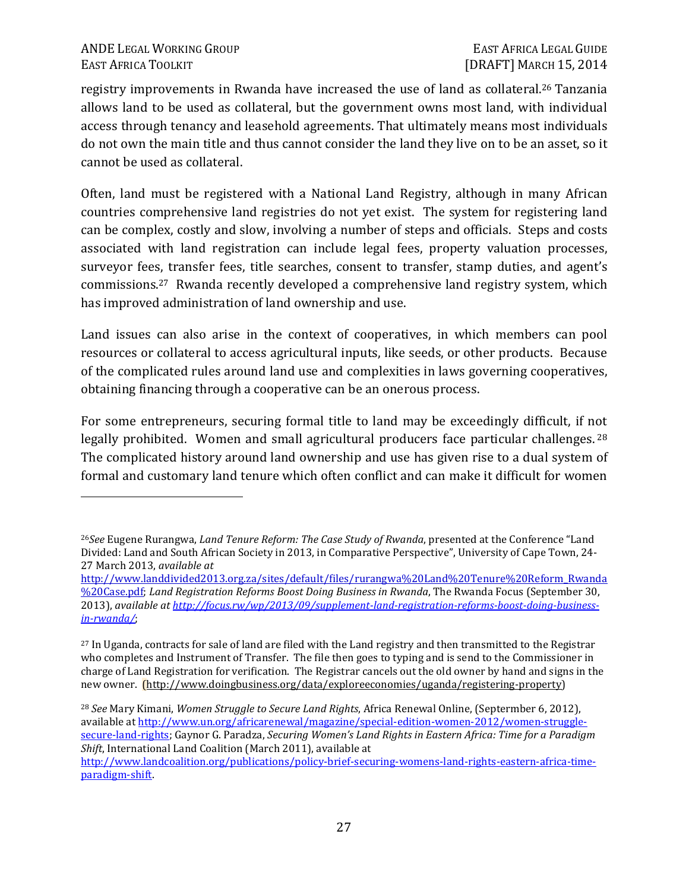#### ANDE LEGAL WORKING GROUP **EAST AFRICA LEGAL GUIDE** EAST AFRICA TOOLKIT **EXECUTE:**EAST AFRICA TOOLKIT **EXECUTE: EAST AFRICA TOOLKIT

<b>EXECUTE: EXECUTE: EXECUTE: EXECUTE: EXECUTE: EXECUTE: EXECUTE: EXECUTE: EXECUTE: EXECUTE: EXECUTE: EX**

<u>.</u>

registry improvements in Rwanda have increased the use of land as collateral.<sup>26</sup> Tanzania allows land to be used as collateral, but the government owns most land, with individual access through tenancy and leasehold agreements. That ultimately means most individuals do not own the main title and thus cannot consider the land they live on to be an asset, so it cannot be used as collateral.

Often, land must be registered with a National Land Registry, although in many African countries comprehensive land registries do not yet exist. The system for registering land can be complex, costly and slow, involving a number of steps and officials. Steps and costs associated with land registration can include legal fees, property valuation processes, surveyor fees, transfer fees, title searches, consent to transfer, stamp duties, and agent's commissions.27 Rwanda recently developed a comprehensive land registry system, which has improved administration of land ownership and use.

Land issues can also arise in the context of cooperatives, in which members can pool resources or collateral to access agricultural inputs, like seeds, or other products. Because of the complicated rules around land use and complexities in laws governing cooperatives, obtaining financing through a cooperative can be an onerous process.

For some entrepreneurs, securing formal title to land may be exceedingly difficult, if not legally prohibited. Women and small agricultural producers face particular challenges.<sup>28</sup> The complicated history around land ownership and use has given rise to a dual system of formal and customary land tenure which often conflict and can make it difficult for women

<sup>26</sup>*See* Eugene Rurangwa, *Land Tenure Reform: The Case Study of Rwanda*, presented at the Conference "Land Divided: Land and South African Society in 2013, in Comparative Perspective", University of Cape Town, 24- 27 March 2013, *available at*

http://www.landdivided2013.org.za/sites/default/files/rurangwa%20Land%20Tenure%20Reform\_Rwanda %20Case.pdf; *Land Registration Reforms Boost Doing Business in Rwanda*, The Rwanda Focus (September 30, 2013), *available at http://focus.rw/wp/2013/09/supplement-land-registration-reforms-boost-doing-businessin-rwanda/*;

<sup>27</sup> In Uganda, contracts for sale of land are filed with the Land registry and then transmitted to the Registrar who completes and Instrument of Transfer. The file then goes to typing and is send to the Commissioner in charge of Land Registration for verification. The Registrar cancels out the old owner by hand and signs in the new owner. (http://www.doingbusiness.org/data/exploreeconomies/uganda/registering-property)

<sup>28</sup> *See* Mary Kimani, *Women Struggle to Secure Land Rights*, Africa Renewal Online, (Septermber 6, 2012), available at http://www.un.org/africarenewal/magazine/special-edition-women-2012/women-strugglesecure-land-rights; Gaynor G. Paradza, *Securing Women's Land Rights in Eastern Africa: Time for a Paradigm Shift*, International Land Coalition (March 2011), available at

http://www.landcoalition.org/publications/policy-brief-securing-womens-land-rights-eastern-africa-timeparadigm-shift.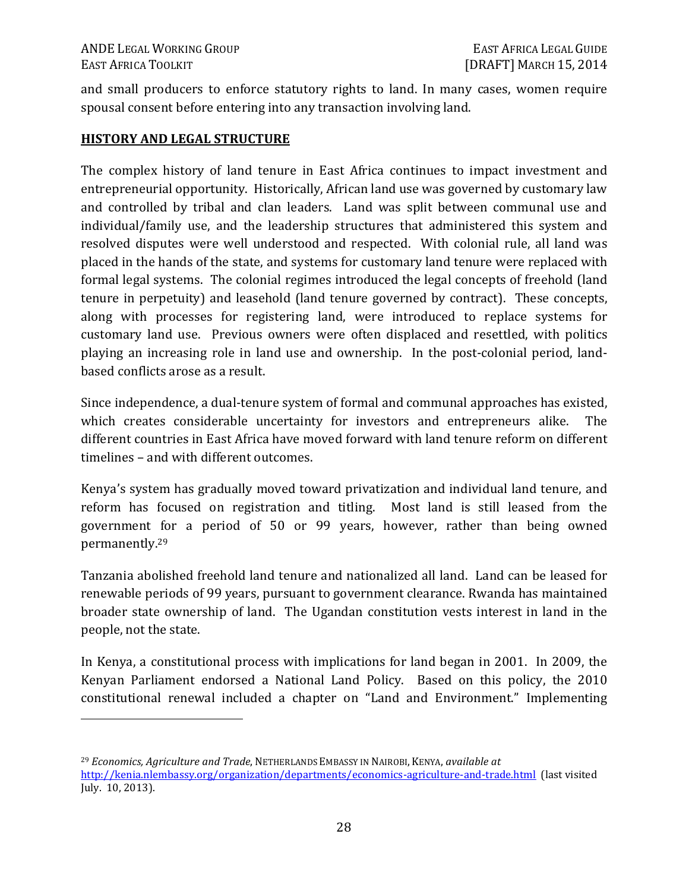$\overline{a}$ 

and small producers to enforce statutory rights to land. In many cases, women require spousal consent before entering into any transaction involving land.

#### **HISTORY AND LEGAL STRUCTURE**

The complex history of land tenure in East Africa continues to impact investment and entrepreneurial opportunity. Historically, African land use was governed by customary law and controlled by tribal and clan leaders. Land was split between communal use and individual/family use, and the leadership structures that administered this system and resolved disputes were well understood and respected. With colonial rule, all land was placed in the hands of the state, and systems for customary land tenure were replaced with formal legal systems. The colonial regimes introduced the legal concepts of freehold (land tenure in perpetuity) and leasehold (land tenure governed by contract). These concepts, along with processes for registering land, were introduced to replace systems for customary land use. Previous owners were often displaced and resettled, with politics playing an increasing role in land use and ownership. In the post-colonial period, landbased conflicts arose as a result.

Since independence, a dual-tenure system of formal and communal approaches has existed, which creates considerable uncertainty for investors and entrepreneurs alike. The different countries in East Africa have moved forward with land tenure reform on different timelines – and with different outcomes.

Kenya's system has gradually moved toward privatization and individual land tenure, and reform has focused on registration and titling. Most land is still leased from the government for a period of 50 or 99 years, however, rather than being owned permanently.<sup>29</sup>

Tanzania abolished freehold land tenure and nationalized all land. Land can be leased for renewable periods of 99 years, pursuant to government clearance. Rwanda has maintained broader state ownership of land. The Ugandan constitution vests interest in land in the people, not the state.

In Kenya, a constitutional process with implications for land began in 2001. In 2009, the Kenyan Parliament endorsed a National Land Policy. Based on this policy, the 2010 constitutional renewal included a chapter on "Land and Environment." Implementing

<sup>29</sup> *Economics, Agriculture and Trade*, NETHERLANDS EMBASSY IN NAIROBI, KENYA, *available at*

http://kenia.nlembassy.org/organization/departments/economics-agriculture-and-trade.html (last visited July. 10, 2013).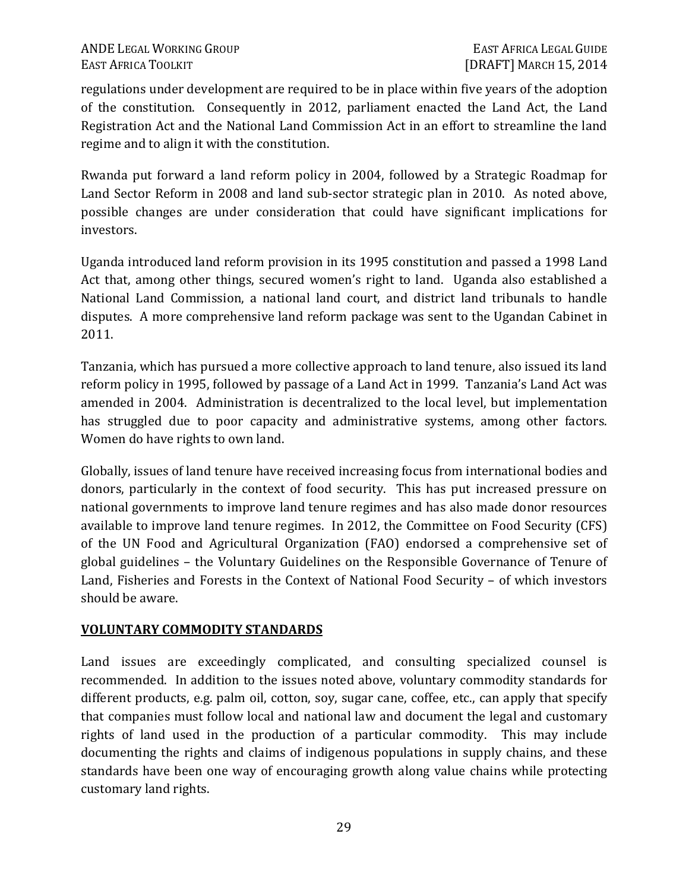regulations under development are required to be in place within five years of the adoption of the constitution. Consequently in 2012, parliament enacted the Land Act, the Land Registration Act and the National Land Commission Act in an effort to streamline the land regime and to align it with the constitution.

Rwanda put forward a land reform policy in 2004, followed by a Strategic Roadmap for Land Sector Reform in 2008 and land sub-sector strategic plan in 2010. As noted above, possible changes are under consideration that could have significant implications for investors.

Uganda introduced land reform provision in its 1995 constitution and passed a 1998 Land Act that, among other things, secured women's right to land. Uganda also established a National Land Commission, a national land court, and district land tribunals to handle disputes. A more comprehensive land reform package was sent to the Ugandan Cabinet in 2011.

Tanzania, which has pursued a more collective approach to land tenure, also issued its land reform policy in 1995, followed by passage of a Land Act in 1999. Tanzania's Land Act was amended in 2004. Administration is decentralized to the local level, but implementation has struggled due to poor capacity and administrative systems, among other factors. Women do have rights to own land.

Globally, issues of land tenure have received increasing focus from international bodies and donors, particularly in the context of food security. This has put increased pressure on national governments to improve land tenure regimes and has also made donor resources available to improve land tenure regimes. In 2012, the Committee on Food Security (CFS) of the UN Food and Agricultural Organization (FAO) endorsed a comprehensive set of global guidelines – the Voluntary Guidelines on the Responsible Governance of Tenure of Land, Fisheries and Forests in the Context of National Food Security – of which investors should be aware.

#### **VOLUNTARY COMMODITY STANDARDS**

Land issues are exceedingly complicated, and consulting specialized counsel is recommended. In addition to the issues noted above, voluntary commodity standards for different products, e.g. palm oil, cotton, soy, sugar cane, coffee, etc., can apply that specify that companies must follow local and national law and document the legal and customary rights of land used in the production of a particular commodity. This may include documenting the rights and claims of indigenous populations in supply chains, and these standards have been one way of encouraging growth along value chains while protecting customary land rights.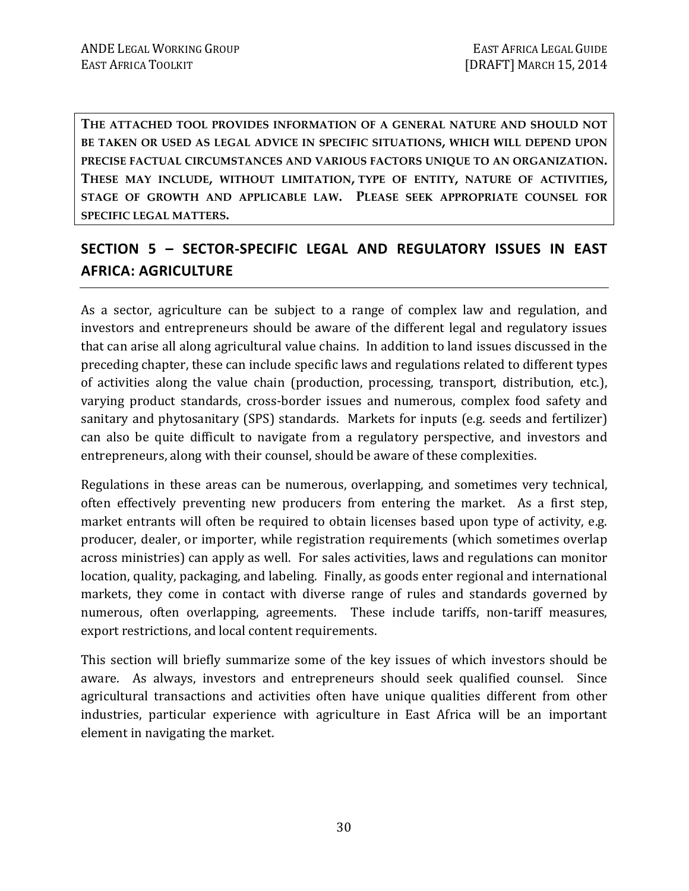**THE ATTACHED TOOL PROVIDES INFORMATION OF A GENERAL NATURE AND SHOULD NOT BE TAKEN OR USED AS LEGAL ADVICE IN SPECIFIC SITUATIONS, WHICH WILL DEPEND UPON PRECISE FACTUAL CIRCUMSTANCES AND VARIOUS FACTORS UNIQUE TO AN ORGANIZATION. THESE MAY INCLUDE, WITHOUT LIMITATION, TYPE OF ENTITY, NATURE OF ACTIVITIES, STAGE OF GROWTH AND APPLICABLE LAW. PLEASE SEEK APPROPRIATE COUNSEL FOR SPECIFIC LEGAL MATTERS.** 

# **SECTION 5 – SECTOR-SPECIFIC LEGAL AND REGULATORY ISSUES IN EAST AFRICA: AGRICULTURE**

As a sector, agriculture can be subject to a range of complex law and regulation, and investors and entrepreneurs should be aware of the different legal and regulatory issues that can arise all along agricultural value chains. In addition to land issues discussed in the preceding chapter, these can include specific laws and regulations related to different types of activities along the value chain (production, processing, transport, distribution, etc.), varying product standards, cross-border issues and numerous, complex food safety and sanitary and phytosanitary (SPS) standards. Markets for inputs (e.g. seeds and fertilizer) can also be quite difficult to navigate from a regulatory perspective, and investors and entrepreneurs, along with their counsel, should be aware of these complexities.

Regulations in these areas can be numerous, overlapping, and sometimes very technical, often effectively preventing new producers from entering the market. As a first step, market entrants will often be required to obtain licenses based upon type of activity, e.g. producer, dealer, or importer, while registration requirements (which sometimes overlap across ministries) can apply as well. For sales activities, laws and regulations can monitor location, quality, packaging, and labeling. Finally, as goods enter regional and international markets, they come in contact with diverse range of rules and standards governed by numerous, often overlapping, agreements. These include tariffs, non-tariff measures, export restrictions, and local content requirements.

This section will briefly summarize some of the key issues of which investors should be aware. As always, investors and entrepreneurs should seek qualified counsel. Since agricultural transactions and activities often have unique qualities different from other industries, particular experience with agriculture in East Africa will be an important element in navigating the market.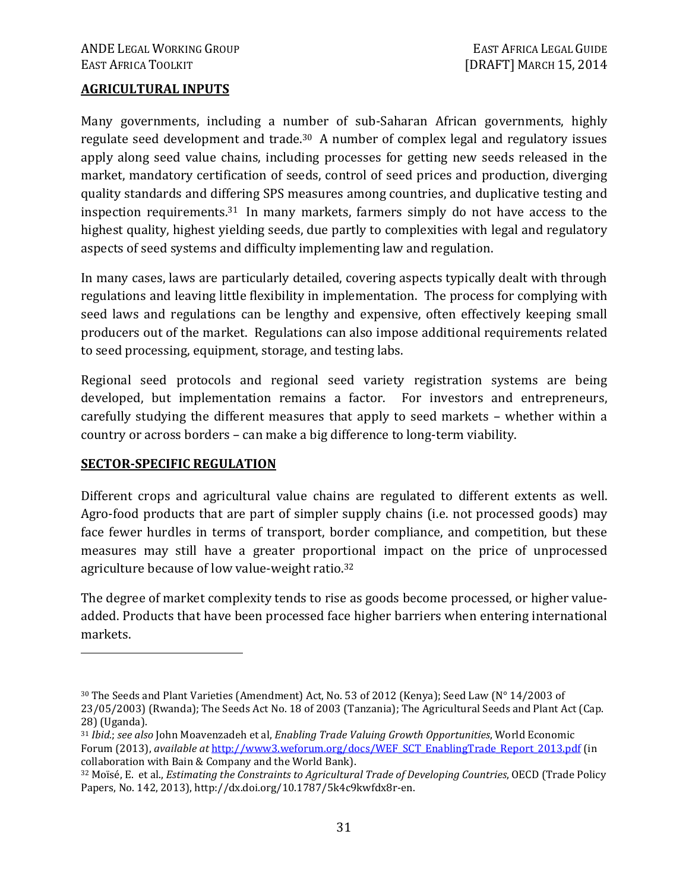#### **AGRICULTURAL INPUTS**

Many governments, including a number of sub-Saharan African governments, highly regulate seed development and trade.30 A number of complex legal and regulatory issues apply along seed value chains, including processes for getting new seeds released in the market, mandatory certification of seeds, control of seed prices and production, diverging quality standards and differing SPS measures among countries, and duplicative testing and inspection requirements.31 In many markets, farmers simply do not have access to the highest quality, highest yielding seeds, due partly to complexities with legal and regulatory aspects of seed systems and difficulty implementing law and regulation.

In many cases, laws are particularly detailed, covering aspects typically dealt with through regulations and leaving little flexibility in implementation. The process for complying with seed laws and regulations can be lengthy and expensive, often effectively keeping small producers out of the market. Regulations can also impose additional requirements related to seed processing, equipment, storage, and testing labs.

Regional seed protocols and regional seed variety registration systems are being developed, but implementation remains a factor. For investors and entrepreneurs, carefully studying the different measures that apply to seed markets – whether within a country or across borders – can make a big difference to long-term viability.

#### **SECTOR-SPECIFIC REGULATION**

<u>.</u>

Different crops and agricultural value chains are regulated to different extents as well. Agro-food products that are part of simpler supply chains (i.e. not processed goods) may face fewer hurdles in terms of transport, border compliance, and competition, but these measures may still have a greater proportional impact on the price of unprocessed agriculture because of low value-weight ratio.<sup>32</sup>

The degree of market complexity tends to rise as goods become processed, or higher valueadded. Products that have been processed face higher barriers when entering international markets.

<sup>30</sup> The Seeds and Plant Varieties (Amendment) Act, No. 53 of 2012 (Kenya); Seed Law (N° 14/2003 of 23/05/2003) (Rwanda); The Seeds Act No. 18 of 2003 (Tanzania); The Agricultural Seeds and Plant Act (Cap. 28) (Uganda).

<sup>31</sup> *Ibid.*; *see also* John Moavenzadeh et al, *Enabling Trade Valuing Growth Opportunities*, World Economic Forum (2013), *available at* http://www3.weforum.org/docs/WEF\_SCT\_EnablingTrade\_Report\_2013.pdf (in collaboration with Bain & Company and the World Bank).

<sup>32</sup> Moïsé, E. et al., *Estimating the Constraints to Agricultural Trade of Developing Countries*, OECD (Trade Policy Papers, No. 142, 2013), http://dx.doi.org/10.1787/5k4c9kwfdx8r-en.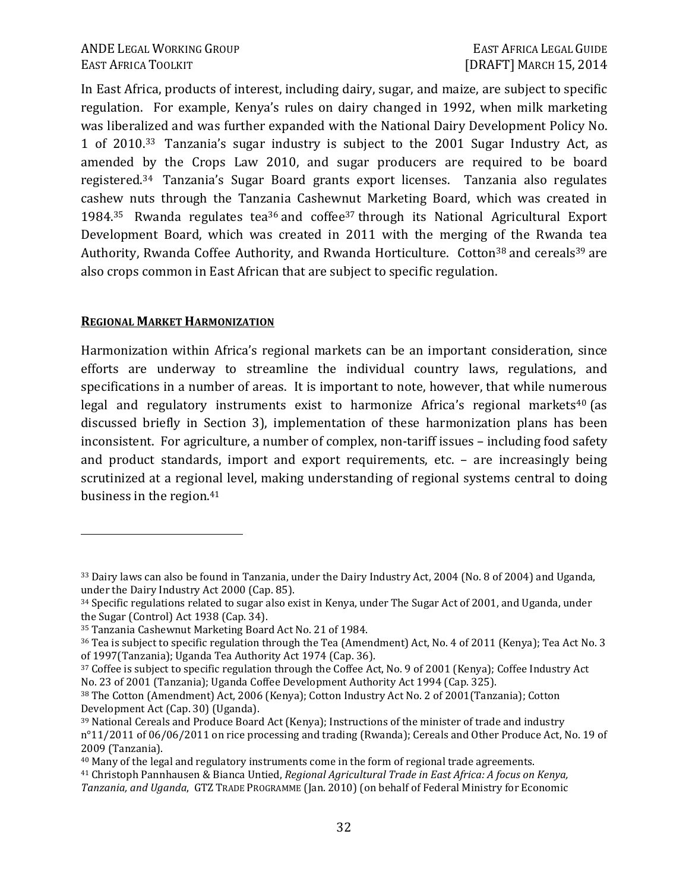In East Africa, products of interest, including dairy, sugar, and maize, are subject to specific regulation. For example, Kenya's rules on dairy changed in 1992, when milk marketing was liberalized and was further expanded with the National Dairy Development Policy No. 1 of 2010.33 Tanzania's sugar industry is subject to the 2001 Sugar Industry Act, as amended by the Crops Law 2010, and sugar producers are required to be board registered.34 Tanzania's Sugar Board grants export licenses. Tanzania also regulates cashew nuts through the Tanzania Cashewnut Marketing Board, which was created in 1984.<sup>35</sup> Rwanda regulates tea<sup>36</sup> and coffee<sup>37</sup> through its National Agricultural Export Development Board, which was created in 2011 with the merging of the Rwanda tea Authority, Rwanda Coffee Authority, and Rwanda Horticulture. Cotton<sup>38</sup> and cereals<sup>39</sup> are also crops common in East African that are subject to specific regulation.

#### **REGIONAL MARKET HARMONIZATION**

 $\overline{a}$ 

Harmonization within Africa's regional markets can be an important consideration, since efforts are underway to streamline the individual country laws, regulations, and specifications in a number of areas. It is important to note, however, that while numerous legal and regulatory instruments exist to harmonize Africa's regional markets<sup>40</sup> (as discussed briefly in Section 3), implementation of these harmonization plans has been inconsistent. For agriculture, a number of complex, non-tariff issues – including food safety and product standards, import and export requirements, etc. – are increasingly being scrutinized at a regional level, making understanding of regional systems central to doing business in the region.<sup>41</sup>

<sup>33</sup> Dairy laws can also be found in Tanzania, under the Dairy Industry Act, 2004 (No. 8 of 2004) and Uganda, under the Dairy Industry Act 2000 (Cap. 85).

<sup>34</sup> Specific regulations related to sugar also exist in Kenya, under The Sugar Act of 2001, and Uganda, under the Sugar (Control) Act 1938 (Cap. 34).

<sup>35</sup> Tanzania Cashewnut Marketing Board Act No. 21 of 1984.

<sup>36</sup> Tea is subject to specific regulation through the Tea (Amendment) Act, No. 4 of 2011 (Kenya); Tea Act No. 3 of 1997(Tanzania); Uganda Tea Authority Act 1974 (Cap. 36).

<sup>37</sup> Coffee is subject to specific regulation through the Coffee Act, No. 9 of 2001 (Kenya); Coffee Industry Act No. 23 of 2001 (Tanzania); Uganda Coffee Development Authority Act 1994 (Cap. 325).

<sup>38</sup> The Cotton (Amendment) Act, 2006 (Kenya); Cotton Industry Act No. 2 of 2001(Tanzania); Cotton Development Act (Cap. 30) (Uganda).

<sup>39</sup> National Cereals and Produce Board Act (Kenya); Instructions of the minister of trade and industry n°11/2011 of 06/06/2011 on rice processing and trading (Rwanda); Cereals and Other Produce Act, No. 19 of 2009 (Tanzania).

<sup>&</sup>lt;sup>40</sup> Many of the legal and regulatory instruments come in the form of regional trade agreements.

<sup>41</sup> Christoph Pannhausen & Bianca Untied, *Regional Agricultural Trade in East Africa: A focus on Kenya, Tanzania, and Uganda*, GTZ TRADE PROGRAMME (Jan. 2010) (on behalf of Federal Ministry for Economic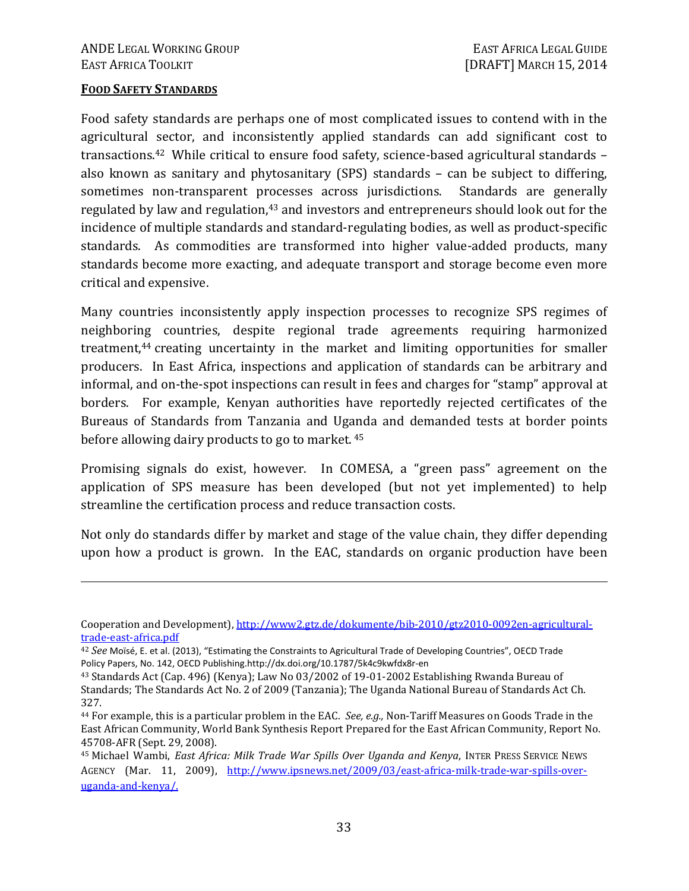#### **FOOD SAFETY STANDARDS**

<u>.</u>

Food safety standards are perhaps one of most complicated issues to contend with in the agricultural sector, and inconsistently applied standards can add significant cost to transactions.42 While critical to ensure food safety, science-based agricultural standards – also known as sanitary and phytosanitary (SPS) standards – can be subject to differing, sometimes non-transparent processes across jurisdictions. Standards are generally regulated by law and regulation,<sup>43</sup> and investors and entrepreneurs should look out for the incidence of multiple standards and standard-regulating bodies, as well as product-specific standards. As commodities are transformed into higher value-added products, many standards become more exacting, and adequate transport and storage become even more critical and expensive.

Many countries inconsistently apply inspection processes to recognize SPS regimes of neighboring countries, despite regional trade agreements requiring harmonized treatment,44 creating uncertainty in the market and limiting opportunities for smaller producers. In East Africa, inspections and application of standards can be arbitrary and informal, and on-the-spot inspections can result in fees and charges for "stamp" approval at borders. For example, Kenyan authorities have reportedly rejected certificates of the Bureaus of Standards from Tanzania and Uganda and demanded tests at border points before allowing dairy products to go to market.<sup>45</sup>

Promising signals do exist, however. In COMESA, a "green pass" agreement on the application of SPS measure has been developed (but not yet implemented) to help streamline the certification process and reduce transaction costs.

Not only do standards differ by market and stage of the value chain, they differ depending upon how a product is grown. In the EAC, standards on organic production have been

Cooperation and Development), http://www2.gtz.de/dokumente/bib-2010/gtz2010-0092en-agriculturaltrade-east-africa.pdf

<sup>42</sup> *See* Moïsé, E. et al. (2013), "Estimating the Constraints to Agricultural Trade of Developing Countries", OECD Trade Policy Papers, No. 142, OECD Publishing.http://dx.doi.org/10.1787/5k4c9kwfdx8r-en

<sup>43</sup> Standards Act (Cap. 496) (Kenya); Law No 03/2002 of 19-01-2002 Establishing Rwanda Bureau of Standards; The Standards Act No. 2 of 2009 (Tanzania); The Uganda National Bureau of Standards Act Ch. 327.

<sup>44</sup> For example, this is a particular problem in the EAC. *See, e.g.,* Non-Tariff Measures on Goods Trade in the East African Community, World Bank Synthesis Report Prepared for the East African Community, Report No. 45708-AFR (Sept. 29, 2008).

<sup>45</sup> Michael Wambi, *East Africa: Milk Trade War Spills Over Uganda and Kenya*, INTER PRESS SERVICE NEWS AGENCY (Mar. 11, 2009), http://www.ipsnews.net/2009/03/east-africa-milk-trade-war-spills-overuganda-and-kenya/.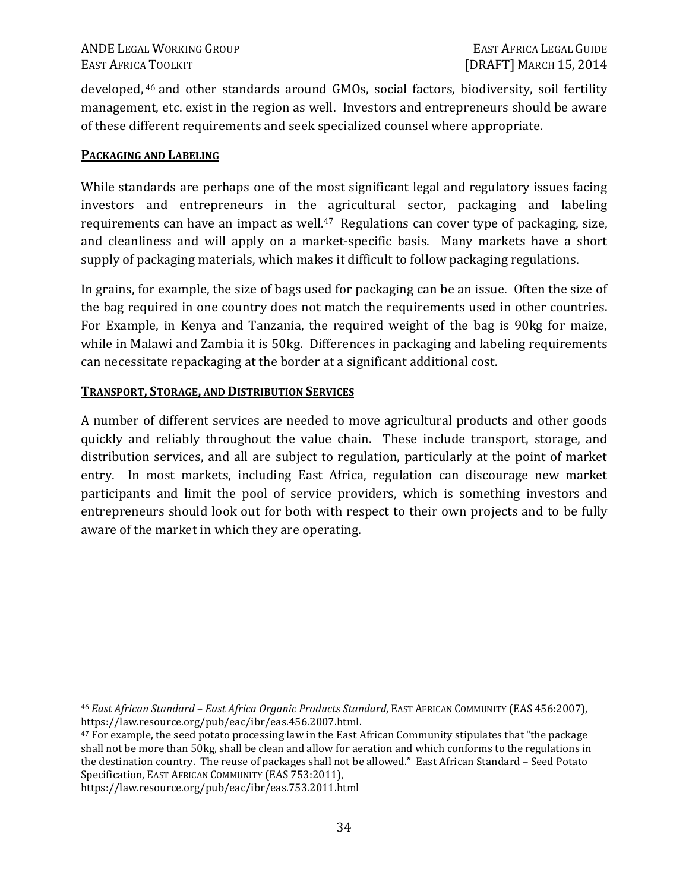developed, 46 and other standards around GMOs, social factors, biodiversity, soil fertility management, etc. exist in the region as well. Investors and entrepreneurs should be aware of these different requirements and seek specialized counsel where appropriate.

#### **PACKAGING AND LABELING**

While standards are perhaps one of the most significant legal and regulatory issues facing investors and entrepreneurs in the agricultural sector, packaging and labeling requirements can have an impact as well.<sup>47</sup> Regulations can cover type of packaging, size, and cleanliness and will apply on a market-specific basis. Many markets have a short supply of packaging materials, which makes it difficult to follow packaging regulations.

In grains, for example, the size of bags used for packaging can be an issue. Often the size of the bag required in one country does not match the requirements used in other countries. For Example, in Kenya and Tanzania, the required weight of the bag is 90kg for maize, while in Malawi and Zambia it is 50kg. Differences in packaging and labeling requirements can necessitate repackaging at the border at a significant additional cost.

#### **TRANSPORT, STORAGE, AND DISTRIBUTION SERVICES**

A number of different services are needed to move agricultural products and other goods quickly and reliably throughout the value chain. These include transport, storage, and distribution services, and all are subject to regulation, particularly at the point of market entry. In most markets, including East Africa, regulation can discourage new market participants and limit the pool of service providers, which is something investors and entrepreneurs should look out for both with respect to their own projects and to be fully aware of the market in which they are operating.

https://law.resource.org/pub/eac/ibr/eas.753.2011.html

 $\overline{a}$ 

<sup>46</sup> *East African Standard – East Africa Organic Products Standard*, EAST AFRICAN COMMUNITY (EAS 456:2007), https://law.resource.org/pub/eac/ibr/eas.456.2007.html.

<sup>47</sup> For example, the seed potato processing law in the East African Community stipulates that "the package shall not be more than 50kg, shall be clean and allow for aeration and which conforms to the regulations in the destination country. The reuse of packages shall not be allowed." East African Standard – Seed Potato Specification, EAST AFRICAN COMMUNITY (EAS 753:2011),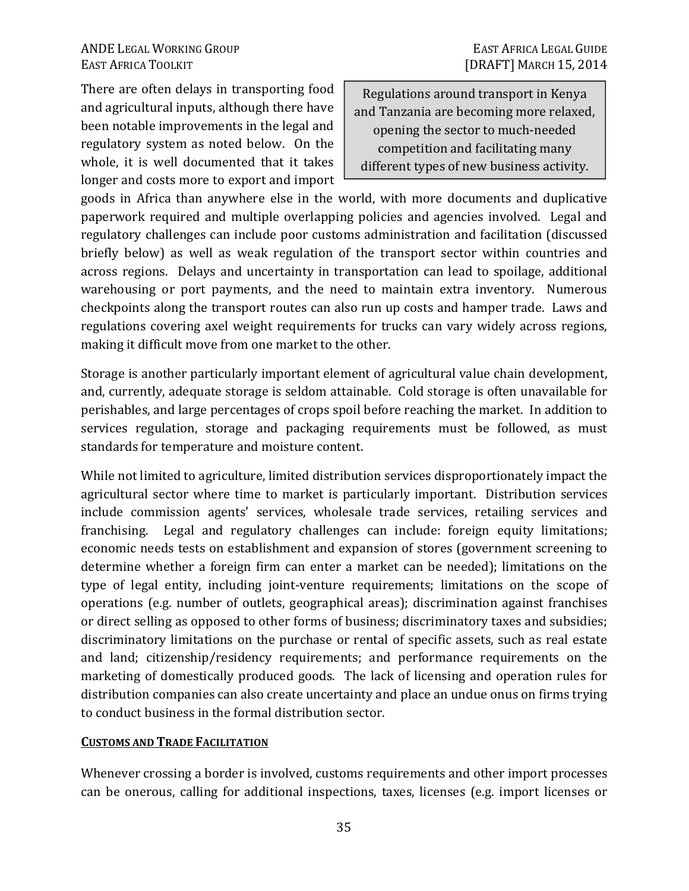There are often delays in transporting food and agricultural inputs, although there have been notable improvements in the legal and regulatory system as noted below. On the whole, it is well documented that it takes longer and costs more to export and import

Regulations around transport in Kenya and Tanzania are becoming more relaxed, opening the sector to much-needed competition and facilitating many different types of new business activity.

goods in Africa than anywhere else in the world, with more documents and duplicative paperwork required and multiple overlapping policies and agencies involved. Legal and regulatory challenges can include poor customs administration and facilitation (discussed briefly below) as well as weak regulation of the transport sector within countries and across regions. Delays and uncertainty in transportation can lead to spoilage, additional warehousing or port payments, and the need to maintain extra inventory. Numerous checkpoints along the transport routes can also run up costs and hamper trade. Laws and regulations covering axel weight requirements for trucks can vary widely across regions, making it difficult move from one market to the other.

Storage is another particularly important element of agricultural value chain development, and, currently, adequate storage is seldom attainable. Cold storage is often unavailable for perishables, and large percentages of crops spoil before reaching the market. In addition to services regulation, storage and packaging requirements must be followed, as must standards for temperature and moisture content.

While not limited to agriculture, limited distribution services disproportionately impact the agricultural sector where time to market is particularly important. Distribution services include commission agents' services, wholesale trade services, retailing services and franchising. Legal and regulatory challenges can include: foreign equity limitations; economic needs tests on establishment and expansion of stores (government screening to determine whether a foreign firm can enter a market can be needed); limitations on the type of legal entity, including joint-venture requirements; limitations on the scope of operations (e.g. number of outlets, geographical areas); discrimination against franchises or direct selling as opposed to other forms of business; discriminatory taxes and subsidies; discriminatory limitations on the purchase or rental of specific assets, such as real estate and land; citizenship/residency requirements; and performance requirements on the marketing of domestically produced goods. The lack of licensing and operation rules for distribution companies can also create uncertainty and place an undue onus on firms trying to conduct business in the formal distribution sector.

# **CUSTOMS AND TRADE FACILITATION**

Whenever crossing a border is involved, customs requirements and other import processes can be onerous, calling for additional inspections, taxes, licenses (e.g. import licenses or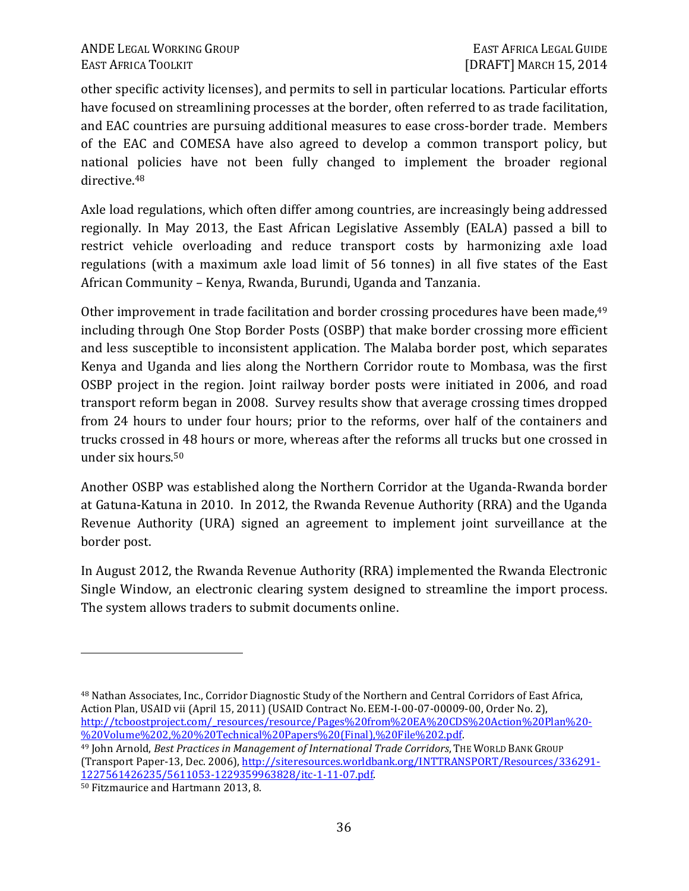other specific activity licenses), and permits to sell in particular locations. Particular efforts have focused on streamlining processes at the border, often referred to as trade facilitation, and EAC countries are pursuing additional measures to ease cross-border trade. Members of the EAC and COMESA have also agreed to develop a common transport policy, but national policies have not been fully changed to implement the broader regional directive.<sup>48</sup>

Axle load regulations, which often differ among countries, are increasingly being addressed regionally. In May 2013, the East African Legislative Assembly (EALA) passed a bill to restrict vehicle overloading and reduce transport costs by harmonizing axle load regulations (with a maximum axle load limit of 56 tonnes) in all five states of the East African Community – Kenya, Rwanda, Burundi, Uganda and Tanzania.

Other improvement in trade facilitation and border crossing procedures have been made, <sup>49</sup> including through One Stop Border Posts (OSBP) that make border crossing more efficient and less susceptible to inconsistent application. The Malaba border post, which separates Kenya and Uganda and lies along the Northern Corridor route to Mombasa, was the first OSBP project in the region. Joint railway border posts were initiated in 2006, and road transport reform began in 2008. Survey results show that average crossing times dropped from 24 hours to under four hours; prior to the reforms, over half of the containers and trucks crossed in 48 hours or more, whereas after the reforms all trucks but one crossed in under six hours.<sup>50</sup>

Another OSBP was established along the Northern Corridor at the Uganda-Rwanda border at Gatuna-Katuna in 2010. In 2012, the Rwanda Revenue Authority (RRA) and the Uganda Revenue Authority (URA) signed an agreement to implement joint surveillance at the border post.

In August 2012, the Rwanda Revenue Authority (RRA) implemented the Rwanda Electronic Single Window, an electronic clearing system designed to streamline the import process. The system allows traders to submit documents online.

<sup>48</sup> Nathan Associates, Inc., Corridor Diagnostic Study of the Northern and Central Corridors of East Africa, Action Plan, USAID vii (April 15, 2011) (USAID Contract No. EEM-I-00-07-00009-00, Order No. 2), http://tcboostproject.com/\_resources/resource/Pages%20from%20EA%20CDS%20Action%20Plan%20- %20Volume%202,%20%20Technical%20Papers%20(Final),%20File%202.pdf.

<sup>49</sup> John Arnold, *Best Practices in Management of International Trade Corridors*, THE WORLD BANK GROUP (Transport Paper-13, Dec. 2006), http://siteresources.worldbank.org/INTTRANSPORT/Resources/336291- 1227561426235/5611053-1229359963828/itc-1-11-07.pdf.

 $\overline{a}$ 

<sup>50</sup> Fitzmaurice and Hartmann 2013, 8.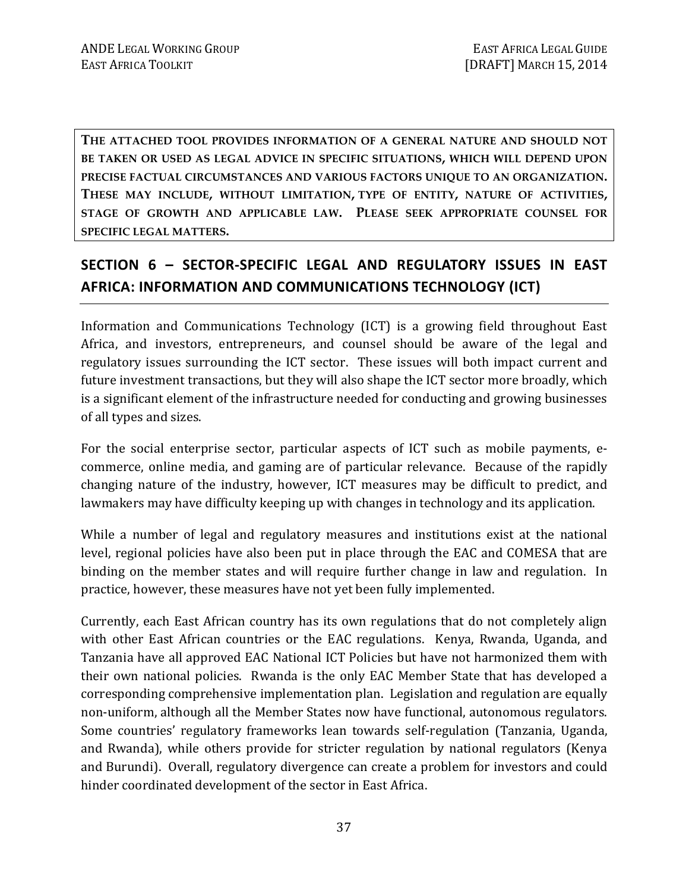**THE ATTACHED TOOL PROVIDES INFORMATION OF A GENERAL NATURE AND SHOULD NOT BE TAKEN OR USED AS LEGAL ADVICE IN SPECIFIC SITUATIONS, WHICH WILL DEPEND UPON PRECISE FACTUAL CIRCUMSTANCES AND VARIOUS FACTORS UNIQUE TO AN ORGANIZATION. THESE MAY INCLUDE, WITHOUT LIMITATION, TYPE OF ENTITY, NATURE OF ACTIVITIES, STAGE OF GROWTH AND APPLICABLE LAW. PLEASE SEEK APPROPRIATE COUNSEL FOR SPECIFIC LEGAL MATTERS.** 

# **SECTION 6 – SECTOR-SPECIFIC LEGAL AND REGULATORY ISSUES IN EAST AFRICA: INFORMATION AND COMMUNICATIONS TECHNOLOGY (ICT)**

Information and Communications Technology (ICT) is a growing field throughout East Africa, and investors, entrepreneurs, and counsel should be aware of the legal and regulatory issues surrounding the ICT sector. These issues will both impact current and future investment transactions, but they will also shape the ICT sector more broadly, which is a significant element of the infrastructure needed for conducting and growing businesses of all types and sizes.

For the social enterprise sector, particular aspects of ICT such as mobile payments, ecommerce, online media, and gaming are of particular relevance. Because of the rapidly changing nature of the industry, however, ICT measures may be difficult to predict, and lawmakers may have difficulty keeping up with changes in technology and its application.

While a number of legal and regulatory measures and institutions exist at the national level, regional policies have also been put in place through the EAC and COMESA that are binding on the member states and will require further change in law and regulation. In practice, however, these measures have not yet been fully implemented.

Currently, each East African country has its own regulations that do not completely align with other East African countries or the EAC regulations. Kenya, Rwanda, Uganda, and Tanzania have all approved EAC National ICT Policies but have not harmonized them with their own national policies. Rwanda is the only EAC Member State that has developed a corresponding comprehensive implementation plan. Legislation and regulation are equally non-uniform, although all the Member States now have functional, autonomous regulators. Some countries' regulatory frameworks lean towards self-regulation (Tanzania, Uganda, and Rwanda), while others provide for stricter regulation by national regulators (Kenya and Burundi). Overall, regulatory divergence can create a problem for investors and could hinder coordinated development of the sector in East Africa.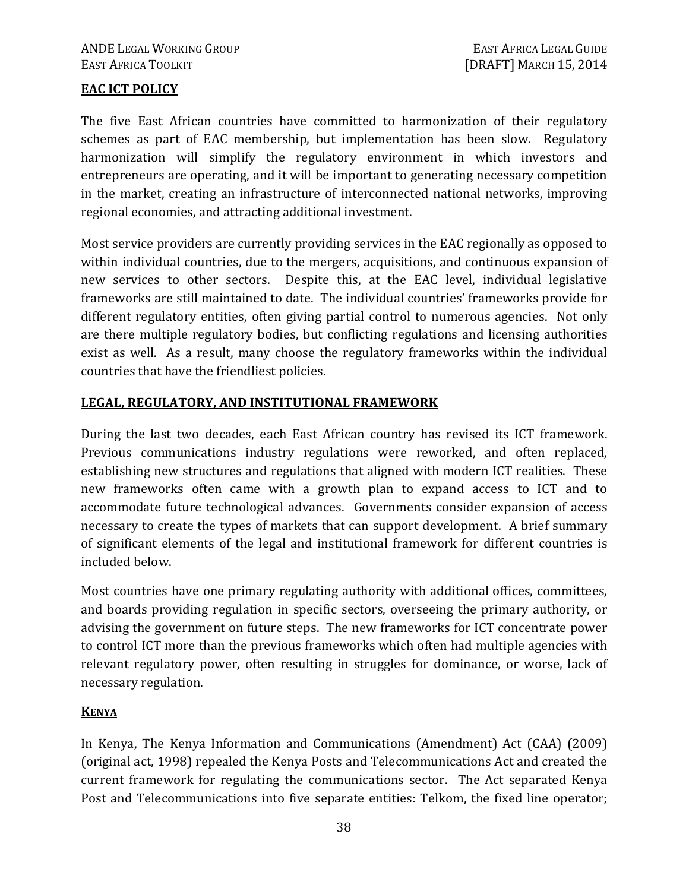### **EAC ICT POLICY**

The five East African countries have committed to harmonization of their regulatory schemes as part of EAC membership, but implementation has been slow. Regulatory harmonization will simplify the regulatory environment in which investors and entrepreneurs are operating, and it will be important to generating necessary competition in the market, creating an infrastructure of interconnected national networks, improving regional economies, and attracting additional investment.

Most service providers are currently providing services in the EAC regionally as opposed to within individual countries, due to the mergers, acquisitions, and continuous expansion of new services to other sectors. Despite this, at the EAC level, individual legislative frameworks are still maintained to date. The individual countries' frameworks provide for different regulatory entities, often giving partial control to numerous agencies. Not only are there multiple regulatory bodies, but conflicting regulations and licensing authorities exist as well. As a result, many choose the regulatory frameworks within the individual countries that have the friendliest policies.

### **LEGAL, REGULATORY, AND INSTITUTIONAL FRAMEWORK**

During the last two decades, each East African country has revised its ICT framework. Previous communications industry regulations were reworked, and often replaced, establishing new structures and regulations that aligned with modern ICT realities. These new frameworks often came with a growth plan to expand access to ICT and to accommodate future technological advances. Governments consider expansion of access necessary to create the types of markets that can support development. A brief summary of significant elements of the legal and institutional framework for different countries is included below.

Most countries have one primary regulating authority with additional offices, committees, and boards providing regulation in specific sectors, overseeing the primary authority, or advising the government on future steps. The new frameworks for ICT concentrate power to control ICT more than the previous frameworks which often had multiple agencies with relevant regulatory power, often resulting in struggles for dominance, or worse, lack of necessary regulation.

### **KENYA**

In Kenya, The Kenya Information and Communications (Amendment) Act (CAA) (2009) (original act, 1998) repealed the Kenya Posts and Telecommunications Act and created the current framework for regulating the communications sector. The Act separated Kenya Post and Telecommunications into five separate entities: Telkom, the fixed line operator;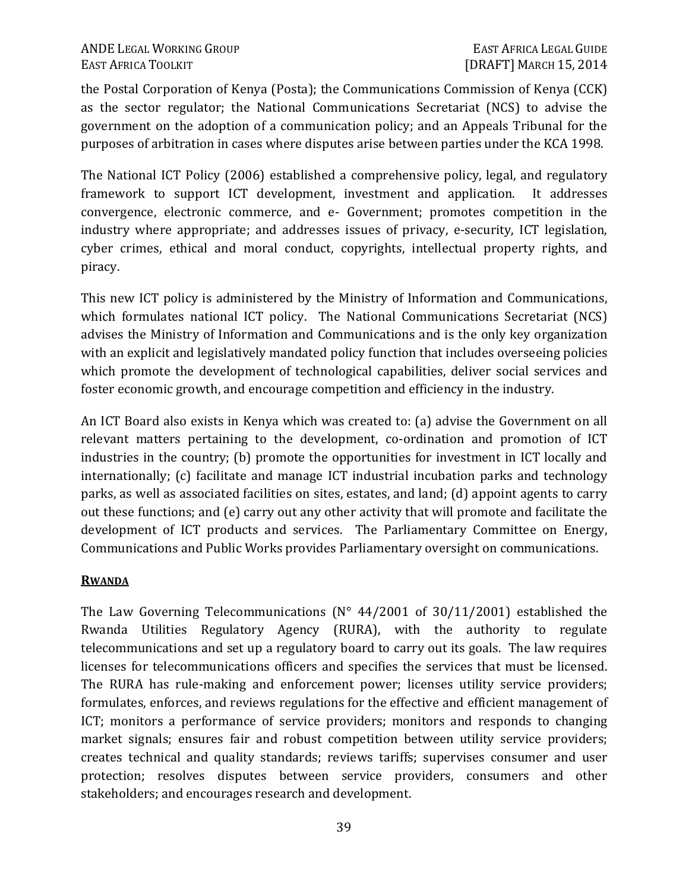the Postal Corporation of Kenya (Posta); the Communications Commission of Kenya (CCK) as the sector regulator; the National Communications Secretariat (NCS) to advise the government on the adoption of a communication policy; and an Appeals Tribunal for the purposes of arbitration in cases where disputes arise between parties under the KCA 1998.

The National ICT Policy (2006) established a comprehensive policy, legal, and regulatory framework to support ICT development, investment and application. It addresses convergence, electronic commerce, and e- Government; promotes competition in the industry where appropriate; and addresses issues of privacy, e-security, ICT legislation, cyber crimes, ethical and moral conduct, copyrights, intellectual property rights, and piracy.

This new ICT policy is administered by the Ministry of Information and Communications, which formulates national ICT policy. The National Communications Secretariat (NCS) advises the Ministry of Information and Communications and is the only key organization with an explicit and legislatively mandated policy function that includes overseeing policies which promote the development of technological capabilities, deliver social services and foster economic growth, and encourage competition and efficiency in the industry.

An ICT Board also exists in Kenya which was created to: (a) advise the Government on all relevant matters pertaining to the development, co-ordination and promotion of ICT industries in the country; (b) promote the opportunities for investment in ICT locally and internationally; (c) facilitate and manage ICT industrial incubation parks and technology parks, as well as associated facilities on sites, estates, and land; (d) appoint agents to carry out these functions; and (e) carry out any other activity that will promote and facilitate the development of ICT products and services. The Parliamentary Committee on Energy, Communications and Public Works provides Parliamentary oversight on communications.

### **RWANDA**

The Law Governing Telecommunications ( $N^{\circ}$  44/2001 of 30/11/2001) established the Rwanda Utilities Regulatory Agency (RURA), with the authority to regulate telecommunications and set up a regulatory board to carry out its goals. The law requires licenses for telecommunications officers and specifies the services that must be licensed. The RURA has rule-making and enforcement power; licenses utility service providers; formulates, enforces, and reviews regulations for the effective and efficient management of ICT; monitors a performance of service providers; monitors and responds to changing market signals; ensures fair and robust competition between utility service providers; creates technical and quality standards; reviews tariffs; supervises consumer and user protection; resolves disputes between service providers, consumers and other stakeholders; and encourages research and development.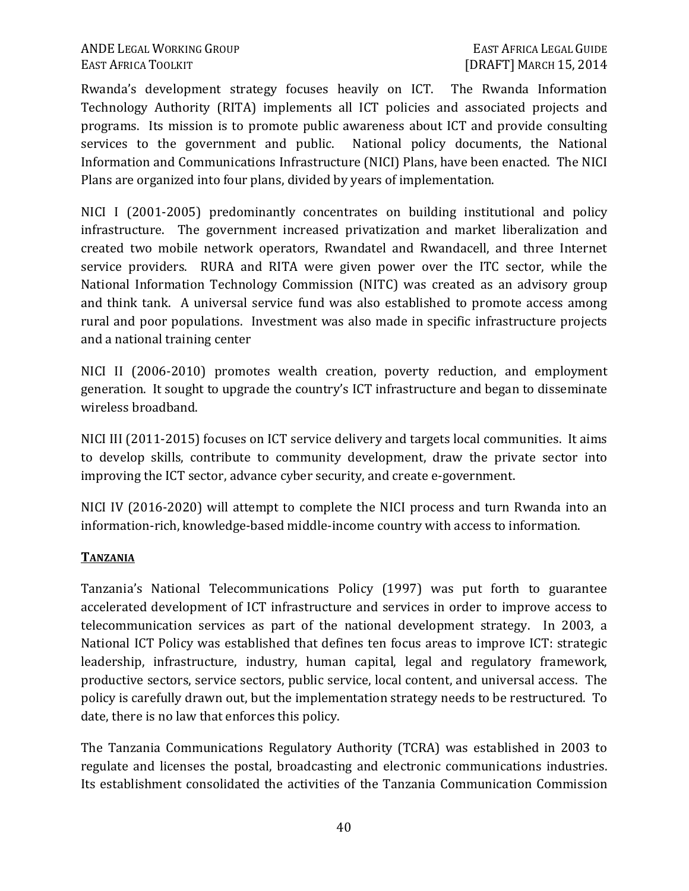Rwanda's development strategy focuses heavily on ICT. The Rwanda Information Technology Authority (RITA) implements all ICT policies and associated projects and programs. Its mission is to promote public awareness about ICT and provide consulting services to the government and public. National policy documents, the National Information and Communications Infrastructure (NICI) Plans, have been enacted. The NICI Plans are organized into four plans, divided by years of implementation.

NICI I (2001-2005) predominantly concentrates on building institutional and policy infrastructure. The government increased privatization and market liberalization and created two mobile network operators, Rwandatel and Rwandacell, and three Internet service providers. RURA and RITA were given power over the ITC sector, while the National Information Technology Commission (NITC) was created as an advisory group and think tank. A universal service fund was also established to promote access among rural and poor populations. Investment was also made in specific infrastructure projects and a national training center

NICI II (2006-2010) promotes wealth creation, poverty reduction, and employment generation. It sought to upgrade the country's ICT infrastructure and began to disseminate wireless broadband.

NICI III (2011-2015) focuses on ICT service delivery and targets local communities. It aims to develop skills, contribute to community development, draw the private sector into improving the ICT sector, advance cyber security, and create e-government.

NICI IV (2016-2020) will attempt to complete the NICI process and turn Rwanda into an information-rich, knowledge-based middle-income country with access to information.

### **TANZANIA**

Tanzania's National Telecommunications Policy (1997) was put forth to guarantee accelerated development of ICT infrastructure and services in order to improve access to telecommunication services as part of the national development strategy. In 2003, a National ICT Policy was established that defines ten focus areas to improve ICT: strategic leadership, infrastructure, industry, human capital, legal and regulatory framework, productive sectors, service sectors, public service, local content, and universal access. The policy is carefully drawn out, but the implementation strategy needs to be restructured. To date, there is no law that enforces this policy.

The Tanzania Communications Regulatory Authority (TCRA) was established in 2003 to regulate and licenses the postal, broadcasting and electronic communications industries. Its establishment consolidated the activities of the Tanzania Communication Commission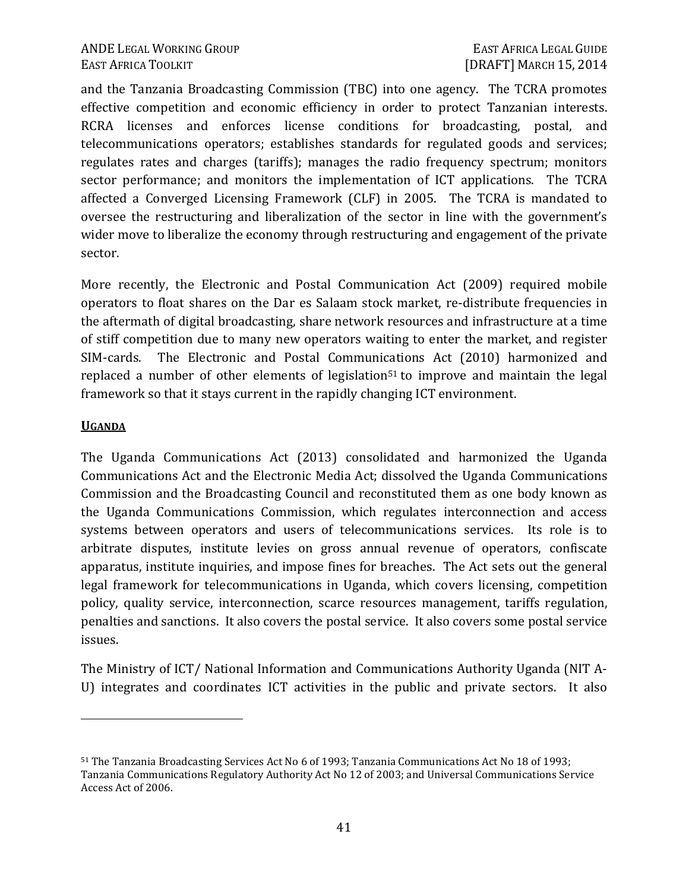and the Tanzania Broadcasting Commission (TBC) into one agency. The TCRA promotes effective competition and economic efficiency in order to protect Tanzanian interests. RCRA licenses and enforces license conditions for broadcasting, postal, and telecommunications operators; establishes standards for regulated goods and services; regulates rates and charges (tariffs); manages the radio frequency spectrum; monitors sector performance; and monitors the implementation of ICT applications. The TCRA affected a Converged Licensing Framework (CLF) in 2005. The TCRA is mandated to oversee the restructuring and liberalization of the sector in line with the government's wider move to liberalize the economy through restructuring and engagement of the private sector.

More recently, the Electronic and Postal Communication Act (2009) required mobile operators to float shares on the Dar es Salaam stock market, re-distribute frequencies in the aftermath of digital broadcasting, share network resources and infrastructure at a time of stiff competition due to many new operators waiting to enter the market, and register SIM-cards. The Electronic and Postal Communications Act (2010) harmonized and replaced a number of other elements of legislation<sup>51</sup> to improve and maintain the legal framework so that it stays current in the rapidly changing ICT environment.

#### **UGANDA**

 $\overline{a}$ 

The Uganda Communications Act (2013) consolidated and harmonized the Uganda Communications Act and the Electronic Media Act; dissolved the Uganda Communications Commission and the Broadcasting Council and reconstituted them as one body known as the Uganda Communications Commission, which regulates interconnection and access systems between operators and users of telecommunications services. Its role is to arbitrate disputes, institute levies on gross annual revenue of operators, confiscate apparatus, institute inquiries, and impose fines for breaches. The Act sets out the general legal framework for telecommunications in Uganda, which covers licensing, competition policy, quality service, interconnection, scarce resources management, tariffs regulation, penalties and sanctions. It also covers the postal service. It also covers some postal service issues.

The Ministry of ICT/ National Information and Communications Authority Uganda (NIT A-U) integrates and coordinates ICT activities in the public and private sectors. It also

<sup>51</sup> The Tanzania Broadcasting Services Act No 6 of 1993; Tanzania Communications Act No 18 of 1993; Tanzania Communications Regulatory Authority Act No 12 of 2003; and Universal Communications Service Access Act of 2006.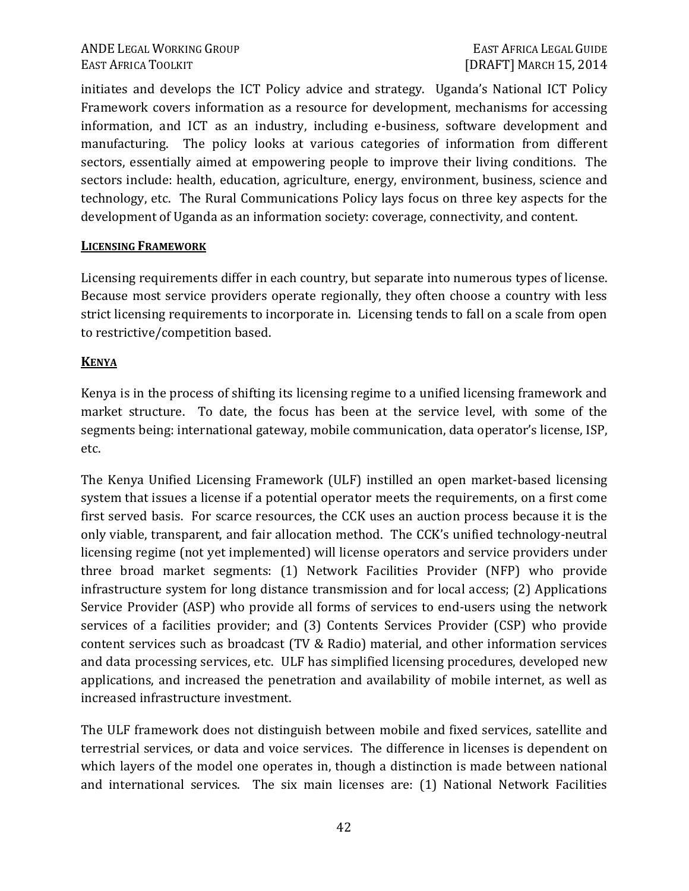initiates and develops the ICT Policy advice and strategy. Uganda's National ICT Policy Framework covers information as a resource for development, mechanisms for accessing information, and ICT as an industry, including e-business, software development and manufacturing. The policy looks at various categories of information from different sectors, essentially aimed at empowering people to improve their living conditions. The sectors include: health, education, agriculture, energy, environment, business, science and technology, etc. The Rural Communications Policy lays focus on three key aspects for the development of Uganda as an information society: coverage, connectivity, and content.

### **LICENSING FRAMEWORK**

Licensing requirements differ in each country, but separate into numerous types of license. Because most service providers operate regionally, they often choose a country with less strict licensing requirements to incorporate in. Licensing tends to fall on a scale from open to restrictive/competition based.

### **KENYA**

Kenya is in the process of shifting its licensing regime to a unified licensing framework and market structure. To date, the focus has been at the service level, with some of the segments being: international gateway, mobile communication, data operator's license, ISP, etc.

The Kenya Unified Licensing Framework (ULF) instilled an open market-based licensing system that issues a license if a potential operator meets the requirements, on a first come first served basis. For scarce resources, the CCK uses an auction process because it is the only viable, transparent, and fair allocation method. The CCK's unified technology-neutral licensing regime (not yet implemented) will license operators and service providers under three broad market segments: (1) Network Facilities Provider (NFP) who provide infrastructure system for long distance transmission and for local access; (2) Applications Service Provider (ASP) who provide all forms of services to end-users using the network services of a facilities provider; and (3) Contents Services Provider (CSP) who provide content services such as broadcast (TV & Radio) material, and other information services and data processing services, etc. ULF has simplified licensing procedures, developed new applications, and increased the penetration and availability of mobile internet, as well as increased infrastructure investment.

The ULF framework does not distinguish between mobile and fixed services, satellite and terrestrial services, or data and voice services. The difference in licenses is dependent on which layers of the model one operates in, though a distinction is made between national and international services. The six main licenses are: (1) National Network Facilities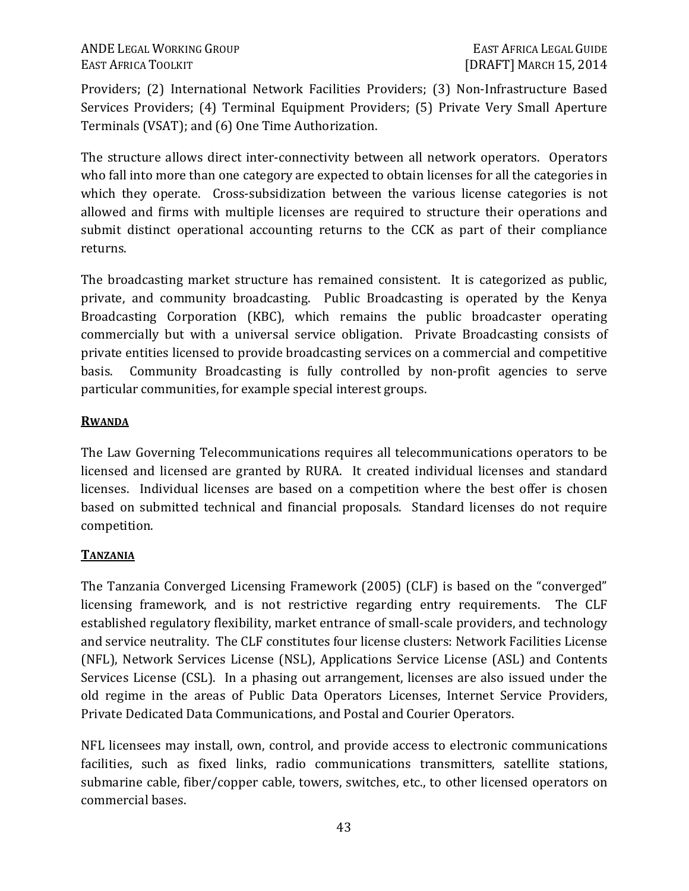Providers; (2) International Network Facilities Providers; (3) Non-Infrastructure Based Services Providers; (4) Terminal Equipment Providers; (5) Private Very Small Aperture Terminals (VSAT); and (6) One Time Authorization.

The structure allows direct inter-connectivity between all network operators. Operators who fall into more than one category are expected to obtain licenses for all the categories in which they operate. Cross-subsidization between the various license categories is not allowed and firms with multiple licenses are required to structure their operations and submit distinct operational accounting returns to the CCK as part of their compliance returns.

The broadcasting market structure has remained consistent. It is categorized as public, private, and community broadcasting. Public Broadcasting is operated by the Kenya Broadcasting Corporation (KBC), which remains the public broadcaster operating commercially but with a universal service obligation. Private Broadcasting consists of private entities licensed to provide broadcasting services on a commercial and competitive basis. Community Broadcasting is fully controlled by non-profit agencies to serve particular communities, for example special interest groups.

### **RWANDA**

The Law Governing Telecommunications requires all telecommunications operators to be licensed and licensed are granted by RURA. It created individual licenses and standard licenses. Individual licenses are based on a competition where the best offer is chosen based on submitted technical and financial proposals. Standard licenses do not require competition.

# **TANZANIA**

The Tanzania Converged Licensing Framework (2005) (CLF) is based on the "converged" licensing framework, and is not restrictive regarding entry requirements. The CLF established regulatory flexibility, market entrance of small-scale providers, and technology and service neutrality. The CLF constitutes four license clusters: Network Facilities License (NFL), Network Services License (NSL), Applications Service License (ASL) and Contents Services License (CSL). In a phasing out arrangement, licenses are also issued under the old regime in the areas of Public Data Operators Licenses, Internet Service Providers, Private Dedicated Data Communications, and Postal and Courier Operators.

NFL licensees may install, own, control, and provide access to electronic communications facilities, such as fixed links, radio communications transmitters, satellite stations, submarine cable, fiber/copper cable, towers, switches, etc., to other licensed operators on commercial bases.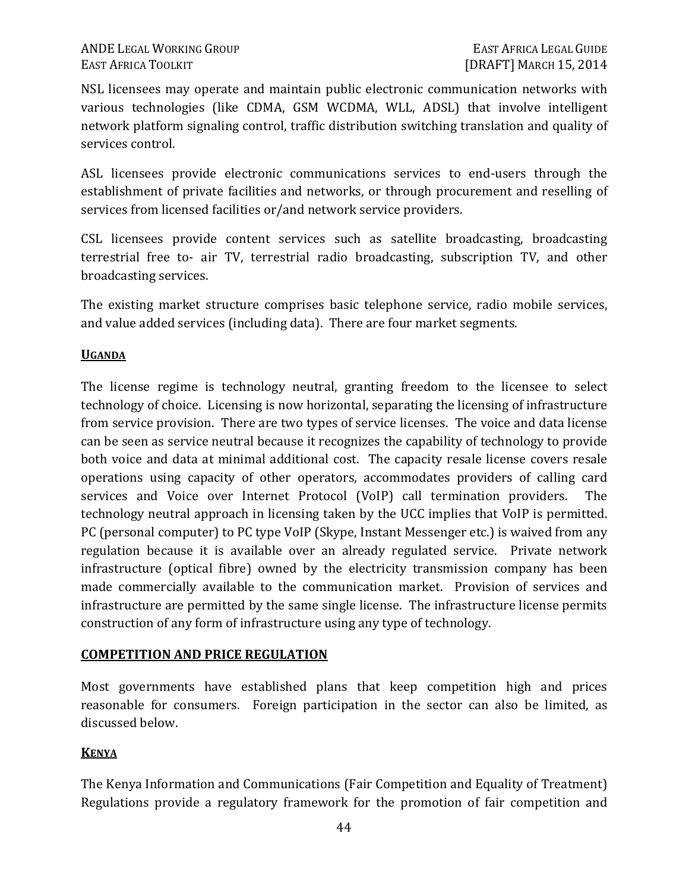NSL licensees may operate and maintain public electronic communication networks with various technologies (like CDMA, GSM WCDMA, WLL, ADSL) that involve intelligent network platform signaling control, traffic distribution switching translation and quality of services control.

ASL licensees provide electronic communications services to end-users through the establishment of private facilities and networks, or through procurement and reselling of services from licensed facilities or/and network service providers.

CSL licensees provide content services such as satellite broadcasting, broadcasting terrestrial free to- air TV, terrestrial radio broadcasting, subscription TV, and other broadcasting services.

The existing market structure comprises basic telephone service, radio mobile services, and value added services (including data). There are four market segments.

### **UGANDA**

The license regime is technology neutral, granting freedom to the licensee to select technology of choice. Licensing is now horizontal, separating the licensing of infrastructure from service provision. There are two types of service licenses. The voice and data license can be seen as service neutral because it recognizes the capability of technology to provide both voice and data at minimal additional cost. The capacity resale license covers resale operations using capacity of other operators, accommodates providers of calling card services and Voice over Internet Protocol (VoIP) call termination providers. The technology neutral approach in licensing taken by the UCC implies that VoIP is permitted. PC (personal computer) to PC type VoIP (Skype, Instant Messenger etc.) is waived from any regulation because it is available over an already regulated service. Private network infrastructure (optical fibre) owned by the electricity transmission company has been made commercially available to the communication market. Provision of services and infrastructure are permitted by the same single license. The infrastructure license permits construction of any form of infrastructure using any type of technology.

# **COMPETITION AND PRICE REGULATION**

Most governments have established plans that keep competition high and prices reasonable for consumers. Foreign participation in the sector can also be limited, as discussed below.

# **KENYA**

The Kenya Information and Communications (Fair Competition and Equality of Treatment) Regulations provide a regulatory framework for the promotion of fair competition and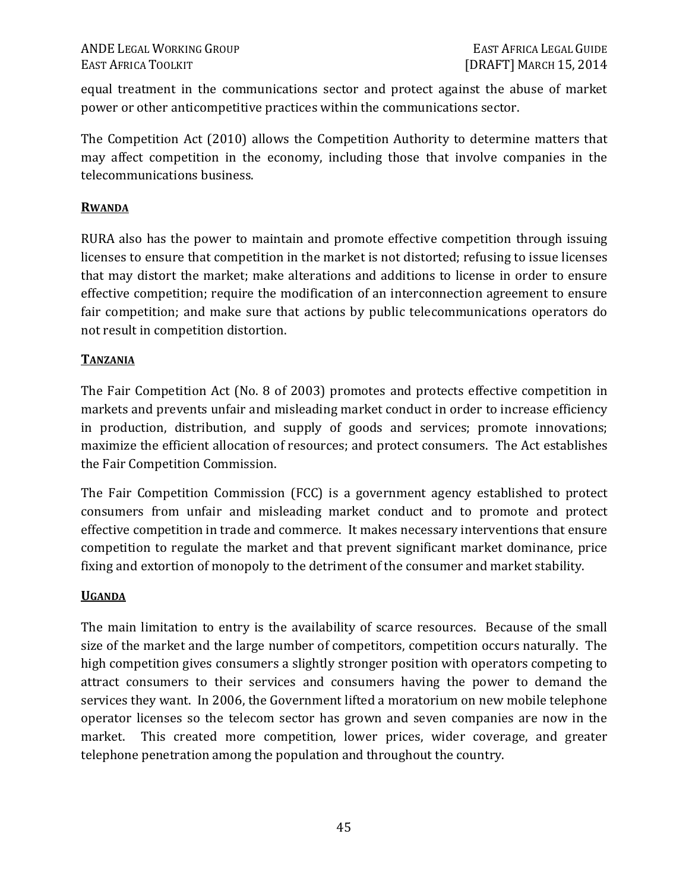equal treatment in the communications sector and protect against the abuse of market power or other anticompetitive practices within the communications sector.

The Competition Act (2010) allows the Competition Authority to determine matters that may affect competition in the economy, including those that involve companies in the telecommunications business.

### **RWANDA**

RURA also has the power to maintain and promote effective competition through issuing licenses to ensure that competition in the market is not distorted; refusing to issue licenses that may distort the market; make alterations and additions to license in order to ensure effective competition; require the modification of an interconnection agreement to ensure fair competition; and make sure that actions by public telecommunications operators do not result in competition distortion.

### **TANZANIA**

The Fair Competition Act (No. 8 of 2003) promotes and protects effective competition in markets and prevents unfair and misleading market conduct in order to increase efficiency in production, distribution, and supply of goods and services; promote innovations; maximize the efficient allocation of resources; and protect consumers. The Act establishes the Fair Competition Commission.

The Fair Competition Commission (FCC) is a government agency established to protect consumers from unfair and misleading market conduct and to promote and protect effective competition in trade and commerce. It makes necessary interventions that ensure competition to regulate the market and that prevent significant market dominance, price fixing and extortion of monopoly to the detriment of the consumer and market stability.

### **UGANDA**

The main limitation to entry is the availability of scarce resources. Because of the small size of the market and the large number of competitors, competition occurs naturally. The high competition gives consumers a slightly stronger position with operators competing to attract consumers to their services and consumers having the power to demand the services they want. In 2006, the Government lifted a moratorium on new mobile telephone operator licenses so the telecom sector has grown and seven companies are now in the market. This created more competition, lower prices, wider coverage, and greater telephone penetration among the population and throughout the country.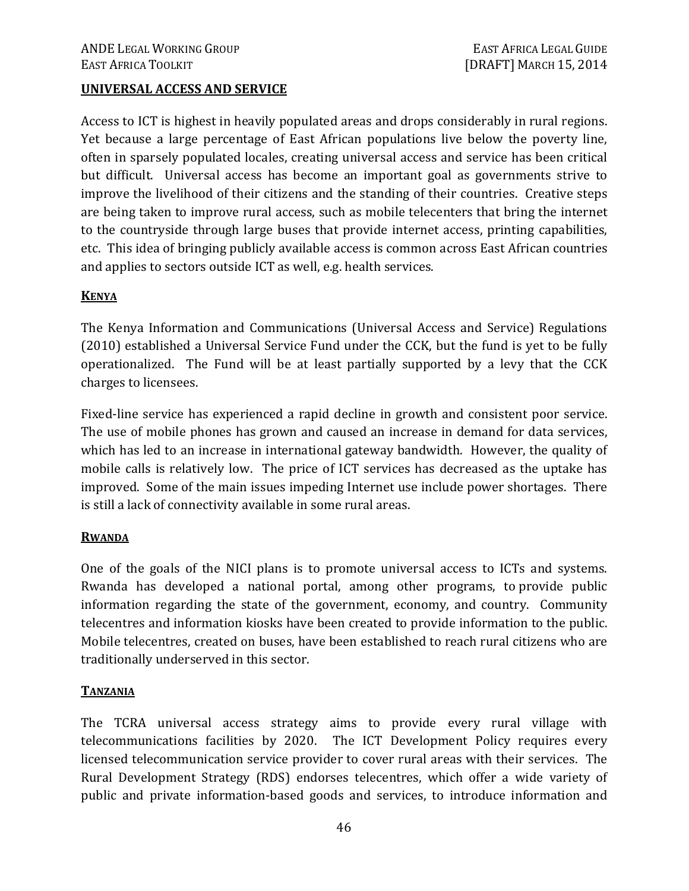#### **UNIVERSAL ACCESS AND SERVICE**

Access to ICT is highest in heavily populated areas and drops considerably in rural regions. Yet because a large percentage of East African populations live below the poverty line, often in sparsely populated locales, creating universal access and service has been critical but difficult. Universal access has become an important goal as governments strive to improve the livelihood of their citizens and the standing of their countries. Creative steps are being taken to improve rural access, such as mobile telecenters that bring the internet to the countryside through large buses that provide internet access, printing capabilities, etc. This idea of bringing publicly available access is common across East African countries and applies to sectors outside ICT as well, e.g. health services.

### **KENYA**

The Kenya Information and Communications (Universal Access and Service) Regulations (2010) established a Universal Service Fund under the CCK, but the fund is yet to be fully operationalized. The Fund will be at least partially supported by a levy that the CCK charges to licensees.

Fixed-line service has experienced a rapid decline in growth and consistent poor service. The use of mobile phones has grown and caused an increase in demand for data services, which has led to an increase in international gateway bandwidth. However, the quality of mobile calls is relatively low. The price of ICT services has decreased as the uptake has improved. Some of the main issues impeding Internet use include power shortages. There is still a lack of connectivity available in some rural areas.

#### **RWANDA**

One of the goals of the NICI plans is to promote universal access to ICTs and systems. Rwanda has developed a national portal, among other programs, to provide public information regarding the state of the government, economy, and country. Community telecentres and information kiosks have been created to provide information to the public. Mobile telecentres, created on buses, have been established to reach rural citizens who are traditionally underserved in this sector.

#### **TANZANIA**

The TCRA universal access strategy aims to provide every rural village with telecommunications facilities by 2020. The ICT Development Policy requires every licensed telecommunication service provider to cover rural areas with their services. The Rural Development Strategy (RDS) endorses telecentres, which offer a wide variety of public and private information-based goods and services, to introduce information and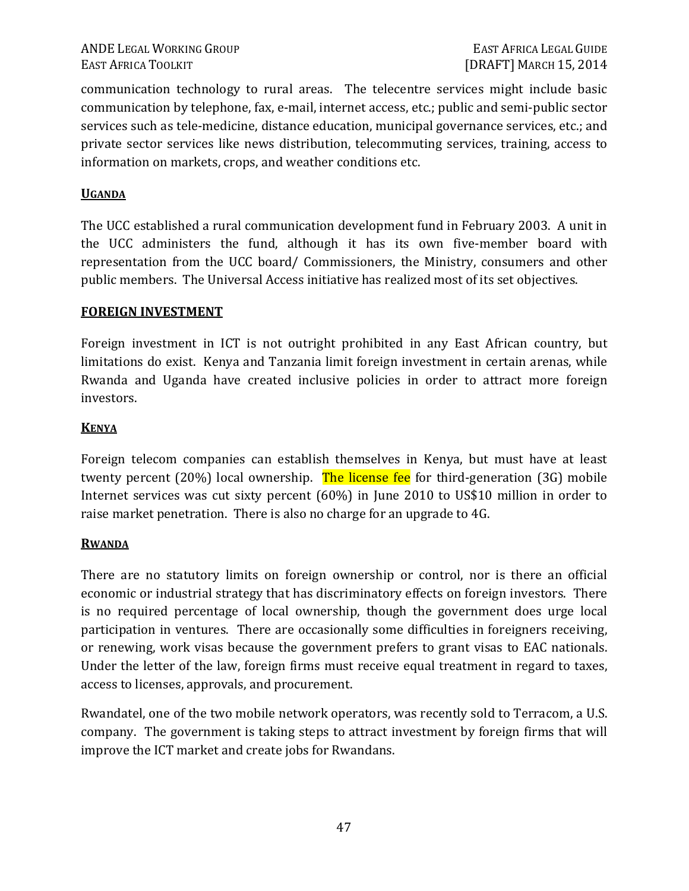communication technology to rural areas. The telecentre services might include basic communication by telephone, fax, e-mail, internet access, etc.; public and semi-public sector services such as tele-medicine, distance education, municipal governance services, etc.; and private sector services like news distribution, telecommuting services, training, access to information on markets, crops, and weather conditions etc.

### **UGANDA**

The UCC established a rural communication development fund in February 2003. A unit in the UCC administers the fund, although it has its own five-member board with representation from the UCC board/ Commissioners, the Ministry, consumers and other public members. The Universal Access initiative has realized most of its set objectives.

#### **FOREIGN INVESTMENT**

Foreign investment in ICT is not outright prohibited in any East African country, but limitations do exist. Kenya and Tanzania limit foreign investment in certain arenas, while Rwanda and Uganda have created inclusive policies in order to attract more foreign investors.

#### **KENYA**

Foreign telecom companies can establish themselves in Kenya, but must have at least twenty percent (20%) local ownership. The license fee for third-generation (3G) mobile Internet services was cut sixty percent (60%) in June 2010 to US\$10 million in order to raise market penetration. There is also no charge for an upgrade to 4G.

#### **RWANDA**

There are no statutory limits on foreign ownership or control, nor is there an official economic or industrial strategy that has discriminatory effects on foreign investors. There is no required percentage of local ownership, though the government does urge local participation in ventures. There are occasionally some difficulties in foreigners receiving, or renewing, work visas because the government prefers to grant visas to EAC nationals. Under the letter of the law, foreign firms must receive equal treatment in regard to taxes, access to licenses, approvals, and procurement.

Rwandatel, one of the two mobile network operators, was recently sold to Terracom, a U.S. company. The government is taking steps to attract investment by foreign firms that will improve the ICT market and create jobs for Rwandans.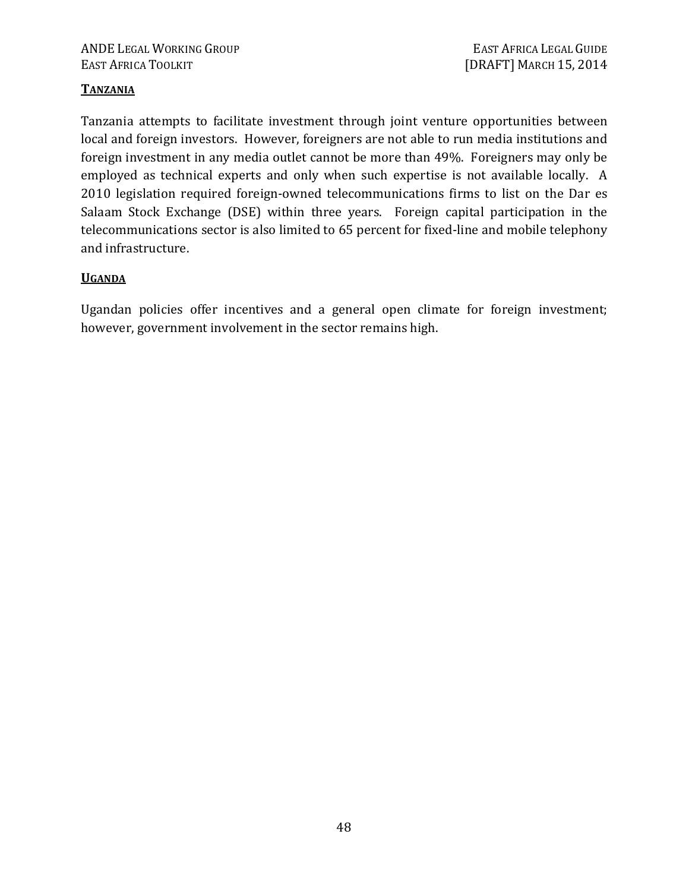### **TANZANIA**

Tanzania attempts to facilitate investment through joint venture opportunities between local and foreign investors. However, foreigners are not able to run media institutions and foreign investment in any media outlet cannot be more than 49%. Foreigners may only be employed as technical experts and only when such expertise is not available locally. A 2010 legislation required foreign-owned telecommunications firms to list on the Dar es Salaam Stock Exchange (DSE) within three years. Foreign capital participation in the telecommunications sector is also limited to 65 percent for fixed-line and mobile telephony and infrastructure.

### **UGANDA**

Ugandan policies offer incentives and a general open climate for foreign investment; however, government involvement in the sector remains high.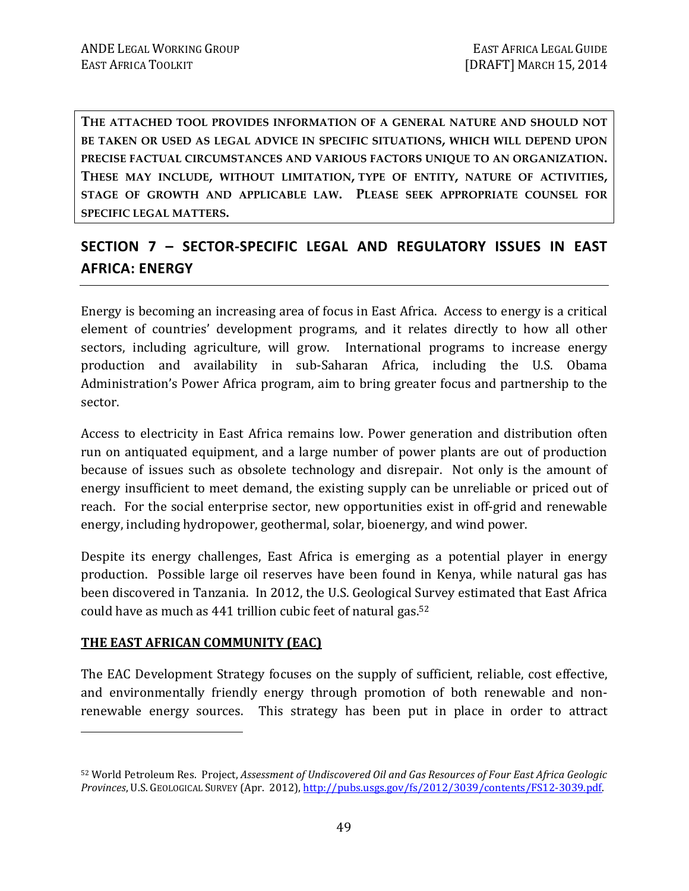**THE ATTACHED TOOL PROVIDES INFORMATION OF A GENERAL NATURE AND SHOULD NOT BE TAKEN OR USED AS LEGAL ADVICE IN SPECIFIC SITUATIONS, WHICH WILL DEPEND UPON PRECISE FACTUAL CIRCUMSTANCES AND VARIOUS FACTORS UNIQUE TO AN ORGANIZATION. THESE MAY INCLUDE, WITHOUT LIMITATION, TYPE OF ENTITY, NATURE OF ACTIVITIES, STAGE OF GROWTH AND APPLICABLE LAW. PLEASE SEEK APPROPRIATE COUNSEL FOR SPECIFIC LEGAL MATTERS.** 

# **SECTION 7 – SECTOR-SPECIFIC LEGAL AND REGULATORY ISSUES IN EAST AFRICA: ENERGY**

Energy is becoming an increasing area of focus in East Africa. Access to energy is a critical element of countries' development programs, and it relates directly to how all other sectors, including agriculture, will grow. International programs to increase energy production and availability in sub-Saharan Africa, including the U.S. Obama Administration's Power Africa program, aim to bring greater focus and partnership to the sector.

Access to electricity in East Africa remains low. Power generation and distribution often run on antiquated equipment, and a large number of power plants are out of production because of issues such as obsolete technology and disrepair. Not only is the amount of energy insufficient to meet demand, the existing supply can be unreliable or priced out of reach. For the social enterprise sector, new opportunities exist in off-grid and renewable energy, including hydropower, geothermal, solar, bioenergy, and wind power.

Despite its energy challenges, East Africa is emerging as a potential player in energy production. Possible large oil reserves have been found in Kenya, while natural gas has been discovered in Tanzania. In 2012, the U.S. Geological Survey estimated that East Africa could have as much as 441 trillion cubic feet of natural gas.<sup>52</sup>

### **THE EAST AFRICAN COMMUNITY (EAC)**

 $\overline{a}$ 

The EAC Development Strategy focuses on the supply of sufficient, reliable, cost effective, and environmentally friendly energy through promotion of both renewable and nonrenewable energy sources. This strategy has been put in place in order to attract

<sup>52</sup> World Petroleum Res. Project, *Assessment of Undiscovered Oil and Gas Resources of Four East Africa Geologic Provinces*, U.S. GEOLOGICAL SURVEY (Apr. 2012), http://pubs.usgs.gov/fs/2012/3039/contents/FS12-3039.pdf.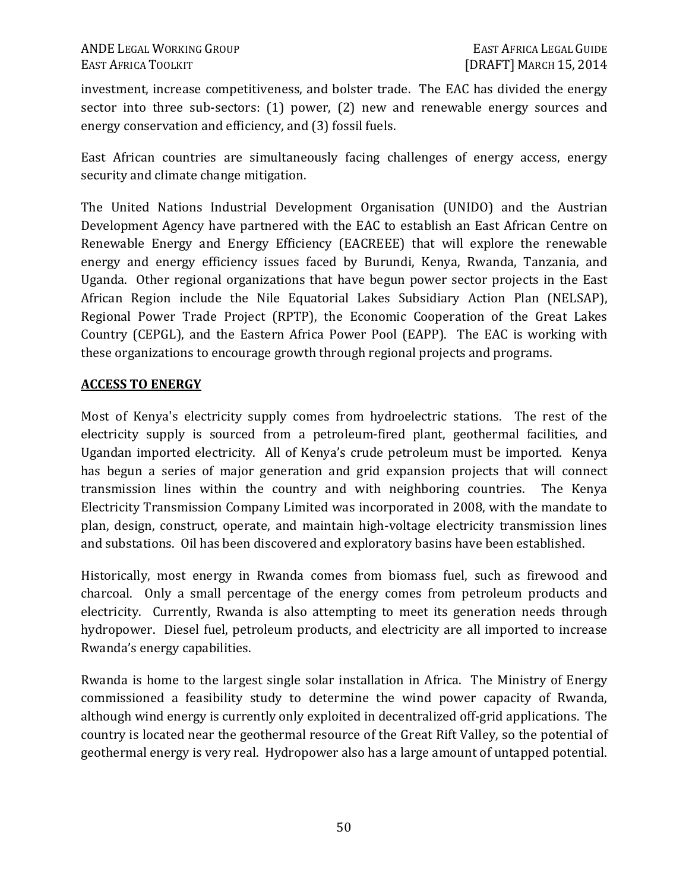investment, increase competitiveness, and bolster trade. The EAC has divided the energy sector into three sub-sectors: (1) power, (2) new and renewable energy sources and energy conservation and efficiency, and (3) fossil fuels.

East African countries are simultaneously facing challenges of energy access, energy security and climate change mitigation.

The United Nations Industrial Development Organisation (UNIDO) and the Austrian Development Agency have partnered with the EAC to establish an East African Centre on Renewable Energy and Energy Efficiency (EACREEE) that will explore the renewable energy and energy efficiency issues faced by Burundi, Kenya, Rwanda, Tanzania, and Uganda. Other regional organizations that have begun power sector projects in the East African Region include the Nile Equatorial Lakes Subsidiary Action Plan (NELSAP), Regional Power Trade Project (RPTP), the Economic Cooperation of the Great Lakes Country (CEPGL), and the Eastern Africa Power Pool (EAPP). The EAC is working with these organizations to encourage growth through regional projects and programs.

### **ACCESS TO ENERGY**

Most of Kenya's electricity supply comes from hydroelectric stations. The rest of the electricity supply is sourced from a petroleum-fired plant, geothermal facilities, and Ugandan imported electricity. All of Kenya's crude petroleum must be imported. Kenya has begun a series of major generation and grid expansion projects that will connect transmission lines within the country and with neighboring countries. The Kenya Electricity Transmission Company Limited was incorporated in 2008, with the mandate to plan, design, construct, operate, and maintain high-voltage electricity transmission lines and substations. Oil has been discovered and exploratory basins have been established.

Historically, most energy in Rwanda comes from biomass fuel, such as firewood and charcoal. Only a small percentage of the energy comes from petroleum products and electricity. Currently, Rwanda is also attempting to meet its generation needs through hydropower. Diesel fuel, petroleum products, and electricity are all imported to increase Rwanda's energy capabilities.

Rwanda is home to the largest single solar installation in Africa. The Ministry of Energy commissioned a feasibility study to determine the wind power capacity of Rwanda, although wind energy is currently only exploited in decentralized off-grid applications. The country is located near the geothermal resource of the Great Rift Valley, so the potential of geothermal energy is very real. Hydropower also has a large amount of untapped potential.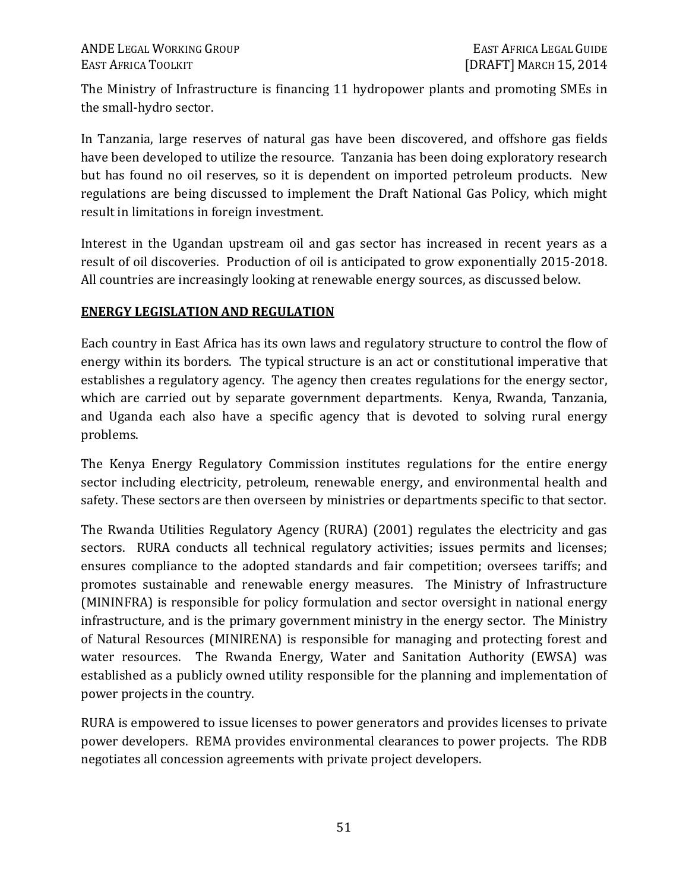The Ministry of Infrastructure is financing 11 hydropower plants and promoting SMEs in the small-hydro sector.

In Tanzania, large reserves of natural gas have been discovered, and offshore gas fields have been developed to utilize the resource. Tanzania has been doing exploratory research but has found no oil reserves, so it is dependent on imported petroleum products. New regulations are being discussed to implement the Draft National Gas Policy, which might result in limitations in foreign investment.

Interest in the Ugandan upstream oil and gas sector has increased in recent years as a result of oil discoveries. Production of oil is anticipated to grow exponentially 2015-2018. All countries are increasingly looking at renewable energy sources, as discussed below.

### **ENERGY LEGISLATION AND REGULATION**

Each country in East Africa has its own laws and regulatory structure to control the flow of energy within its borders. The typical structure is an act or constitutional imperative that establishes a regulatory agency. The agency then creates regulations for the energy sector, which are carried out by separate government departments. Kenya, Rwanda, Tanzania, and Uganda each also have a specific agency that is devoted to solving rural energy problems.

The Kenya Energy Regulatory Commission institutes regulations for the entire energy sector including electricity, petroleum, renewable energy, and environmental health and safety. These sectors are then overseen by ministries or departments specific to that sector.

The Rwanda Utilities Regulatory Agency (RURA) (2001) regulates the electricity and gas sectors. RURA conducts all technical regulatory activities; issues permits and licenses; ensures compliance to the adopted standards and fair competition; oversees tariffs; and promotes sustainable and renewable energy measures. The Ministry of Infrastructure (MININFRA) is responsible for policy formulation and sector oversight in national energy infrastructure, and is the primary government ministry in the energy sector. The Ministry of Natural Resources (MINIRENA) is responsible for managing and protecting forest and water resources. The Rwanda Energy, Water and Sanitation Authority (EWSA) was established as a publicly owned utility responsible for the planning and implementation of power projects in the country.

RURA is empowered to issue licenses to power generators and provides licenses to private power developers. REMA provides environmental clearances to power projects. The RDB negotiates all concession agreements with private project developers.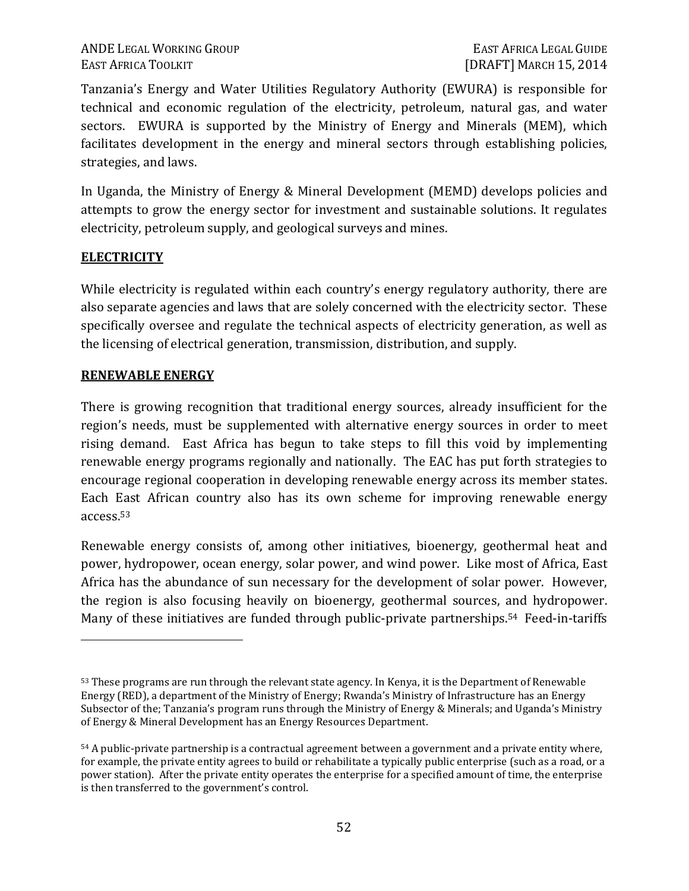### ANDE LEGAL WORKING GROUP **EAST AFRICA LEGAL GUIDE** EAST AFRICA TOOLKIT **EXECUTE:** [DRAFT] MARCH 15, 2014

Tanzania's Energy and Water Utilities Regulatory Authority (EWURA) is responsible for technical and economic regulation of the electricity, petroleum, natural gas, and water sectors. EWURA is supported by the Ministry of Energy and Minerals (MEM), which facilitates development in the energy and mineral sectors through establishing policies, strategies, and laws.

In Uganda, the Ministry of Energy & Mineral Development (MEMD) develops policies and attempts to grow the energy sector for investment and sustainable solutions. It regulates electricity, petroleum supply, and geological surveys and mines.

### **ELECTRICITY**

 $\overline{a}$ 

While electricity is regulated within each country's energy regulatory authority, there are also separate agencies and laws that are solely concerned with the electricity sector. These specifically oversee and regulate the technical aspects of electricity generation, as well as the licensing of electrical generation, transmission, distribution, and supply.

### **RENEWABLE ENERGY**

There is growing recognition that traditional energy sources, already insufficient for the region's needs, must be supplemented with alternative energy sources in order to meet rising demand. East Africa has begun to take steps to fill this void by implementing renewable energy programs regionally and nationally. The EAC has put forth strategies to encourage regional cooperation in developing renewable energy across its member states. Each East African country also has its own scheme for improving renewable energy access.<sup>53</sup>

Renewable energy consists of, among other initiatives, bioenergy, geothermal heat and power, hydropower, ocean energy, solar power, and wind power. Like most of Africa, East Africa has the abundance of sun necessary for the development of solar power. However, the region is also focusing heavily on bioenergy, geothermal sources, and hydropower. Many of these initiatives are funded through public-private partnerships.<sup>54</sup> Feed-in-tariffs

<sup>53</sup> These programs are run through the relevant state agency. In Kenya, it is the Department of Renewable Energy (RED), a department of the Ministry of Energy; Rwanda's Ministry of Infrastructure has an Energy Subsector of the; Tanzania's program runs through the Ministry of Energy & Minerals; and Uganda's Ministry of Energy & Mineral Development has an Energy Resources Department.

<sup>54</sup> A public-private partnership is a contractual agreement between a government and a private entity where, for example, the private entity agrees to build or rehabilitate a typically public enterprise (such as a road, or a power station). After the private entity operates the enterprise for a specified amount of time, the enterprise is then transferred to the government's control.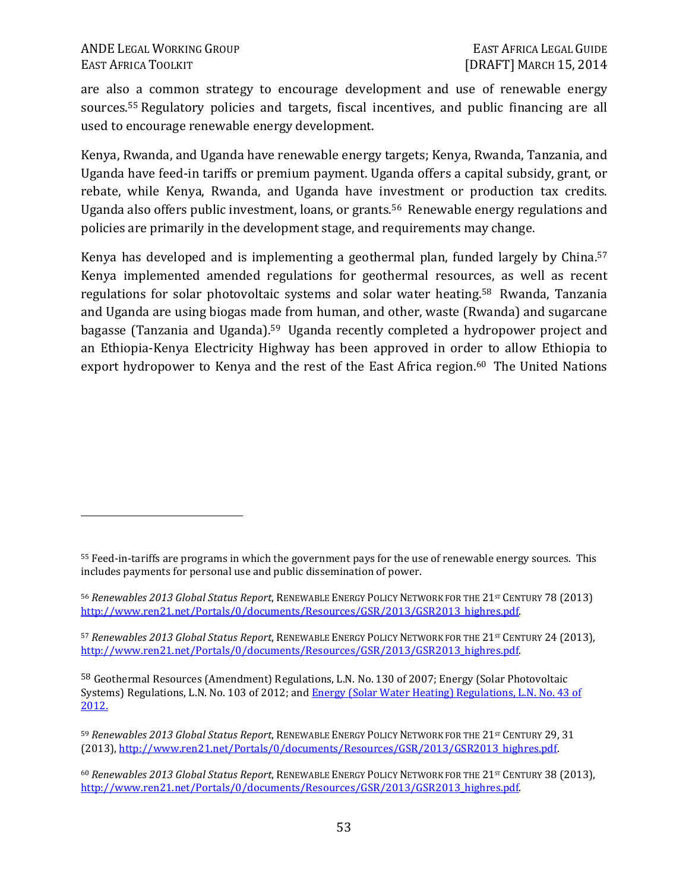<u>.</u>

are also a common strategy to encourage development and use of renewable energy sources.55 Regulatory policies and targets, fiscal incentives, and public financing are all used to encourage renewable energy development.

Kenya, Rwanda, and Uganda have renewable energy targets; Kenya, Rwanda, Tanzania, and Uganda have feed-in tariffs or premium payment. Uganda offers a capital subsidy, grant, or rebate, while Kenya, Rwanda, and Uganda have investment or production tax credits. Uganda also offers public investment, loans, or grants.56 Renewable energy regulations and policies are primarily in the development stage, and requirements may change.

Kenya has developed and is implementing a geothermal plan, funded largely by China.<sup>57</sup> Kenya implemented amended regulations for geothermal resources, as well as recent regulations for solar photovoltaic systems and solar water heating.58 Rwanda, Tanzania and Uganda are using biogas made from human, and other, waste (Rwanda) and sugarcane bagasse (Tanzania and Uganda).59 Uganda recently completed a hydropower project and an Ethiopia-Kenya Electricity Highway has been approved in order to allow Ethiopia to export hydropower to Kenya and the rest of the East Africa region.<sup>60</sup> The United Nations

<sup>55</sup> Feed-in-tariffs are programs in which the government pays for the use of renewable energy sources. This includes payments for personal use and public dissemination of power.

<sup>56</sup> *Renewables 2013 Global Status Report*, RENEWABLE ENERGY POLICY NETWORK FOR THE 21ST CENTURY 78 (2013) http://www.ren21.net/Portals/0/documents/Resources/GSR/2013/GSR2013\_highres.pdf.

<sup>57</sup> *Renewables 2013 Global Status Report*, RENEWABLE ENERGY POLICY NETWORK FOR THE 21<sup>ST</sup> CENTURY 24 (2013), http://www.ren21.net/Portals/0/documents/Resources/GSR/2013/GSR2013\_highres.pdf.

<sup>58</sup> Geothermal Resources (Amendment) Regulations, L.N. No. 130 of 2007; Energy (Solar Photovoltaic Systems) Regulations, L.N. No. 103 of 2012; and Energy (Solar Water Heating) Regulations, L.N. No. 43 of 2012.

<sup>59</sup> *Renewables 2013 Global Status Report*, RENEWABLE ENERGY POLICY NETWORK FOR THE 21<sup>st</sup> CENTURY 29, 31 (2013), http://www.ren21.net/Portals/0/documents/Resources/GSR/2013/GSR2013\_highres.pdf.

<sup>&</sup>lt;sup>60</sup> Renewables 2013 Global Status Report, RENEWABLE ENERGY POLICY NETWORK FOR THE 21<sup>ST</sup> CENTURY 38 (2013), http://www.ren21.net/Portals/0/documents/Resources/GSR/2013/GSR2013\_highres.pdf.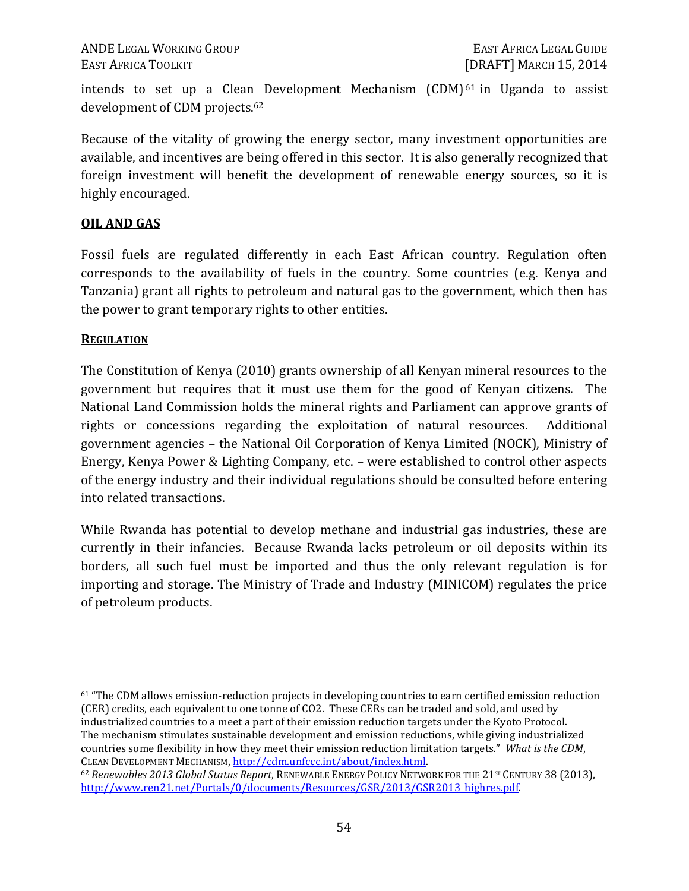intends to set up a Clean Development Mechanism  $(CDM)^{61}$  in Uganda to assist development of CDM projects.<sup>62</sup>

Because of the vitality of growing the energy sector, many investment opportunities are available, and incentives are being offered in this sector. It is also generally recognized that foreign investment will benefit the development of renewable energy sources, so it is highly encouraged.

### **OIL AND GAS**

Fossil fuels are regulated differently in each East African country. Regulation often corresponds to the availability of fuels in the country. Some countries (e.g. Kenya and Tanzania) grant all rights to petroleum and natural gas to the government, which then has the power to grant temporary rights to other entities.

### **REGULATION**

 $\overline{a}$ 

The Constitution of Kenya (2010) grants ownership of all Kenyan mineral resources to the government but requires that it must use them for the good of Kenyan citizens. The National Land Commission holds the mineral rights and Parliament can approve grants of rights or concessions regarding the exploitation of natural resources. Additional government agencies – the National Oil Corporation of Kenya Limited (NOCK), Ministry of Energy, Kenya Power & Lighting Company, etc. – were established to control other aspects of the energy industry and their individual regulations should be consulted before entering into related transactions.

While Rwanda has potential to develop methane and industrial gas industries, these are currently in their infancies. Because Rwanda lacks petroleum or oil deposits within its borders, all such fuel must be imported and thus the only relevant regulation is for importing and storage. The Ministry of Trade and Industry (MINICOM) regulates the price of petroleum products.

<sup>61</sup> "The CDM allows emission-reduction projects in developing countries to earn certified emission reduction (CER) credits, each equivalent to one tonne of CO2. These CERs can be traded and sold, and used by industrialized countries to a meet a part of their emission reduction targets under the Kyoto Protocol. The mechanism stimulates sustainable development and emission reductions, while giving industrialized countries some flexibility in how they meet their emission reduction limitation targets." *What is the CDM*, CLEAN DEVELOPMENT MECHANISM, http://cdm.unfccc.int/about/index.html.

<sup>62</sup> *Renewables 2013 Global Status Report*, RENEWABLE ENERGY POLICY NETWORK FOR THE 21<sup>ST</sup> CENTURY 38 (2013), http://www.ren21.net/Portals/0/documents/Resources/GSR/2013/GSR2013\_highres.pdf.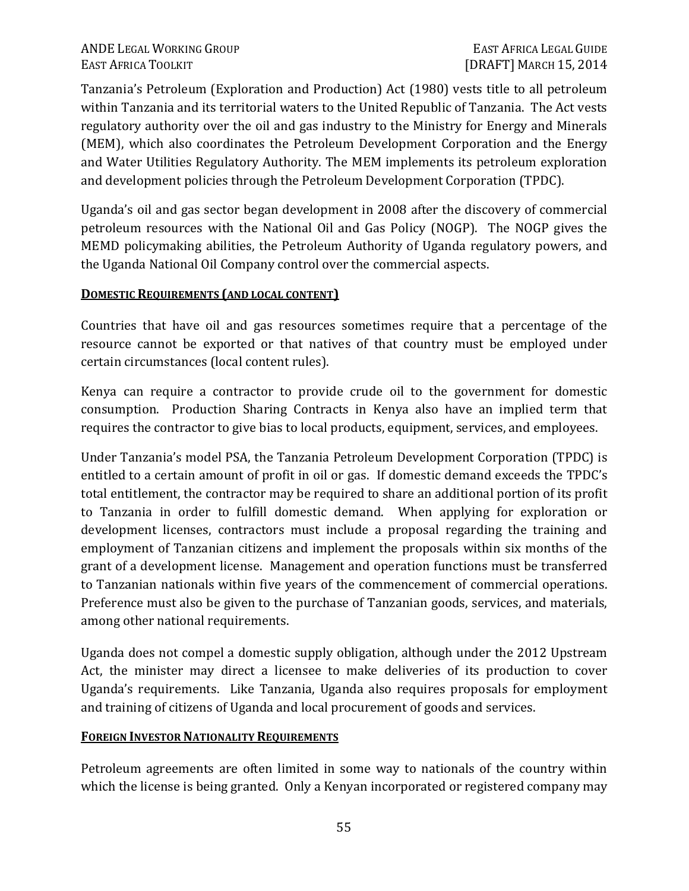Tanzania's Petroleum (Exploration and Production) Act (1980) vests title to all petroleum within Tanzania and its territorial waters to the United Republic of Tanzania. The Act vests regulatory authority over the oil and gas industry to the Ministry for Energy and Minerals (MEM), which also coordinates the Petroleum Development Corporation and the Energy and Water Utilities Regulatory Authority. The MEM implements its petroleum exploration and development policies through the Petroleum Development Corporation (TPDC).

Uganda's oil and gas sector began development in 2008 after the discovery of commercial petroleum resources with the National Oil and Gas Policy (NOGP). The NOGP gives the MEMD policymaking abilities, the Petroleum Authority of Uganda regulatory powers, and the Uganda National Oil Company control over the commercial aspects.

# **DOMESTIC REQUIREMENTS (AND LOCAL CONTENT)**

Countries that have oil and gas resources sometimes require that a percentage of the resource cannot be exported or that natives of that country must be employed under certain circumstances (local content rules).

Kenya can require a contractor to provide crude oil to the government for domestic consumption. Production Sharing Contracts in Kenya also have an implied term that requires the contractor to give bias to local products, equipment, services, and employees.

Under Tanzania's model PSA, the Tanzania Petroleum Development Corporation (TPDC) is entitled to a certain amount of profit in oil or gas. If domestic demand exceeds the TPDC's total entitlement, the contractor may be required to share an additional portion of its profit to Tanzania in order to fulfill domestic demand. When applying for exploration or development licenses, contractors must include a proposal regarding the training and employment of Tanzanian citizens and implement the proposals within six months of the grant of a development license. Management and operation functions must be transferred to Tanzanian nationals within five years of the commencement of commercial operations. Preference must also be given to the purchase of Tanzanian goods, services, and materials, among other national requirements.

Uganda does not compel a domestic supply obligation, although under the 2012 Upstream Act, the minister may direct a licensee to make deliveries of its production to cover Uganda's requirements. Like Tanzania, Uganda also requires proposals for employment and training of citizens of Uganda and local procurement of goods and services.

# **FOREIGN INVESTOR NATIONALITY REQUIREMENTS**

Petroleum agreements are often limited in some way to nationals of the country within which the license is being granted. Only a Kenyan incorporated or registered company may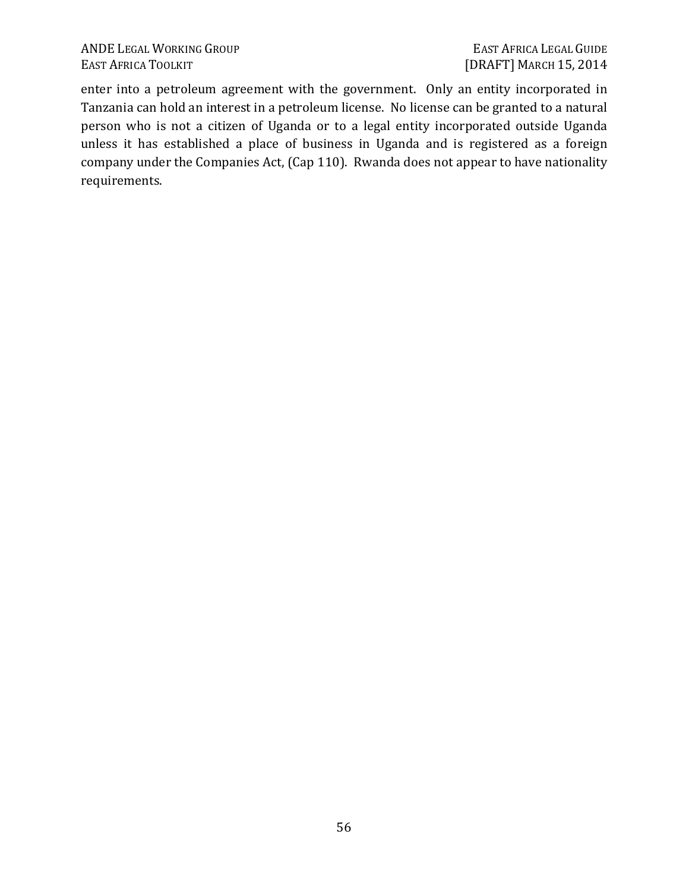enter into a petroleum agreement with the government. Only an entity incorporated in Tanzania can hold an interest in a petroleum license. No license can be granted to a natural person who is not a citizen of Uganda or to a legal entity incorporated outside Uganda unless it has established a place of business in Uganda and is registered as a foreign company under the Companies Act, (Cap 110). Rwanda does not appear to have nationality requirements.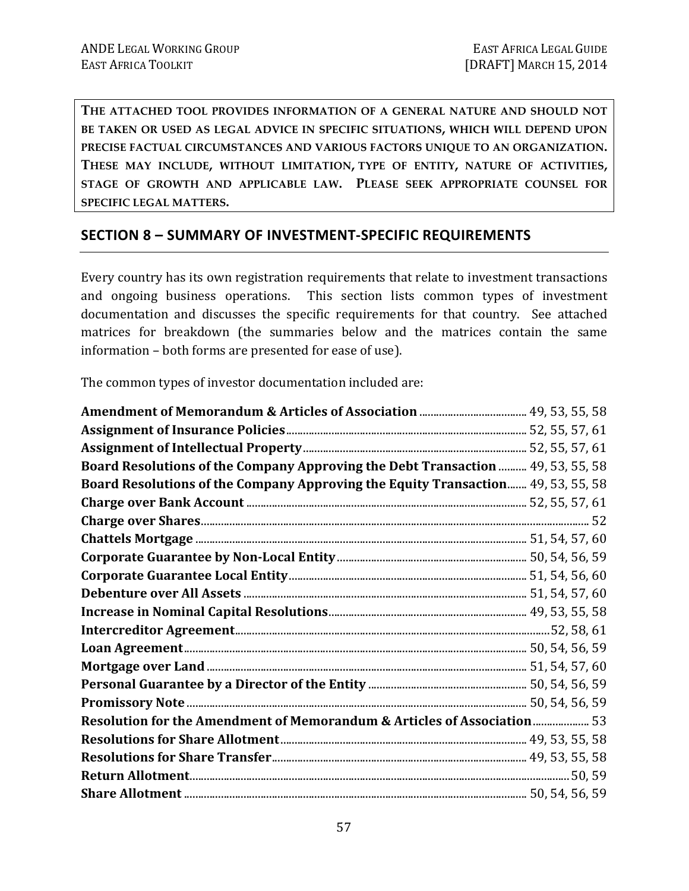**THE ATTACHED TOOL PROVIDES INFORMATION OF A GENERAL NATURE AND SHOULD NOT BE TAKEN OR USED AS LEGAL ADVICE IN SPECIFIC SITUATIONS, WHICH WILL DEPEND UPON PRECISE FACTUAL CIRCUMSTANCES AND VARIOUS FACTORS UNIQUE TO AN ORGANIZATION. THESE MAY INCLUDE, WITHOUT LIMITATION, TYPE OF ENTITY, NATURE OF ACTIVITIES, STAGE OF GROWTH AND APPLICABLE LAW. PLEASE SEEK APPROPRIATE COUNSEL FOR SPECIFIC LEGAL MATTERS.** 

# **SECTION 8 – SUMMARY OF INVESTMENT-SPECIFIC REQUIREMENTS**

Every country has its own registration requirements that relate to investment transactions and ongoing business operations. This section lists common types of investment documentation and discusses the specific requirements for that country. See attached matrices for breakdown (the summaries below and the matrices contain the same information – both forms are presented for ease of use).

The common types of investor documentation included are:

| Board Resolutions of the Company Approving the Debt Transaction  49, 53, 55, 58     |  |
|-------------------------------------------------------------------------------------|--|
| Board Resolutions of the Company Approving the Equity Transaction 49, 53, 55, 58    |  |
|                                                                                     |  |
|                                                                                     |  |
|                                                                                     |  |
|                                                                                     |  |
|                                                                                     |  |
|                                                                                     |  |
|                                                                                     |  |
|                                                                                     |  |
|                                                                                     |  |
|                                                                                     |  |
|                                                                                     |  |
|                                                                                     |  |
| <b>Resolution for the Amendment of Memorandum &amp; Articles of Association  53</b> |  |
|                                                                                     |  |
|                                                                                     |  |
|                                                                                     |  |
|                                                                                     |  |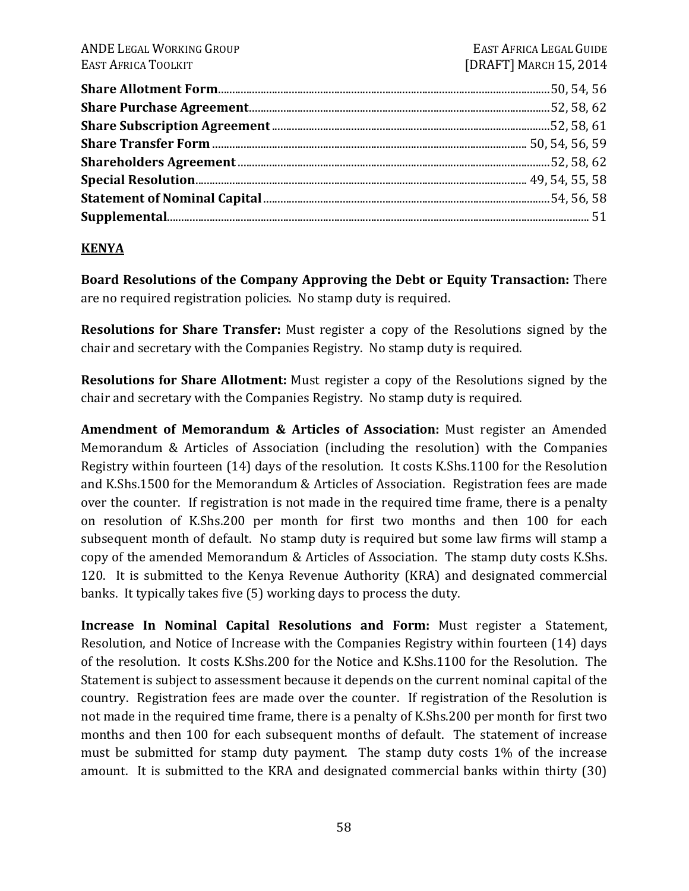### **KENYA**

**Board Resolutions of the Company Approving the Debt or Equity Transaction:** There are no required registration policies. No stamp duty is required.

**Resolutions for Share Transfer:** Must register a copy of the Resolutions signed by the chair and secretary with the Companies Registry. No stamp duty is required.

**Resolutions for Share Allotment:** Must register a copy of the Resolutions signed by the chair and secretary with the Companies Registry. No stamp duty is required.

**Amendment of Memorandum & Articles of Association:** Must register an Amended Memorandum & Articles of Association (including the resolution) with the Companies Registry within fourteen (14) days of the resolution. It costs K.Shs.1100 for the Resolution and K.Shs.1500 for the Memorandum & Articles of Association. Registration fees are made over the counter. If registration is not made in the required time frame, there is a penalty on resolution of K.Shs.200 per month for first two months and then 100 for each subsequent month of default. No stamp duty is required but some law firms will stamp a copy of the amended Memorandum & Articles of Association. The stamp duty costs K.Shs. 120. It is submitted to the Kenya Revenue Authority (KRA) and designated commercial banks. It typically takes five (5) working days to process the duty.

**Increase In Nominal Capital Resolutions and Form:** Must register a Statement, Resolution, and Notice of Increase with the Companies Registry within fourteen (14) days of the resolution. It costs K.Shs.200 for the Notice and K.Shs.1100 for the Resolution. The Statement is subject to assessment because it depends on the current nominal capital of the country. Registration fees are made over the counter. If registration of the Resolution is not made in the required time frame, there is a penalty of K.Shs.200 per month for first two months and then 100 for each subsequent months of default. The statement of increase must be submitted for stamp duty payment. The stamp duty costs 1% of the increase amount. It is submitted to the KRA and designated commercial banks within thirty (30)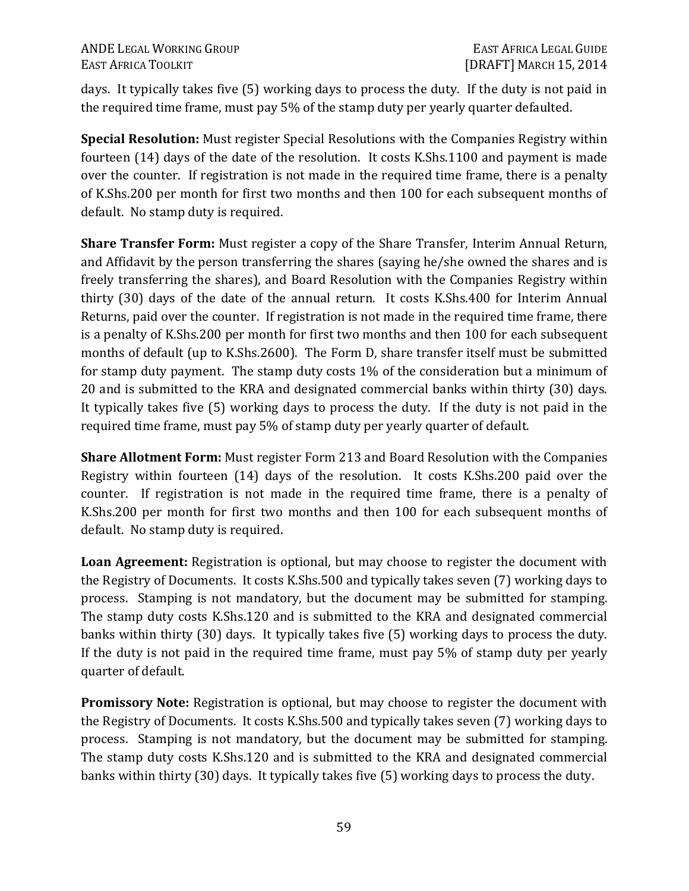days. It typically takes five (5) working days to process the duty. If the duty is not paid in the required time frame, must pay 5% of the stamp duty per yearly quarter defaulted.

**Special Resolution:** Must register Special Resolutions with the Companies Registry within fourteen (14) days of the date of the resolution. It costs K.Shs.1100 and payment is made over the counter. If registration is not made in the required time frame, there is a penalty of K.Shs.200 per month for first two months and then 100 for each subsequent months of default. No stamp duty is required.

**Share Transfer Form:** Must register a copy of the Share Transfer, Interim Annual Return, and Affidavit by the person transferring the shares (saying he/she owned the shares and is freely transferring the shares), and Board Resolution with the Companies Registry within thirty (30) days of the date of the annual return. It costs K.Shs.400 for Interim Annual Returns, paid over the counter. If registration is not made in the required time frame, there is a penalty of K.Shs.200 per month for first two months and then 100 for each subsequent months of default (up to K.Shs.2600). The Form D, share transfer itself must be submitted for stamp duty payment. The stamp duty costs 1% of the consideration but a minimum of 20 and is submitted to the KRA and designated commercial banks within thirty (30) days. It typically takes five (5) working days to process the duty. If the duty is not paid in the required time frame, must pay 5% of stamp duty per yearly quarter of default.

**Share Allotment Form:** Must register Form 213 and Board Resolution with the Companies Registry within fourteen (14) days of the resolution. It costs K.Shs.200 paid over the counter. If registration is not made in the required time frame, there is a penalty of K.Shs.200 per month for first two months and then 100 for each subsequent months of default. No stamp duty is required.

**Loan Agreement:** Registration is optional, but may choose to register the document with the Registry of Documents. It costs K.Shs.500 and typically takes seven (7) working days to process. Stamping is not mandatory, but the document may be submitted for stamping. The stamp duty costs K.Shs.120 and is submitted to the KRA and designated commercial banks within thirty (30) days. It typically takes five (5) working days to process the duty. If the duty is not paid in the required time frame, must pay 5% of stamp duty per yearly quarter of default.

**Promissory Note:** Registration is optional, but may choose to register the document with the Registry of Documents. It costs K.Shs.500 and typically takes seven (7) working days to process. Stamping is not mandatory, but the document may be submitted for stamping. The stamp duty costs K.Shs.120 and is submitted to the KRA and designated commercial banks within thirty (30) days. It typically takes five (5) working days to process the duty.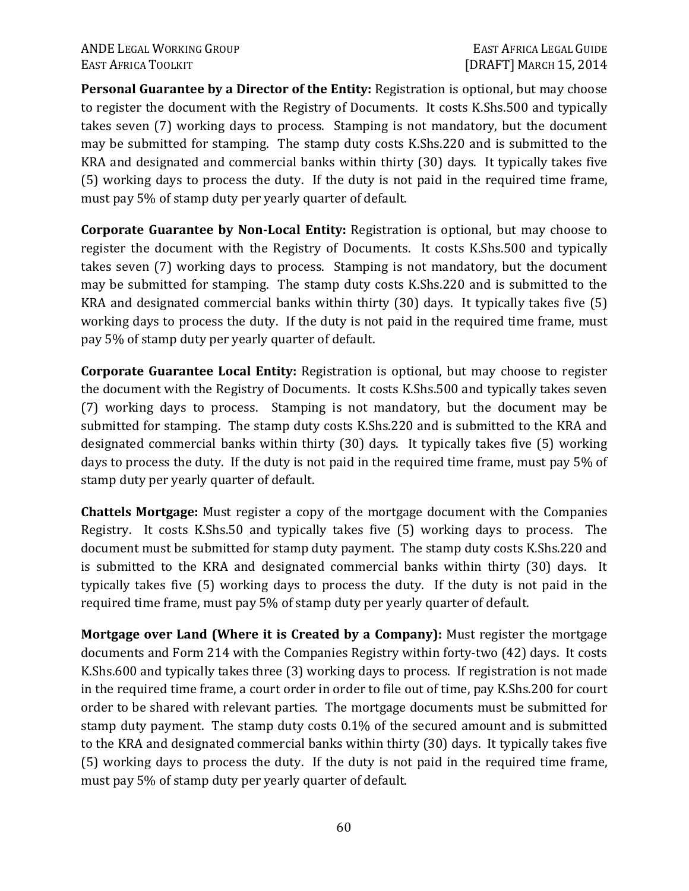**Personal Guarantee by a Director of the Entity:** Registration is optional, but may choose to register the document with the Registry of Documents. It costs K.Shs.500 and typically takes seven (7) working days to process. Stamping is not mandatory, but the document may be submitted for stamping. The stamp duty costs K.Shs.220 and is submitted to the KRA and designated and commercial banks within thirty (30) days. It typically takes five (5) working days to process the duty. If the duty is not paid in the required time frame, must pay 5% of stamp duty per yearly quarter of default.

**Corporate Guarantee by Non-Local Entity:** Registration is optional, but may choose to register the document with the Registry of Documents. It costs K.Shs.500 and typically takes seven (7) working days to process. Stamping is not mandatory, but the document may be submitted for stamping. The stamp duty costs K.Shs.220 and is submitted to the KRA and designated commercial banks within thirty (30) days. It typically takes five (5) working days to process the duty. If the duty is not paid in the required time frame, must pay 5% of stamp duty per yearly quarter of default.

**Corporate Guarantee Local Entity:** Registration is optional, but may choose to register the document with the Registry of Documents. It costs K.Shs.500 and typically takes seven (7) working days to process. Stamping is not mandatory, but the document may be submitted for stamping. The stamp duty costs K.Shs.220 and is submitted to the KRA and designated commercial banks within thirty (30) days. It typically takes five (5) working days to process the duty. If the duty is not paid in the required time frame, must pay 5% of stamp duty per yearly quarter of default.

**Chattels Mortgage:** Must register a copy of the mortgage document with the Companies Registry. It costs K.Shs.50 and typically takes five (5) working days to process. The document must be submitted for stamp duty payment. The stamp duty costs K.Shs.220 and is submitted to the KRA and designated commercial banks within thirty (30) days. It typically takes five (5) working days to process the duty. If the duty is not paid in the required time frame, must pay 5% of stamp duty per yearly quarter of default.

**Mortgage over Land (Where it is Created by a Company):** Must register the mortgage documents and Form 214 with the Companies Registry within forty-two (42) days. It costs K.Shs.600 and typically takes three (3) working days to process. If registration is not made in the required time frame, a court order in order to file out of time, pay K.Shs.200 for court order to be shared with relevant parties. The mortgage documents must be submitted for stamp duty payment. The stamp duty costs 0.1% of the secured amount and is submitted to the KRA and designated commercial banks within thirty (30) days. It typically takes five (5) working days to process the duty. If the duty is not paid in the required time frame, must pay 5% of stamp duty per yearly quarter of default.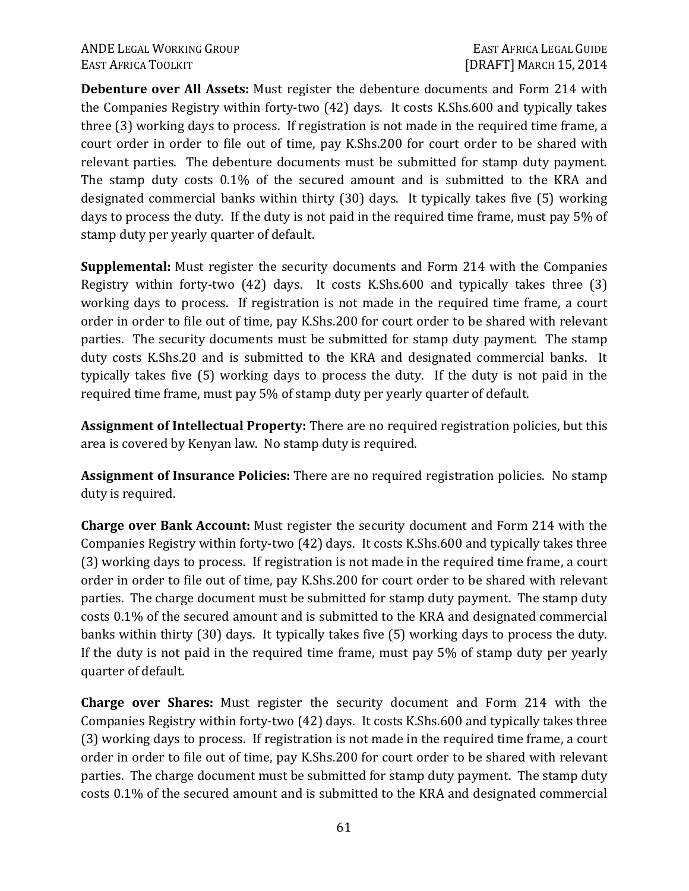**Debenture over All Assets:** Must register the debenture documents and Form 214 with the Companies Registry within forty-two (42) days. It costs K.Shs.600 and typically takes three (3) working days to process. If registration is not made in the required time frame, a court order in order to file out of time, pay K.Shs.200 for court order to be shared with relevant parties. The debenture documents must be submitted for stamp duty payment. The stamp duty costs 0.1% of the secured amount and is submitted to the KRA and designated commercial banks within thirty (30) days. It typically takes five (5) working days to process the duty. If the duty is not paid in the required time frame, must pay 5% of stamp duty per yearly quarter of default.

**Supplemental:** Must register the security documents and Form 214 with the Companies Registry within forty-two (42) days. It costs K.Shs.600 and typically takes three (3) working days to process. If registration is not made in the required time frame, a court order in order to file out of time, pay K.Shs.200 for court order to be shared with relevant parties. The security documents must be submitted for stamp duty payment. The stamp duty costs K.Shs.20 and is submitted to the KRA and designated commercial banks. It typically takes five (5) working days to process the duty. If the duty is not paid in the required time frame, must pay 5% of stamp duty per yearly quarter of default.

**Assignment of Intellectual Property:** There are no required registration policies, but this area is covered by Kenyan law. No stamp duty is required.

**Assignment of Insurance Policies:** There are no required registration policies. No stamp duty is required.

**Charge over Bank Account:** Must register the security document and Form 214 with the Companies Registry within forty-two (42) days. It costs K.Shs.600 and typically takes three (3) working days to process. If registration is not made in the required time frame, a court order in order to file out of time, pay K.Shs.200 for court order to be shared with relevant parties. The charge document must be submitted for stamp duty payment. The stamp duty costs 0.1% of the secured amount and is submitted to the KRA and designated commercial banks within thirty (30) days. It typically takes five (5) working days to process the duty. If the duty is not paid in the required time frame, must pay 5% of stamp duty per yearly quarter of default.

**Charge over Shares:** Must register the security document and Form 214 with the Companies Registry within forty-two (42) days. It costs K.Shs.600 and typically takes three (3) working days to process. If registration is not made in the required time frame, a court order in order to file out of time, pay K.Shs.200 for court order to be shared with relevant parties. The charge document must be submitted for stamp duty payment. The stamp duty costs 0.1% of the secured amount and is submitted to the KRA and designated commercial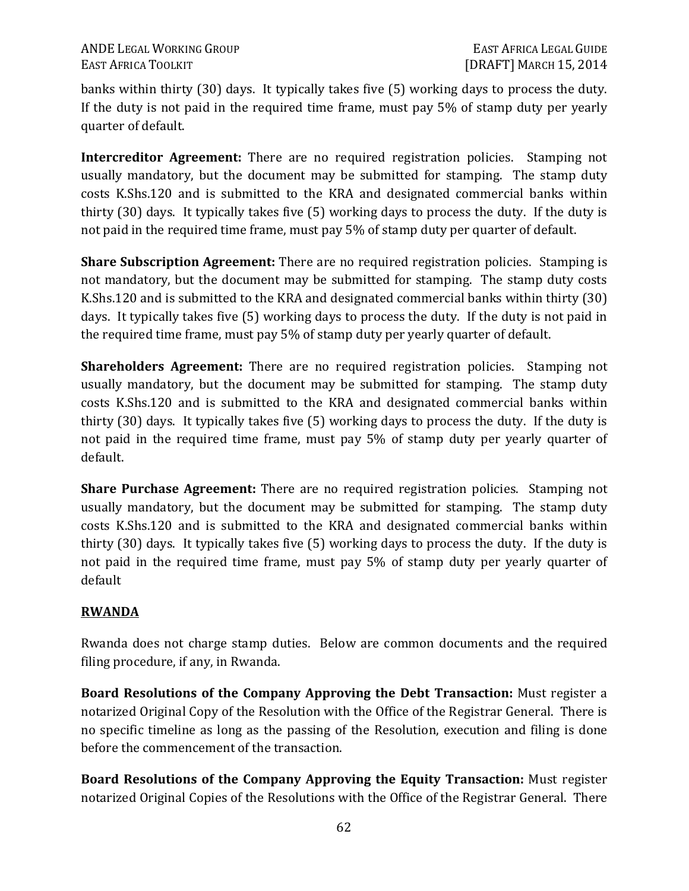banks within thirty (30) days. It typically takes five (5) working days to process the duty. If the duty is not paid in the required time frame, must pay 5% of stamp duty per yearly quarter of default.

**Intercreditor Agreement:** There are no required registration policies. Stamping not usually mandatory, but the document may be submitted for stamping. The stamp duty costs K.Shs.120 and is submitted to the KRA and designated commercial banks within thirty (30) days. It typically takes five (5) working days to process the duty. If the duty is not paid in the required time frame, must pay 5% of stamp duty per quarter of default.

**Share Subscription Agreement:** There are no required registration policies. Stamping is not mandatory, but the document may be submitted for stamping. The stamp duty costs K.Shs.120 and is submitted to the KRA and designated commercial banks within thirty (30) days. It typically takes five (5) working days to process the duty. If the duty is not paid in the required time frame, must pay 5% of stamp duty per yearly quarter of default.

**Shareholders Agreement:** There are no required registration policies. Stamping not usually mandatory, but the document may be submitted for stamping. The stamp duty costs K.Shs.120 and is submitted to the KRA and designated commercial banks within thirty (30) days. It typically takes five (5) working days to process the duty. If the duty is not paid in the required time frame, must pay 5% of stamp duty per yearly quarter of default.

**Share Purchase Agreement:** There are no required registration policies. Stamping not usually mandatory, but the document may be submitted for stamping. The stamp duty costs K.Shs.120 and is submitted to the KRA and designated commercial banks within thirty (30) days. It typically takes five (5) working days to process the duty. If the duty is not paid in the required time frame, must pay 5% of stamp duty per yearly quarter of default

# **RWANDA**

Rwanda does not charge stamp duties. Below are common documents and the required filing procedure, if any, in Rwanda.

**Board Resolutions of the Company Approving the Debt Transaction:** Must register a notarized Original Copy of the Resolution with the Office of the Registrar General. There is no specific timeline as long as the passing of the Resolution, execution and filing is done before the commencement of the transaction.

**Board Resolutions of the Company Approving the Equity Transaction:** Must register notarized Original Copies of the Resolutions with the Office of the Registrar General. There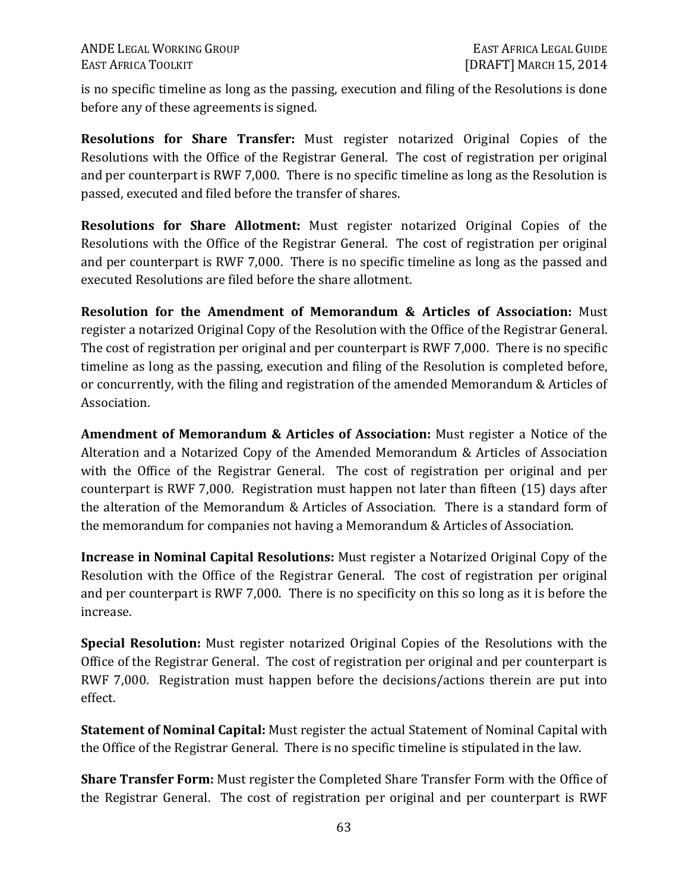is no specific timeline as long as the passing, execution and filing of the Resolutions is done before any of these agreements is signed.

**Resolutions for Share Transfer:** Must register notarized Original Copies of the Resolutions with the Office of the Registrar General. The cost of registration per original and per counterpart is RWF 7,000. There is no specific timeline as long as the Resolution is passed, executed and filed before the transfer of shares.

**Resolutions for Share Allotment:** Must register notarized Original Copies of the Resolutions with the Office of the Registrar General. The cost of registration per original and per counterpart is RWF 7,000. There is no specific timeline as long as the passed and executed Resolutions are filed before the share allotment.

**Resolution for the Amendment of Memorandum & Articles of Association:** Must register a notarized Original Copy of the Resolution with the Office of the Registrar General. The cost of registration per original and per counterpart is RWF 7,000. There is no specific timeline as long as the passing, execution and filing of the Resolution is completed before, or concurrently, with the filing and registration of the amended Memorandum & Articles of Association.

**Amendment of Memorandum & Articles of Association:** Must register a Notice of the Alteration and a Notarized Copy of the Amended Memorandum & Articles of Association with the Office of the Registrar General. The cost of registration per original and per counterpart is RWF 7,000. Registration must happen not later than fifteen (15) days after the alteration of the Memorandum & Articles of Association. There is a standard form of the memorandum for companies not having a Memorandum & Articles of Association.

**Increase in Nominal Capital Resolutions:** Must register a Notarized Original Copy of the Resolution with the Office of the Registrar General. The cost of registration per original and per counterpart is RWF 7,000. There is no specificity on this so long as it is before the increase.

**Special Resolution:** Must register notarized Original Copies of the Resolutions with the Office of the Registrar General. The cost of registration per original and per counterpart is RWF 7,000. Registration must happen before the decisions/actions therein are put into effect.

**Statement of Nominal Capital:** Must register the actual Statement of Nominal Capital with the Office of the Registrar General. There is no specific timeline is stipulated in the law.

**Share Transfer Form:** Must register the Completed Share Transfer Form with the Office of the Registrar General. The cost of registration per original and per counterpart is RWF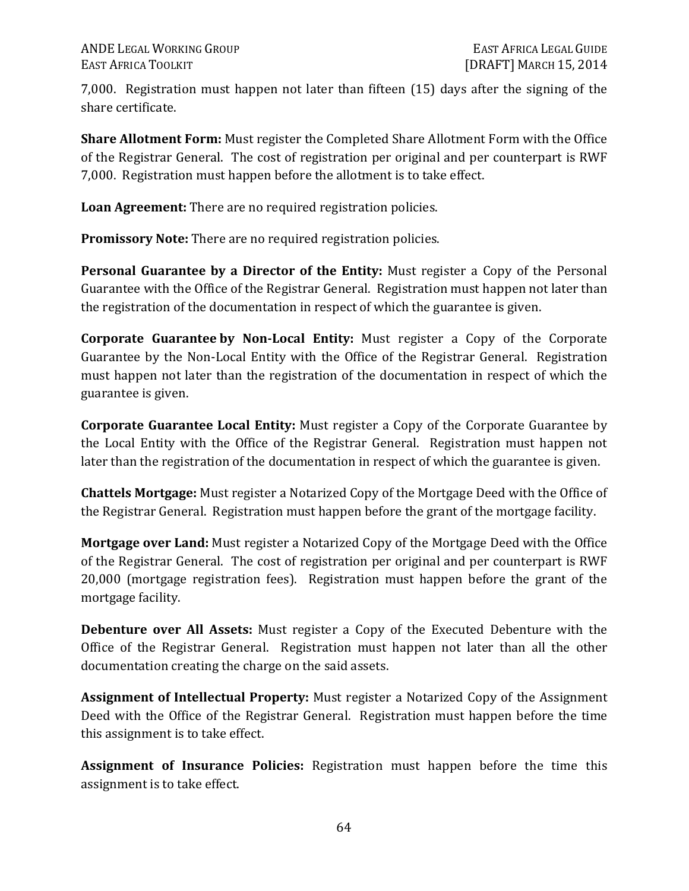7,000. Registration must happen not later than fifteen (15) days after the signing of the share certificate.

**Share Allotment Form:** Must register the Completed Share Allotment Form with the Office of the Registrar General. The cost of registration per original and per counterpart is RWF 7,000. Registration must happen before the allotment is to take effect.

**Loan Agreement:** There are no required registration policies.

**Promissory Note:** There are no required registration policies.

**Personal Guarantee by a Director of the Entity:** Must register a Copy of the Personal Guarantee with the Office of the Registrar General. Registration must happen not later than the registration of the documentation in respect of which the guarantee is given.

**Corporate Guarantee by Non-Local Entity:** Must register a Copy of the Corporate Guarantee by the Non-Local Entity with the Office of the Registrar General. Registration must happen not later than the registration of the documentation in respect of which the guarantee is given.

**Corporate Guarantee Local Entity:** Must register a Copy of the Corporate Guarantee by the Local Entity with the Office of the Registrar General. Registration must happen not later than the registration of the documentation in respect of which the guarantee is given.

**Chattels Mortgage:** Must register a Notarized Copy of the Mortgage Deed with the Office of the Registrar General. Registration must happen before the grant of the mortgage facility.

**Mortgage over Land:** Must register a Notarized Copy of the Mortgage Deed with the Office of the Registrar General. The cost of registration per original and per counterpart is RWF 20,000 (mortgage registration fees). Registration must happen before the grant of the mortgage facility.

**Debenture over All Assets:** Must register a Copy of the Executed Debenture with the Office of the Registrar General. Registration must happen not later than all the other documentation creating the charge on the said assets.

**Assignment of Intellectual Property:** Must register a Notarized Copy of the Assignment Deed with the Office of the Registrar General. Registration must happen before the time this assignment is to take effect.

**Assignment of Insurance Policies:** Registration must happen before the time this assignment is to take effect.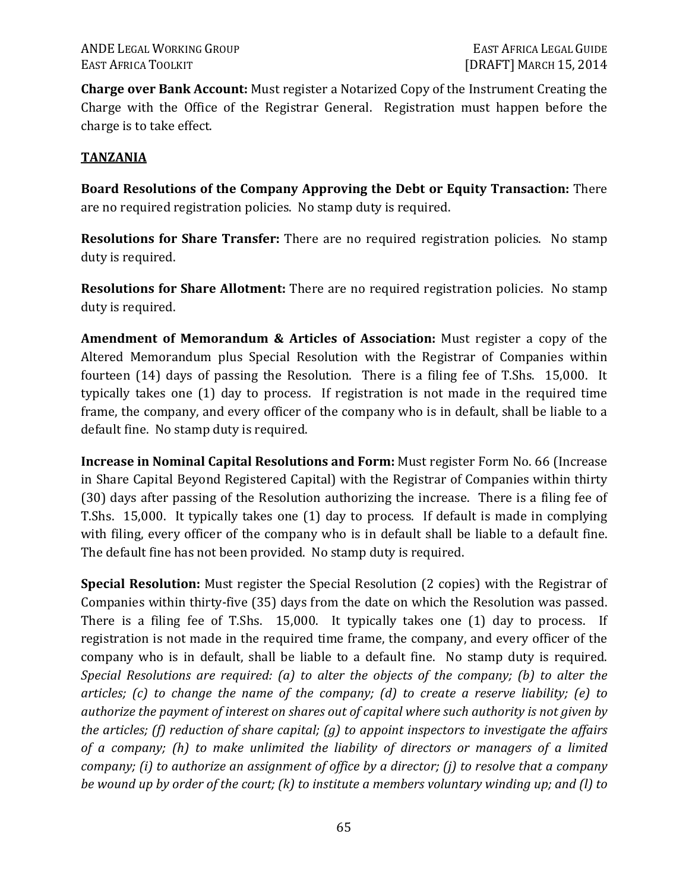**Charge over Bank Account:** Must register a Notarized Copy of the Instrument Creating the Charge with the Office of the Registrar General. Registration must happen before the charge is to take effect.

### **TANZANIA**

**Board Resolutions of the Company Approving the Debt or Equity Transaction:** There are no required registration policies. No stamp duty is required.

**Resolutions for Share Transfer:** There are no required registration policies. No stamp duty is required.

**Resolutions for Share Allotment:** There are no required registration policies. No stamp duty is required.

**Amendment of Memorandum & Articles of Association:** Must register a copy of the Altered Memorandum plus Special Resolution with the Registrar of Companies within fourteen (14) days of passing the Resolution. There is a filing fee of T.Shs. 15,000. It typically takes one (1) day to process. If registration is not made in the required time frame, the company, and every officer of the company who is in default, shall be liable to a default fine. No stamp duty is required.

**Increase in Nominal Capital Resolutions and Form:** Must register Form No. 66 (Increase in Share Capital Beyond Registered Capital) with the Registrar of Companies within thirty (30) days after passing of the Resolution authorizing the increase. There is a filing fee of T.Shs. 15,000. It typically takes one (1) day to process. If default is made in complying with filing, every officer of the company who is in default shall be liable to a default fine. The default fine has not been provided. No stamp duty is required.

**Special Resolution:** Must register the Special Resolution (2 copies) with the Registrar of Companies within thirty-five (35) days from the date on which the Resolution was passed. There is a filing fee of T.Shs. 15,000. It typically takes one (1) day to process. If registration is not made in the required time frame, the company, and every officer of the company who is in default, shall be liable to a default fine. No stamp duty is required. *Special Resolutions are required: (a) to alter the objects of the company; (b) to alter the articles; (c) to change the name of the company; (d) to create a reserve liability; (e) to authorize the payment of interest on shares out of capital where such authority is not given by the articles; (f) reduction of share capital; (g) to appoint inspectors to investigate the affairs of a company; (h) to make unlimited the liability of directors or managers of a limited company; (i) to authorize an assignment of office by a director; (j) to resolve that a company be wound up by order of the court; (k) to institute a members voluntary winding up; and (l) to*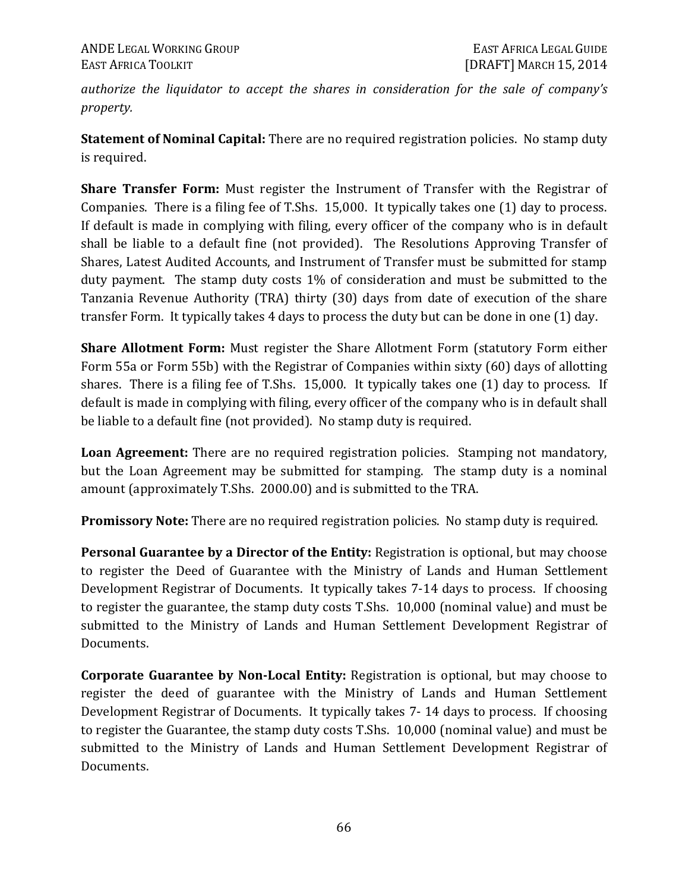*authorize the liquidator to accept the shares in consideration for the sale of company's property.* 

**Statement of Nominal Capital:** There are no required registration policies. No stamp duty is required.

**Share Transfer Form:** Must register the Instrument of Transfer with the Registrar of Companies. There is a filing fee of T.Shs. 15,000. It typically takes one (1) day to process. If default is made in complying with filing, every officer of the company who is in default shall be liable to a default fine (not provided). The Resolutions Approving Transfer of Shares, Latest Audited Accounts, and Instrument of Transfer must be submitted for stamp duty payment. The stamp duty costs 1% of consideration and must be submitted to the Tanzania Revenue Authority (TRA) thirty (30) days from date of execution of the share transfer Form. It typically takes 4 days to process the duty but can be done in one (1) day.

**Share Allotment Form:** Must register the Share Allotment Form (statutory Form either Form 55a or Form 55b) with the Registrar of Companies within sixty (60) days of allotting shares. There is a filing fee of T.Shs. 15,000. It typically takes one (1) day to process. If default is made in complying with filing, every officer of the company who is in default shall be liable to a default fine (not provided). No stamp duty is required.

**Loan Agreement:** There are no required registration policies. Stamping not mandatory, but the Loan Agreement may be submitted for stamping. The stamp duty is a nominal amount (approximately T.Shs. 2000.00) and is submitted to the TRA.

**Promissory Note:** There are no required registration policies. No stamp duty is required.

**Personal Guarantee by a Director of the Entity:** Registration is optional, but may choose to register the Deed of Guarantee with the Ministry of Lands and Human Settlement Development Registrar of Documents. It typically takes 7-14 days to process. If choosing to register the guarantee, the stamp duty costs T.Shs. 10,000 (nominal value) and must be submitted to the Ministry of Lands and Human Settlement Development Registrar of Documents.

**Corporate Guarantee by Non-Local Entity:** Registration is optional, but may choose to register the deed of guarantee with the Ministry of Lands and Human Settlement Development Registrar of Documents. It typically takes 7- 14 days to process. If choosing to register the Guarantee, the stamp duty costs T.Shs. 10,000 (nominal value) and must be submitted to the Ministry of Lands and Human Settlement Development Registrar of Documents.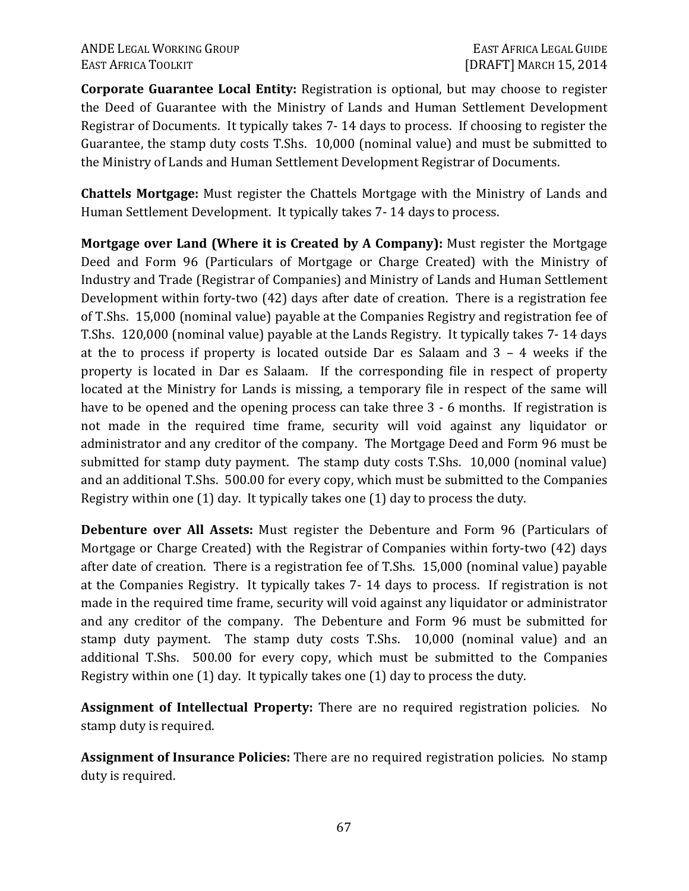**Corporate Guarantee Local Entity:** Registration is optional, but may choose to register the Deed of Guarantee with the Ministry of Lands and Human Settlement Development Registrar of Documents. It typically takes 7- 14 days to process. If choosing to register the Guarantee, the stamp duty costs T.Shs. 10,000 (nominal value) and must be submitted to the Ministry of Lands and Human Settlement Development Registrar of Documents.

**Chattels Mortgage:** Must register the Chattels Mortgage with the Ministry of Lands and Human Settlement Development. It typically takes 7- 14 days to process.

**Mortgage over Land (Where it is Created by A Company):** Must register the Mortgage Deed and Form 96 (Particulars of Mortgage or Charge Created) with the Ministry of Industry and Trade (Registrar of Companies) and Ministry of Lands and Human Settlement Development within forty-two (42) days after date of creation. There is a registration fee of T.Shs. 15,000 (nominal value) payable at the Companies Registry and registration fee of T.Shs. 120,000 (nominal value) payable at the Lands Registry. It typically takes 7- 14 days at the to process if property is located outside Dar es Salaam and 3 – 4 weeks if the property is located in Dar es Salaam. If the corresponding file in respect of property located at the Ministry for Lands is missing, a temporary file in respect of the same will have to be opened and the opening process can take three 3 - 6 months. If registration is not made in the required time frame, security will void against any liquidator or administrator and any creditor of the company. The Mortgage Deed and Form 96 must be submitted for stamp duty payment. The stamp duty costs T.Shs. 10,000 (nominal value) and an additional T.Shs. 500.00 for every copy, which must be submitted to the Companies Registry within one (1) day. It typically takes one (1) day to process the duty.

**Debenture over All Assets:** Must register the Debenture and Form 96 (Particulars of Mortgage or Charge Created) with the Registrar of Companies within forty-two (42) days after date of creation. There is a registration fee of T.Shs. 15,000 (nominal value) payable at the Companies Registry. It typically takes 7- 14 days to process. If registration is not made in the required time frame, security will void against any liquidator or administrator and any creditor of the company. The Debenture and Form 96 must be submitted for stamp duty payment. The stamp duty costs T.Shs. 10,000 (nominal value) and an additional T.Shs. 500.00 for every copy, which must be submitted to the Companies Registry within one (1) day. It typically takes one (1) day to process the duty.

**Assignment of Intellectual Property:** There are no required registration policies. No stamp duty is required.

**Assignment of Insurance Policies:** There are no required registration policies. No stamp duty is required.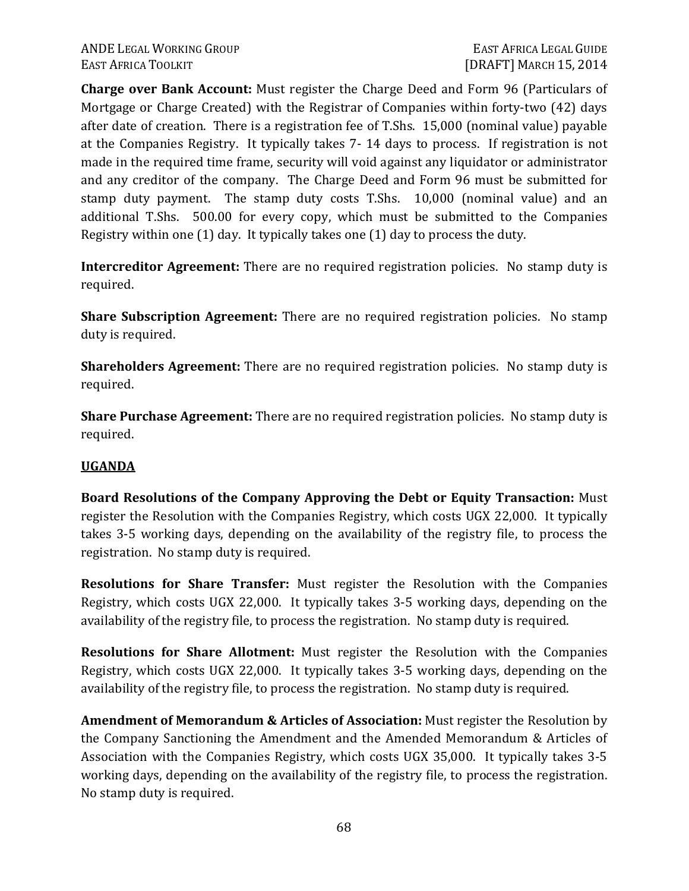**Charge over Bank Account:** Must register the Charge Deed and Form 96 (Particulars of Mortgage or Charge Created) with the Registrar of Companies within forty-two (42) days after date of creation. There is a registration fee of T.Shs. 15,000 (nominal value) payable at the Companies Registry. It typically takes 7- 14 days to process. If registration is not made in the required time frame, security will void against any liquidator or administrator and any creditor of the company. The Charge Deed and Form 96 must be submitted for stamp duty payment. The stamp duty costs T.Shs. 10,000 (nominal value) and an additional T.Shs. 500.00 for every copy, which must be submitted to the Companies Registry within one (1) day. It typically takes one (1) day to process the duty.

**Intercreditor Agreement:** There are no required registration policies. No stamp duty is required.

**Share Subscription Agreement:** There are no required registration policies. No stamp duty is required.

**Shareholders Agreement:** There are no required registration policies. No stamp duty is required.

**Share Purchase Agreement:** There are no required registration policies. No stamp duty is required.

#### **UGANDA**

**Board Resolutions of the Company Approving the Debt or Equity Transaction:** Must register the Resolution with the Companies Registry, which costs UGX 22,000. It typically takes 3-5 working days, depending on the availability of the registry file, to process the registration. No stamp duty is required.

**Resolutions for Share Transfer:** Must register the Resolution with the Companies Registry, which costs UGX 22,000. It typically takes 3-5 working days, depending on the availability of the registry file, to process the registration. No stamp duty is required.

**Resolutions for Share Allotment:** Must register the Resolution with the Companies Registry, which costs UGX 22,000. It typically takes 3-5 working days, depending on the availability of the registry file, to process the registration. No stamp duty is required.

**Amendment of Memorandum & Articles of Association:** Must register the Resolution by the Company Sanctioning the Amendment and the Amended Memorandum & Articles of Association with the Companies Registry, which costs UGX 35,000. It typically takes 3-5 working days, depending on the availability of the registry file, to process the registration. No stamp duty is required.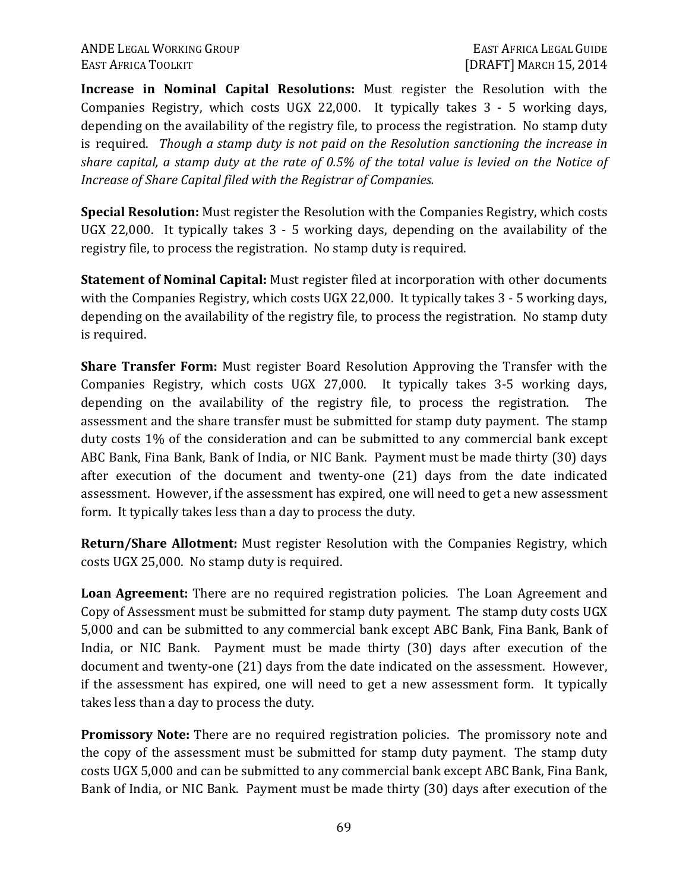#### ANDE LEGAL WORKING GROUP **EAST AFRICA LEGAL GUIDE** EAST AFRICA TOOLKIT [DRAFT] MARCH 15, 2014

**Increase in Nominal Capital Resolutions:** Must register the Resolution with the Companies Registry, which costs UGX 22,000. It typically takes 3 - 5 working days, depending on the availability of the registry file, to process the registration. No stamp duty is required. *Though a stamp duty is not paid on the Resolution sanctioning the increase in share capital, a stamp duty at the rate of 0.5% of the total value is levied on the Notice of Increase of Share Capital filed with the Registrar of Companies.* 

**Special Resolution:** Must register the Resolution with the Companies Registry, which costs UGX 22,000. It typically takes 3 - 5 working days, depending on the availability of the registry file, to process the registration. No stamp duty is required.

**Statement of Nominal Capital:** Must register filed at incorporation with other documents with the Companies Registry, which costs UGX 22,000. It typically takes 3 - 5 working days, depending on the availability of the registry file, to process the registration. No stamp duty is required.

**Share Transfer Form:** Must register Board Resolution Approving the Transfer with the Companies Registry, which costs UGX 27,000. It typically takes 3-5 working days, depending on the availability of the registry file, to process the registration. The assessment and the share transfer must be submitted for stamp duty payment. The stamp duty costs 1% of the consideration and can be submitted to any commercial bank except ABC Bank, Fina Bank, Bank of India, or NIC Bank. Payment must be made thirty (30) days after execution of the document and twenty-one (21) days from the date indicated assessment. However, if the assessment has expired, one will need to get a new assessment form. It typically takes less than a day to process the duty.

**Return/Share Allotment:** Must register Resolution with the Companies Registry, which costs UGX 25,000. No stamp duty is required.

**Loan Agreement:** There are no required registration policies. The Loan Agreement and Copy of Assessment must be submitted for stamp duty payment. The stamp duty costs UGX 5,000 and can be submitted to any commercial bank except ABC Bank, Fina Bank, Bank of India, or NIC Bank. Payment must be made thirty (30) days after execution of the document and twenty-one (21) days from the date indicated on the assessment. However, if the assessment has expired, one will need to get a new assessment form. It typically takes less than a day to process the duty.

**Promissory Note:** There are no required registration policies. The promissory note and the copy of the assessment must be submitted for stamp duty payment. The stamp duty costs UGX 5,000 and can be submitted to any commercial bank except ABC Bank, Fina Bank, Bank of India, or NIC Bank. Payment must be made thirty (30) days after execution of the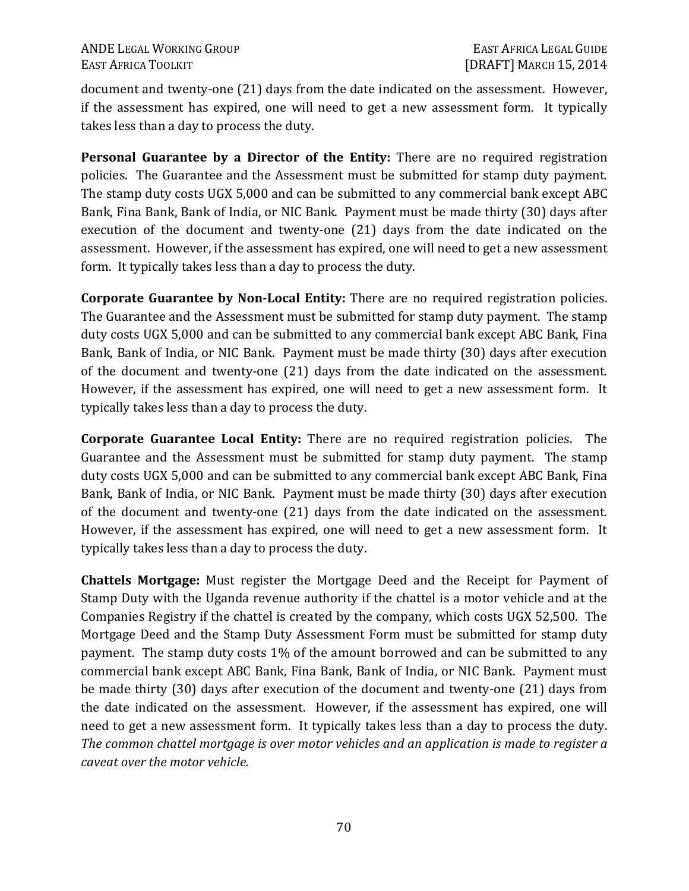document and twenty-one (21) days from the date indicated on the assessment. However, if the assessment has expired, one will need to get a new assessment form. It typically takes less than a day to process the duty.

**Personal Guarantee by a Director of the Entity:** There are no required registration policies. The Guarantee and the Assessment must be submitted for stamp duty payment. The stamp duty costs UGX 5,000 and can be submitted to any commercial bank except ABC Bank, Fina Bank, Bank of India, or NIC Bank. Payment must be made thirty (30) days after execution of the document and twenty-one (21) days from the date indicated on the assessment. However, if the assessment has expired, one will need to get a new assessment form. It typically takes less than a day to process the duty.

**Corporate Guarantee by Non-Local Entity:** There are no required registration policies. The Guarantee and the Assessment must be submitted for stamp duty payment. The stamp duty costs UGX 5,000 and can be submitted to any commercial bank except ABC Bank, Fina Bank, Bank of India, or NIC Bank. Payment must be made thirty (30) days after execution of the document and twenty-one (21) days from the date indicated on the assessment. However, if the assessment has expired, one will need to get a new assessment form. It typically takes less than a day to process the duty.

**Corporate Guarantee Local Entity:** There are no required registration policies. The Guarantee and the Assessment must be submitted for stamp duty payment. The stamp duty costs UGX 5,000 and can be submitted to any commercial bank except ABC Bank, Fina Bank, Bank of India, or NIC Bank. Payment must be made thirty (30) days after execution of the document and twenty-one (21) days from the date indicated on the assessment. However, if the assessment has expired, one will need to get a new assessment form. It typically takes less than a day to process the duty.

**Chattels Mortgage:** Must register the Mortgage Deed and the Receipt for Payment of Stamp Duty with the Uganda revenue authority if the chattel is a motor vehicle and at the Companies Registry if the chattel is created by the company, which costs UGX 52,500. The Mortgage Deed and the Stamp Duty Assessment Form must be submitted for stamp duty payment. The stamp duty costs 1% of the amount borrowed and can be submitted to any commercial bank except ABC Bank, Fina Bank, Bank of India, or NIC Bank. Payment must be made thirty (30) days after execution of the document and twenty-one (21) days from the date indicated on the assessment. However, if the assessment has expired, one will need to get a new assessment form. It typically takes less than a day to process the duty. *The common chattel mortgage is over motor vehicles and an application is made to register a caveat over the motor vehicle.*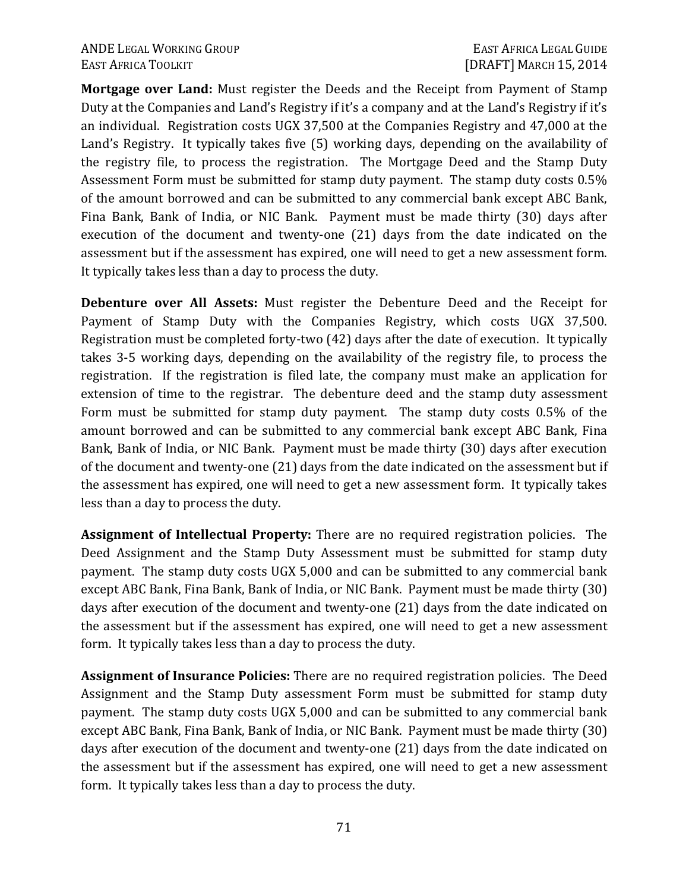**Mortgage over Land:** Must register the Deeds and the Receipt from Payment of Stamp Duty at the Companies and Land's Registry if it's a company and at the Land's Registry if it's an individual. Registration costs UGX 37,500 at the Companies Registry and 47,000 at the Land's Registry. It typically takes five (5) working days, depending on the availability of the registry file, to process the registration. The Mortgage Deed and the Stamp Duty Assessment Form must be submitted for stamp duty payment. The stamp duty costs 0.5% of the amount borrowed and can be submitted to any commercial bank except ABC Bank, Fina Bank, Bank of India, or NIC Bank. Payment must be made thirty (30) days after execution of the document and twenty-one (21) days from the date indicated on the assessment but if the assessment has expired, one will need to get a new assessment form. It typically takes less than a day to process the duty.

**Debenture over All Assets:** Must register the Debenture Deed and the Receipt for Payment of Stamp Duty with the Companies Registry, which costs UGX 37,500. Registration must be completed forty-two (42) days after the date of execution. It typically takes 3-5 working days, depending on the availability of the registry file, to process the registration. If the registration is filed late, the company must make an application for extension of time to the registrar. The debenture deed and the stamp duty assessment Form must be submitted for stamp duty payment. The stamp duty costs 0.5% of the amount borrowed and can be submitted to any commercial bank except ABC Bank, Fina Bank, Bank of India, or NIC Bank. Payment must be made thirty (30) days after execution of the document and twenty-one (21) days from the date indicated on the assessment but if the assessment has expired, one will need to get a new assessment form. It typically takes less than a day to process the duty.

**Assignment of Intellectual Property:** There are no required registration policies. The Deed Assignment and the Stamp Duty Assessment must be submitted for stamp duty payment. The stamp duty costs UGX 5,000 and can be submitted to any commercial bank except ABC Bank, Fina Bank, Bank of India, or NIC Bank. Payment must be made thirty (30) days after execution of the document and twenty-one (21) days from the date indicated on the assessment but if the assessment has expired, one will need to get a new assessment form. It typically takes less than a day to process the duty.

**Assignment of Insurance Policies:** There are no required registration policies. The Deed Assignment and the Stamp Duty assessment Form must be submitted for stamp duty payment. The stamp duty costs UGX 5,000 and can be submitted to any commercial bank except ABC Bank, Fina Bank, Bank of India, or NIC Bank. Payment must be made thirty (30) days after execution of the document and twenty-one (21) days from the date indicated on the assessment but if the assessment has expired, one will need to get a new assessment form. It typically takes less than a day to process the duty.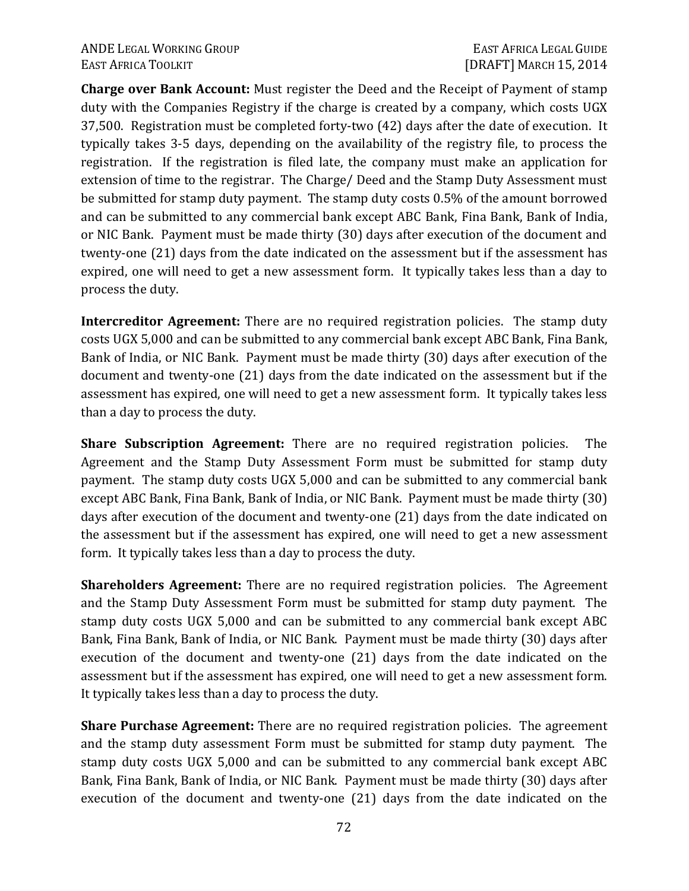**Charge over Bank Account:** Must register the Deed and the Receipt of Payment of stamp duty with the Companies Registry if the charge is created by a company, which costs UGX 37,500. Registration must be completed forty-two (42) days after the date of execution. It typically takes 3-5 days, depending on the availability of the registry file, to process the registration. If the registration is filed late, the company must make an application for extension of time to the registrar. The Charge/ Deed and the Stamp Duty Assessment must be submitted for stamp duty payment. The stamp duty costs 0.5% of the amount borrowed and can be submitted to any commercial bank except ABC Bank, Fina Bank, Bank of India, or NIC Bank. Payment must be made thirty (30) days after execution of the document and twenty-one (21) days from the date indicated on the assessment but if the assessment has expired, one will need to get a new assessment form. It typically takes less than a day to process the duty.

**Intercreditor Agreement:** There are no required registration policies. The stamp duty costs UGX 5,000 and can be submitted to any commercial bank except ABC Bank, Fina Bank, Bank of India, or NIC Bank. Payment must be made thirty (30) days after execution of the document and twenty-one (21) days from the date indicated on the assessment but if the assessment has expired, one will need to get a new assessment form. It typically takes less than a day to process the duty.

**Share Subscription Agreement:** There are no required registration policies. The Agreement and the Stamp Duty Assessment Form must be submitted for stamp duty payment. The stamp duty costs UGX 5,000 and can be submitted to any commercial bank except ABC Bank, Fina Bank, Bank of India, or NIC Bank. Payment must be made thirty (30) days after execution of the document and twenty-one (21) days from the date indicated on the assessment but if the assessment has expired, one will need to get a new assessment form. It typically takes less than a day to process the duty.

**Shareholders Agreement:** There are no required registration policies. The Agreement and the Stamp Duty Assessment Form must be submitted for stamp duty payment. The stamp duty costs UGX 5,000 and can be submitted to any commercial bank except ABC Bank, Fina Bank, Bank of India, or NIC Bank. Payment must be made thirty (30) days after execution of the document and twenty-one (21) days from the date indicated on the assessment but if the assessment has expired, one will need to get a new assessment form. It typically takes less than a day to process the duty.

**Share Purchase Agreement:** There are no required registration policies. The agreement and the stamp duty assessment Form must be submitted for stamp duty payment. The stamp duty costs UGX 5,000 and can be submitted to any commercial bank except ABC Bank, Fina Bank, Bank of India, or NIC Bank. Payment must be made thirty (30) days after execution of the document and twenty-one (21) days from the date indicated on the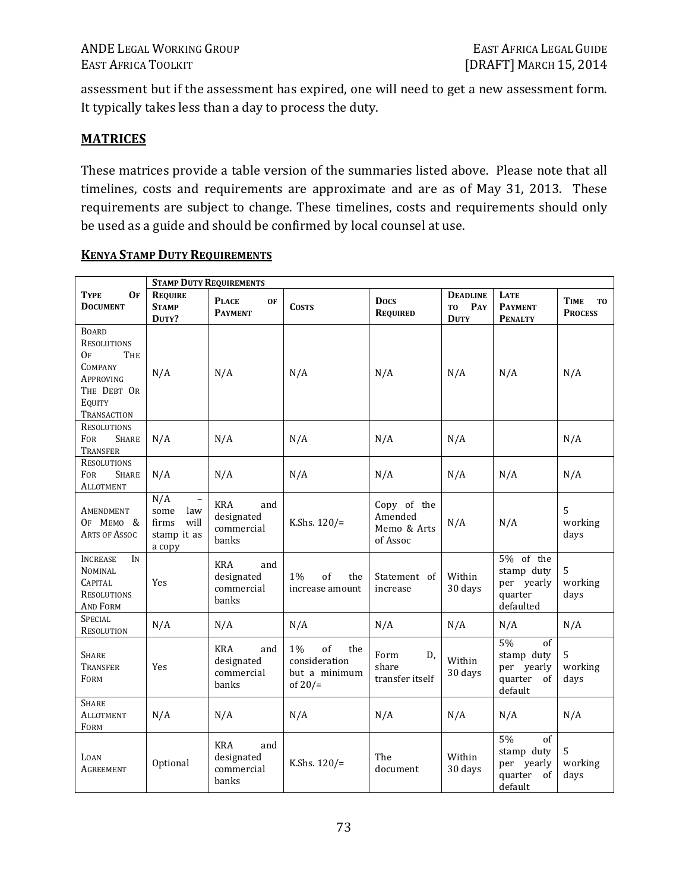assessment but if the assessment has expired, one will need to get a new assessment form. It typically takes less than a day to process the duty.

#### **MATRICES**

These matrices provide a table version of the summaries listed above. Please note that all timelines, costs and requirements are approximate and are as of May 31, 2013. These requirements are subject to change. These timelines, costs and requirements should only be used as a guide and should be confirmed by local counsel at use.

|                                                                                                                        |                                                                                          | <b>STAMP DUTY REQUIREMENTS</b>                         |                                                                    |                                                   |                                              |                                                                  |                                                 |
|------------------------------------------------------------------------------------------------------------------------|------------------------------------------------------------------------------------------|--------------------------------------------------------|--------------------------------------------------------------------|---------------------------------------------------|----------------------------------------------|------------------------------------------------------------------|-------------------------------------------------|
| <b>TYPE</b><br>0F<br><b>DOCUMENT</b>                                                                                   | <b>REQUIRE</b><br><b>STAMP</b><br>DUTY?                                                  | <b>PLACE</b><br><b>OF</b><br><b>PAYMENT</b>            | <b>COSTS</b>                                                       | <b>Docs</b><br><b>REQUIRED</b>                    | <b>DEADLINE</b><br>PAY<br>TO.<br><b>DUTY</b> | <b>LATE</b><br><b>PAYMENT</b><br><b>PENALTY</b>                  | <b>TIME</b><br>T <sub>0</sub><br><b>PROCESS</b> |
| <b>BOARD</b><br><b>RESOLUTIONS</b><br>THE<br>Oғ<br><b>COMPANY</b><br>APPROVING<br>THE DEBT OR<br>EQUITY<br>TRANSACTION | N/A                                                                                      | N/A                                                    | N/A                                                                | N/A                                               | N/A                                          | N/A                                                              | N/A                                             |
| <b>RESOLUTIONS</b><br><b>FOR</b><br><b>SHARE</b><br>Transfer                                                           | N/A                                                                                      | N/A                                                    | N/A                                                                | N/A                                               | N/A                                          |                                                                  | N/A                                             |
| <b>RESOLUTIONS</b><br><b>FOR</b><br><b>SHARE</b><br>Allotment                                                          | N/A                                                                                      | N/A                                                    | N/A                                                                | N/A                                               | N/A                                          | N/A                                                              | N/A                                             |
| Amendment<br>OF MEMO &<br>ARTS OF ASSOC                                                                                | N/A<br>$\overline{\phantom{0}}$<br>some<br>law<br>will<br>firms<br>stamp it as<br>a copy | <b>KRA</b><br>and<br>designated<br>commercial<br>banks | K.Shs. $120/$ =                                                    | Copy of the<br>Amended<br>Memo & Arts<br>of Assoc | N/A                                          | N/A                                                              | 5<br>working<br>days                            |
| <b>INCREASE</b><br>IN<br><b>NOMINAL</b><br><b>CAPITAL</b><br><b>RESOLUTIONS</b><br><b>AND FORM</b>                     | Yes                                                                                      | <b>KRA</b><br>and<br>designated<br>commercial<br>banks | $1\%$<br>of<br>the<br>increase amount                              | Statement of<br>increase                          | Within<br>30 days                            | 5% of the<br>stamp duty<br>per yearly<br>quarter<br>defaulted    | 5<br>working<br>days                            |
| <b>SPECIAL</b><br><b>RESOLUTION</b>                                                                                    | N/A                                                                                      | N/A                                                    | N/A                                                                | N/A                                               | N/A                                          | N/A                                                              | N/A                                             |
| <b>SHARE</b><br>TRANSFER<br>FORM                                                                                       | Yes                                                                                      | <b>KRA</b><br>and<br>designated<br>commercial<br>banks | $1\%$<br>of<br>the<br>consideration<br>but a minimum<br>of $20/$ = | Form<br>D,<br>share<br>transfer itself            | Within<br>30 days                            | 5%<br>of<br>stamp duty<br>per yearly<br>quarter<br>of<br>default | 5<br>working<br>days                            |
| <b>SHARE</b><br>ALLOTMENT<br>FORM                                                                                      | N/A                                                                                      | N/A                                                    | N/A                                                                | N/A                                               | N/A                                          | N/A                                                              | N/A                                             |
| LOAN<br><b>AGREEMENT</b>                                                                                               | Optional                                                                                 | <b>KRA</b><br>and<br>designated<br>commercial<br>banks | K.Shs. $120/$ =                                                    | The<br>document                                   | Within<br>30 days                            | 5%<br>of<br>stamp duty<br>per yearly<br>quarter<br>of<br>default | 5<br>working<br>days                            |

#### **KENYA STAMP DUTY REQUIREMENTS**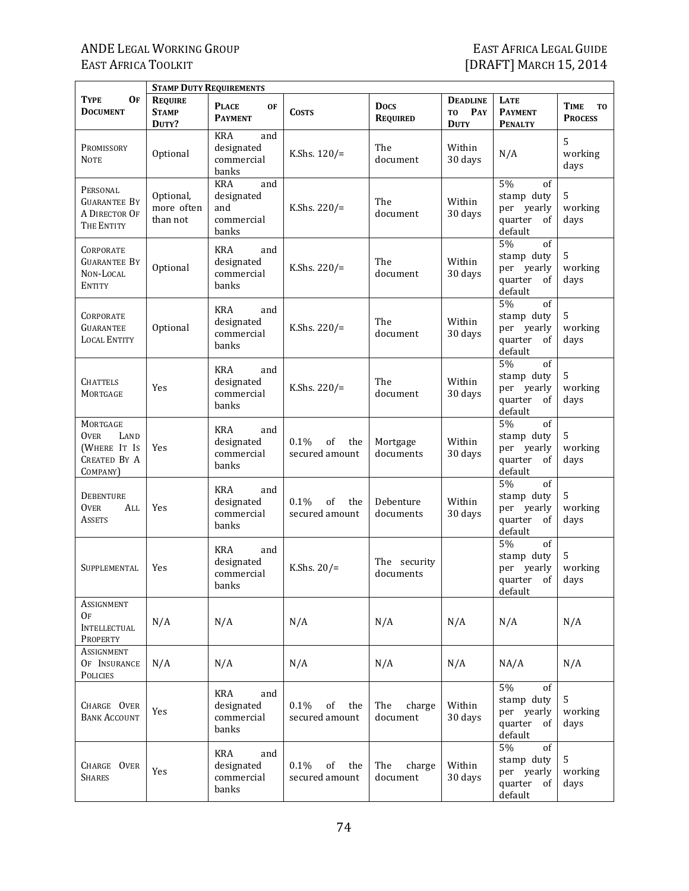|                                                                                    | <b>STAMP DUTY REQUIREMENTS</b>          |                                                               |                                     |                                |                                             |                                                                  |                                          |  |  |  |
|------------------------------------------------------------------------------------|-----------------------------------------|---------------------------------------------------------------|-------------------------------------|--------------------------------|---------------------------------------------|------------------------------------------------------------------|------------------------------------------|--|--|--|
| <b>OF</b><br>TYPE<br><b>DOCUMENT</b>                                               | <b>REQUIRE</b><br><b>STAMP</b><br>DUTY? | <b>PLACE</b><br><b>OF</b><br><b>PAYMENT</b>                   | <b>COSTS</b>                        | <b>Docs</b><br><b>REQUIRED</b> | <b>DEADLINE</b><br>PAY<br>TO<br><b>DUTY</b> | LATE<br><b>PAYMENT</b><br><b>PENALTY</b>                         | TIME<br>T <sub>0</sub><br><b>PROCESS</b> |  |  |  |
| PROMISSORY<br><b>NOTE</b>                                                          | Optional                                | <b>KRA</b><br>and<br>designated<br>commercial<br>banks        | K.Shs. $120/$ =                     | The<br>document                | Within<br>30 days                           | N/A                                                              | 5<br>working<br>days                     |  |  |  |
| PERSONAL<br><b>GUARANTEE BY</b><br>A DIRECTOR OF<br>THE ENTITY                     | Optional,<br>more often<br>than not     | <b>KRA</b><br>and<br>designated<br>and<br>commercial<br>banks | K.Shs. 220/=                        | The<br>document                | Within<br>30 days                           | 5%<br>of<br>stamp duty<br>per yearly<br>quarter<br>of<br>default | 5<br>working<br>days                     |  |  |  |
| CORPORATE<br><b>GUARANTEE BY</b><br>NON-LOCAL<br><b>ENTITY</b>                     | Optional                                | <b>KRA</b><br>and<br>designated<br>commercial<br>banks        | K.Shs. $220/$ =                     | The<br>document                | Within<br>30 days                           | 5%<br>of<br>stamp duty<br>per yearly<br>quarter<br>0f<br>default | 5<br>working<br>days                     |  |  |  |
| CORPORATE<br><b>GUARANTEE</b><br><b>LOCAL ENTITY</b>                               | Optional                                | KRA<br>and<br>designated<br>commercial<br>banks               | K.Shs. $220/$ =                     | The<br>document                | Within<br>30 days                           | 5%<br>of<br>stamp duty<br>per yearly<br>quarter<br>of<br>default | 5<br>working<br>days                     |  |  |  |
| CHATTELS<br>MORTGAGE                                                               | Yes                                     | KRA<br>and<br>designated<br>commercial<br>banks               | K.Shs. $220/$ =                     | The<br>document                | Within<br>30 days                           | 5%<br>of<br>stamp duty<br>per yearly<br>quarter<br>of<br>default | 5<br>working<br>days                     |  |  |  |
| MORTGAGE<br><b>OVER</b><br>LAND<br>(WHERE IT IS<br><b>CREATED BY A</b><br>COMPANY) | Yes                                     | <b>KRA</b><br>and<br>designated<br>commercial<br>banks        | 0.1%<br>of<br>the<br>secured amount | Mortgage<br>documents          | Within<br>30 days                           | 5%<br>of<br>stamp duty<br>per yearly<br>quarter<br>of<br>default | 5<br>working<br>days                     |  |  |  |
| <b>DEBENTURE</b><br><b>OVER</b><br>ALL<br>ASSETS                                   | Yes                                     | <b>KRA</b><br>and<br>designated<br>commercial<br>banks        | 0.1%<br>of<br>the<br>secured amount | Debenture<br>documents         | Within<br>30 days                           | 5%<br>of<br>stamp duty<br>per yearly<br>quarter<br>οf<br>default | 5<br>working<br>days                     |  |  |  |
| SUPPLEMENTAL                                                                       | Yes                                     | <b>KRA</b><br>and<br>designated<br>commercial<br>banks        | K.Shs. $20/$ =                      | The security<br>documents      |                                             | 5%<br>of<br>stamp duty<br>per yearly<br>quarter<br>of<br>default | 5<br>working<br>days                     |  |  |  |
| ASSIGNMENT<br><b>OF</b><br><b>INTELLECTUAL</b><br>PROPERTY                         | N/A                                     | N/A                                                           | N/A                                 | N/A                            | N/A                                         | N/A                                                              | N/A                                      |  |  |  |
| Assignment<br>OF INSURANCE<br>POLICIES                                             | N/A                                     | N/A                                                           | N/A                                 | N/A                            | N/A                                         | NA/A                                                             | N/A                                      |  |  |  |
| CHARGE OVER<br><b>BANK ACCOUNT</b>                                                 | Yes                                     | <b>KRA</b><br>and<br>designated<br>commercial<br>banks        | 0.1%<br>of<br>the<br>secured amount | The<br>charge<br>document      | Within<br>30 days                           | 5%<br>of<br>stamp duty<br>per yearly<br>quarter of<br>default    | 5<br>working<br>days                     |  |  |  |
| CHARGE OVER<br><b>SHARES</b>                                                       | Yes                                     | KRA<br>and<br>designated<br>commercial<br>banks               | 0.1%<br>of<br>the<br>secured amount | The<br>charge<br>document      | Within<br>30 days                           | 5%<br>of<br>stamp duty<br>per yearly<br>quarter of<br>default    | 5<br>working<br>days                     |  |  |  |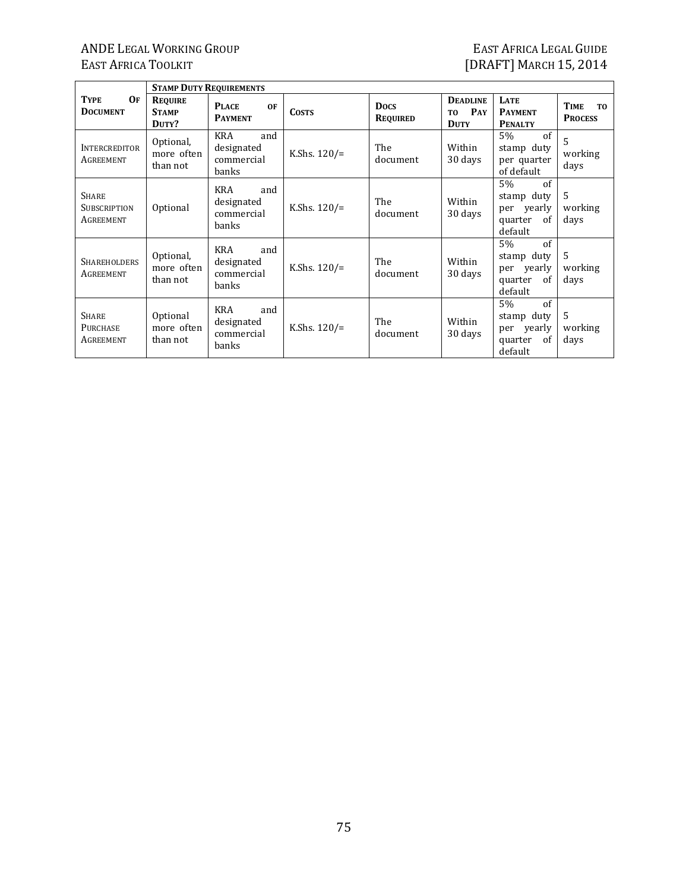7

|                                              |                                         | <b>STAMP DUTY REQUIREMENTS</b>                         |                 |                                |                                                         |                                                                             |                                                 |
|----------------------------------------------|-----------------------------------------|--------------------------------------------------------|-----------------|--------------------------------|---------------------------------------------------------|-----------------------------------------------------------------------------|-------------------------------------------------|
| <b>TYPE</b><br>OF<br><b>DOCUMENT</b>         | <b>REQUIRE</b><br><b>STAMP</b><br>DUTY? | <b>PLACE</b><br><b>OF</b><br><b>PAYMENT</b>            | <b>COSTS</b>    | <b>Docs</b><br><b>REQUIRED</b> | <b>DEADLINE</b><br>PAY<br>T <sub>0</sub><br><b>DUTY</b> | <b>LATE</b><br><b>PAYMENT</b><br><b>PENALTY</b>                             | <b>TIME</b><br>T <sub>0</sub><br><b>PROCESS</b> |
| <b>INTERCREDITOR</b><br>AGREEMENT            | Optional,<br>more often<br>than not     | KRA<br>and<br>designated<br>commercial<br>banks        | K.Shs. $120/$ = | The<br>document                | Within<br>30 days                                       | of<br>5%<br>stamp duty<br>per quarter<br>of default                         | 5<br>working<br>days                            |
| <b>SHARE</b><br>SUBSCRIPTION<br>AGREEMENT    | Optional                                | <b>KRA</b><br>and<br>designated<br>commercial<br>banks | K.Shs. $120/$ = | The<br>document                | Within<br>30 days                                       | of<br>5%<br>stamp duty<br>per yearly<br>quarter<br>of<br>default            | 5<br>working<br>days                            |
| <b>SHAREHOLDERS</b><br>AGREEMENT             | Optional,<br>more often<br>than not     | KRA<br>and<br>designated<br>commercial<br>banks        | K.Shs. $120/$ = | The<br>document                | Within<br>30 days                                       | $\sigma$ f<br>5%<br>stamp duty<br>per yearly<br>quarter<br>of<br>default    | 5<br>working<br>days                            |
| <b>SHARE</b><br><b>PURCHASE</b><br>AGREEMENT | Optional<br>more often<br>than not      | KRA<br>and<br>designated<br>commercial<br>banks        | K.Shs. $120/$ = | The<br>document                | Within<br>30 days                                       | of<br>5%<br>stamp duty<br>per yearly<br><sub>of</sub><br>quarter<br>default | 5<br>working<br>days                            |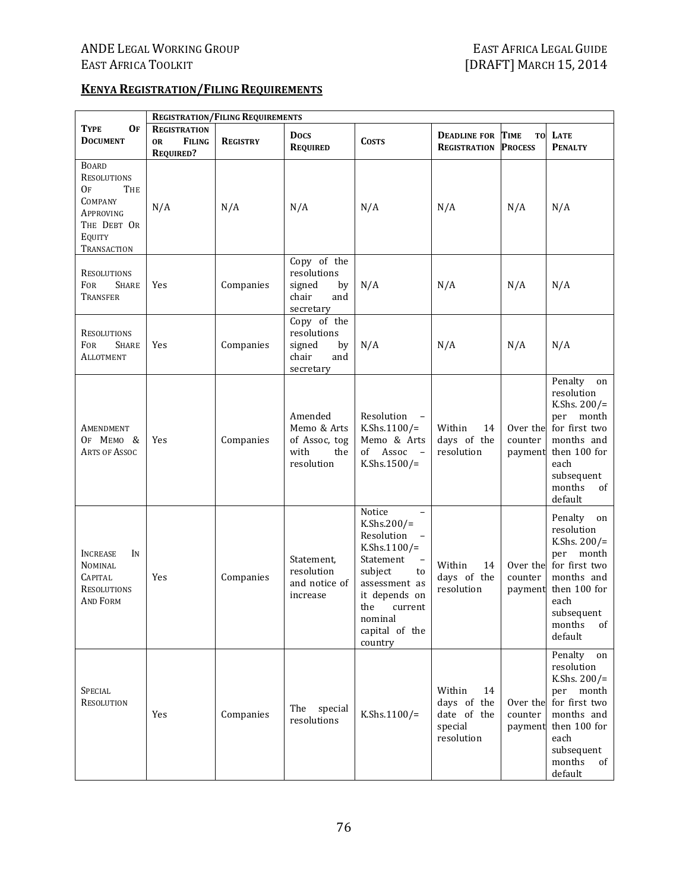#### **KENYA REGISTRATION/FILING REQUIREMENTS**

|                                                                                                          | <b>REGISTRATION/FILING REQUIREMENTS</b>                               |                 |                                                                         |                                                                                                                                                                                                                                       |                                                                     |                                |                                                                                                                                                             |  |
|----------------------------------------------------------------------------------------------------------|-----------------------------------------------------------------------|-----------------|-------------------------------------------------------------------------|---------------------------------------------------------------------------------------------------------------------------------------------------------------------------------------------------------------------------------------|---------------------------------------------------------------------|--------------------------------|-------------------------------------------------------------------------------------------------------------------------------------------------------------|--|
| <b>TYPE</b><br>OF<br><b>DOCUMENT</b>                                                                     | <b>REGISTRATION</b><br><b>FILING</b><br><b>OR</b><br><b>REQUIRED?</b> | <b>REGISTRY</b> | <b>Docs</b><br><b>REQUIRED</b>                                          | <b>COSTS</b>                                                                                                                                                                                                                          | <b>DEADLINE FOR TIME</b><br><b>REGISTRATION</b>                     | TO<br><b>PROCESS</b>           | LATE<br><b>PENALTY</b>                                                                                                                                      |  |
| <b>BOARD</b><br>RESOLUTIONS<br>0F<br>THE<br>COMPANY<br>Approving<br>THE DEBT OR<br>EQUITY<br>TRANSACTION | N/A                                                                   | N/A             | N/A                                                                     | N/A                                                                                                                                                                                                                                   | N/A                                                                 | N/A                            | N/A                                                                                                                                                         |  |
| <b>RESOLUTIONS</b><br>FOR<br><b>SHARE</b><br>TRANSFER                                                    | Yes                                                                   | Companies       | Copy of the<br>resolutions<br>signed<br>by<br>chair<br>and<br>secretary | N/A                                                                                                                                                                                                                                   | N/A                                                                 | N/A                            | N/A                                                                                                                                                         |  |
| <b>RESOLUTIONS</b><br>FOR<br><b>SHARE</b><br>Allotment                                                   | Yes                                                                   | Companies       | Copy of the<br>resolutions<br>signed<br>by<br>chair<br>and<br>secretary | N/A                                                                                                                                                                                                                                   | N/A                                                                 | N/A                            | N/A                                                                                                                                                         |  |
| AMENDMENT<br>OF MEMO &<br><b>ARTS OF ASSOC</b>                                                           | Yes                                                                   | Companies       | Amended<br>Memo & Arts<br>of Assoc, tog<br>with<br>the<br>resolution    | Resolution<br>K.Shs.1100/=<br>Memo & Arts<br>of Assoc -<br>K.Shs.1500/=                                                                                                                                                               | Within<br>14<br>days of the<br>resolution                           | Over the<br>counter<br>payment | Penalty<br>on<br>resolution<br>K.Shs. $200/$ =<br>per month<br>for first two<br>months and<br>then 100 for<br>each<br>subsequent<br>months<br>of<br>default |  |
| <b>INCREASE</b><br>IN<br><b>NOMINAL</b><br><b>CAPITAL</b><br><b>RESOLUTIONS</b><br><b>AND FORM</b>       | Yes                                                                   | Companies       | Statement.<br>resolution<br>and notice of<br>increase                   | Notice<br>$\overline{\phantom{0}}$<br>K.Shs.200/=<br>Resolution<br>K.Shs.1100/=<br>Statement<br>$\overline{\phantom{a}}$<br>subject<br>to<br>assessment as<br>it depends on<br>the<br>current<br>nominal<br>capital of the<br>country | Within<br>14<br>days of the<br>resolution                           | Over the<br>counter<br>payment | Penalty on<br>resolution<br>K.Shs. $200/$ =<br>per month<br>for first two<br>months and<br>then 100 for<br>each<br>subsequent<br>months<br>of<br>default    |  |
| <b>SPECIAL</b><br><b>RESOLUTION</b>                                                                      | Yes                                                                   | Companies       | The<br>special<br>resolutions                                           | K.Shs.1100/=                                                                                                                                                                                                                          | Within<br>14<br>days of the<br>date of the<br>special<br>resolution | Over the<br>counter<br>payment | Penalty<br>on<br>resolution<br>K.Shs. $200/$ =<br>per month<br>for first two<br>months and<br>then 100 for<br>each<br>subsequent<br>months<br>of<br>default |  |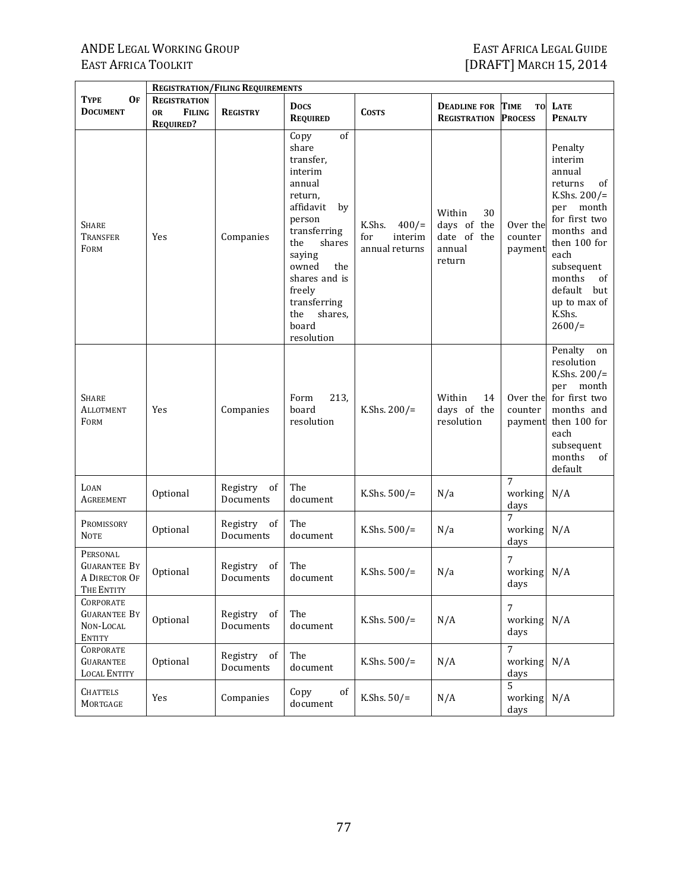|                                                                       |                                                                       | <b>REGISTRATION/FILING REQUIREMENTS</b> |                                                                                                                                                                                                                                              |                                                    |                                                                |                                     |                                                                                                                                                                                                                            |
|-----------------------------------------------------------------------|-----------------------------------------------------------------------|-----------------------------------------|----------------------------------------------------------------------------------------------------------------------------------------------------------------------------------------------------------------------------------------------|----------------------------------------------------|----------------------------------------------------------------|-------------------------------------|----------------------------------------------------------------------------------------------------------------------------------------------------------------------------------------------------------------------------|
| <b>TYPE</b><br><b>OF</b><br><b>DOCUMENT</b>                           | <b>REGISTRATION</b><br><b>FILING</b><br><b>OR</b><br><b>REQUIRED?</b> | <b>REGISTRY</b>                         | <b>Docs</b><br><b>REQUIRED</b>                                                                                                                                                                                                               | <b>COSTS</b>                                       | <b>DEADLINE FOR</b><br><b>REGISTRATION</b>                     | TIME<br><b>TO</b><br><b>PROCESS</b> | LATE<br><b>PENALTY</b>                                                                                                                                                                                                     |
| <b>SHARE</b><br>TRANSFER<br>FORM                                      | Yes                                                                   | Companies                               | of<br>Copy<br>share<br>transfer,<br>interim<br>annual<br>return,<br>affidavit<br>by<br>person<br>transferring<br>shares<br>the<br>saying<br>owned<br>the<br>shares and is<br>freely<br>transferring<br>shares,<br>the<br>board<br>resolution | K.Shs.<br>400/<br>for<br>interim<br>annual returns | 30<br>Within<br>days of the<br>date of the<br>annual<br>return | Over the<br>counter<br>payment      | Penalty<br>interim<br>annual<br>of<br>returns<br>K.Shs. $200/$ =<br>month<br>per<br>for first two<br>months and<br>then 100 for<br>each<br>subsequent<br>months<br>of<br>default<br>but<br>up to max of<br>K.Shs.<br>2600/ |
| <b>SHARE</b><br><b>ALLOTMENT</b><br>FORM                              | Yes                                                                   | Companies                               | Form<br>213,<br>board<br>resolution                                                                                                                                                                                                          | K.Shs. $200/$ =                                    | Within<br>14<br>days of the<br>resolution                      | Over the<br>counter<br>payment      | Penalty<br>on<br>resolution<br>K.Shs. $200/$ =<br>per month<br>for first two<br>months and<br>then 100 for<br>each<br>subsequent<br>months<br>of<br>default                                                                |
| LOAN<br>AGREEMENT                                                     | Optional                                                              | Registry<br>of<br>Documents             | The<br>document                                                                                                                                                                                                                              | K.Shs. $500/$ =                                    | N/a                                                            | 7<br>working<br>days                | N/A                                                                                                                                                                                                                        |
| PROMISSORY<br><b>NOTE</b>                                             | Optional                                                              | Registry<br>of<br>Documents             | The<br>document                                                                                                                                                                                                                              | K.Shs. $500/$ =                                    | N/a                                                            | 7<br>working<br>days                | N/A                                                                                                                                                                                                                        |
| PERSONAL<br>Guarantee By<br>A DIRECTOR OF<br>THE ENTITY               | Optional                                                              | Registry<br>of<br>Documents             | The<br>document                                                                                                                                                                                                                              | K.Shs. $500/$ =                                    | N/a                                                            | 7<br>working<br>days                | N/A                                                                                                                                                                                                                        |
| <b>CORPORATE</b><br><b>GUARANTEE BY</b><br>NON-LOCAL<br><b>ENTITY</b> | Optional                                                              | Registry<br>of<br>Documents             | The<br>document                                                                                                                                                                                                                              | K.Shs. $500/$ =                                    | N/A                                                            | 7<br>working<br>days                | N/A                                                                                                                                                                                                                        |
| CORPORATE<br><b>GUARANTEE</b><br><b>LOCAL ENTITY</b>                  | Optional                                                              | Registry<br>of<br>Documents             | The<br>document                                                                                                                                                                                                                              | K.Shs. $500/$ =                                    | N/A                                                            | $\overline{7}$<br>working<br>days   | N/A                                                                                                                                                                                                                        |
| <b>CHATTELS</b><br>MORTGAGE                                           | Yes                                                                   | Companies                               | Copy<br>of<br>document                                                                                                                                                                                                                       | K.Shs. $50/$ =                                     | N/A                                                            | 5<br>working<br>days                | N/A                                                                                                                                                                                                                        |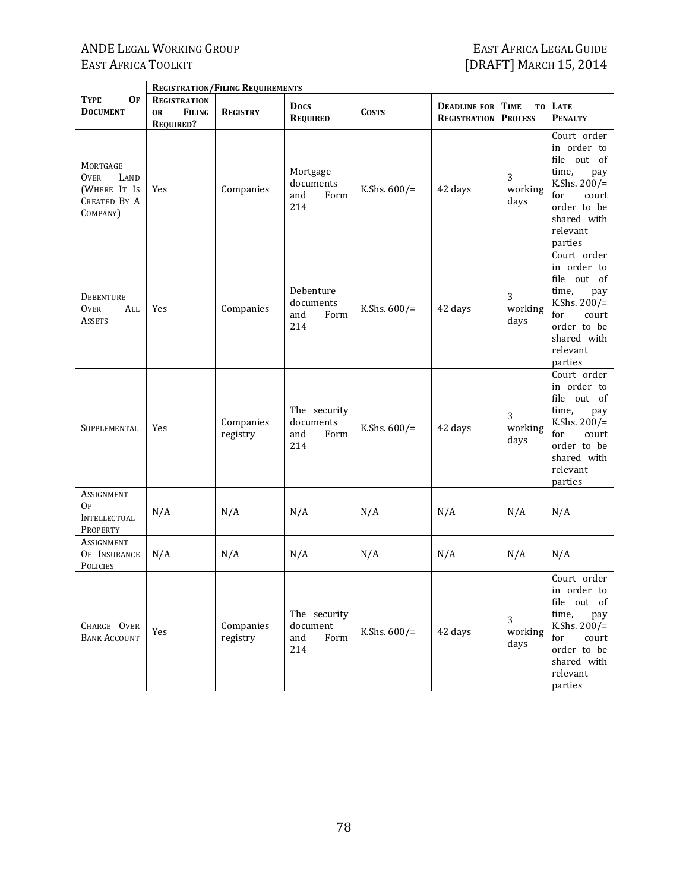|                                                                             | <b>REGISTRATION/FILING REQUIREMENTS</b>                               |                       |                                                 |                 |                                            |                                     |                                                                                                                                                   |  |  |
|-----------------------------------------------------------------------------|-----------------------------------------------------------------------|-----------------------|-------------------------------------------------|-----------------|--------------------------------------------|-------------------------------------|---------------------------------------------------------------------------------------------------------------------------------------------------|--|--|
| <b>TYPE</b><br><b>OF</b><br><b>DOCUMENT</b>                                 | <b>REGISTRATION</b><br><b>FILING</b><br><b>OR</b><br><b>REQUIRED?</b> | <b>REGISTRY</b>       | <b>Docs</b><br><b>REQUIRED</b>                  | <b>COSTS</b>    | <b>DEADLINE FOR</b><br><b>REGISTRATION</b> | <b>TIME</b><br>TO<br><b>PROCESS</b> | <b>LATE</b><br><b>PENALTY</b>                                                                                                                     |  |  |
| MORTGAGE<br>LAND<br>Over<br>(WHERE IT Is<br><b>CREATED BY A</b><br>COMPANY) | Yes                                                                   | Companies             | Mortgage<br>documents<br>and<br>Form<br>214     | K.Shs. $600/$ = | 42 days                                    | 3<br>working<br>days                | Court order<br>in order to<br>file out of<br>time,<br>pay<br>K.Shs. $200/$ =<br>for<br>court<br>order to be<br>shared with<br>relevant<br>parties |  |  |
| <b>DEBENTURE</b><br><b>OVER</b><br>All<br><b>ASSETS</b>                     | Yes                                                                   | Companies             | Debenture<br>documents<br>and<br>Form<br>214    | K.Shs. $600/$ = | 42 days                                    | 3<br>working<br>days                | Court order<br>in order to<br>file out of<br>time,<br>pay<br>K.Shs. $200/$ =<br>for<br>court<br>order to be<br>shared with<br>relevant<br>parties |  |  |
| SUPPLEMENTAL                                                                | Yes                                                                   | Companies<br>registry | The security<br>documents<br>and<br>Form<br>214 | K.Shs. $600/$ = | 42 days                                    | 3<br>working<br>days                | Court order<br>in order to<br>file out of<br>time.<br>pay<br>K.Shs. $200/$ =<br>for<br>court<br>order to be<br>shared with<br>relevant<br>parties |  |  |
| ASSIGNMENT<br>OF<br><b>INTELLECTUAL</b><br>PROPERTY                         | N/A                                                                   | N/A                   | N/A                                             | N/A             | N/A                                        | N/A                                 | N/A                                                                                                                                               |  |  |
| <b>ASSIGNMENT</b><br>OF INSURANCE<br><b>POLICIES</b>                        | N/A                                                                   | N/A                   | N/A                                             | N/A             | N/A                                        | N/A                                 | N/A                                                                                                                                               |  |  |
| CHARGE OVER<br><b>BANK ACCOUNT</b>                                          | Yes                                                                   | Companies<br>registry | The security<br>document<br>and<br>Form<br>214  | K.Shs. $600/$ = | 42 days                                    | 3<br>working<br>days                | Court order<br>in order to<br>file out of<br>time,<br>pay<br>K.Shs. $200/$ =<br>for<br>court<br>order to be<br>shared with<br>relevant<br>parties |  |  |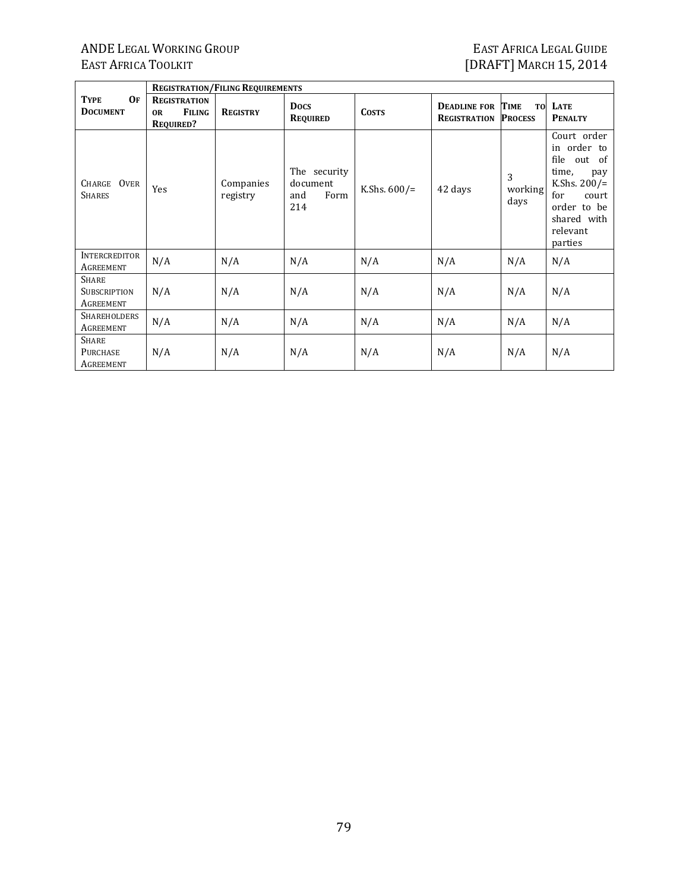# ANDE LEGAL WORKING GROUP<br>EAST AFRICA TOOLKIT

|                                                     | <b>REGISTRATION/FILING REQUIREMENTS</b>                               |                       |                                                |                 |                                            |                                     |                                                                                                                                                   |  |  |  |
|-----------------------------------------------------|-----------------------------------------------------------------------|-----------------------|------------------------------------------------|-----------------|--------------------------------------------|-------------------------------------|---------------------------------------------------------------------------------------------------------------------------------------------------|--|--|--|
| 0 <sub>F</sub><br><b>TYPE</b><br><b>DOCUMENT</b>    | <b>REGISTRATION</b><br><b>FILING</b><br><b>OR</b><br><b>REQUIRED?</b> | <b>REGISTRY</b>       | <b>Docs</b><br>REQUIRED                        | <b>COSTS</b>    | <b>DEADLINE FOR</b><br><b>REGISTRATION</b> | TIME<br><b>TO</b><br><b>PROCESS</b> | LATE<br><b>PENALTY</b>                                                                                                                            |  |  |  |
| CHARGE OVER<br><b>SHARES</b>                        | Yes                                                                   | Companies<br>registry | The security<br>document<br>and<br>Form<br>214 | K.Shs. $600/$ = | 42 days                                    | 3<br>working<br>days                | Court order<br>in order to<br>file out of<br>time,<br>pay<br>K.Shs. $200/$ =<br>for<br>court<br>order to be<br>shared with<br>relevant<br>parties |  |  |  |
| <b>INTERCREDITOR</b><br>AGREEMENT                   | N/A                                                                   | N/A                   | N/A                                            | N/A             | N/A                                        | N/A                                 | N/A                                                                                                                                               |  |  |  |
| <b>SHARE</b><br>SUBSCRIPTION<br>AGREEMENT           | N/A                                                                   | N/A                   | N/A                                            | N/A             | N/A                                        | N/A                                 | N/A                                                                                                                                               |  |  |  |
| SHAREHOLDERS<br>AGREEMENT                           | N/A                                                                   | N/A                   | N/A                                            | N/A             | N/A                                        | N/A                                 | N/A                                                                                                                                               |  |  |  |
| <b>SHARE</b><br><b>PURCHASE</b><br><b>AGREEMENT</b> | N/A                                                                   | N/A                   | N/A                                            | N/A             | N/A                                        | N/A                                 | N/A                                                                                                                                               |  |  |  |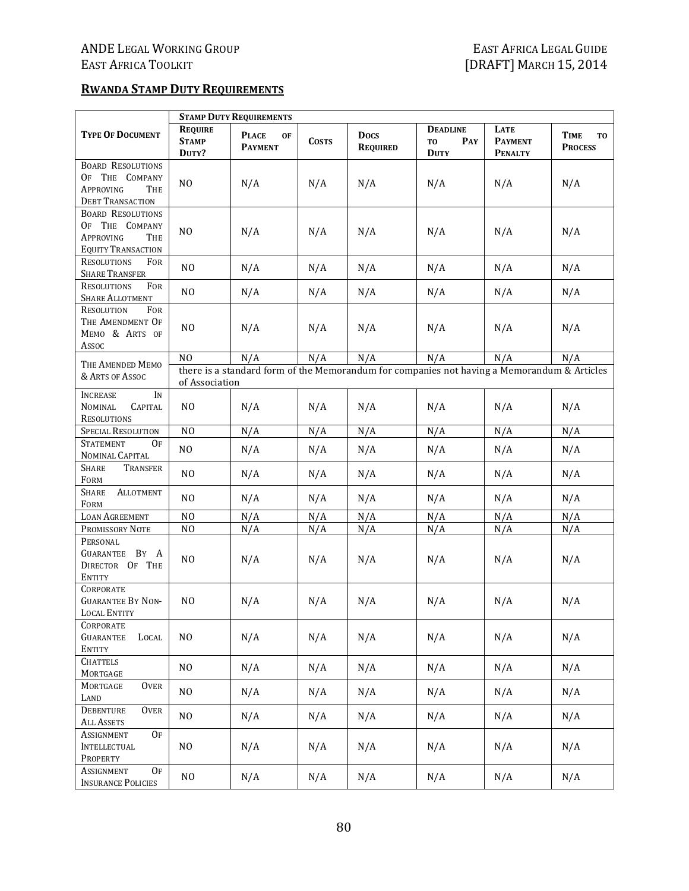#### **RWANDA STAMP DUTY REQUIREMENTS**

|                                                                                                  | <b>STAMP DUTY REQUIREMENTS</b>          |                                      |              |                                |                                                                                             |                                          |                              |  |
|--------------------------------------------------------------------------------------------------|-----------------------------------------|--------------------------------------|--------------|--------------------------------|---------------------------------------------------------------------------------------------|------------------------------------------|------------------------------|--|
| <b>TYPE OF DOCUMENT</b>                                                                          | <b>REQUIRE</b><br><b>STAMP</b><br>DUTY? | <b>PLACE</b><br>OF<br><b>PAYMENT</b> | <b>COSTS</b> | <b>Docs</b><br><b>REQUIRED</b> | <b>DEADLINE</b><br>PAY<br>T <sub>0</sub><br><b>DUTY</b>                                     | LATE<br><b>PAYMENT</b><br><b>PENALTY</b> | TIME<br>TO<br><b>PROCESS</b> |  |
| <b>BOARD RESOLUTIONS</b><br>OF THE COMPANY<br><b>APPROVING</b><br>THE<br><b>DEBT TRANSACTION</b> | NO                                      | N/A                                  | N/A          | N/A                            | N/A                                                                                         | N/A                                      | N/A                          |  |
| <b>BOARD RESOLUTIONS</b><br>OF THE COMPANY<br>APPROVING<br>THE<br><b>EQUITY TRANSACTION</b>      | N <sub>O</sub>                          | N/A                                  | N/A          | N/A                            | N/A                                                                                         | N/A                                      | N/A                          |  |
| <b>RESOLUTIONS</b><br>FOR<br><b>SHARE TRANSFER</b>                                               | N <sub>0</sub>                          | N/A                                  | N/A          | N/A                            | N/A                                                                                         | N/A                                      | N/A                          |  |
| <b>RESOLUTIONS</b><br>FOR<br><b>SHARE ALLOTMENT</b>                                              | N <sub>0</sub>                          | N/A                                  | N/A          | N/A                            | N/A                                                                                         | N/A                                      | N/A                          |  |
| RESOLUTION<br>FOR<br>THE AMENDMENT OF<br>MEMO & ARTS OF<br>Assoc                                 | N <sub>O</sub>                          | N/A                                  | N/A          | N/A                            | N/A                                                                                         | N/A                                      | N/A                          |  |
|                                                                                                  | N <sub>O</sub>                          | N/A                                  | N/A          | N/A                            | N/A                                                                                         | N/A                                      | N/A                          |  |
| THE AMENDED MEMO                                                                                 |                                         |                                      |              |                                | there is a standard form of the Memorandum for companies not having a Memorandum & Articles |                                          |                              |  |
| & ARTS OF ASSOC                                                                                  | of Association                          |                                      |              |                                |                                                                                             |                                          |                              |  |
| IN<br><b>INCREASE</b><br><b>NOMINAL</b><br><b>CAPITAL</b><br><b>RESOLUTIONS</b>                  | N <sub>O</sub>                          | N/A                                  | N/A          | N/A                            | N/A                                                                                         | N/A                                      | N/A                          |  |
| SPECIAL RESOLUTION                                                                               | NO                                      | N/A                                  | N/A          | N/A                            | N/A                                                                                         | N/A                                      | N/A                          |  |
| 0F<br><b>STATEMENT</b><br>NOMINAL CAPITAL                                                        | N <sub>O</sub>                          | N/A                                  | N/A          | N/A                            | N/A                                                                                         | N/A                                      | N/A                          |  |
| Share<br>TRANSFER<br>FORM                                                                        | N <sub>0</sub>                          | N/A                                  | N/A          | N/A                            | N/A                                                                                         | N/A                                      | N/A                          |  |
| SHARE<br><b>ALLOTMENT</b><br>FORM                                                                | N <sub>0</sub>                          | N/A                                  | N/A          | N/A                            | N/A                                                                                         | N/A                                      | N/A                          |  |
| <b>LOAN AGREEMENT</b>                                                                            | N <sub>0</sub>                          | N/A                                  | N/A          | N/A                            | N/A                                                                                         | N/A                                      | N/A                          |  |
| PROMISSORY NOTE                                                                                  | N <sub>0</sub>                          | N/A                                  | N/A          | N/A                            | N/A                                                                                         | N/A                                      | N/A                          |  |
| PERSONAL<br>GUARANTEE BY A<br>DIRECTOR OF THE<br><b>ENTITY</b>                                   | N <sub>O</sub>                          | N/A                                  | N/A          | N/A                            | N/A                                                                                         | N/A                                      | N/A                          |  |
| <b>CORPORATE</b><br><b>GUARANTEE BY NON-</b><br>LOCAL ENTITY                                     | N <sub>O</sub>                          | N/A                                  | N/A          | N/A                            | N/A                                                                                         | N/A                                      | N/A                          |  |
| CORPORATE<br><b>GUARANTEE</b><br>LOCAL<br><b>ENTITY</b>                                          | $_{\rm NO}$                             | N/A                                  | N/A          | N/A                            | N/A                                                                                         | N/A                                      | N/A                          |  |
| <b>CHATTELS</b><br>MORTGAGE                                                                      | NO                                      | N/A                                  | N/A          | N/A                            | N/A                                                                                         | N/A                                      | N/A                          |  |
| MORTGAGE<br><b>OVER</b><br>LAND                                                                  | NO                                      | N/A                                  | N/A          | N/A                            | N/A                                                                                         | N/A                                      | N/A                          |  |
| DEBENTURE<br><b>OVER</b><br><b>ALL ASSETS</b>                                                    | NO                                      | N/A                                  | N/A          | N/A                            | N/A                                                                                         | N/A                                      | N/A                          |  |
| ASSIGNMENT<br><b>OF</b><br><b>INTELLECTUAL</b><br>PROPERTY                                       | N <sub>0</sub>                          | N/A                                  | N/A          | N/A                            | N/A                                                                                         | N/A                                      | N/A                          |  |
| ASSIGNMENT<br>0 <sub>F</sub><br><b>INSURANCE POLICIES</b>                                        | N <sub>0</sub>                          | N/A                                  | N/A          | N/A                            | N/A                                                                                         | N/A                                      | N/A                          |  |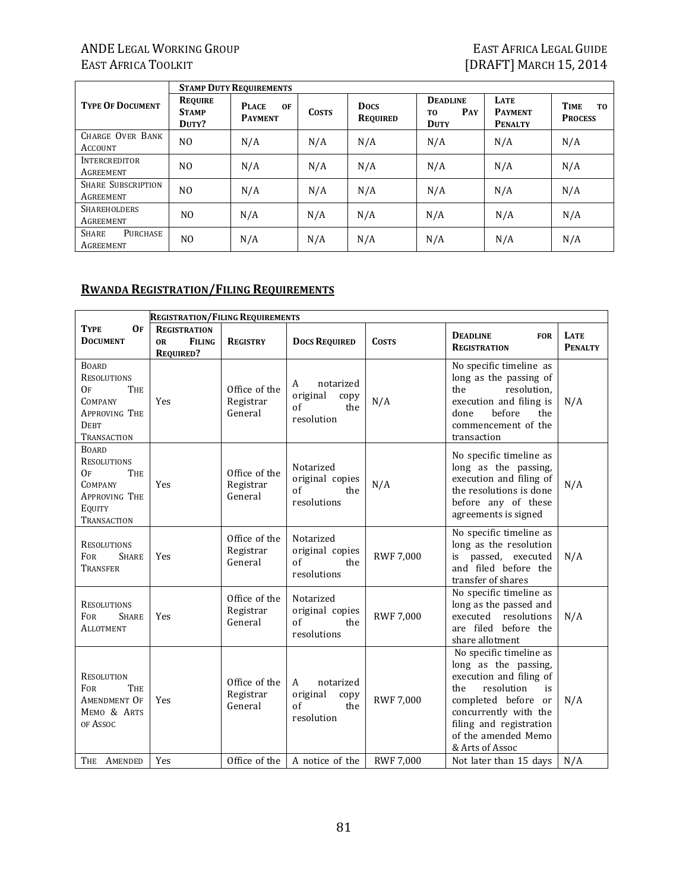'n

7

|                                        | <b>STAMP DUTY REQUIREMENTS</b>          |                                      |              |                                |                                              |                                          |                                      |  |  |
|----------------------------------------|-----------------------------------------|--------------------------------------|--------------|--------------------------------|----------------------------------------------|------------------------------------------|--------------------------------------|--|--|
| <b>TYPE OF DOCUMENT</b>                | <b>REQUIRE</b><br><b>STAMP</b><br>DUTY? | <b>PLACE</b><br>0F<br><b>PAYMENT</b> | <b>COSTS</b> | <b>Docs</b><br><b>REQUIRED</b> | <b>DEADLINE</b><br>PAY<br>TO.<br><b>DUTY</b> | LATE<br><b>PAYMENT</b><br><b>PENALTY</b> | <b>TIME</b><br>TO.<br><b>PROCESS</b> |  |  |
| CHARGE OVER BANK<br><b>ACCOUNT</b>     | NO.                                     | N/A                                  | N/A          | N/A                            | N/A                                          | N/A                                      | N/A                                  |  |  |
| <b>INTERCREDITOR</b><br>AGREEMENT      | NO.                                     | N/A                                  | N/A          | N/A                            | N/A                                          | N/A                                      | N/A                                  |  |  |
| <b>SHARE SUBSCRIPTION</b><br>AGREEMENT | N <sub>O</sub>                          | N/A                                  | N/A          | N/A                            | N/A                                          | N/A                                      | N/A                                  |  |  |
| <b>SHAREHOLDERS</b><br>AGREEMENT       | N <sub>0</sub>                          | N/A                                  | N/A          | N/A                            | N/A                                          | N/A                                      | N/A                                  |  |  |
| <b>SHARE</b><br>PURCHASE<br>AGREEMENT  | N <sub>O</sub>                          | N/A                                  | N/A          | N/A                            | N/A                                          | N/A                                      | N/A                                  |  |  |

#### **RWANDA REGISTRATION/FILING REQUIREMENTS**

|                                                                                                                         | <b>REGISTRATION/FILING REQUIREMENTS</b>                               |                                       |                                                                  |                  |                                                                                                                                                                                                                            |                        |
|-------------------------------------------------------------------------------------------------------------------------|-----------------------------------------------------------------------|---------------------------------------|------------------------------------------------------------------|------------------|----------------------------------------------------------------------------------------------------------------------------------------------------------------------------------------------------------------------------|------------------------|
| <b>TYPE</b><br><b>OF</b><br><b>DOCUMENT</b>                                                                             | <b>REGISTRATION</b><br><b>FILING</b><br><b>OR</b><br><b>REQUIRED?</b> | <b>REGISTRY</b>                       | <b>DOCS REQUIRED</b>                                             | <b>COSTS</b>     | <b>DEADLINE</b><br><b>FOR</b><br><b>REGISTRATION</b>                                                                                                                                                                       | LATE<br><b>PENALTY</b> |
| <b>BOARD</b><br><b>RESOLUTIONS</b><br>Oғ<br><b>THE</b><br>COMPANY<br><b>APPROVING THE</b><br><b>DEBT</b><br>TRANSACTION | Yes                                                                   | Office of the<br>Registrar<br>General | notarized<br>A<br>original<br>copy<br>of<br>the<br>resolution    | N/A              | No specific timeline as<br>long as the passing of<br>the<br>resolution,<br>execution and filing is<br>before<br>the<br>done<br>commencement of the<br>transaction                                                          | N/A                    |
| <b>BOARD</b><br><b>RESOLUTIONS</b><br>OF<br><b>THE</b><br>COMPANY<br><b>APPROVING THE</b><br>EQUITY<br>TRANSACTION      | Yes                                                                   | Office of the<br>Registrar<br>General | Notarized<br>original copies<br>$\sigma$ f<br>the<br>resolutions | N/A              | No specific timeline as<br>long as the passing,<br>execution and filing of<br>the resolutions is done<br>before any of these<br>agreements is signed                                                                       | N/A                    |
| <b>RESOLUTIONS</b><br><b>FOR</b><br><b>SHARE</b><br>Transfer                                                            | Yes                                                                   | Office of the<br>Registrar<br>General | Notarized<br>original copies<br>of<br>the<br>resolutions         | <b>RWF 7,000</b> | No specific timeline as<br>long as the resolution<br>is passed, executed<br>and filed before the<br>transfer of shares                                                                                                     | N/A                    |
| <b>RESOLUTIONS</b><br><b>FOR</b><br><b>SHARE</b><br>ALLOTMENT                                                           | Yes                                                                   | Office of the<br>Registrar<br>General | Notarized<br>original copies<br>of<br>the<br>resolutions         | <b>RWF 7,000</b> | No specific timeline as<br>long as the passed and<br>resolutions<br>executed<br>are filed before the<br>share allotment                                                                                                    | N/A                    |
| <b>RESOLUTION</b><br><b>THE</b><br><b>FOR</b><br>AMENDMENT OF<br>MEMO & ARTS<br>OF ASSOC                                | Yes                                                                   | Office of the<br>Registrar<br>General | A<br>notarized<br>original<br>copy<br>of<br>the<br>resolution    | <b>RWF 7,000</b> | No specific timeline as<br>long as the passing,<br>execution and filing of<br>the<br>resolution<br>is<br>completed before or<br>concurrently with the<br>filing and registration<br>of the amended Memo<br>& Arts of Assoc | N/A                    |
| THE AMENDED                                                                                                             | Yes                                                                   | Office of the                         | A notice of the                                                  | <b>RWF 7,000</b> | Not later than 15 days                                                                                                                                                                                                     | N/A                    |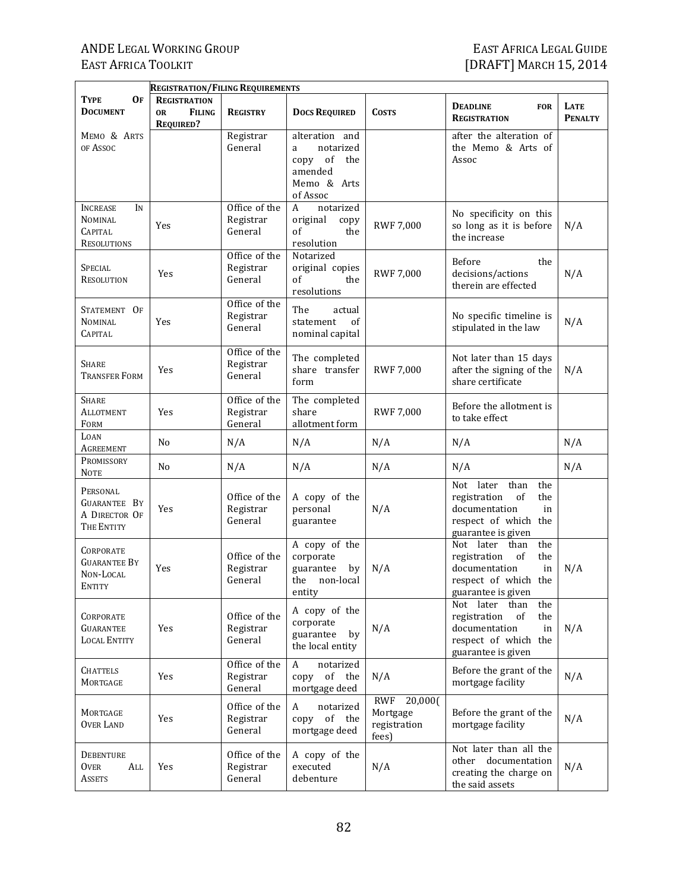|                                                                | <b>REGISTRATION/FILING REQUIREMENTS</b>                               |                                       |                                                                                             |                                                            |                                                                                                                               |                               |
|----------------------------------------------------------------|-----------------------------------------------------------------------|---------------------------------------|---------------------------------------------------------------------------------------------|------------------------------------------------------------|-------------------------------------------------------------------------------------------------------------------------------|-------------------------------|
| TYPE<br>OF<br><b>DOCUMENT</b>                                  | <b>REGISTRATION</b><br><b>FILING</b><br><b>OR</b><br><b>REQUIRED?</b> | <b>REGISTRY</b>                       | <b>DOCS REQUIRED</b>                                                                        | <b>COSTS</b>                                               | <b>DEADLINE</b><br><b>FOR</b><br><b>REGISTRATION</b>                                                                          | <b>LATE</b><br><b>PENALTY</b> |
| MEMO & ARTS<br>OF ASSOC                                        |                                                                       | Registrar<br>General                  | alteration and<br>notarized<br>a<br>of<br>copy<br>the<br>amended<br>Memo & Arts<br>of Assoc |                                                            | after the alteration of<br>the Memo & Arts of<br>Assoc                                                                        |                               |
| IN<br>INCREASE<br>Nominal<br>CAPITAL<br><b>RESOLUTIONS</b>     | Yes                                                                   | Office of the<br>Registrar<br>General | notarized<br>A<br>original<br>copy<br>of<br>the<br>resolution                               | <b>RWF 7,000</b>                                           | No specificity on this<br>so long as it is before<br>the increase                                                             | N/A                           |
| Special<br><b>RESOLUTION</b>                                   | Yes                                                                   | Office of the<br>Registrar<br>General | Notarized<br>original copies<br>of<br>the<br>resolutions                                    | <b>RWF 7,000</b>                                           | <b>Before</b><br>the<br>decisions/actions<br>therein are effected                                                             | N/A                           |
| STATEMENT OF<br><b>NOMINAL</b><br><b>CAPITAL</b>               | Yes                                                                   | Office of the<br>Registrar<br>General | The<br>actual<br>statement<br>of<br>nominal capital                                         |                                                            | No specific timeline is<br>stipulated in the law                                                                              | N/A                           |
| Share<br><b>TRANSFER FORM</b>                                  | Yes                                                                   | Office of the<br>Registrar<br>General | The completed<br>share transfer<br>form                                                     | <b>RWF 7,000</b>                                           | Not later than 15 days<br>after the signing of the<br>share certificate                                                       | N/A                           |
| <b>SHARE</b><br>Allotment<br>FORM                              | Yes                                                                   | Office of the<br>Registrar<br>General | The completed<br>share<br>allotment form                                                    | <b>RWF 7,000</b>                                           | Before the allotment is<br>to take effect                                                                                     |                               |
| LOAN<br>Agreement                                              | N <sub>0</sub>                                                        | N/A                                   | N/A                                                                                         | N/A                                                        | N/A                                                                                                                           | N/A                           |
| PROMISSORY<br><b>NOTE</b>                                      | No                                                                    | N/A                                   | N/A                                                                                         | N/A                                                        | N/A                                                                                                                           | N/A                           |
| PERSONAL<br><b>GUARANTEE BY</b><br>A DIRECTOR OF<br>THE ENTITY | Yes                                                                   | Office of the<br>Registrar<br>General | A copy of the<br>personal<br>guarantee                                                      | N/A                                                        | Not later<br>than<br>the<br>of<br>registration<br>the<br>documentation<br>in<br>respect of which the<br>guarantee is given    |                               |
| CORPORATE<br><b>GUARANTEE BY</b><br>Non-Local<br>ENTITY        | Yes                                                                   | Office of the<br>Registrar<br>General | A copy of the<br>corporate<br>guarantee<br>by<br>the<br>non-local<br>entity                 | N/A                                                        | Not later than<br>the<br>registration<br>of<br>the<br>documentation<br>in<br>respect of which the<br>guarantee is given       | N/A                           |
| CORPORATE<br><b>GUARANTEE</b><br><b>LOCAL ENTITY</b>           | Yes                                                                   | Office of the<br>Registrar<br>General | A copy of the<br>corporate<br>guarantee<br>by<br>the local entity                           | N/A                                                        | later<br>than<br>Not<br>the<br>registration<br>of<br>the<br>documentation<br>in<br>respect of which the<br>guarantee is given | N/A                           |
| Chattels<br>MORTGAGE                                           | Yes                                                                   | Office of the<br>Registrar<br>General | A<br>notarized<br>of the<br>copy<br>mortgage deed                                           | N/A                                                        | Before the grant of the<br>mortgage facility                                                                                  | N/A                           |
| MORTGAGE<br><b>OVER LAND</b>                                   | Yes                                                                   | Office of the<br>Registrar<br>General | notarized<br>A<br>of the<br>copy<br>mortgage deed                                           | <b>RWF</b><br>20,000(<br>Mortgage<br>registration<br>fees) | Before the grant of the<br>mortgage facility                                                                                  | N/A                           |
| DEBENTURE<br><b>OVER</b><br>All<br><b>ASSETS</b>               | Yes                                                                   | Office of the<br>Registrar<br>General | A copy of the<br>executed<br>debenture                                                      | N/A                                                        | Not later than all the<br>other documentation<br>creating the charge on<br>the said assets                                    | N/A                           |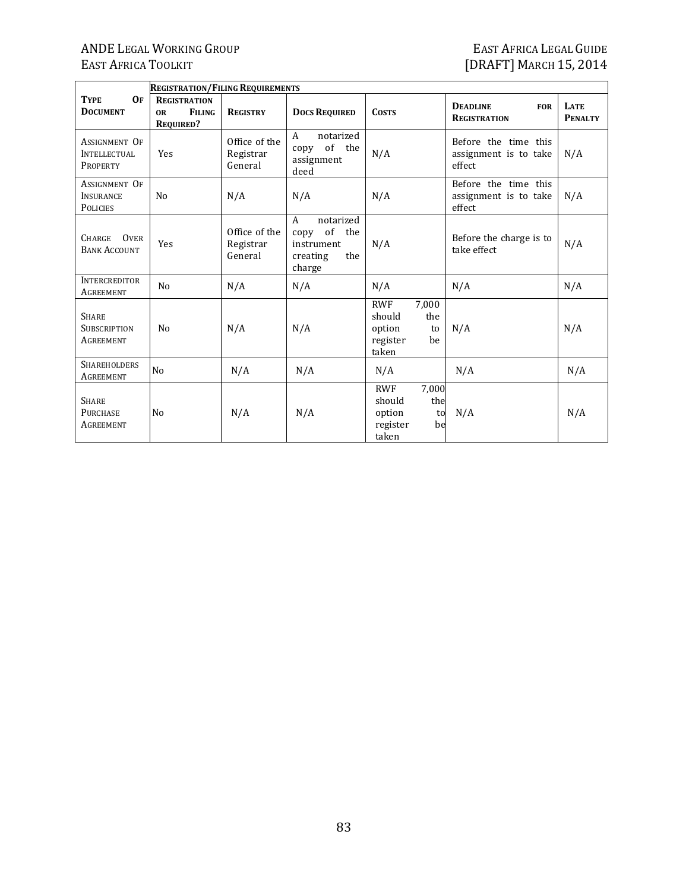|                                                             | <b>REGISTRATION/FILING REQUIREMENTS</b>                               |                                       |                                                                                        |                                                                                 |                                                         |                               |
|-------------------------------------------------------------|-----------------------------------------------------------------------|---------------------------------------|----------------------------------------------------------------------------------------|---------------------------------------------------------------------------------|---------------------------------------------------------|-------------------------------|
| 0F<br><b>TYPE</b><br><b>DOCUMENT</b>                        | <b>REGISTRATION</b><br><b>FILING</b><br><b>OR</b><br><b>REQUIRED?</b> | <b>REGISTRY</b>                       | <b>DOCS REQUIRED</b>                                                                   | <b>COSTS</b>                                                                    | <b>DEADLINE</b><br><b>FOR</b><br><b>REGISTRATION</b>    | <b>LATE</b><br><b>PENALTY</b> |
| <b>ASSIGNMENT OF</b><br>INTELLECTUAL<br><b>PROPERTY</b>     | Yes                                                                   | Office of the<br>Registrar<br>General | $\mathsf{A}$<br>notarized<br>of the<br>copy<br>assignment<br>deed                      | N/A                                                                             | Before the time this<br>assignment is to take<br>effect | N/A                           |
| <b>ASSIGNMENT OF</b><br><b>INSURANCE</b><br><b>POLICIES</b> | N <sub>0</sub>                                                        | N/A                                   | N/A                                                                                    | N/A                                                                             | Before the time this<br>assignment is to take<br>effect | N/A                           |
| <b>OVER</b><br><b>CHARGE</b><br><b>BANK ACCOUNT</b>         | Yes                                                                   | Office of the<br>Registrar<br>General | notarized<br>$\mathsf{A}$<br>of the<br>copy<br>instrument<br>the<br>creating<br>charge | N/A                                                                             | Before the charge is to<br>take effect                  | N/A                           |
| <b>INTERCREDITOR</b><br><b>AGREEMENT</b>                    | N <sub>0</sub>                                                        | N/A                                   | N/A                                                                                    | N/A                                                                             | N/A                                                     | N/A                           |
| <b>SHARE</b><br><b>SUBSCRIPTION</b><br>AGREEMENT            | N <sub>0</sub>                                                        | N/A                                   | N/A                                                                                    | 7,000<br><b>RWF</b><br>should<br>the<br>option<br>to<br>register<br>be<br>taken | N/A                                                     | N/A                           |
| <b>SHAREHOLDERS</b><br>AGREEMENT                            | N <sub>o</sub>                                                        | N/A                                   | N/A                                                                                    | N/A                                                                             | N/A                                                     | N/A                           |
| <b>SHARE</b><br><b>PURCHASE</b><br>AGREEMENT                | N <sub>0</sub>                                                        | N/A                                   | N/A                                                                                    | <b>RWF</b><br>7,000<br>the<br>should<br>option<br>to<br>register<br>be<br>taken | N/A                                                     | N/A                           |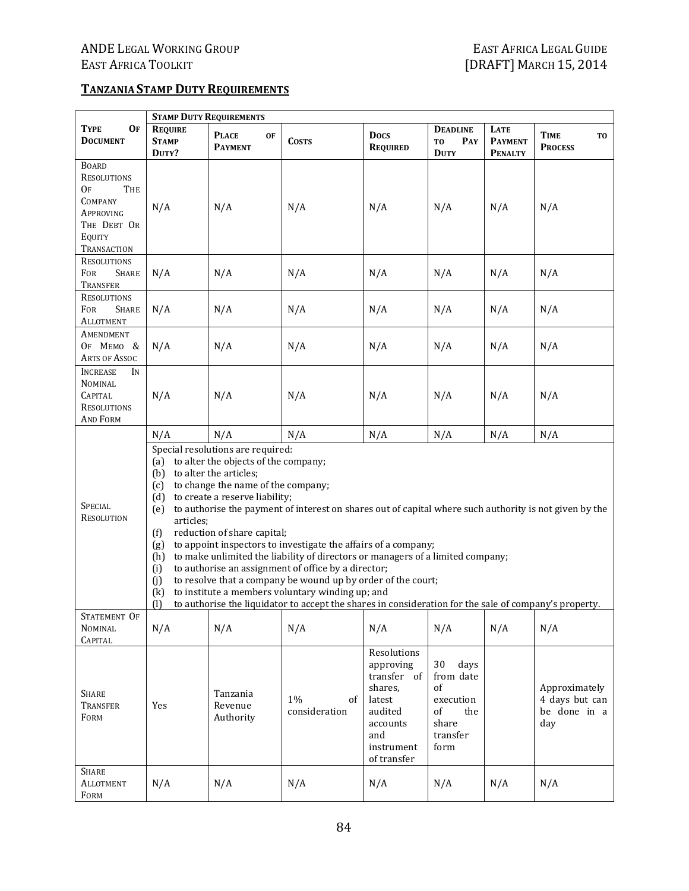#### **TANZANIASTAMP DUTY REQUIREMENTS**

|                                                                                                                               | <b>STAMP DUTY REQUIREMENTS</b>                                                                                                                                                                                                                                                                                                                                                                                                                                                                                                                                                                                                                                                                                                                                                                                                                                                                          |                                             |                           |                                                                                                                         |                                                                                      |                                                 |                                                        |  |  |
|-------------------------------------------------------------------------------------------------------------------------------|---------------------------------------------------------------------------------------------------------------------------------------------------------------------------------------------------------------------------------------------------------------------------------------------------------------------------------------------------------------------------------------------------------------------------------------------------------------------------------------------------------------------------------------------------------------------------------------------------------------------------------------------------------------------------------------------------------------------------------------------------------------------------------------------------------------------------------------------------------------------------------------------------------|---------------------------------------------|---------------------------|-------------------------------------------------------------------------------------------------------------------------|--------------------------------------------------------------------------------------|-------------------------------------------------|--------------------------------------------------------|--|--|
| <b>TYPE</b><br>Of<br><b>DOCUMENT</b>                                                                                          | <b>REQUIRE</b><br><b>STAMP</b><br>DUTY?                                                                                                                                                                                                                                                                                                                                                                                                                                                                                                                                                                                                                                                                                                                                                                                                                                                                 | <b>PLACE</b><br><b>OF</b><br><b>PAYMENT</b> | <b>COSTS</b>              | <b>Docs</b><br><b>REQUIRED</b>                                                                                          | <b>DEADLINE</b><br>T <sub>0</sub><br>PAY<br><b>DUTY</b>                              | <b>LATE</b><br><b>PAYMENT</b><br><b>PENALTY</b> | <b>TIME</b><br>T0<br><b>PROCESS</b>                    |  |  |
| <b>BOARD</b><br><b>RESOLUTIONS</b><br><b>OF</b><br>THE<br><b>COMPANY</b><br>APPROVING<br>THE DEBT OR<br>EQUITY<br>TRANSACTION | N/A                                                                                                                                                                                                                                                                                                                                                                                                                                                                                                                                                                                                                                                                                                                                                                                                                                                                                                     | N/A                                         | N/A                       | N/A                                                                                                                     | N/A                                                                                  | N/A                                             | N/A                                                    |  |  |
| <b>RESOLUTIONS</b><br>FOR<br><b>SHARE</b><br>TRANSFER                                                                         | N/A                                                                                                                                                                                                                                                                                                                                                                                                                                                                                                                                                                                                                                                                                                                                                                                                                                                                                                     | N/A                                         | N/A                       | N/A                                                                                                                     | N/A                                                                                  | N/A                                             | N/A                                                    |  |  |
| <b>RESOLUTIONS</b><br>FOR<br><b>SHARE</b><br><b>ALLOTMENT</b>                                                                 | N/A                                                                                                                                                                                                                                                                                                                                                                                                                                                                                                                                                                                                                                                                                                                                                                                                                                                                                                     | N/A                                         | N/A                       | N/A                                                                                                                     | N/A                                                                                  | N/A                                             | N/A                                                    |  |  |
| AMENDMENT<br>OF MEMO &<br><b>ARTS OF ASSOC</b>                                                                                | N/A                                                                                                                                                                                                                                                                                                                                                                                                                                                                                                                                                                                                                                                                                                                                                                                                                                                                                                     | N/A                                         | N/A                       | N/A                                                                                                                     | N/A                                                                                  | N/A                                             | N/A                                                    |  |  |
| <b>INCREASE</b><br>IN<br><b>NOMINAL</b><br><b>CAPITAL</b><br><b>RESOLUTIONS</b><br><b>AND FORM</b>                            | N/A                                                                                                                                                                                                                                                                                                                                                                                                                                                                                                                                                                                                                                                                                                                                                                                                                                                                                                     | N/A                                         | N/A                       | N/A                                                                                                                     | N/A                                                                                  | N/A                                             | N/A                                                    |  |  |
| <b>SPECIAL</b><br>RESOLUTION                                                                                                  | N/A<br>N/A<br>N/A<br>N/A<br>N/A<br>N/A<br>N/A<br>Special resolutions are required:<br>to alter the objects of the company;<br>(a)<br>to alter the articles;<br>(b)<br>to change the name of the company;<br>(c)<br>to create a reserve liability;<br>(d)<br>to authorise the payment of interest on shares out of capital where such authority is not given by the<br>(e)<br>articles;<br>reduction of share capital;<br>(f)<br>to appoint inspectors to investigate the affairs of a company;<br>(g)<br>to make unlimited the liability of directors or managers of a limited company;<br>(h)<br>to authorise an assignment of office by a director;<br>(i)<br>to resolve that a company be wound up by order of the court;<br>(i)<br>to institute a members voluntary winding up; and<br>(k)<br>to authorise the liquidator to accept the shares in consideration for the sale of company's property. |                                             |                           |                                                                                                                         |                                                                                      |                                                 |                                                        |  |  |
| STATEMENT OF<br>NOMINAL<br><b>CAPITAL</b>                                                                                     | N/A                                                                                                                                                                                                                                                                                                                                                                                                                                                                                                                                                                                                                                                                                                                                                                                                                                                                                                     | N/A                                         | N/A                       | N/A                                                                                                                     | N/A                                                                                  | N/A                                             | N/A                                                    |  |  |
| <b>SHARE</b><br><b>TRANSFER</b><br>FORM                                                                                       | Yes                                                                                                                                                                                                                                                                                                                                                                                                                                                                                                                                                                                                                                                                                                                                                                                                                                                                                                     | Tanzania<br>Revenue<br>Authority            | 1%<br>of<br>consideration | Resolutions<br>approving<br>transfer of<br>shares.<br>latest<br>audited<br>accounts<br>and<br>instrument<br>of transfer | 30<br>days<br>from date<br>of<br>execution<br>of<br>the<br>share<br>transfer<br>form |                                                 | Approximately<br>4 days but can<br>be done in a<br>day |  |  |
| <b>SHARE</b><br><b>ALLOTMENT</b><br>FORM                                                                                      | N/A                                                                                                                                                                                                                                                                                                                                                                                                                                                                                                                                                                                                                                                                                                                                                                                                                                                                                                     | N/A                                         | N/A                       | N/A                                                                                                                     | N/A                                                                                  | N/A                                             | N/A                                                    |  |  |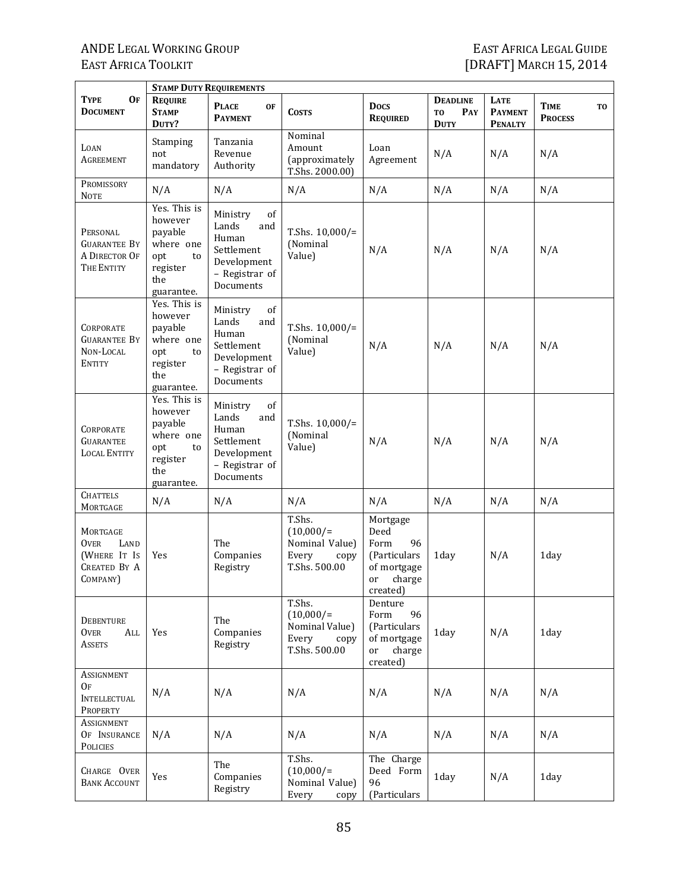Ť

|                                                                                    |                                                                                               | <b>STAMP DUTY REQUIREMENTS</b>                                                                      |                                                                           |                                                                                            |                                                         |                                          |                                     |
|------------------------------------------------------------------------------------|-----------------------------------------------------------------------------------------------|-----------------------------------------------------------------------------------------------------|---------------------------------------------------------------------------|--------------------------------------------------------------------------------------------|---------------------------------------------------------|------------------------------------------|-------------------------------------|
| <b>TYPE</b><br><b>OF</b><br><b>DOCUMENT</b>                                        | <b>REQUIRE</b><br><b>STAMP</b><br>DUTY?                                                       | <b>PLACE</b><br><b>OF</b><br><b>PAYMENT</b>                                                         | <b>COSTS</b>                                                              | <b>Docs</b><br><b>REQUIRED</b>                                                             | <b>DEADLINE</b><br>T <sub>0</sub><br>PAY<br><b>DUTY</b> | LATE<br><b>PAYMENT</b><br><b>PENALTY</b> | <b>TIME</b><br>TO<br><b>PROCESS</b> |
| LOAN<br><b>AGREEMENT</b>                                                           | Stamping<br>not<br>mandatory                                                                  | Tanzania<br>Revenue<br>Authority                                                                    | Nominal<br>Amount<br>(approximately<br>T.Shs. 2000.00)                    | Loan<br>Agreement                                                                          | N/A                                                     | N/A                                      | N/A                                 |
| PROMISSORY<br><b>NOTE</b>                                                          | N/A                                                                                           | N/A                                                                                                 | N/A                                                                       | N/A                                                                                        | N/A                                                     | N/A                                      | N/A                                 |
| PERSONAL<br><b>GUARANTEE BY</b><br>A DIRECTOR OF<br>THE ENTITY                     | Yes. This is<br>however<br>payable<br>where one<br>opt<br>to<br>register<br>the<br>guarantee. | of<br>Ministry<br>Lands<br>and<br>Human<br>Settlement<br>Development<br>- Registrar of<br>Documents | T.Shs. $10,000/$ =<br>(Nominal<br>Value)                                  | N/A                                                                                        | N/A                                                     | N/A                                      | N/A                                 |
| <b>CORPORATE</b><br><b>GUARANTEE BY</b><br>NON-LOCAL<br><b>ENTITY</b>              | Yes. This is<br>however<br>payable<br>where one<br>opt<br>to<br>register<br>the<br>guarantee. | of<br>Ministry<br>Lands<br>and<br>Human<br>Settlement<br>Development<br>- Registrar of<br>Documents | T.Shs. $10,000/$ =<br>(Nominal<br>Value)                                  | N/A                                                                                        | N/A                                                     | N/A                                      | N/A                                 |
| <b>CORPORATE</b><br><b>GUARANTEE</b><br><b>LOCAL ENTITY</b>                        | Yes. This is<br>however<br>payable<br>where one<br>opt<br>to<br>register<br>the<br>guarantee. | of<br>Ministry<br>Lands<br>and<br>Human<br>Settlement<br>Development<br>- Registrar of<br>Documents | T.Shs. $10,000/$ =<br>(Nominal<br>Value)                                  | N/A                                                                                        | N/A                                                     | N/A                                      | N/A                                 |
| <b>CHATTELS</b><br>MORTGAGE                                                        | N/A                                                                                           | N/A                                                                                                 | N/A                                                                       | N/A                                                                                        | N/A                                                     | N/A                                      | N/A                                 |
| MORTGAGE<br><b>OVER</b><br>LAND<br>(WHERE IT IS<br><b>CREATED BY A</b><br>COMPANY) | Yes                                                                                           | The<br>Companies<br>Registry                                                                        | T.Shs.<br>$(10,000/=$<br>Nominal Value)<br>Every<br>copy<br>T.Shs. 500.00 | Mortgage<br>Deed<br>Form<br>96<br>(Particulars)<br>of mortgage<br>charge<br>or<br>created) | 1day                                                    | N/A                                      | 1day                                |
| <b>DEBENTURE</b><br><b>OVER</b><br>ALL<br><b>ASSETS</b>                            | Yes                                                                                           | The<br>Companies<br>Registry                                                                        | T.Shs.<br>$(10,000/=$<br>Nominal Value)<br>Every<br>copy<br>T.Shs. 500.00 | Denture<br>Form<br>96<br>(Particulars<br>of mortgage<br>or<br>charge<br>created)           | 1day                                                    | N/A                                      | 1day                                |
| ASSIGNMENT<br>0F<br><b>INTELLECTUAL</b><br>PROPERTY                                | N/A                                                                                           | N/A                                                                                                 | N/A                                                                       | N/A                                                                                        | N/A                                                     | N/A                                      | N/A                                 |
| Assignment<br>OF INSURANCE<br>POLICIES                                             | N/A                                                                                           | N/A                                                                                                 | N/A                                                                       | N/A                                                                                        | N/A                                                     | N/A                                      | N/A                                 |
| CHARGE OVER<br><b>BANK ACCOUNT</b>                                                 | Yes                                                                                           | The<br>Companies<br>Registry                                                                        | T.Shs.<br>$(10,000/=$<br>Nominal Value)<br>Every<br>copy                  | The Charge<br>Deed Form<br>96<br>(Particulars                                              | 1day                                                    | N/A                                      | 1day                                |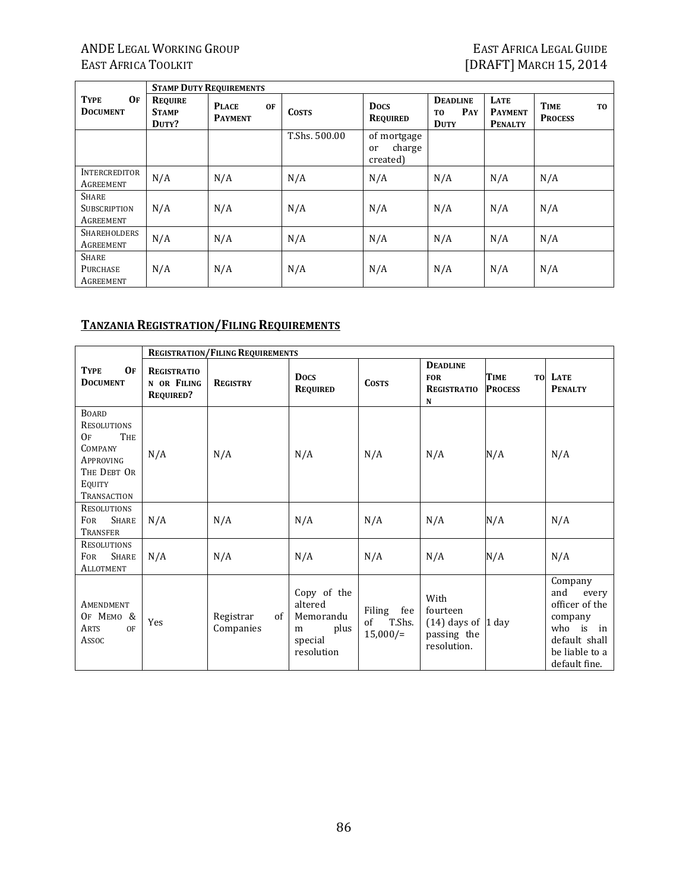# ANDE LEGAL WORKING GROUP FAST AFRICA LEGAL GUIDE EAST AFRICA LEGAL GUIDE<br>
EAST AFRICA TOOLKIT

EAST AFRICA TOOLKIT

'n

|                                                  |                                  | <b>STAMP DUTY REQUIREMENTS</b>              |               |                                         |                                                         |                                          |                                                 |
|--------------------------------------------------|----------------------------------|---------------------------------------------|---------------|-----------------------------------------|---------------------------------------------------------|------------------------------------------|-------------------------------------------------|
| <b>TYPE</b><br>OF<br><b>DOCUMENT</b>             | REQUIRE<br><b>STAMP</b><br>DUTY? | <b>PLACE</b><br><b>OF</b><br><b>PAYMENT</b> | <b>COSTS</b>  | <b>Docs</b><br><b>REQUIRED</b>          | <b>DEADLINE</b><br>PAY<br>T <sub>0</sub><br><b>DUTY</b> | LATE<br><b>PAYMENT</b><br><b>PENALTY</b> | <b>TIME</b><br>T <sub>0</sub><br><b>PROCESS</b> |
|                                                  |                                  |                                             | T.Shs. 500.00 | of mortgage<br>charge<br>or<br>created) |                                                         |                                          |                                                 |
| <b>INTERCREDITOR</b><br>AGREEMENT                | N/A                              | N/A                                         | N/A           | N/A                                     | N/A                                                     | N/A                                      | N/A                                             |
| <b>SHARE</b><br><b>SUBSCRIPTION</b><br>AGREEMENT | N/A                              | N/A                                         | N/A           | N/A                                     | N/A                                                     | N/A                                      | N/A                                             |
| <b>SHAREHOLDERS</b><br>AGREEMENT                 | N/A                              | N/A                                         | N/A           | N/A                                     | N/A                                                     | N/A                                      | N/A                                             |
| <b>SHARE</b><br>PURCHASE<br>AGREEMENT            | N/A                              | N/A                                         | N/A           | N/A                                     | N/A                                                     | N/A                                      | N/A                                             |

#### **TANZANIA REGISTRATION/FILING REQUIREMENTS**

|                                                                                                                               | <b>REGISTRATION/FILING REQUIREMENTS</b>               |                              |                                                                           |                                              |                                                                           |                               |                                                                                                                          |  |  |
|-------------------------------------------------------------------------------------------------------------------------------|-------------------------------------------------------|------------------------------|---------------------------------------------------------------------------|----------------------------------------------|---------------------------------------------------------------------------|-------------------------------|--------------------------------------------------------------------------------------------------------------------------|--|--|
| 0 <sub>F</sub><br><b>TYPE</b><br><b>DOCUMENT</b>                                                                              | <b>REGISTRATIO</b><br>N OR FILING<br><b>REQUIRED?</b> | <b>REGISTRY</b>              | <b>Docs</b><br><b>REQUIRED</b>                                            | <b>COSTS</b>                                 | <b>DEADLINE</b><br><b>FOR</b><br><b>REGISTRATIO</b><br>N                  | <b>TIME</b><br><b>PROCESS</b> | <b>TO LATE</b><br><b>PENALTY</b>                                                                                         |  |  |
| <b>BOARD</b><br><b>RESOLUTIONS</b><br>THE<br>OF<br><b>COMPANY</b><br><b>APPROVING</b><br>THE DEBT OR<br>EQUITY<br>TRANSACTION | N/A                                                   | N/A                          | N/A                                                                       | N/A                                          | N/A                                                                       | N/A                           | N/A                                                                                                                      |  |  |
| <b>RESOLUTIONS</b><br><b>SHARE</b><br><b>FOR</b><br><b>TRANSFER</b>                                                           | N/A                                                   | N/A                          | N/A                                                                       | N/A                                          | N/A                                                                       | N/A                           | N/A                                                                                                                      |  |  |
| <b>RESOLUTIONS</b><br><b>SHARE</b><br><b>FOR</b><br><b>ALLOTMENT</b>                                                          | N/A                                                   | N/A                          | N/A                                                                       | N/A                                          | N/A                                                                       | N/A                           | N/A                                                                                                                      |  |  |
| AMENDMENT<br>OF MEMO &<br><b>ARTS</b><br>OF<br>Assoc                                                                          | <b>Yes</b>                                            | Registrar<br>of<br>Companies | Copy of the<br>altered<br>Memorandu<br>plus<br>m<br>special<br>resolution | Filing<br>fee<br>of<br>T.Shs.<br>$15,000/$ = | With<br>fourteen<br>$(14)$ days of $ 1$ day<br>passing the<br>resolution. |                               | Company<br>and<br>every<br>officer of the<br>company<br>who is<br>in<br>default shall<br>be liable to a<br>default fine. |  |  |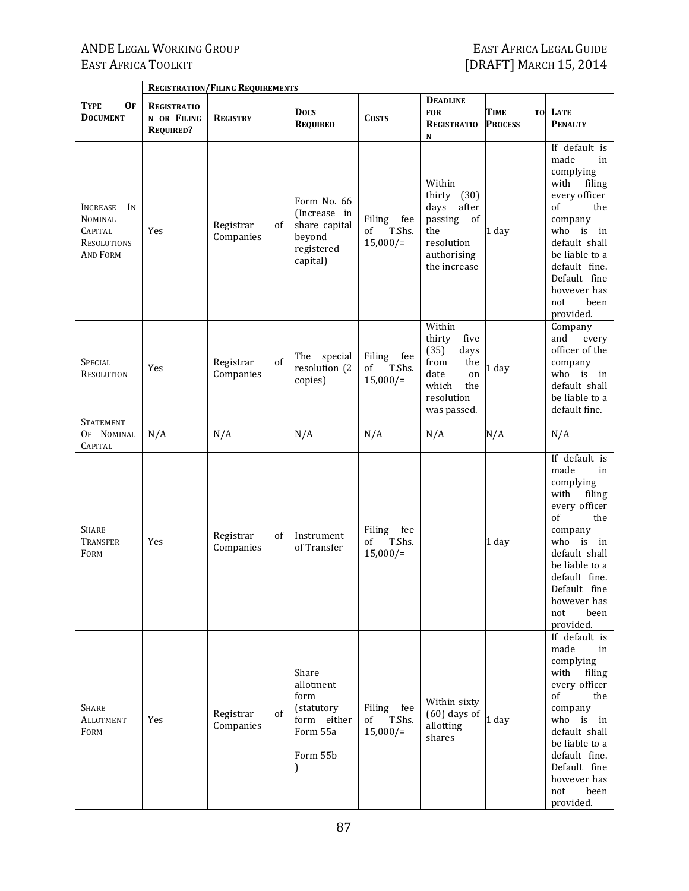|                                                                                                    |                                                       | <b>REGISTRATION/FILING REQUIREMENTS</b> |                                                                                                  |                                              |                                                                                                                    |                              |                                                                                                                                                                                                                                    |
|----------------------------------------------------------------------------------------------------|-------------------------------------------------------|-----------------------------------------|--------------------------------------------------------------------------------------------------|----------------------------------------------|--------------------------------------------------------------------------------------------------------------------|------------------------------|------------------------------------------------------------------------------------------------------------------------------------------------------------------------------------------------------------------------------------|
| OF<br>TYPE<br><b>DOCUMENT</b>                                                                      | <b>REGISTRATIO</b><br>N OR FILING<br><b>REQUIRED?</b> | <b>REGISTRY</b>                         | <b>Docs</b><br><b>REQUIRED</b>                                                                   | <b>COSTS</b>                                 | <b>DEADLINE</b><br><b>FOR</b><br><b>REGISTRATIO</b><br>N                                                           | TIME<br>TO<br><b>PROCESS</b> | LATE<br><b>PENALTY</b>                                                                                                                                                                                                             |
| <b>INCREASE</b><br>IN<br><b>NOMINAL</b><br><b>CAPITAL</b><br><b>RESOLUTIONS</b><br><b>AND FORM</b> | Yes                                                   | Registrar<br>of<br>Companies            | Form No. 66<br>(Increase in<br>share capital<br>beyond<br>registered<br>capital)                 | Filing<br>fee<br>T.Shs.<br>of<br>$15,000/$ = | Within<br>thirty<br>(30)<br>after<br>days<br>passing<br>of<br>the<br>resolution<br>authorising<br>the increase     | 1 day                        | If default is<br>made<br>in<br>complying<br>with<br>filing<br>every officer<br>of<br>the<br>company<br>who is in<br>default shall<br>be liable to a<br>default fine.<br>Default fine<br>however has<br>not<br>been<br>provided.    |
| <b>SPECIAL</b><br><b>RESOLUTION</b>                                                                | Yes                                                   | of<br>Registrar<br>Companies            | The<br>special<br>resolution (2<br>copies)                                                       | Filing<br>fee<br>T.Shs.<br>of<br>$15,000/$ = | Within<br>thirty<br>five<br>(35)<br>days<br>from<br>the<br>date<br>on<br>which<br>the<br>resolution<br>was passed. | 1 day                        | Company<br>and<br>every<br>officer of the<br>company<br>who is in<br>default shall<br>be liable to a<br>default fine.                                                                                                              |
| <b>STATEMENT</b><br>OF NOMINAL<br><b>CAPITAL</b>                                                   | N/A                                                   | N/A                                     | N/A                                                                                              | N/A                                          | N/A                                                                                                                | N/A                          | N/A                                                                                                                                                                                                                                |
| <b>SHARE</b><br>TRANSFER<br>FORM                                                                   | Yes                                                   | Registrar<br>of<br>Companies            | Instrument<br>of Transfer                                                                        | Filing<br>fee<br>T.Shs.<br>of<br>$15,000/$ = |                                                                                                                    | 1 day                        | If default is<br>made<br>in<br>complying<br>with<br>filing<br>every officer<br>of<br>the<br>company<br>who is<br>in<br>default shall<br>be liable to a<br>default fine.<br>Default fine<br>however has<br>not<br>been<br>provided. |
| <b>SHARE</b><br>ALLOTMENT<br>FORM                                                                  | Yes                                                   | of<br>Registrar<br>Companies            | Share<br>allotment<br>form<br>(statutory<br>form either<br>Form 55a<br>Form 55b<br>$\mathcal{L}$ | Filing fee<br>T.Shs.<br>of<br>$15,000/$ =    | Within sixty<br>$(60)$ days of<br>allotting<br>shares                                                              | 1 day                        | If default is<br>made<br>in<br>complying<br>with<br>filing<br>every officer<br>of<br>the<br>company<br>who is in<br>default shall<br>be liable to a<br>default fine.<br>Default fine<br>however has<br>not<br>been<br>provided.    |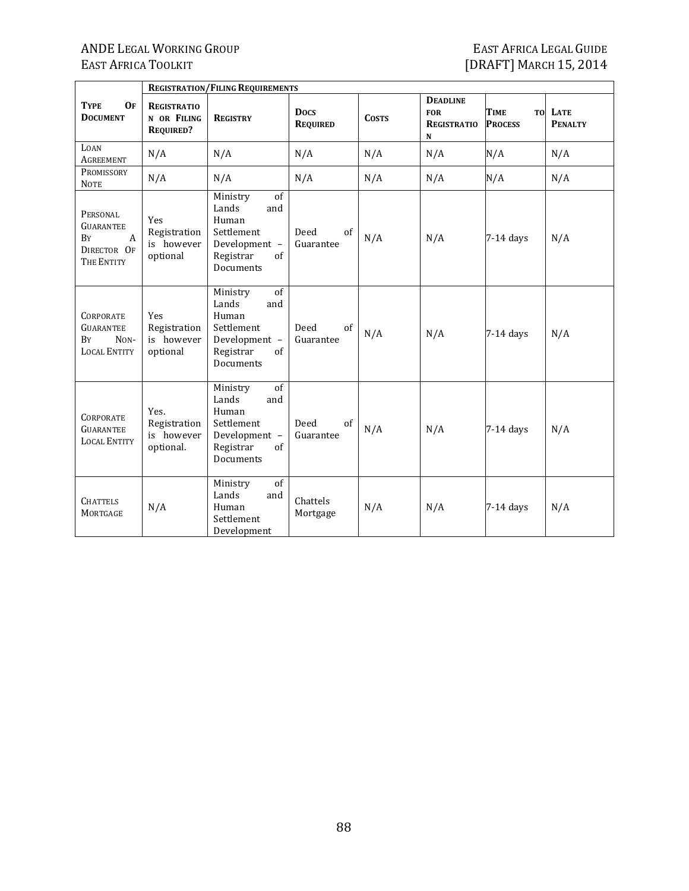|                                                                                     |                                                       | <b>REGISTRATION/FILING REQUIREMENTS</b>                                                                       |                                |              |                                                                    |                               |                           |
|-------------------------------------------------------------------------------------|-------------------------------------------------------|---------------------------------------------------------------------------------------------------------------|--------------------------------|--------------|--------------------------------------------------------------------|-------------------------------|---------------------------|
| 0 <sub>F</sub><br><b>TYPE</b><br><b>DOCUMENT</b>                                    | <b>REGISTRATIO</b><br>N OR FILING<br><b>REQUIRED?</b> | <b>REGISTRY</b>                                                                                               | <b>Docs</b><br><b>REQUIRED</b> | <b>COSTS</b> | <b>DEADLINE</b><br><b>FOR</b><br><b>REGISTRATIO</b><br>$\mathbf N$ | <b>TIME</b><br><b>PROCESS</b> | TO LATE<br><b>PENALTY</b> |
| LOAN<br><b>AGREEMENT</b>                                                            | N/A                                                   | N/A                                                                                                           | N/A                            | N/A          | N/A                                                                | N/A                           | N/A                       |
| PROMISSORY<br><b>NOTE</b>                                                           | N/A                                                   | N/A                                                                                                           | N/A                            | N/A          | N/A                                                                | N/A                           | N/A                       |
| PERSONAL<br><b>GUARANTEE</b><br>BY<br>A<br>DIRECTOR OF<br>THE ENTITY                | Yes<br>Registration<br>is however<br>optional         | of<br>Ministry<br>Lands<br>and<br>Human<br>Settlement<br>Development -<br>Registrar<br>of<br>Documents        | of<br>Deed<br>Guarantee        | N/A          | N/A                                                                | $7-14$ days                   | N/A                       |
| <b>CORPORATE</b><br><b>GUARANTEE</b><br>$NON-$<br><b>B</b> Y<br><b>LOCAL ENTITY</b> | Yes<br>Registration<br>is however<br>optional         | of<br>Ministry<br>Lands<br>and<br>Human<br>Settlement<br>Development -<br>Registrar<br>of<br><b>Documents</b> | of<br>Deed<br>Guarantee        | N/A          | N/A                                                                | $7-14$ days                   | N/A                       |
| <b>CORPORATE</b><br><b>GUARANTEE</b><br><b>LOCAL ENTITY</b>                         | Yes.<br>Registration<br>is however<br>optional.       | of<br>Ministry<br>Lands<br>and<br>Human<br>Settlement<br>Development -<br>Registrar<br>of<br>Documents        | Deed<br>of<br>Guarantee        | N/A          | N/A                                                                | $7-14$ days                   | N/A                       |
| <b>CHATTELS</b><br><b>MORTGAGE</b>                                                  | N/A                                                   | of<br>Ministry<br>Lands<br>and<br>Human<br>Settlement<br>Development                                          | Chattels<br>Mortgage           | N/A          | N/A                                                                | $7-14$ days                   | N/A                       |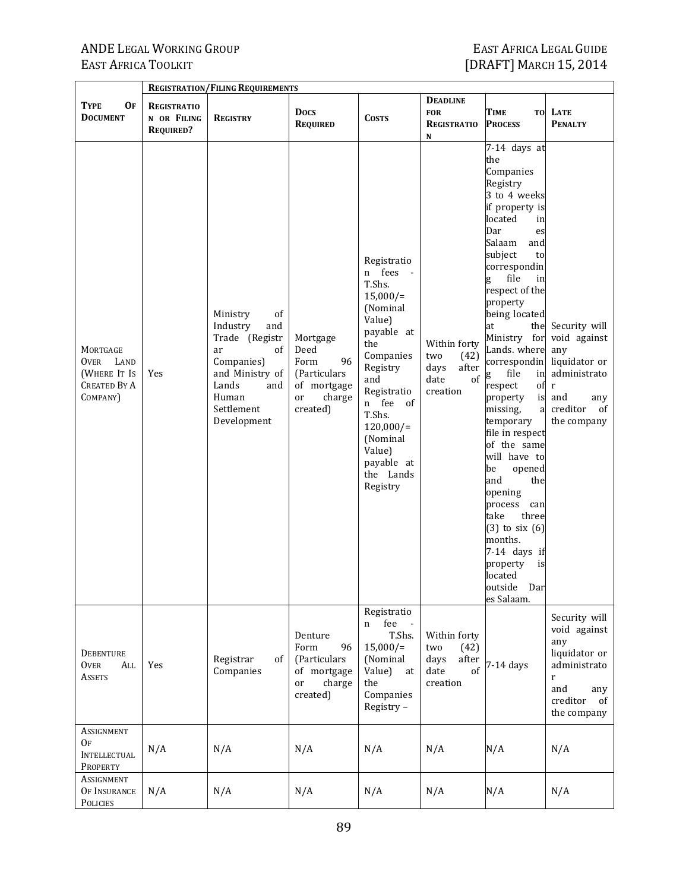|                                                                                    |                                                       | <b>REGISTRATION/FILING REQUIREMENTS</b>                                                                                                                |                                                                                           |                                                                                                                                                                                                                                               |                                                                        |                                                                                                                                                                                                                                                                                                                                                                                                                                                                                                                                                                                                                        |                                                                                                                                         |
|------------------------------------------------------------------------------------|-------------------------------------------------------|--------------------------------------------------------------------------------------------------------------------------------------------------------|-------------------------------------------------------------------------------------------|-----------------------------------------------------------------------------------------------------------------------------------------------------------------------------------------------------------------------------------------------|------------------------------------------------------------------------|------------------------------------------------------------------------------------------------------------------------------------------------------------------------------------------------------------------------------------------------------------------------------------------------------------------------------------------------------------------------------------------------------------------------------------------------------------------------------------------------------------------------------------------------------------------------------------------------------------------------|-----------------------------------------------------------------------------------------------------------------------------------------|
| 0F<br><b>TYPE</b><br><b>DOCUMENT</b>                                               | <b>REGISTRATIO</b><br>N OR FILING<br><b>REQUIRED?</b> | <b>REGISTRY</b>                                                                                                                                        | <b>Docs</b><br><b>REQUIRED</b>                                                            | <b>COSTS</b>                                                                                                                                                                                                                                  | <b>DEADLINE</b><br><b>FOR</b><br><b>REGISTRATIO</b><br>N               | <b>TIME</b><br><b>PROCESS</b>                                                                                                                                                                                                                                                                                                                                                                                                                                                                                                                                                                                          | TO LATE<br><b>PENALTY</b>                                                                                                               |
| MORTGAGE<br><b>OVER</b><br>LAND<br>(WHERE IT IS<br><b>CREATED BY A</b><br>COMPANY) | Yes                                                   | Ministry<br>of<br>Industry<br>and<br>Trade (Registr<br>of<br>ar<br>Companies)<br>and Ministry of<br>Lands<br>and<br>Human<br>Settlement<br>Development | Mortgage<br>Deed<br>96<br>Form<br>(Particulars<br>of mortgage<br>charge<br>or<br>created) | Registratio<br>n fees -<br>T.Shs.<br>$15,000/$ =<br>(Nominal<br>Value)<br>payable at<br>the<br>Companies<br>Registry<br>and<br>Registratio<br>n fee of<br>T.Shs.<br>$120,000/$ =<br>(Nominal<br>Value)<br>payable at<br>the Lands<br>Registry | Within forty<br>two<br>(42)<br>after<br>days<br>of<br>date<br>creation | 7-14 days at<br>the<br>Companies<br>Registry<br>3 to 4 weeks<br>if property is<br>located<br>in<br>Dar<br>es<br>Salaam<br>and<br>subject<br>to<br>correspondin<br>g<br>file<br>in<br>respect of the<br>property<br>being located<br>at<br>Ministry for<br>Lands. where<br>correspondin<br>file<br>in<br>g<br>respect<br>of<br>property<br>is<br>missing,<br>a<br>temporary<br>file in respect<br>of the same<br>will have to<br>be<br>opened<br>and<br>the<br>opening<br>process<br>can<br>take<br>three<br>$(3)$ to six $(6)$<br>months.<br>7-14 days if<br>property<br>is<br>located<br>outside<br>Dar<br>es Salaam. | the Security will<br>void against<br>any<br>liquidator or<br>administrato<br>$\mathbf r$<br>and<br>any<br>creditor<br>of<br>the company |
| <b>DEBENTURE</b><br><b>OVER</b><br>All<br><b>ASSETS</b>                            | Yes                                                   | Registrar<br>of<br>Companies                                                                                                                           | Denture<br>Form<br>96<br>(Particulars<br>of mortgage<br>or<br>charge<br>created)          | Registratio<br>fee<br>$\mathbf{n}$<br>T.Shs.<br>$15,000/$ =<br>(Nominal<br>Value)<br>at<br>the<br>Companies<br>Registry-                                                                                                                      | Within forty<br>two<br>(42)<br>after<br>days<br>date<br>of<br>creation | $7-14$ days                                                                                                                                                                                                                                                                                                                                                                                                                                                                                                                                                                                                            | Security will<br>void against<br>any<br>liquidator or<br>administrato<br>$\mathbf r$<br>and<br>any<br>creditor<br>of<br>the company     |
| ASSIGNMENT<br>OF<br><b>INTELLECTUAL</b><br>PROPERTY                                | N/A                                                   | N/A                                                                                                                                                    | N/A                                                                                       | N/A                                                                                                                                                                                                                                           | N/A                                                                    | N/A                                                                                                                                                                                                                                                                                                                                                                                                                                                                                                                                                                                                                    | N/A                                                                                                                                     |
| ASSIGNMENT<br>OF INSURANCE<br>POLICIES                                             | N/A                                                   | N/A                                                                                                                                                    | N/A                                                                                       | N/A                                                                                                                                                                                                                                           | N/A                                                                    | N/A                                                                                                                                                                                                                                                                                                                                                                                                                                                                                                                                                                                                                    | N/A                                                                                                                                     |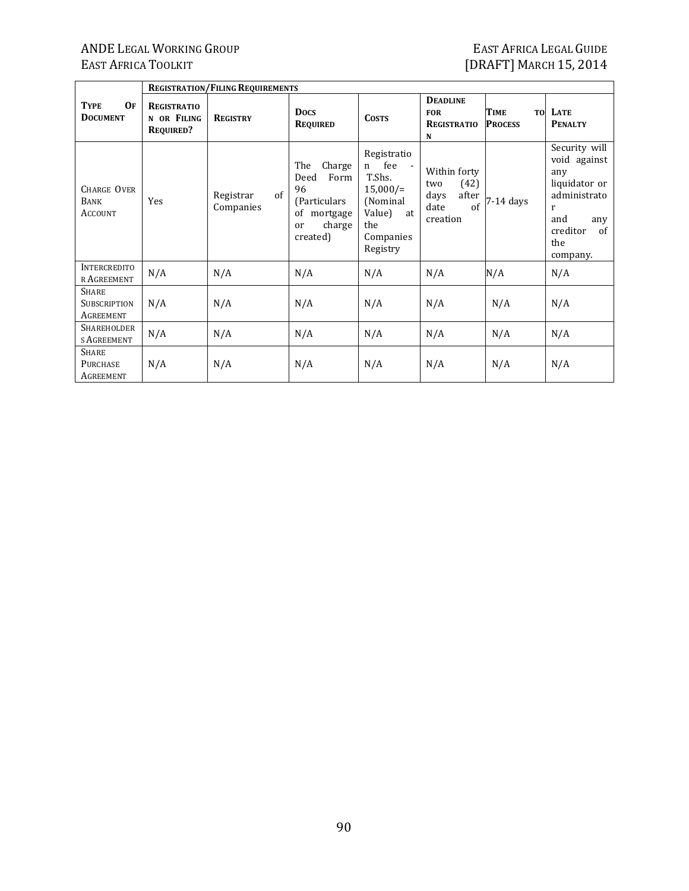|                                                  |                                                       | <b>REGISTRATION/FILING REQUIREMENTS</b> |                                                                                                    |                                                                                                               |                                                                        |                                                 |                                                                                                                                          |  |  |  |  |
|--------------------------------------------------|-------------------------------------------------------|-----------------------------------------|----------------------------------------------------------------------------------------------------|---------------------------------------------------------------------------------------------------------------|------------------------------------------------------------------------|-------------------------------------------------|------------------------------------------------------------------------------------------------------------------------------------------|--|--|--|--|
| <b>OF</b><br><b>TYPE</b><br><b>DOCUMENT</b>      | <b>REGISTRATIO</b><br>N OR FILING<br><b>REQUIRED?</b> | <b>REGISTRY</b>                         | <b>Docs</b><br><b>REQUIRED</b>                                                                     | <b>COSTS</b>                                                                                                  | <b>DEADLINE</b><br><b>FOR</b><br><b>REGISTRATIO</b><br>N               | <b>TIME</b><br>T <sub>0</sub><br><b>PROCESS</b> | LATE<br><b>PENALTY</b>                                                                                                                   |  |  |  |  |
| <b>CHARGE OVER</b><br>BANK<br><b>ACCOUNT</b>     | Yes                                                   | of<br>Registrar<br>Companies            | The<br>Charge<br>Deed<br>Form<br>96<br>(Particulars)<br>of<br>mortgage<br>charge<br>or<br>created) | Registratio<br>fee<br>n<br>T.Shs.<br>$15,000/$ =<br>(Nominal)<br>Value)<br>at<br>the<br>Companies<br>Registry | Within forty<br>(42)<br>two<br>after<br>days<br>of<br>date<br>creation | 7-14 days                                       | Security will<br>void against<br>any<br>liquidator or<br>administrato<br>r<br>and<br>any<br>creditor<br><sub>of</sub><br>the<br>company. |  |  |  |  |
| INTERCREDITO<br>r Agreement                      | N/A                                                   | N/A                                     | N/A                                                                                                | N/A                                                                                                           | N/A                                                                    | N/A                                             | N/A                                                                                                                                      |  |  |  |  |
| <b>SHARE</b><br><b>SUBSCRIPTION</b><br>AGREEMENT | N/A                                                   | N/A                                     | N/A                                                                                                | N/A                                                                                                           | N/A                                                                    | N/A                                             | N/A                                                                                                                                      |  |  |  |  |
| SHAREHOLDER<br>s Agreement                       | N/A                                                   | N/A                                     | N/A                                                                                                | N/A                                                                                                           | N/A                                                                    | N/A                                             | N/A                                                                                                                                      |  |  |  |  |
| <b>SHARE</b><br><b>PURCHASE</b><br>AGREEMENT     | N/A                                                   | N/A                                     | N/A                                                                                                | N/A                                                                                                           | N/A                                                                    | N/A                                             | N/A                                                                                                                                      |  |  |  |  |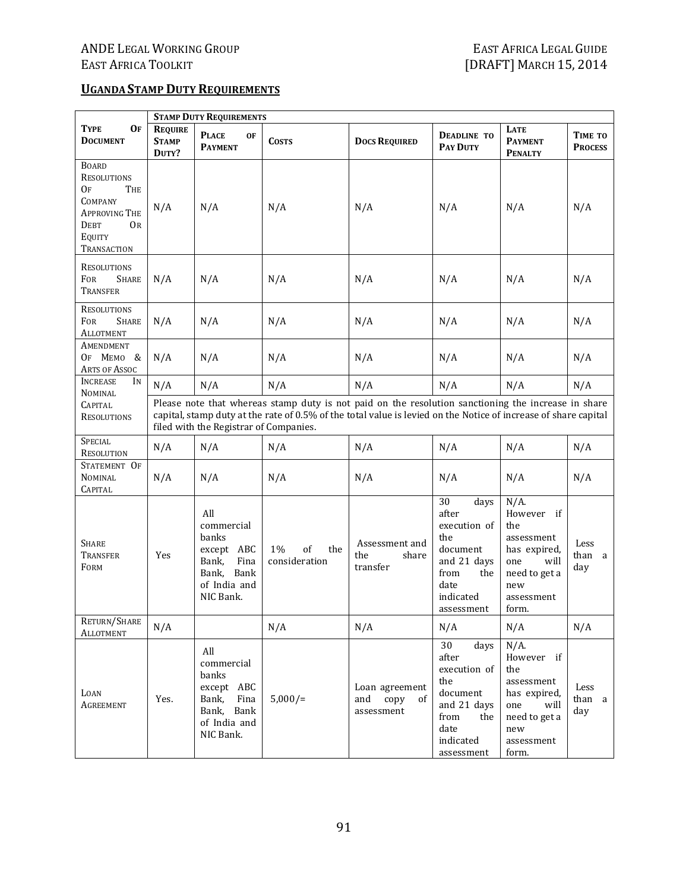#### **UGANDASTAMP DUTY REQUIREMENTS**

|                                                                                                                                                       |                                                                                                                                                                                                                                                                  | <b>STAMP DUTY REQUIREMENTS</b>                                                                          |                                  |                                                   |                                                                                                                         |                                                                                                                          |                           |
|-------------------------------------------------------------------------------------------------------------------------------------------------------|------------------------------------------------------------------------------------------------------------------------------------------------------------------------------------------------------------------------------------------------------------------|---------------------------------------------------------------------------------------------------------|----------------------------------|---------------------------------------------------|-------------------------------------------------------------------------------------------------------------------------|--------------------------------------------------------------------------------------------------------------------------|---------------------------|
| <b>TYPE</b><br><b>OF</b><br><b>DOCUMENT</b>                                                                                                           | <b>REQUIRE</b><br><b>STAMP</b><br>DUTY?                                                                                                                                                                                                                          | <b>PLACE</b><br>0F<br><b>PAYMENT</b>                                                                    | <b>COSTS</b>                     | <b>DOCS REQUIRED</b>                              | <b>DEADLINE TO</b><br>PAY DUTY                                                                                          | <b>LATE</b><br><b>PAYMENT</b><br><b>PENALTY</b>                                                                          | TIME TO<br><b>PROCESS</b> |
| <b>BOARD</b><br><b>RESOLUTIONS</b><br>OF<br>THE<br><b>COMPANY</b><br><b>APPROVING THE</b><br><b>DEBT</b><br><b>OR</b><br>EQUITY<br><b>TRANSACTION</b> | N/A                                                                                                                                                                                                                                                              | N/A                                                                                                     | N/A                              | N/A                                               | N/A                                                                                                                     | N/A                                                                                                                      | N/A                       |
| <b>RESOLUTIONS</b><br>FOR<br><b>SHARE</b><br>TRANSFER                                                                                                 | N/A                                                                                                                                                                                                                                                              | N/A                                                                                                     | N/A                              | N/A                                               | N/A                                                                                                                     | N/A                                                                                                                      | N/A                       |
| <b>RESOLUTIONS</b><br><b>FOR</b><br><b>SHARE</b><br><b>ALLOTMENT</b>                                                                                  | N/A                                                                                                                                                                                                                                                              | N/A                                                                                                     | N/A                              | N/A                                               | N/A                                                                                                                     | N/A                                                                                                                      | N/A                       |
| AMENDMENT<br>OF MEMO &<br>ARTS OF ASSOC                                                                                                               | N/A                                                                                                                                                                                                                                                              | N/A                                                                                                     | N/A                              | N/A                                               | N/A                                                                                                                     | N/A                                                                                                                      | N/A                       |
| <b>INCREASE</b><br>IN<br><b>NOMINAL</b>                                                                                                               | N/A                                                                                                                                                                                                                                                              | N/A                                                                                                     | N/A                              | N/A                                               | N/A                                                                                                                     | N/A                                                                                                                      | N/A                       |
| <b>CAPITAL</b><br><b>RESOLUTIONS</b>                                                                                                                  | Please note that whereas stamp duty is not paid on the resolution sanctioning the increase in share<br>capital, stamp duty at the rate of 0.5% of the total value is levied on the Notice of increase of share capital<br>filed with the Registrar of Companies. |                                                                                                         |                                  |                                                   |                                                                                                                         |                                                                                                                          |                           |
| <b>SPECIAL</b><br><b>RESOLUTION</b>                                                                                                                   | N/A                                                                                                                                                                                                                                                              | N/A                                                                                                     | N/A                              | N/A                                               | N/A                                                                                                                     | N/A                                                                                                                      | N/A                       |
| STATEMENT OF<br><b>NOMINAL</b><br>CAPITAL                                                                                                             | N/A                                                                                                                                                                                                                                                              | N/A                                                                                                     | N/A                              | N/A                                               | N/A                                                                                                                     | N/A                                                                                                                      | N/A                       |
| <b>SHARE</b><br><b>TRANSFER</b><br>FORM                                                                                                               | Yes                                                                                                                                                                                                                                                              | All<br>commercial<br>banks<br>except ABC<br>Fina<br>Bank,<br>Bank,<br>Bank<br>of India and<br>NIC Bank. | of<br>1%<br>the<br>consideration | Assessment and<br>the<br>share<br>transfer        | 30<br>days<br>after<br>execution of<br>the<br>document<br>and 21 days<br>from<br>the<br>date<br>indicated<br>assessment | $N/A$ .<br>However if<br>the<br>assessment<br>has expired,<br>one<br>will<br>need to get a<br>new<br>assessment<br>form. | Less<br>than a<br>day     |
| RETURN/SHARE<br><b>ALLOTMENT</b>                                                                                                                      | N/A                                                                                                                                                                                                                                                              |                                                                                                         | N/A                              | N/A                                               | N/A                                                                                                                     | N/A                                                                                                                      | N/A                       |
| LOAN<br><b>AGREEMENT</b>                                                                                                                              | Yes.                                                                                                                                                                                                                                                             | All<br>commercial<br>banks<br>except ABC<br>Bank,<br>Fina<br>Bank, Bank<br>of India and<br>NIC Bank.    | $5,000/$ =                       | Loan agreement<br>and<br>copy<br>of<br>assessment | 30<br>days<br>after<br>execution of<br>the<br>document<br>and 21 days<br>from<br>the<br>date<br>indicated<br>assessment | $N/A$ .<br>However if<br>the<br>assessment<br>has expired,<br>one<br>will<br>need to get a<br>new<br>assessment<br>form. | Less<br>than a<br>day     |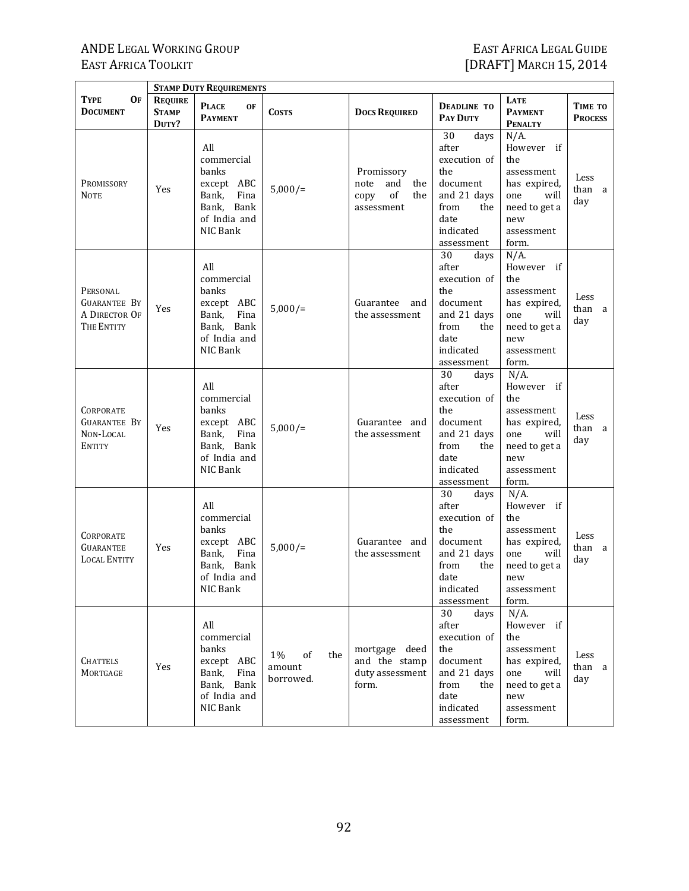|                                                                       |                                         | <b>STAMP DUTY REQUIREMENTS</b>                                                                      |                                           |                                                                     |                                                                                                                         |                                                                                                                          |                           |
|-----------------------------------------------------------------------|-----------------------------------------|-----------------------------------------------------------------------------------------------------|-------------------------------------------|---------------------------------------------------------------------|-------------------------------------------------------------------------------------------------------------------------|--------------------------------------------------------------------------------------------------------------------------|---------------------------|
| <b>OF</b><br>TYPE<br><b>DOCUMENT</b>                                  | <b>REQUIRE</b><br><b>STAMP</b><br>DUTY? | <b>PLACE</b><br><b>OF</b><br><b>PAYMENT</b>                                                         | <b>COSTS</b>                              | <b>DOCS REQUIRED</b>                                                | <b>DEADLINE TO</b><br><b>PAY DUTY</b>                                                                                   | LATE<br><b>PAYMENT</b><br><b>PENALTY</b>                                                                                 | TIME TO<br><b>PROCESS</b> |
| PROMISSORY<br><b>NOTE</b>                                             | Yes                                     | All<br>commercial<br>banks<br>except ABC<br>Fina<br>Bank,<br>Bank, Bank<br>of India and<br>NIC Bank | $5,000/$ =                                | Promissory<br>and<br>note<br>the<br>of<br>copy<br>the<br>assessment | 30<br>days<br>after<br>execution of<br>the<br>document<br>and 21 days<br>from<br>the<br>date<br>indicated<br>assessment | $N/A$ .<br>However if<br>the<br>assessment<br>has expired,<br>one<br>will<br>need to get a<br>new<br>assessment<br>form. | Less<br>than a<br>day     |
| PERSONAL<br><b>GUARANTEE BY</b><br>A DIRECTOR OF<br>THE ENTITY        | Yes                                     | All<br>commercial<br>banks<br>except ABC<br>Fina<br>Bank,<br>Bank, Bank<br>of India and<br>NIC Bank | $5,000/$ =                                | Guarantee<br>and<br>the assessment                                  | 30<br>days<br>after<br>execution of<br>the<br>document<br>and 21 days<br>from<br>the<br>date<br>indicated<br>assessment | $N/A$ .<br>However if<br>the<br>assessment<br>has expired,<br>one<br>will<br>need to get a<br>new<br>assessment<br>form. | Less<br>than a<br>day     |
| <b>CORPORATE</b><br><b>GUARANTEE BY</b><br>NON-LOCAL<br><b>ENTITY</b> | Yes                                     | All<br>commercial<br>banks<br>except ABC<br>Fina<br>Bank,<br>Bank, Bank<br>of India and<br>NIC Bank | $5,000/$ =                                | Guarantee and<br>the assessment                                     | 30<br>days<br>after<br>execution of<br>the<br>document<br>and 21 days<br>from<br>the<br>date<br>indicated<br>assessment | $N/A$ .<br>However if<br>the<br>assessment<br>has expired,<br>one<br>will<br>need to get a<br>new<br>assessment<br>form. | Less<br>than a<br>day     |
| CORPORATE<br>GUARANTEE<br><b>LOCAL ENTITY</b>                         | Yes                                     | All<br>commercial<br>banks<br>except ABC<br>Fina<br>Bank,<br>Bank, Bank<br>of India and<br>NIC Bank | $5,000/$ =                                | Guarantee and<br>the assessment                                     | 30<br>days<br>after<br>execution of<br>the<br>document<br>and 21 days<br>from<br>the<br>date<br>indicated<br>assessment | $N/A$ .<br>However if<br>the<br>assessment<br>has expired,<br>will<br>one<br>need to get a<br>new<br>assessment<br>form. | Less<br>than a<br>day     |
| <b>CHATTELS</b><br>MORTGAGE                                           | Yes                                     | All<br>commercial<br>banks<br>except ABC<br>Bank,<br>Fina<br>Bank, Bank<br>of India and<br>NIC Bank | the<br>$1\%$<br>of<br>amount<br>borrowed. | mortgage deed<br>and the stamp<br>duty assessment<br>form.          | 30<br>days<br>after<br>execution of<br>the<br>document<br>and 21 days<br>from<br>the<br>date<br>indicated<br>assessment | $N/A$ .<br>However if<br>the<br>assessment<br>has expired,<br>one<br>will<br>need to get a<br>new<br>assessment<br>form. | Less<br>than a<br>day     |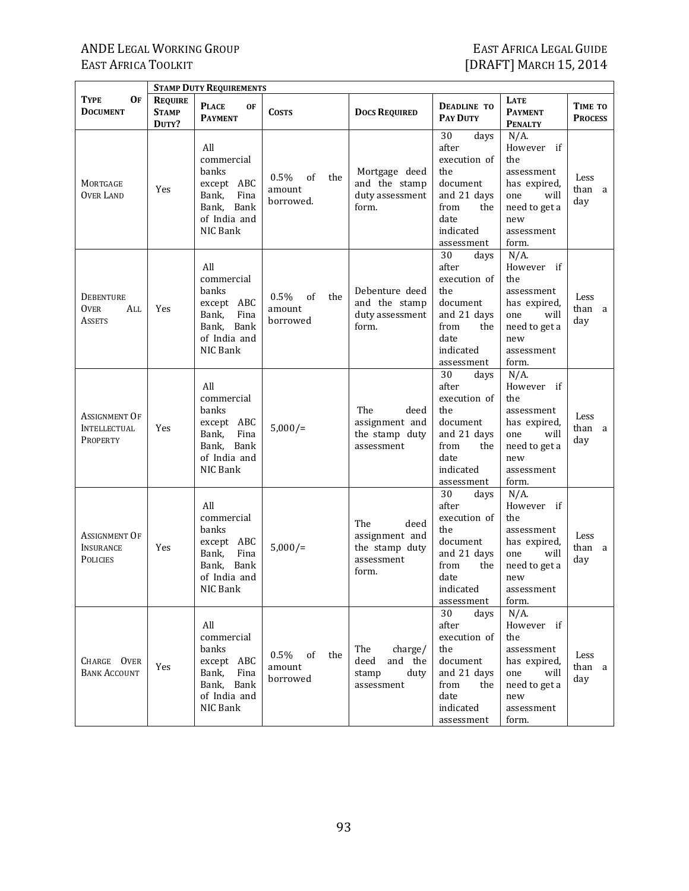|                                                         |                                         | <b>STAMP DUTY REQUIREMENTS</b>                                                                             |                                             |                                                                        |                                                                                                                         |                                                                                                                          |                           |
|---------------------------------------------------------|-----------------------------------------|------------------------------------------------------------------------------------------------------------|---------------------------------------------|------------------------------------------------------------------------|-------------------------------------------------------------------------------------------------------------------------|--------------------------------------------------------------------------------------------------------------------------|---------------------------|
| <b>OF</b><br>TYPE<br><b>DOCUMENT</b>                    | <b>REQUIRE</b><br><b>STAMP</b><br>DUTY? | <b>PLACE</b><br><b>OF</b><br><b>PAYMENT</b>                                                                | <b>COSTS</b>                                | <b>DOCS REQUIRED</b>                                                   | <b>DEADLINE TO</b><br><b>PAY DUTY</b>                                                                                   | LATE<br><b>PAYMENT</b><br><b>PENALTY</b>                                                                                 | TIME TO<br><b>PROCESS</b> |
| MORTGAGE<br><b>OVER LAND</b>                            | Yes                                     | All<br>commercial<br>banks<br>except ABC<br>Fina<br>Bank,<br>Bank, Bank<br>of India and<br>NIC Bank        | $0.5\%$<br>of<br>the<br>amount<br>borrowed. | Mortgage deed<br>and the stamp<br>duty assessment<br>form.             | 30<br>days<br>after<br>execution of<br>the<br>document<br>and 21 days<br>from<br>the<br>date<br>indicated<br>assessment | $N/A$ .<br>However if<br>the<br>assessment<br>has expired,<br>one<br>will<br>need to get a<br>new<br>assessment<br>form. | Less<br>than a<br>day     |
| <b>DEBENTURE</b><br><b>OVER</b><br>All<br><b>ASSETS</b> | Yes                                     | All<br>commercial<br>banks<br>except ABC<br>Bank,<br>Fina<br>Bank, Bank<br>of India and<br>NIC Bank        | $0.5\%$<br>of<br>the<br>amount<br>borrowed  | Debenture deed<br>and the stamp<br>duty assessment<br>form.            | 30<br>days<br>after<br>execution of<br>the<br>document<br>and 21 days<br>from<br>the<br>date<br>indicated<br>assessment | $N/A$ .<br>However if<br>the<br>assessment<br>has expired,<br>one<br>will<br>need to get a<br>new<br>assessment<br>form. | Less<br>than a<br>day     |
| Assignment Of<br><b>INTELLECTUAL</b><br>PROPERTY        | Yes                                     | All<br>commercial<br>banks<br>except ABC<br>Fina<br>Bank,<br>Bank, Bank<br>of India and<br>NIC Bank        | $5,000/$ =                                  | The<br>deed<br>assignment and<br>the stamp duty<br>assessment          | 30<br>days<br>after<br>execution of<br>the<br>document<br>and 21 days<br>from<br>the<br>date<br>indicated<br>assessment | $N/A$ .<br>However if<br>the<br>assessment<br>has expired,<br>one<br>will<br>need to get a<br>new<br>assessment<br>form. | Less<br>than a<br>day     |
| Assignment Of<br><b>INSURANCE</b><br><b>POLICIES</b>    | Yes                                     | All<br>commercial<br><b>banks</b><br>except ABC<br>Fina<br>Bank,<br>Bank, Bank<br>of India and<br>NIC Bank | $5,000/$ =                                  | The<br>deed<br>assignment and<br>the stamp duty<br>assessment<br>form. | 30<br>days<br>after<br>execution of<br>the<br>document<br>and 21 days<br>from<br>the<br>date<br>indicated<br>assessment | $N/A$ .<br>However if<br>the<br>assessment<br>has expired,<br>will<br>one<br>need to get a<br>new<br>assessment<br>form. | Less<br>than a<br>day     |
| CHARGE OVER<br><b>BANK ACCOUNT</b>                      | Yes                                     | All<br>commercial<br>banks<br>except ABC<br>Bank,<br>Fina<br>Bank, Bank<br>of India and<br>NIC Bank        | $0.5\%$ of<br>the<br>amount<br>borrowed     | The<br>charge/<br>deed<br>and the<br>stamp<br>duty<br>assessment       | 30<br>days<br>after<br>execution of<br>the<br>document<br>and 21 days<br>from<br>the<br>date<br>indicated<br>assessment | $N/A$ .<br>However if<br>the<br>assessment<br>has expired,<br>one<br>will<br>need to get a<br>new<br>assessment<br>form. | Less<br>than a<br>day     |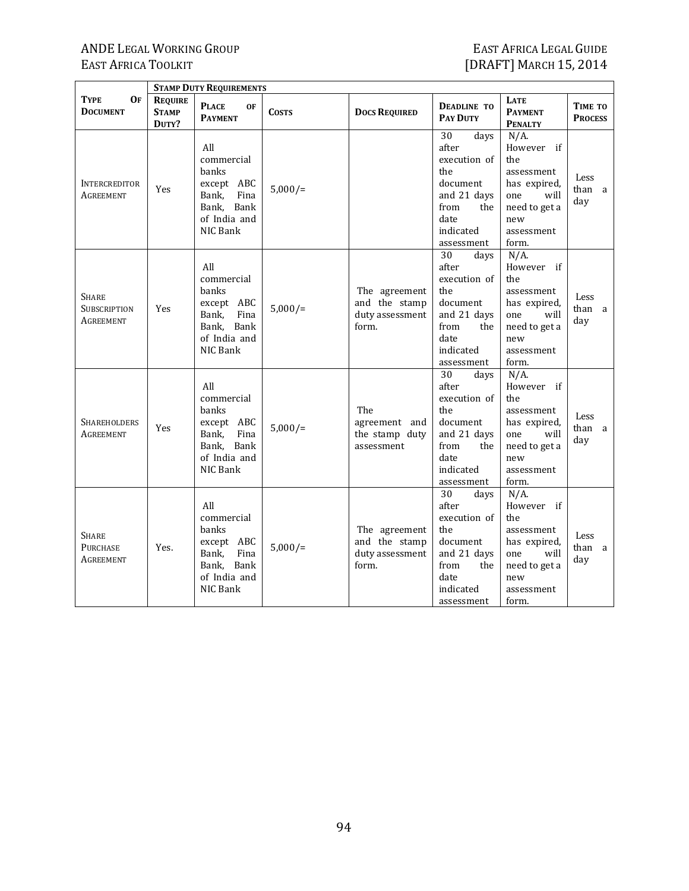7

|                                           |                                         | <b>STAMP DUTY REQUIREMENTS</b>                                                                      |              |                                                            |                                                                                                                         |                                                                                                                          |                           |
|-------------------------------------------|-----------------------------------------|-----------------------------------------------------------------------------------------------------|--------------|------------------------------------------------------------|-------------------------------------------------------------------------------------------------------------------------|--------------------------------------------------------------------------------------------------------------------------|---------------------------|
| TYPE<br>Of<br><b>DOCUMENT</b>             | <b>REQUIRE</b><br><b>STAMP</b><br>DUTY? | <b>PLACE</b><br><b>OF</b><br><b>PAYMENT</b>                                                         | <b>COSTS</b> | <b>DOCS REQUIRED</b>                                       | <b>DEADLINE TO</b><br><b>PAY DUTY</b>                                                                                   | <b>LATE</b><br><b>PAYMENT</b><br><b>PENALTY</b>                                                                          | TIME TO<br><b>PROCESS</b> |
| <b>INTERCREDITOR</b><br>AGREEMENT         | Yes                                     | All<br>commercial<br>banks<br>except ABC<br>Fina<br>Bank,<br>Bank, Bank<br>of India and<br>NIC Bank | $5,000/$ =   |                                                            | 30<br>days<br>after<br>execution of<br>the<br>document<br>and 21 days<br>from<br>the<br>date<br>indicated<br>assessment | $N/A$ .<br>However if<br>the<br>assessment<br>has expired,<br>one<br>will<br>need to get a<br>new<br>assessment<br>form. | Less<br>than a<br>day     |
| <b>SHARE</b><br>SUBSCRIPTION<br>Agreement | Yes                                     | All<br>commercial<br>banks<br>except ABC<br>Fina<br>Bank,<br>Bank, Bank<br>of India and<br>NIC Bank | $5,000/$ =   | The agreement<br>and the stamp<br>duty assessment<br>form. | 30<br>days<br>after<br>execution of<br>the<br>document<br>and 21 days<br>from<br>the<br>date<br>indicated<br>assessment | $N/A$ .<br>However if<br>the<br>assessment<br>has expired,<br>one<br>will<br>need to get a<br>new<br>assessment<br>form. | Less<br>than a<br>day     |
| <b>SHAREHOLDERS</b><br>AGREEMENT          | Yes                                     | All<br>commercial<br>banks<br>except ABC<br>Fina<br>Bank,<br>Bank, Bank<br>of India and<br>NIC Bank | $5,000/$ =   | The<br>agreement and<br>the stamp duty<br>assessment       | 30<br>days<br>after<br>execution of<br>the<br>document<br>and 21 days<br>from<br>the<br>date<br>indicated<br>assessment | $N/A$ .<br>However if<br>the<br>assessment<br>has expired,<br>one<br>will<br>need to get a<br>new<br>assessment<br>form. | Less<br>than a<br>day     |
| Share<br><b>PURCHASE</b><br>Agreement     | Yes.                                    | All<br>commercial<br>banks<br>except ABC<br>Bank,<br>Fina<br>Bank, Bank<br>of India and<br>NIC Bank | $5,000/$ =   | The agreement<br>and the stamp<br>duty assessment<br>form. | 30<br>days<br>after<br>execution of<br>the<br>document<br>and 21 days<br>from<br>the<br>date<br>indicated<br>assessment | $N/A$ .<br>However if<br>the<br>assessment<br>has expired,<br>one<br>will<br>need to get a<br>new<br>assessment<br>form. | Less<br>than a<br>day     |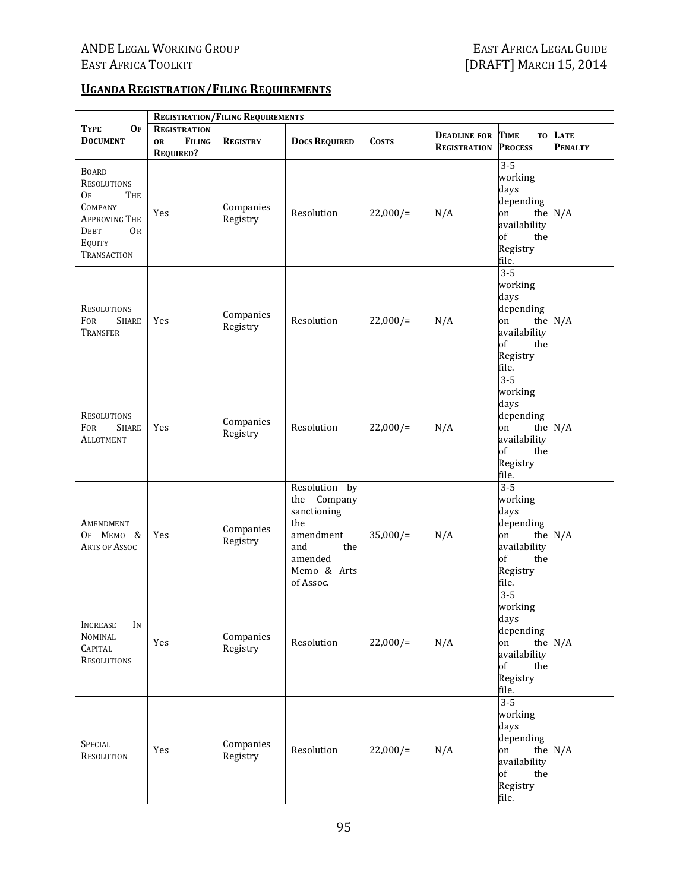#### **UGANDA REGISTRATION/FILING REQUIREMENTS**

|                                                                                                                                         | <b>REGISTRATION/FILING REQUIREMENTS</b>                               |                       |                                                                                                                      |              |                                            |                                                                                                 |                           |  |
|-----------------------------------------------------------------------------------------------------------------------------------------|-----------------------------------------------------------------------|-----------------------|----------------------------------------------------------------------------------------------------------------------|--------------|--------------------------------------------|-------------------------------------------------------------------------------------------------|---------------------------|--|
| <b>TYPE</b><br><b>OF</b><br><b>DOCUMENT</b>                                                                                             | <b>REGISTRATION</b><br><b>FILING</b><br><b>OR</b><br><b>REQUIRED?</b> | <b>REGISTRY</b>       | <b>DOCS REQUIRED</b>                                                                                                 | <b>COSTS</b> | <b>DEADLINE FOR</b><br><b>REGISTRATION</b> | <b>TIME</b><br><b>PROCESS</b>                                                                   | TO LATE<br><b>PENALTY</b> |  |
| <b>BOARD</b><br><b>RESOLUTIONS</b><br>0f<br>The<br>COMPANY<br><b>APPROVING THE</b><br><b>DEBT</b><br>OR<br>EQUITY<br><b>TRANSACTION</b> | Yes                                                                   | Companies<br>Registry | Resolution                                                                                                           | $22,000/$ =  | N/A                                        | $3 - 5$<br>working<br>days<br>depending<br>on<br>availability<br>of<br>the<br>Registry<br>file. | the $N/A$                 |  |
| RESOLUTIONS<br><b>FOR</b><br><b>SHARE</b><br><b>TRANSFER</b>                                                                            | Yes                                                                   | Companies<br>Registry | Resolution                                                                                                           | $22,000/$ =  | N/A                                        | $3 - 5$<br>working<br>days<br>depending<br>on<br>availability<br>of<br>the<br>Registry<br>file. | the $N/A$                 |  |
| <b>RESOLUTIONS</b><br>FOR<br><b>SHARE</b><br>ALLOTMENT                                                                                  | Yes                                                                   | Companies<br>Registry | Resolution                                                                                                           | $22,000/$ =  | N/A                                        | $3 - 5$<br>working<br>days<br>depending<br>on<br>availability<br>of<br>the<br>Registry<br>file. | the $N/A$                 |  |
| AMENDMENT<br>OF MEMO &<br><b>ARTS OF ASSOC</b>                                                                                          | Yes                                                                   | Companies<br>Registry | Resolution by<br>the Company<br>sanctioning<br>the<br>amendment<br>the<br>and<br>amended<br>Memo & Arts<br>of Assoc. | $35,000/$ =  | N/A                                        | $3 - 5$<br>working<br>days<br>depending<br>on<br>availability<br>of<br>the<br>Registry<br>file. | the $N/A$                 |  |
| <b>INCREASE</b><br>IN<br><b>NOMINAL</b><br><b>CAPITAL</b><br><b>RESOLUTIONS</b>                                                         | Yes                                                                   | Companies<br>Registry | Resolution                                                                                                           | $22,000/$ =  | N/A                                        | $3 - 5$<br>working<br>days<br>depending<br>on<br>availability<br>of<br>the<br>Registry<br>file. | the $N/A$                 |  |
| <b>SPECIAL</b><br><b>RESOLUTION</b>                                                                                                     | Yes                                                                   | Companies<br>Registry | Resolution                                                                                                           | $22,000/=$   | N/A                                        | $3 - 5$<br>working<br>days<br>depending<br>on<br>availability<br>of<br>the<br>Registry<br>file. | the $N/A$                 |  |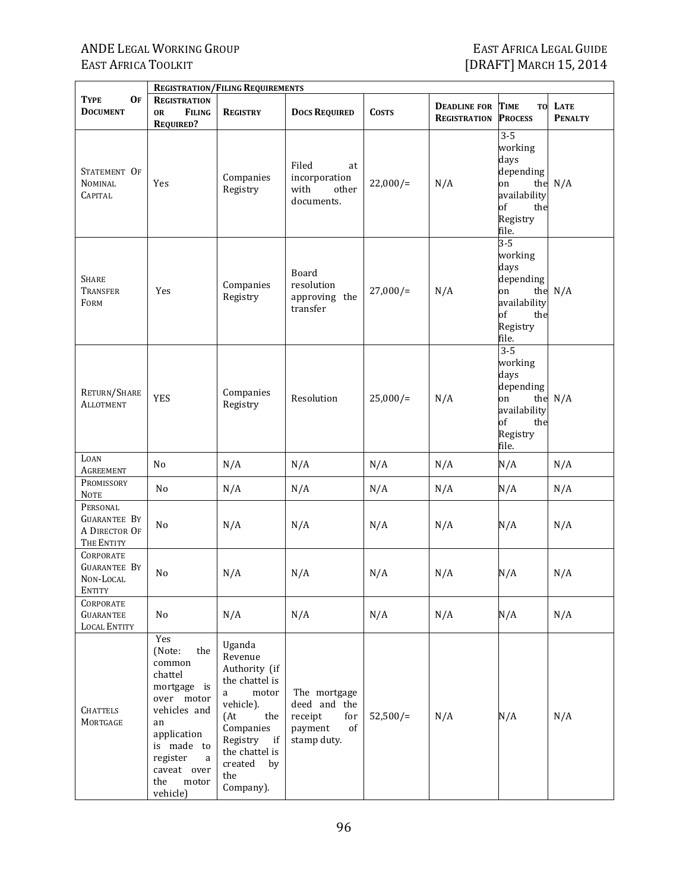|                                                                | <b>REGISTRATION/FILING REQUIREMENTS</b>                                                                                                                                               |                                                                                                                                                                                     |                                                                                |              |                                            |                                                                                                        |                               |  |
|----------------------------------------------------------------|---------------------------------------------------------------------------------------------------------------------------------------------------------------------------------------|-------------------------------------------------------------------------------------------------------------------------------------------------------------------------------------|--------------------------------------------------------------------------------|--------------|--------------------------------------------|--------------------------------------------------------------------------------------------------------|-------------------------------|--|
| <b>OF</b><br><b>TYPE</b><br><b>DOCUMENT</b>                    | <b>REGISTRATION</b><br><b>FILING</b><br><b>OR</b><br><b>REQUIRED?</b>                                                                                                                 | <b>REGISTRY</b>                                                                                                                                                                     | <b>DOCS REQUIRED</b>                                                           | <b>COSTS</b> | <b>DEADLINE FOR</b><br><b>REGISTRATION</b> | <b>TIME</b><br>T <sub>0</sub><br><b>PROCESS</b>                                                        | <b>LATE</b><br><b>PENALTY</b> |  |
| STATEMENT OF<br><b>NOMINAL</b><br><b>CAPITAL</b>               | Yes                                                                                                                                                                                   | Companies<br>Registry                                                                                                                                                               | Filed<br>at<br>incorporation<br>with<br>other<br>documents.                    | $22,000/$ =  | N/A                                        | $3 - 5$<br>working<br>days<br>depending<br>on<br>the<br>availability<br>of<br>the<br>Registry<br>file. | N/A                           |  |
| <b>SHARE</b><br><b>TRANSFER</b><br>FORM                        | Yes                                                                                                                                                                                   | Companies<br>Registry                                                                                                                                                               | Board<br>resolution<br>approving the<br>transfer                               | $27,000/$ =  | N/A                                        | $3 - 5$<br>working<br>days<br>depending<br>on<br>the<br>availability<br>of<br>the<br>Registry<br>file. | N/A                           |  |
| RETURN/SHARE<br><b>ALLOTMENT</b>                               | <b>YES</b>                                                                                                                                                                            | Companies<br>Registry                                                                                                                                                               | Resolution                                                                     | $25,000/$ =  | N/A                                        | $3 - 5$<br>working<br>days<br>depending<br>on<br>the<br>availability<br>of<br>the<br>Registry<br>file. | N/A                           |  |
| LOAN<br><b>AGREEMENT</b>                                       | No                                                                                                                                                                                    | N/A                                                                                                                                                                                 | N/A                                                                            | N/A          | N/A                                        | N/A                                                                                                    | N/A                           |  |
| PROMISSORY<br><b>NOTE</b>                                      | N <sub>0</sub>                                                                                                                                                                        | N/A                                                                                                                                                                                 | N/A                                                                            | N/A          | N/A                                        | N/A                                                                                                    | N/A                           |  |
| PERSONAL<br><b>GUARANTEE BY</b><br>A DIRECTOR OF<br>THE ENTITY | No                                                                                                                                                                                    | N/A                                                                                                                                                                                 | N/A                                                                            | N/A          | N/A                                        | N/A                                                                                                    | N/A                           |  |
| <b>CORPORATE</b><br><b>GUARANTEE BY</b><br>NON-LOCAL<br>ENTITY | No                                                                                                                                                                                    | N/A                                                                                                                                                                                 | N/A                                                                            | N/A          | N/A                                        | N/A                                                                                                    | N/A                           |  |
| CORPORATE<br><b>GUARANTEE</b><br><b>LOCAL ENTITY</b>           | No                                                                                                                                                                                    | N/A                                                                                                                                                                                 | N/A                                                                            | N/A          | N/A                                        | N/A                                                                                                    | N/A                           |  |
| <b>CHATTELS</b><br>MORTGAGE                                    | Yes<br>(Note:<br>the<br>common<br>chattel<br>mortgage is<br>over motor<br>vehicles and<br>an<br>application<br>is made to<br>register<br>a<br>caveat over<br>the<br>motor<br>vehicle) | Uganda<br>Revenue<br>Authority (if<br>the chattel is<br>motor<br>a<br>vehicle).<br>(At<br>the<br>Companies<br>Registry<br>if<br>the chattel is<br>created<br>by<br>the<br>Company). | The mortgage<br>deed and the<br>receipt<br>for<br>payment<br>of<br>stamp duty. | $52,500/=$   | N/A                                        | N/A                                                                                                    | N/A                           |  |